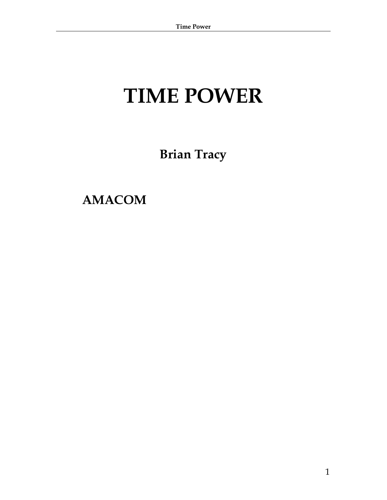# **TIME POWER**

**Brian Tracy** 

 **AMACOM**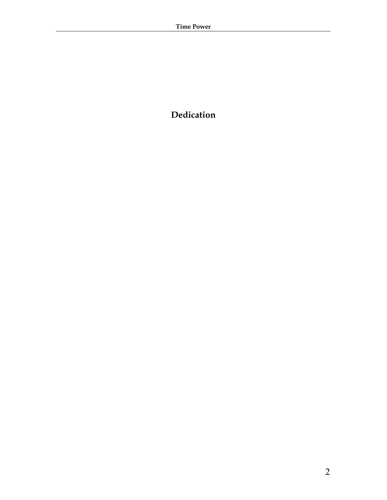# **Dedication**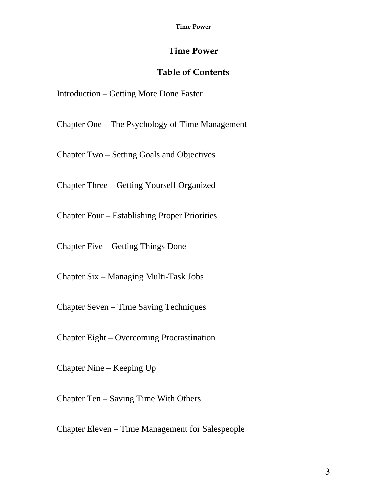## **Time Power**

# **Table of Contents**

Introduction – Getting More Done Faster

Chapter One – The Psychology of Time Management

Chapter Two – Setting Goals and Objectives

Chapter Three – Getting Yourself Organized

Chapter Four – Establishing Proper Priorities

Chapter Five – Getting Things Done

Chapter Six – Managing Multi-Task Jobs

Chapter Seven – Time Saving Techniques

Chapter Eight – Overcoming Procrastination

Chapter Nine – Keeping Up

Chapter Ten – Saving Time With Others

Chapter Eleven – Time Management for Salespeople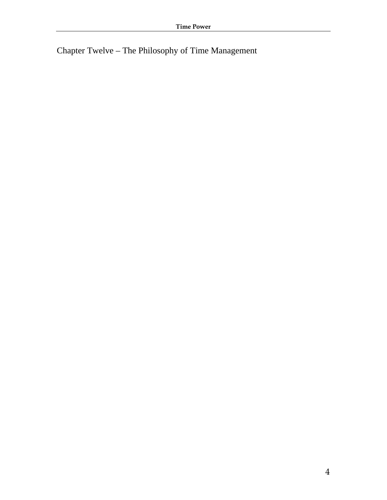Chapter Twelve – The Philosophy of Time Management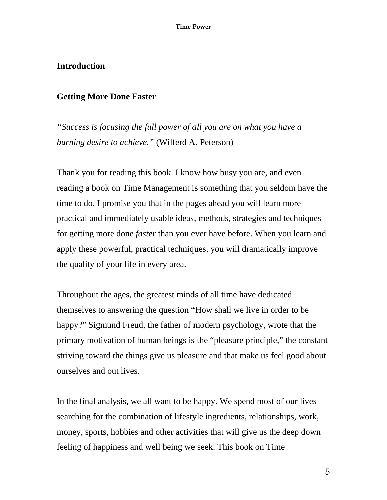#### **Introduction**

#### **Getting More Done Faster**

*"Success is focusing the full power of all you are on what you have a burning desire to achieve."* (Wilferd A. Peterson)

Thank you for reading this book. I know how busy you are, and even reading a book on Time Management is something that you seldom have the time to do. I promise you that in the pages ahead you will learn more practical and immediately usable ideas, methods, strategies and techniques for getting more done *faster* than you ever have before. When you learn and apply these powerful, practical techniques, you will dramatically improve the quality of your life in every area.

Throughout the ages, the greatest minds of all time have dedicated themselves to answering the question "How shall we live in order to be happy?" Sigmund Freud, the father of modern psychology, wrote that the primary motivation of human beings is the "pleasure principle," the constant striving toward the things give us pleasure and that make us feel good about ourselves and out lives.

In the final analysis, we all want to be happy. We spend most of our lives searching for the combination of lifestyle ingredients, relationships, work, money, sports, hobbies and other activities that will give us the deep down feeling of happiness and well being we seek. This book on Time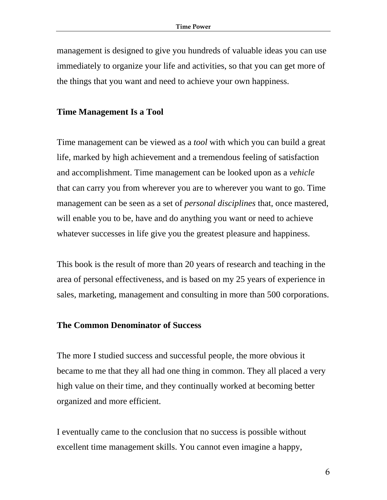management is designed to give you hundreds of valuable ideas you can use immediately to organize your life and activities, so that you can get more of the things that you want and need to achieve your own happiness.

#### **Time Management Is a Tool**

Time management can be viewed as a *tool* with which you can build a great life, marked by high achievement and a tremendous feeling of satisfaction and accomplishment. Time management can be looked upon as a *vehicle* that can carry you from wherever you are to wherever you want to go. Time management can be seen as a set of *personal disciplines* that, once mastered, will enable you to be, have and do anything you want or need to achieve whatever successes in life give you the greatest pleasure and happiness.

This book is the result of more than 20 years of research and teaching in the area of personal effectiveness, and is based on my 25 years of experience in sales, marketing, management and consulting in more than 500 corporations.

#### **The Common Denominator of Success**

The more I studied success and successful people, the more obvious it became to me that they all had one thing in common. They all placed a very high value on their time, and they continually worked at becoming better organized and more efficient.

I eventually came to the conclusion that no success is possible without excellent time management skills. You cannot even imagine a happy,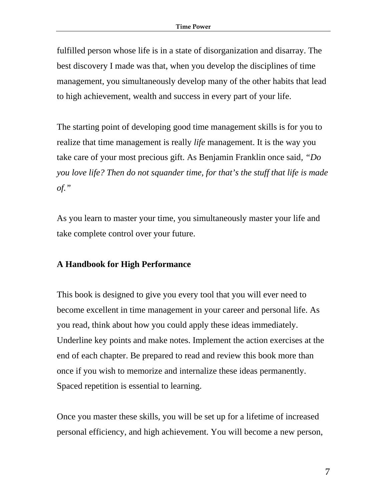fulfilled person whose life is in a state of disorganization and disarray. The best discovery I made was that, when you develop the disciplines of time management, you simultaneously develop many of the other habits that lead to high achievement, wealth and success in every part of your life.

The starting point of developing good time management skills is for you to realize that time management is really *life* management. It is the way you take care of your most precious gift. As Benjamin Franklin once said*, "Do you love life? Then do not squander time, for that's the stuff that life is made of."* 

As you learn to master your time, you simultaneously master your life and take complete control over your future.

# **A Handbook for High Performance**

This book is designed to give you every tool that you will ever need to become excellent in time management in your career and personal life. As you read, think about how you could apply these ideas immediately. Underline key points and make notes. Implement the action exercises at the end of each chapter. Be prepared to read and review this book more than once if you wish to memorize and internalize these ideas permanently. Spaced repetition is essential to learning.

Once you master these skills, you will be set up for a lifetime of increased personal efficiency, and high achievement. You will become a new person,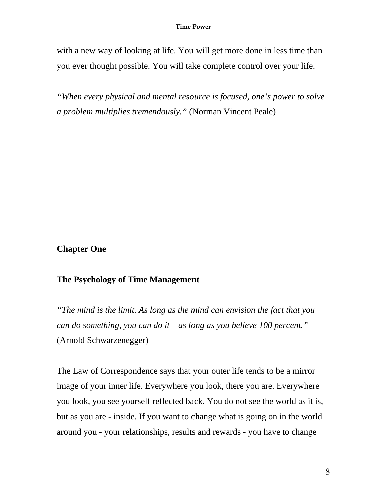with a new way of looking at life. You will get more done in less time than you ever thought possible. You will take complete control over your life.

*"When every physical and mental resource is focused, one's power to solve a problem multiplies tremendously."* (Norman Vincent Peale)

#### **Chapter One**

#### **The Psychology of Time Management**

*"The mind is the limit. As long as the mind can envision the fact that you can do something, you can do it – as long as you believe 100 percent."*  (Arnold Schwarzenegger)

The Law of Correspondence says that your outer life tends to be a mirror image of your inner life. Everywhere you look, there you are. Everywhere you look, you see yourself reflected back. You do not see the world as it is, but as you are - inside. If you want to change what is going on in the world around you - your relationships, results and rewards - you have to change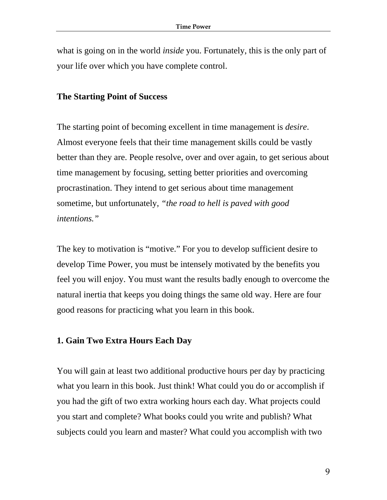what is going on in the world *inside* you. Fortunately, this is the only part of your life over which you have complete control.

## **The Starting Point of Success**

The starting point of becoming excellent in time management is *desire*. Almost everyone feels that their time management skills could be vastly better than they are. People resolve, over and over again, to get serious about time management by focusing, setting better priorities and overcoming procrastination. They intend to get serious about time management sometime, but unfortunately, *"the road to hell is paved with good intentions."* 

The key to motivation is "motive." For you to develop sufficient desire to develop Time Power, you must be intensely motivated by the benefits you feel you will enjoy. You must want the results badly enough to overcome the natural inertia that keeps you doing things the same old way. Here are four good reasons for practicing what you learn in this book.

#### **1. Gain Two Extra Hours Each Day**

You will gain at least two additional productive hours per day by practicing what you learn in this book. Just think! What could you do or accomplish if you had the gift of two extra working hours each day. What projects could you start and complete? What books could you write and publish? What subjects could you learn and master? What could you accomplish with two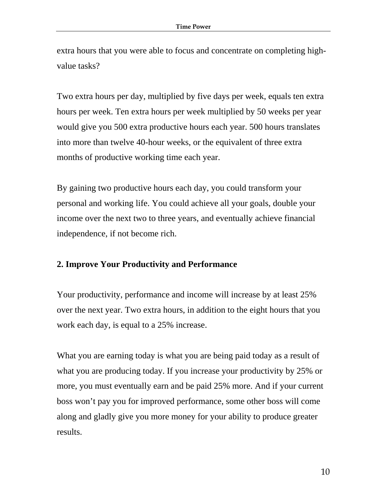extra hours that you were able to focus and concentrate on completing highvalue tasks?

Two extra hours per day, multiplied by five days per week, equals ten extra hours per week. Ten extra hours per week multiplied by 50 weeks per year would give you 500 extra productive hours each year. 500 hours translates into more than twelve 40-hour weeks, or the equivalent of three extra months of productive working time each year.

By gaining two productive hours each day, you could transform your personal and working life. You could achieve all your goals, double your income over the next two to three years, and eventually achieve financial independence, if not become rich.

#### **2. Improve Your Productivity and Performance**

Your productivity, performance and income will increase by at least 25% over the next year. Two extra hours, in addition to the eight hours that you work each day, is equal to a 25% increase.

What you are earning today is what you are being paid today as a result of what you are producing today. If you increase your productivity by 25% or more, you must eventually earn and be paid 25% more. And if your current boss won't pay you for improved performance, some other boss will come along and gladly give you more money for your ability to produce greater results.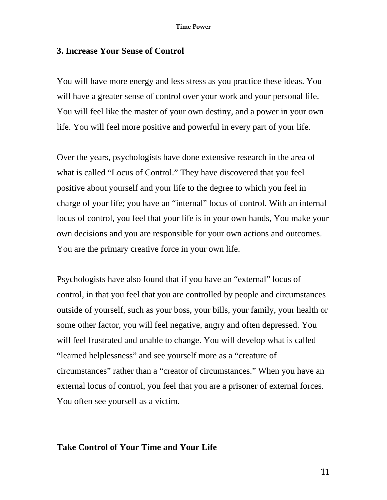#### **3. Increase Your Sense of Control**

You will have more energy and less stress as you practice these ideas. You will have a greater sense of control over your work and your personal life. You will feel like the master of your own destiny, and a power in your own life. You will feel more positive and powerful in every part of your life.

Over the years, psychologists have done extensive research in the area of what is called "Locus of Control." They have discovered that you feel positive about yourself and your life to the degree to which you feel in charge of your life; you have an "internal" locus of control. With an internal locus of control, you feel that your life is in your own hands, You make your own decisions and you are responsible for your own actions and outcomes. You are the primary creative force in your own life.

Psychologists have also found that if you have an "external" locus of control, in that you feel that you are controlled by people and circumstances outside of yourself, such as your boss, your bills, your family, your health or some other factor, you will feel negative, angry and often depressed. You will feel frustrated and unable to change. You will develop what is called "learned helplessness" and see yourself more as a "creature of circumstances" rather than a "creator of circumstances." When you have an external locus of control, you feel that you are a prisoner of external forces. You often see yourself as a victim.

#### **Take Control of Your Time and Your Life**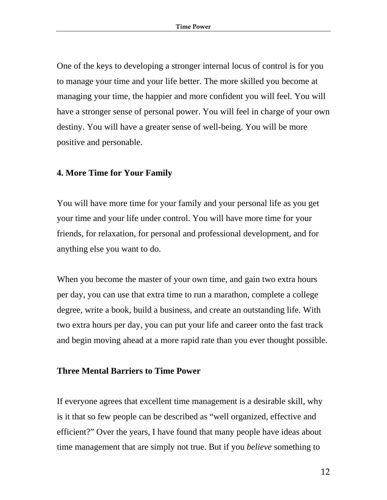One of the keys to developing a stronger internal locus of control is for you to manage your time and your life better. The more skilled you become at managing your time, the happier and more confident you will feel. You will have a stronger sense of personal power. You will feel in charge of your own destiny. You will have a greater sense of well-being. You will be more positive and personable.

#### **4. More Time for Your Family**

You will have more time for your family and your personal life as you get your time and your life under control. You will have more time for your friends, for relaxation, for personal and professional development, and for anything else you want to do.

When you become the master of your own time, and gain two extra hours per day, you can use that extra time to run a marathon, complete a college degree, write a book, build a business, and create an outstanding life. With two extra hours per day, you can put your life and career onto the fast track and begin moving ahead at a more rapid rate than you ever thought possible.

#### **Three Mental Barriers to Time Power**

If everyone agrees that excellent time management is a desirable skill, why is it that so few people can be described as "well organized, effective and efficient?" Over the years, I have found that many people have ideas about time management that are simply not true. But if you *believe* something to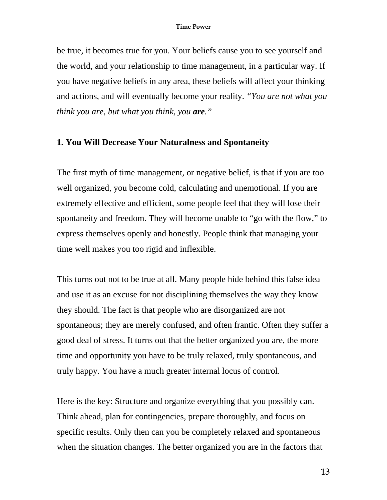be true, it becomes true for you. Your beliefs cause you to see yourself and the world, and your relationship to time management, in a particular way. If you have negative beliefs in any area, these beliefs will affect your thinking and actions, and will eventually become your reality. *"You are not what you think you are, but what you think, you are."* 

#### **1. You Will Decrease Your Naturalness and Spontaneity**

The first myth of time management, or negative belief, is that if you are too well organized, you become cold, calculating and unemotional. If you are extremely effective and efficient, some people feel that they will lose their spontaneity and freedom. They will become unable to "go with the flow," to express themselves openly and honestly. People think that managing your time well makes you too rigid and inflexible.

This turns out not to be true at all. Many people hide behind this false idea and use it as an excuse for not disciplining themselves the way they know they should. The fact is that people who are disorganized are not spontaneous; they are merely confused, and often frantic. Often they suffer a good deal of stress. It turns out that the better organized you are, the more time and opportunity you have to be truly relaxed, truly spontaneous, and truly happy. You have a much greater internal locus of control.

Here is the key: Structure and organize everything that you possibly can. Think ahead, plan for contingencies, prepare thoroughly, and focus on specific results. Only then can you be completely relaxed and spontaneous when the situation changes. The better organized you are in the factors that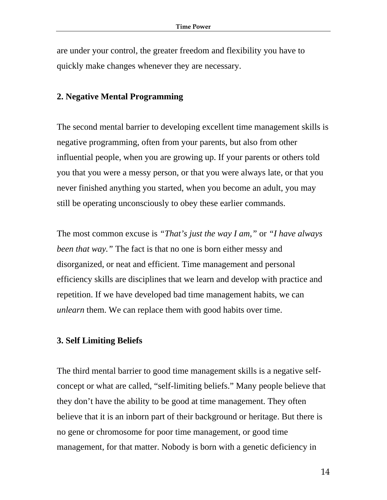are under your control, the greater freedom and flexibility you have to quickly make changes whenever they are necessary.

#### **2. Negative Mental Programming**

The second mental barrier to developing excellent time management skills is negative programming, often from your parents, but also from other influential people, when you are growing up. If your parents or others told you that you were a messy person, or that you were always late, or that you never finished anything you started, when you become an adult, you may still be operating unconsciously to obey these earlier commands.

The most common excuse is *"That's just the way I am,"* or *"I have always been that way."* The fact is that no one is born either messy and disorganized, or neat and efficient. Time management and personal efficiency skills are disciplines that we learn and develop with practice and repetition. If we have developed bad time management habits, we can *unlearn* them. We can replace them with good habits over time.

#### **3. Self Limiting Beliefs**

The third mental barrier to good time management skills is a negative selfconcept or what are called, "self-limiting beliefs." Many people believe that they don't have the ability to be good at time management. They often believe that it is an inborn part of their background or heritage. But there is no gene or chromosome for poor time management, or good time management, for that matter. Nobody is born with a genetic deficiency in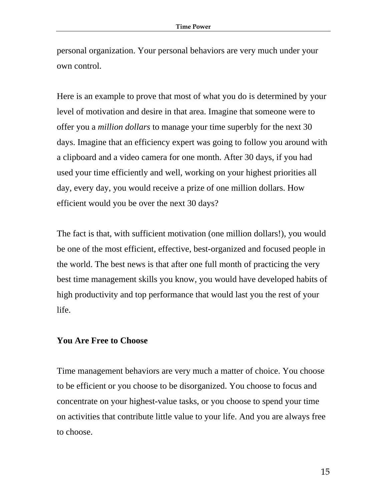personal organization. Your personal behaviors are very much under your own control.

Here is an example to prove that most of what you do is determined by your level of motivation and desire in that area. Imagine that someone were to offer you a *million dollars* to manage your time superbly for the next 30 days. Imagine that an efficiency expert was going to follow you around with a clipboard and a video camera for one month. After 30 days, if you had used your time efficiently and well, working on your highest priorities all day, every day, you would receive a prize of one million dollars. How efficient would you be over the next 30 days?

The fact is that, with sufficient motivation (one million dollars!), you would be one of the most efficient, effective, best-organized and focused people in the world. The best news is that after one full month of practicing the very best time management skills you know, you would have developed habits of high productivity and top performance that would last you the rest of your life.

#### **You Are Free to Choose**

Time management behaviors are very much a matter of choice. You choose to be efficient or you choose to be disorganized. You choose to focus and concentrate on your highest-value tasks, or you choose to spend your time on activities that contribute little value to your life. And you are always free to choose.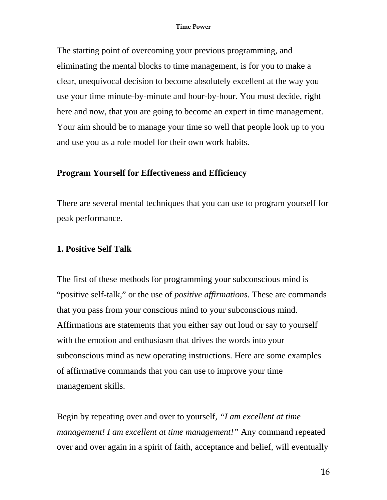The starting point of overcoming your previous programming, and eliminating the mental blocks to time management, is for you to make a clear, unequivocal decision to become absolutely excellent at the way you use your time minute-by-minute and hour-by-hour. You must decide, right here and now, that you are going to become an expert in time management. Your aim should be to manage your time so well that people look up to you and use you as a role model for their own work habits.

#### **Program Yourself for Effectiveness and Efficiency**

There are several mental techniques that you can use to program yourself for peak performance.

#### **1. Positive Self Talk**

The first of these methods for programming your subconscious mind is "positive self-talk," or the use of *positive affirmations*. These are commands that you pass from your conscious mind to your subconscious mind. Affirmations are statements that you either say out loud or say to yourself with the emotion and enthusiasm that drives the words into your subconscious mind as new operating instructions. Here are some examples of affirmative commands that you can use to improve your time management skills.

Begin by repeating over and over to yourself, *"I am excellent at time management! I am excellent at time management!"* Any command repeated over and over again in a spirit of faith, acceptance and belief, will eventually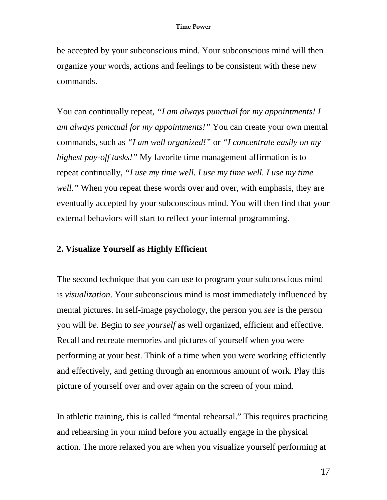be accepted by your subconscious mind. Your subconscious mind will then organize your words, actions and feelings to be consistent with these new commands.

You can continually repeat, *"I am always punctual for my appointments! I am always punctual for my appointments!"* You can create your own mental commands, such as *"I am well organized!"* or *"I concentrate easily on my highest pay-off tasks!"* My favorite time management affirmation is to repeat continually, *"I use my time well. I use my time well. I use my time well."* When you repeat these words over and over, with emphasis, they are eventually accepted by your subconscious mind. You will then find that your external behaviors will start to reflect your internal programming.

#### **2. Visualize Yourself as Highly Efficient**

The second technique that you can use to program your subconscious mind is *visualization*. Your subconscious mind is most immediately influenced by mental pictures. In self-image psychology, the person you *see* is the person you will *be*. Begin to *see yourself* as well organized, efficient and effective. Recall and recreate memories and pictures of yourself when you were performing at your best. Think of a time when you were working efficiently and effectively, and getting through an enormous amount of work. Play this picture of yourself over and over again on the screen of your mind.

In athletic training, this is called "mental rehearsal." This requires practicing and rehearsing in your mind before you actually engage in the physical action. The more relaxed you are when you visualize yourself performing at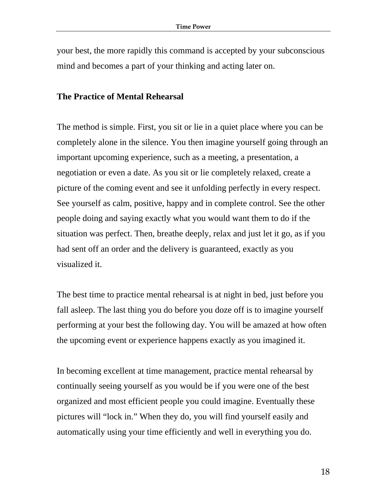your best, the more rapidly this command is accepted by your subconscious mind and becomes a part of your thinking and acting later on.

# **The Practice of Mental Rehearsal**

The method is simple. First, you sit or lie in a quiet place where you can be completely alone in the silence. You then imagine yourself going through an important upcoming experience, such as a meeting, a presentation, a negotiation or even a date. As you sit or lie completely relaxed, create a picture of the coming event and see it unfolding perfectly in every respect. See yourself as calm, positive, happy and in complete control. See the other people doing and saying exactly what you would want them to do if the situation was perfect. Then, breathe deeply, relax and just let it go, as if you had sent off an order and the delivery is guaranteed, exactly as you visualized it.

The best time to practice mental rehearsal is at night in bed, just before you fall asleep. The last thing you do before you doze off is to imagine yourself performing at your best the following day. You will be amazed at how often the upcoming event or experience happens exactly as you imagined it.

In becoming excellent at time management, practice mental rehearsal by continually seeing yourself as you would be if you were one of the best organized and most efficient people you could imagine. Eventually these pictures will "lock in." When they do, you will find yourself easily and automatically using your time efficiently and well in everything you do.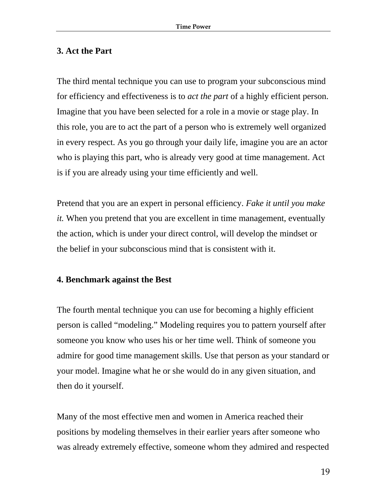#### **3. Act the Part**

The third mental technique you can use to program your subconscious mind for efficiency and effectiveness is to *act the part* of a highly efficient person. Imagine that you have been selected for a role in a movie or stage play. In this role, you are to act the part of a person who is extremely well organized in every respect. As you go through your daily life, imagine you are an actor who is playing this part, who is already very good at time management. Act is if you are already using your time efficiently and well.

Pretend that you are an expert in personal efficiency. *Fake it until you make it.* When you pretend that you are excellent in time management, eventually the action, which is under your direct control, will develop the mindset or the belief in your subconscious mind that is consistent with it.

#### **4. Benchmark against the Best**

The fourth mental technique you can use for becoming a highly efficient person is called "modeling." Modeling requires you to pattern yourself after someone you know who uses his or her time well. Think of someone you admire for good time management skills. Use that person as your standard or your model. Imagine what he or she would do in any given situation, and then do it yourself.

Many of the most effective men and women in America reached their positions by modeling themselves in their earlier years after someone who was already extremely effective, someone whom they admired and respected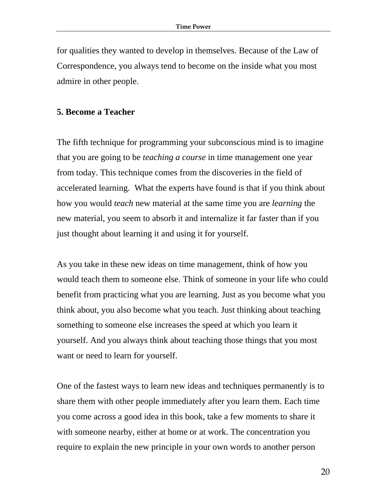for qualities they wanted to develop in themselves. Because of the Law of Correspondence, you always tend to become on the inside what you most admire in other people.

#### **5. Become a Teacher**

The fifth technique for programming your subconscious mind is to imagine that you are going to be *teaching a course* in time management one year from today. This technique comes from the discoveries in the field of accelerated learning. What the experts have found is that if you think about how you would *teach* new material at the same time you are *learning* the new material, you seem to absorb it and internalize it far faster than if you just thought about learning it and using it for yourself.

As you take in these new ideas on time management, think of how you would teach them to someone else. Think of someone in your life who could benefit from practicing what you are learning. Just as you become what you think about, you also become what you teach. Just thinking about teaching something to someone else increases the speed at which you learn it yourself. And you always think about teaching those things that you most want or need to learn for yourself.

One of the fastest ways to learn new ideas and techniques permanently is to share them with other people immediately after you learn them. Each time you come across a good idea in this book, take a few moments to share it with someone nearby, either at home or at work. The concentration you require to explain the new principle in your own words to another person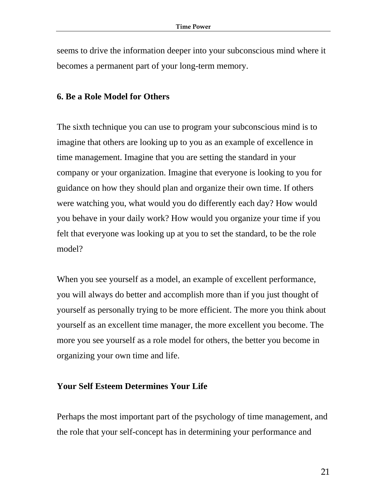seems to drive the information deeper into your subconscious mind where it becomes a permanent part of your long-term memory.

#### **6. Be a Role Model for Others**

The sixth technique you can use to program your subconscious mind is to imagine that others are looking up to you as an example of excellence in time management. Imagine that you are setting the standard in your company or your organization. Imagine that everyone is looking to you for guidance on how they should plan and organize their own time. If others were watching you, what would you do differently each day? How would you behave in your daily work? How would you organize your time if you felt that everyone was looking up at you to set the standard, to be the role model?

When you see yourself as a model, an example of excellent performance, you will always do better and accomplish more than if you just thought of yourself as personally trying to be more efficient. The more you think about yourself as an excellent time manager, the more excellent you become. The more you see yourself as a role model for others, the better you become in organizing your own time and life.

#### **Your Self Esteem Determines Your Life**

Perhaps the most important part of the psychology of time management, and the role that your self-concept has in determining your performance and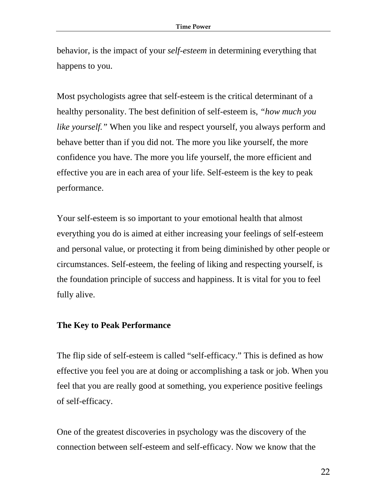behavior, is the impact of your *self-esteem* in determining everything that happens to you.

Most psychologists agree that self-esteem is the critical determinant of a healthy personality. The best definition of self-esteem is, *"how much you like yourself."* When you like and respect yourself, you always perform and behave better than if you did not. The more you like yourself, the more confidence you have. The more you life yourself, the more efficient and effective you are in each area of your life. Self-esteem is the key to peak performance.

Your self-esteem is so important to your emotional health that almost everything you do is aimed at either increasing your feelings of self-esteem and personal value, or protecting it from being diminished by other people or circumstances. Self-esteem, the feeling of liking and respecting yourself, is the foundation principle of success and happiness. It is vital for you to feel fully alive.

#### **The Key to Peak Performance**

The flip side of self-esteem is called "self-efficacy." This is defined as how effective you feel you are at doing or accomplishing a task or job. When you feel that you are really good at something, you experience positive feelings of self-efficacy.

One of the greatest discoveries in psychology was the discovery of the connection between self-esteem and self-efficacy. Now we know that the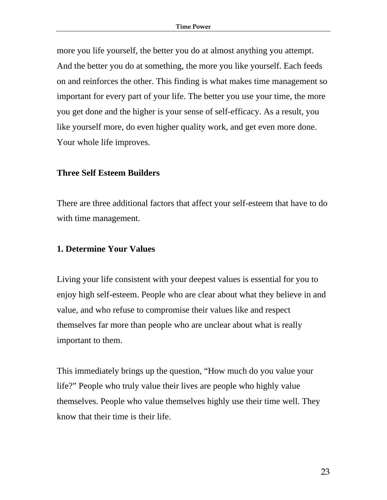more you life yourself, the better you do at almost anything you attempt. And the better you do at something, the more you like yourself. Each feeds on and reinforces the other. This finding is what makes time management so important for every part of your life. The better you use your time, the more you get done and the higher is your sense of self-efficacy. As a result, you like yourself more, do even higher quality work, and get even more done. Your whole life improves.

# **Three Self Esteem Builders**

There are three additional factors that affect your self-esteem that have to do with time management.

# **1. Determine Your Values**

Living your life consistent with your deepest values is essential for you to enjoy high self-esteem. People who are clear about what they believe in and value, and who refuse to compromise their values like and respect themselves far more than people who are unclear about what is really important to them.

This immediately brings up the question, "How much do you value your life?" People who truly value their lives are people who highly value themselves. People who value themselves highly use their time well. They know that their time is their life.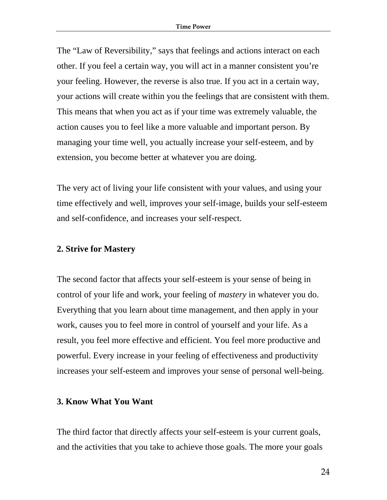The "Law of Reversibility," says that feelings and actions interact on each other. If you feel a certain way, you will act in a manner consistent you're your feeling. However, the reverse is also true. If you act in a certain way, your actions will create within you the feelings that are consistent with them. This means that when you act as if your time was extremely valuable, the action causes you to feel like a more valuable and important person. By managing your time well, you actually increase your self-esteem, and by extension, you become better at whatever you are doing.

The very act of living your life consistent with your values, and using your time effectively and well, improves your self-image, builds your self-esteem and self-confidence, and increases your self-respect.

#### **2. Strive for Mastery**

The second factor that affects your self-esteem is your sense of being in control of your life and work, your feeling of *mastery* in whatever you do. Everything that you learn about time management, and then apply in your work, causes you to feel more in control of yourself and your life. As a result, you feel more effective and efficient. You feel more productive and powerful. Every increase in your feeling of effectiveness and productivity increases your self-esteem and improves your sense of personal well-being.

#### **3. Know What You Want**

The third factor that directly affects your self-esteem is your current goals, and the activities that you take to achieve those goals. The more your goals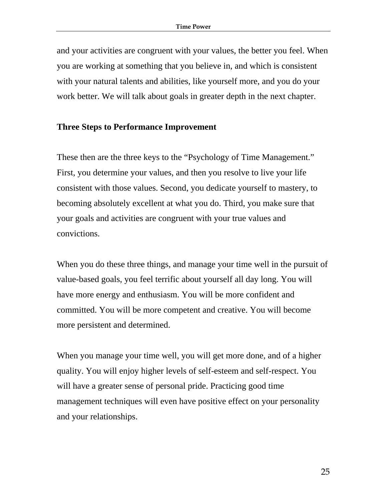and your activities are congruent with your values, the better you feel. When you are working at something that you believe in, and which is consistent with your natural talents and abilities, like yourself more, and you do your work better. We will talk about goals in greater depth in the next chapter.

#### **Three Steps to Performance Improvement**

These then are the three keys to the "Psychology of Time Management." First, you determine your values, and then you resolve to live your life consistent with those values. Second, you dedicate yourself to mastery, to becoming absolutely excellent at what you do. Third, you make sure that your goals and activities are congruent with your true values and convictions.

When you do these three things, and manage your time well in the pursuit of value-based goals, you feel terrific about yourself all day long. You will have more energy and enthusiasm. You will be more confident and committed. You will be more competent and creative. You will become more persistent and determined.

When you manage your time well, you will get more done, and of a higher quality. You will enjoy higher levels of self-esteem and self-respect. You will have a greater sense of personal pride. Practicing good time management techniques will even have positive effect on your personality and your relationships.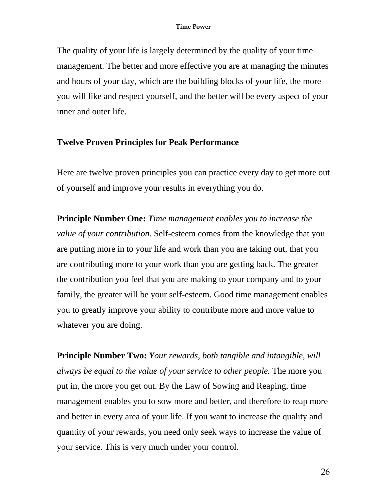The quality of your life is largely determined by the quality of your time management. The better and more effective you are at managing the minutes and hours of your day, which are the building blocks of your life, the more you will like and respect yourself, and the better will be every aspect of your inner and outer life.

#### **Twelve Proven Principles for Peak Performance**

Here are twelve proven principles you can practice every day to get more out of yourself and improve your results in everything you do.

**Principle Number One:** *Time management enables you to increase the value of your contribution.* Self-esteem comes from the knowledge that you are putting more in to your life and work than you are taking out, that you are contributing more to your work than you are getting back. The greater the contribution you feel that you are making to your company and to your family, the greater will be your self-esteem. Good time management enables you to greatly improve your ability to contribute more and more value to whatever you are doing.

**Principle Number Two:** *Your rewards, both tangible and intangible, will always be equal to the value of your service to other people.* The more you put in, the more you get out. By the Law of Sowing and Reaping, time management enables you to sow more and better, and therefore to reap more and better in every area of your life. If you want to increase the quality and quantity of your rewards, you need only seek ways to increase the value of your service. This is very much under your control.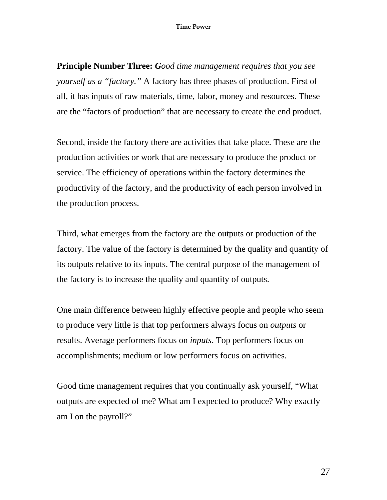**Principle Number Three:** *Good time management requires that you see yourself as a "factory."* A factory has three phases of production. First of all, it has inputs of raw materials, time, labor, money and resources. These are the "factors of production" that are necessary to create the end product.

Second, inside the factory there are activities that take place. These are the production activities or work that are necessary to produce the product or service. The efficiency of operations within the factory determines the productivity of the factory, and the productivity of each person involved in the production process.

Third, what emerges from the factory are the outputs or production of the factory. The value of the factory is determined by the quality and quantity of its outputs relative to its inputs. The central purpose of the management of the factory is to increase the quality and quantity of outputs.

One main difference between highly effective people and people who seem to produce very little is that top performers always focus on *outputs* or results. Average performers focus on *inputs*. Top performers focus on accomplishments; medium or low performers focus on activities.

Good time management requires that you continually ask yourself, "What outputs are expected of me? What am I expected to produce? Why exactly am I on the payroll?"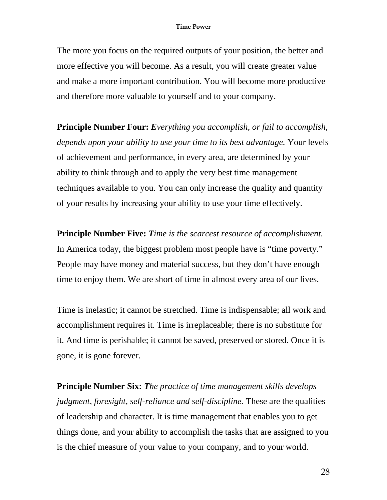The more you focus on the required outputs of your position, the better and more effective you will become. As a result, you will create greater value and make a more important contribution. You will become more productive and therefore more valuable to yourself and to your company.

**Principle Number Four:** *Everything you accomplish, or fail to accomplish, depends upon your ability to use your time to its best advantage.* Your levels of achievement and performance, in every area, are determined by your ability to think through and to apply the very best time management techniques available to you. You can only increase the quality and quantity of your results by increasing your ability to use your time effectively.

**Principle Number Five:** *Time is the scarcest resource of accomplishment.* In America today, the biggest problem most people have is "time poverty." People may have money and material success, but they don't have enough time to enjoy them. We are short of time in almost every area of our lives.

Time is inelastic; it cannot be stretched. Time is indispensable; all work and accomplishment requires it. Time is irreplaceable; there is no substitute for it. And time is perishable; it cannot be saved, preserved or stored. Once it is gone, it is gone forever.

**Principle Number Six:** *The practice of time management skills develops judgment, foresight, self-reliance and self-discipline.* These are the qualities of leadership and character. It is time management that enables you to get things done, and your ability to accomplish the tasks that are assigned to you is the chief measure of your value to your company, and to your world.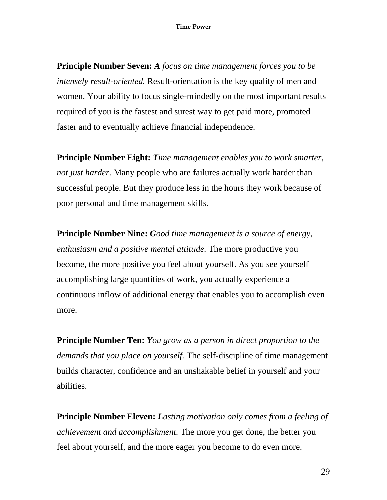**Principle Number Seven:** *A focus on time management forces you to be intensely result-oriented.* Result-orientation is the key quality of men and women. Your ability to focus single-mindedly on the most important results required of you is the fastest and surest way to get paid more, promoted faster and to eventually achieve financial independence.

**Principle Number Eight:** *Time management enables you to work smarter, not just harder.* Many people who are failures actually work harder than successful people. But they produce less in the hours they work because of poor personal and time management skills.

**Principle Number Nine:** *Good time management is a source of energy, enthusiasm and a positive mental attitude.* The more productive you become, the more positive you feel about yourself. As you see yourself accomplishing large quantities of work, you actually experience a continuous inflow of additional energy that enables you to accomplish even more.

**Principle Number Ten:** *You grow as a person in direct proportion to the demands that you place on yourself.* The self-discipline of time management builds character, confidence and an unshakable belief in yourself and your abilities.

**Principle Number Eleven:** *Lasting motivation only comes from a feeling of achievement and accomplishment.* The more you get done, the better you feel about yourself, and the more eager you become to do even more.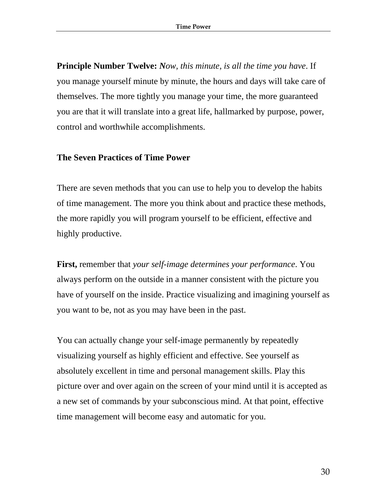**Principle Number Twelve:** *Now, this minute, is all the time you have*. If you manage yourself minute by minute, the hours and days will take care of themselves. The more tightly you manage your time, the more guaranteed you are that it will translate into a great life, hallmarked by purpose, power, control and worthwhile accomplishments.

#### **The Seven Practices of Time Power**

There are seven methods that you can use to help you to develop the habits of time management. The more you think about and practice these methods, the more rapidly you will program yourself to be efficient, effective and highly productive.

**First,** remember that *your self-image determines your performance*. You always perform on the outside in a manner consistent with the picture you have of yourself on the inside. Practice visualizing and imagining yourself as you want to be, not as you may have been in the past.

You can actually change your self-image permanently by repeatedly visualizing yourself as highly efficient and effective. See yourself as absolutely excellent in time and personal management skills. Play this picture over and over again on the screen of your mind until it is accepted as a new set of commands by your subconscious mind. At that point, effective time management will become easy and automatic for you.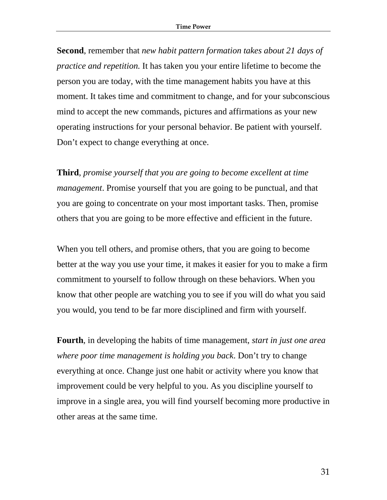**Second**, remember that *new habit pattern formation takes about 21 days of practice and repetition.* It has taken you your entire lifetime to become the person you are today, with the time management habits you have at this moment. It takes time and commitment to change, and for your subconscious mind to accept the new commands, pictures and affirmations as your new operating instructions for your personal behavior. Be patient with yourself. Don't expect to change everything at once.

**Third**, *promise yourself that you are going to become excellent at time management*. Promise yourself that you are going to be punctual, and that you are going to concentrate on your most important tasks. Then, promise others that you are going to be more effective and efficient in the future.

When you tell others, and promise others, that you are going to become better at the way you use your time, it makes it easier for you to make a firm commitment to yourself to follow through on these behaviors. When you know that other people are watching you to see if you will do what you said you would, you tend to be far more disciplined and firm with yourself.

**Fourth**, in developing the habits of time management, *start in just one area where poor time management is holding you back*. Don't try to change everything at once. Change just one habit or activity where you know that improvement could be very helpful to you. As you discipline yourself to improve in a single area, you will find yourself becoming more productive in other areas at the same time.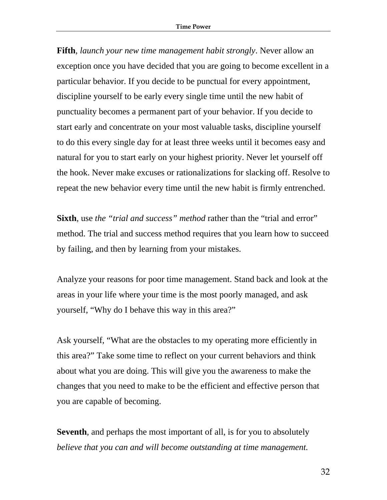**Fifth***, launch your new time management habit strongly*. Never allow an exception once you have decided that you are going to become excellent in a particular behavior. If you decide to be punctual for every appointment, discipline yourself to be early every single time until the new habit of punctuality becomes a permanent part of your behavior. If you decide to start early and concentrate on your most valuable tasks, discipline yourself to do this every single day for at least three weeks until it becomes easy and natural for you to start early on your highest priority. Never let yourself off the hook. Never make excuses or rationalizations for slacking off. Resolve to repeat the new behavior every time until the new habit is firmly entrenched.

**Sixth**, use *the "trial and success" method* rather than the "trial and error" method. The trial and success method requires that you learn how to succeed by failing, and then by learning from your mistakes.

Analyze your reasons for poor time management. Stand back and look at the areas in your life where your time is the most poorly managed, and ask yourself, "Why do I behave this way in this area?"

Ask yourself, "What are the obstacles to my operating more efficiently in this area?" Take some time to reflect on your current behaviors and think about what you are doing. This will give you the awareness to make the changes that you need to make to be the efficient and effective person that you are capable of becoming.

**Seventh**, and perhaps the most important of all, is for you to absolutely *believe that you can and will become outstanding at time management.*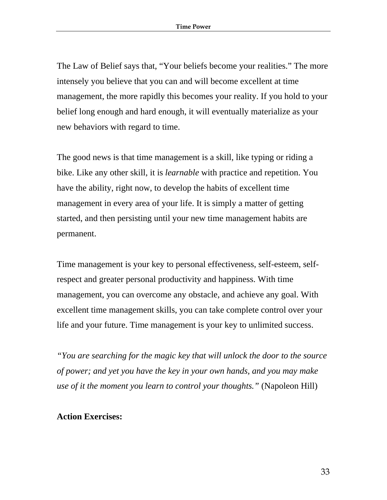The Law of Belief says that, "Your beliefs become your realities." The more intensely you believe that you can and will become excellent at time management, the more rapidly this becomes your reality. If you hold to your belief long enough and hard enough, it will eventually materialize as your new behaviors with regard to time.

The good news is that time management is a skill, like typing or riding a bike. Like any other skill, it is *learnable* with practice and repetition. You have the ability, right now, to develop the habits of excellent time management in every area of your life. It is simply a matter of getting started, and then persisting until your new time management habits are permanent.

Time management is your key to personal effectiveness, self-esteem, selfrespect and greater personal productivity and happiness. With time management, you can overcome any obstacle, and achieve any goal. With excellent time management skills, you can take complete control over your life and your future. Time management is your key to unlimited success.

*"You are searching for the magic key that will unlock the door to the source of power; and yet you have the key in your own hands, and you may make use of it the moment you learn to control your thoughts."* (Napoleon Hill)

#### **Action Exercises:**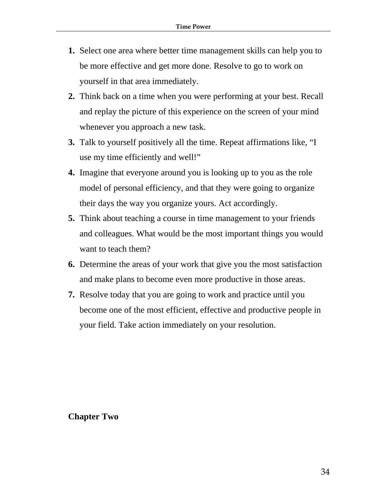- **1.** Select one area where better time management skills can help you to be more effective and get more done. Resolve to go to work on yourself in that area immediately.
- **2.** Think back on a time when you were performing at your best. Recall and replay the picture of this experience on the screen of your mind whenever you approach a new task.
- **3.** Talk to yourself positively all the time. Repeat affirmations like, "I use my time efficiently and well!"
- **4.** Imagine that everyone around you is looking up to you as the role model of personal efficiency, and that they were going to organize their days the way you organize yours. Act accordingly.
- **5.** Think about teaching a course in time management to your friends and colleagues. What would be the most important things you would want to teach them?
- **6.** Determine the areas of your work that give you the most satisfaction and make plans to become even more productive in those areas.
- **7.** Resolve today that you are going to work and practice until you become one of the most efficient, effective and productive people in your field. Take action immediately on your resolution.

#### **Chapter Two**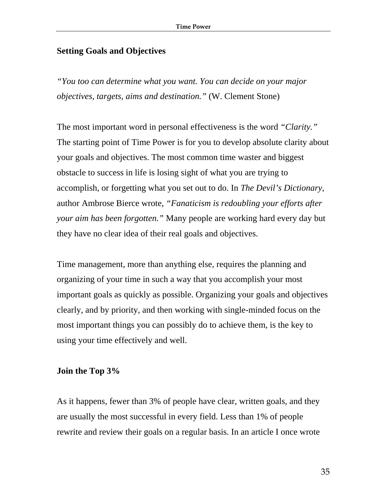#### **Setting Goals and Objectives**

*"You too can determine what you want. You can decide on your major objectives, targets, aims and destination."* (W. Clement Stone)

The most important word in personal effectiveness is the word *"Clarity."* The starting point of Time Power is for you to develop absolute clarity about your goals and objectives. The most common time waster and biggest obstacle to success in life is losing sight of what you are trying to accomplish, or forgetting what you set out to do. In *The Devil's Dictionary*, author Ambrose Bierce wrote, *"Fanaticism is redoubling your efforts after your aim has been forgotten."* Many people are working hard every day but they have no clear idea of their real goals and objectives.

Time management, more than anything else, requires the planning and organizing of your time in such a way that you accomplish your most important goals as quickly as possible. Organizing your goals and objectives clearly, and by priority, and then working with single-minded focus on the most important things you can possibly do to achieve them, is the key to using your time effectively and well.

#### **Join the Top 3%**

As it happens, fewer than 3% of people have clear, written goals, and they are usually the most successful in every field. Less than 1% of people rewrite and review their goals on a regular basis. In an article I once wrote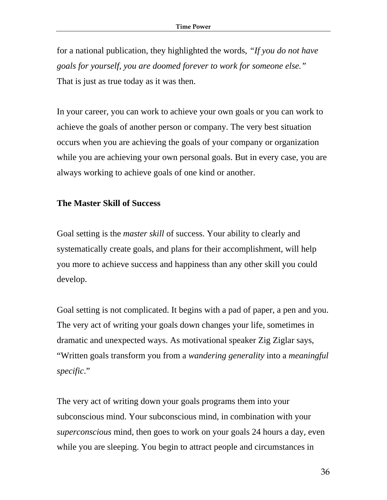for a national publication, they highlighted the words, *"If you do not have goals for yourself, you are doomed forever to work for someone else."*  That is just as true today as it was then.

In your career, you can work to achieve your own goals or you can work to achieve the goals of another person or company. The very best situation occurs when you are achieving the goals of your company or organization while you are achieving your own personal goals. But in every case, you are always working to achieve goals of one kind or another.

# **The Master Skill of Success**

Goal setting is the *master skill* of success. Your ability to clearly and systematically create goals, and plans for their accomplishment, will help you more to achieve success and happiness than any other skill you could develop.

Goal setting is not complicated. It begins with a pad of paper, a pen and you. The very act of writing your goals down changes your life, sometimes in dramatic and unexpected ways. As motivational speaker Zig Ziglar says, "Written goals transform you from a *wandering generality* into a *meaningful specific*."

The very act of writing down your goals programs them into your subconscious mind. Your subconscious mind, in combination with your *superconscious* mind, then goes to work on your goals 24 hours a day, even while you are sleeping. You begin to attract people and circumstances in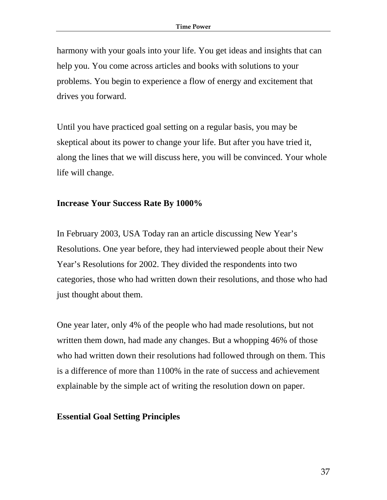harmony with your goals into your life. You get ideas and insights that can help you. You come across articles and books with solutions to your problems. You begin to experience a flow of energy and excitement that drives you forward.

Until you have practiced goal setting on a regular basis, you may be skeptical about its power to change your life. But after you have tried it, along the lines that we will discuss here, you will be convinced. Your whole life will change.

## **Increase Your Success Rate By 1000%**

In February 2003, USA Today ran an article discussing New Year's Resolutions. One year before, they had interviewed people about their New Year's Resolutions for 2002. They divided the respondents into two categories, those who had written down their resolutions, and those who had just thought about them.

One year later, only 4% of the people who had made resolutions, but not written them down, had made any changes. But a whopping 46% of those who had written down their resolutions had followed through on them. This is a difference of more than 1100% in the rate of success and achievement explainable by the simple act of writing the resolution down on paper.

## **Essential Goal Setting Principles**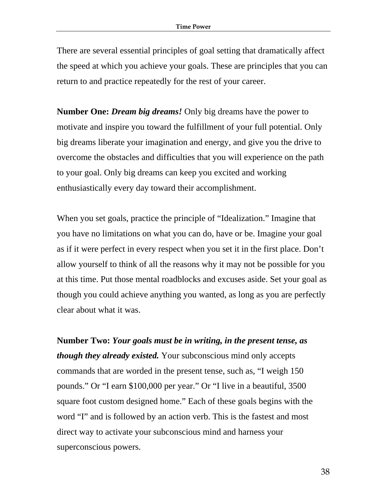There are several essential principles of goal setting that dramatically affect the speed at which you achieve your goals. These are principles that you can return to and practice repeatedly for the rest of your career.

**Number One:** *Dream big dreams!* Only big dreams have the power to motivate and inspire you toward the fulfillment of your full potential. Only big dreams liberate your imagination and energy, and give you the drive to overcome the obstacles and difficulties that you will experience on the path to your goal. Only big dreams can keep you excited and working enthusiastically every day toward their accomplishment.

When you set goals, practice the principle of "Idealization." Imagine that you have no limitations on what you can do, have or be. Imagine your goal as if it were perfect in every respect when you set it in the first place. Don't allow yourself to think of all the reasons why it may not be possible for you at this time. Put those mental roadblocks and excuses aside. Set your goal as though you could achieve anything you wanted, as long as you are perfectly clear about what it was.

**Number Two:** *Your goals must be in writing, in the present tense, as though they already existed.* Your subconscious mind only accepts commands that are worded in the present tense, such as, "I weigh 150 pounds." Or "I earn \$100,000 per year." Or "I live in a beautiful, 3500 square foot custom designed home." Each of these goals begins with the word "I" and is followed by an action verb. This is the fastest and most direct way to activate your subconscious mind and harness your superconscious powers.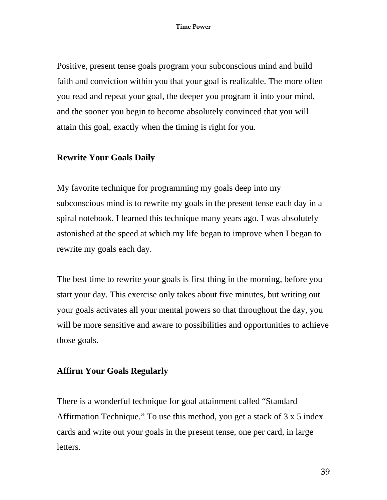Positive, present tense goals program your subconscious mind and build faith and conviction within you that your goal is realizable. The more often you read and repeat your goal, the deeper you program it into your mind, and the sooner you begin to become absolutely convinced that you will attain this goal, exactly when the timing is right for you.

# **Rewrite Your Goals Daily**

My favorite technique for programming my goals deep into my subconscious mind is to rewrite my goals in the present tense each day in a spiral notebook. I learned this technique many years ago. I was absolutely astonished at the speed at which my life began to improve when I began to rewrite my goals each day.

The best time to rewrite your goals is first thing in the morning, before you start your day. This exercise only takes about five minutes, but writing out your goals activates all your mental powers so that throughout the day, you will be more sensitive and aware to possibilities and opportunities to achieve those goals.

# **Affirm Your Goals Regularly**

There is a wonderful technique for goal attainment called "Standard Affirmation Technique." To use this method, you get a stack of 3 x 5 index cards and write out your goals in the present tense, one per card, in large letters.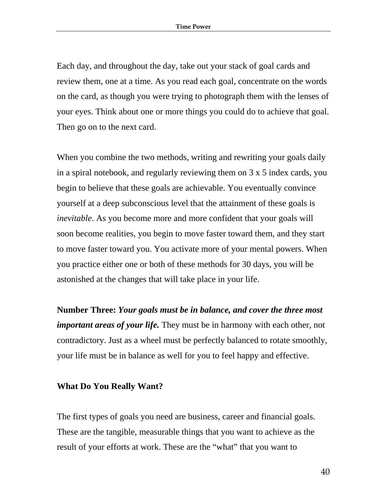Each day, and throughout the day, take out your stack of goal cards and review them, one at a time. As you read each goal, concentrate on the words on the card, as though you were trying to photograph them with the lenses of your eyes. Think about one or more things you could do to achieve that goal. Then go on to the next card.

When you combine the two methods, writing and rewriting your goals daily in a spiral notebook, and regularly reviewing them on 3 x 5 index cards, you begin to believe that these goals are achievable. You eventually convince yourself at a deep subconscious level that the attainment of these goals is *inevitable*. As you become more and more confident that your goals will soon become realities, you begin to move faster toward them, and they start to move faster toward you. You activate more of your mental powers. When you practice either one or both of these methods for 30 days, you will be astonished at the changes that will take place in your life.

**Number Three:** *Your goals must be in balance, and cover the three most important areas of your life.* They must be in harmony with each other, not contradictory. Just as a wheel must be perfectly balanced to rotate smoothly, your life must be in balance as well for you to feel happy and effective.

### **What Do You Really Want?**

The first types of goals you need are business, career and financial goals. These are the tangible, measurable things that you want to achieve as the result of your efforts at work. These are the "what" that you want to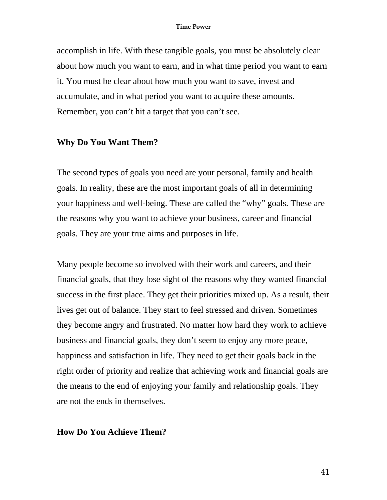accomplish in life. With these tangible goals, you must be absolutely clear about how much you want to earn, and in what time period you want to earn it. You must be clear about how much you want to save, invest and accumulate, and in what period you want to acquire these amounts. Remember, you can't hit a target that you can't see.

#### **Why Do You Want Them?**

The second types of goals you need are your personal, family and health goals. In reality, these are the most important goals of all in determining your happiness and well-being. These are called the "why" goals. These are the reasons why you want to achieve your business, career and financial goals. They are your true aims and purposes in life.

Many people become so involved with their work and careers, and their financial goals, that they lose sight of the reasons why they wanted financial success in the first place. They get their priorities mixed up. As a result, their lives get out of balance. They start to feel stressed and driven. Sometimes they become angry and frustrated. No matter how hard they work to achieve business and financial goals, they don't seem to enjoy any more peace, happiness and satisfaction in life. They need to get their goals back in the right order of priority and realize that achieving work and financial goals are the means to the end of enjoying your family and relationship goals. They are not the ends in themselves.

#### **How Do You Achieve Them?**

41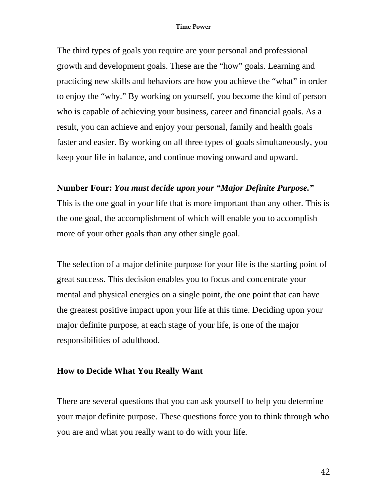The third types of goals you require are your personal and professional growth and development goals. These are the "how" goals. Learning and practicing new skills and behaviors are how you achieve the "what" in order to enjoy the "why." By working on yourself, you become the kind of person who is capable of achieving your business, career and financial goals. As a result, you can achieve and enjoy your personal, family and health goals faster and easier. By working on all three types of goals simultaneously, you keep your life in balance, and continue moving onward and upward.

## **Number Four:** *You must decide upon your "Major Definite Purpose."*

This is the one goal in your life that is more important than any other. This is the one goal, the accomplishment of which will enable you to accomplish more of your other goals than any other single goal.

The selection of a major definite purpose for your life is the starting point of great success. This decision enables you to focus and concentrate your mental and physical energies on a single point, the one point that can have the greatest positive impact upon your life at this time. Deciding upon your major definite purpose, at each stage of your life, is one of the major responsibilities of adulthood.

## **How to Decide What You Really Want**

There are several questions that you can ask yourself to help you determine your major definite purpose. These questions force you to think through who you are and what you really want to do with your life.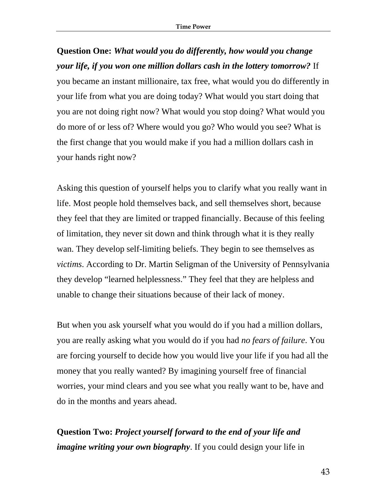**Question One:** *What would you do differently, how would you change your life, if you won one million dollars cash in the lottery tomorrow?* If you became an instant millionaire, tax free, what would you do differently in your life from what you are doing today? What would you start doing that you are not doing right now? What would you stop doing? What would you do more of or less of? Where would you go? Who would you see? What is the first change that you would make if you had a million dollars cash in your hands right now?

Asking this question of yourself helps you to clarify what you really want in life. Most people hold themselves back, and sell themselves short, because they feel that they are limited or trapped financially. Because of this feeling of limitation, they never sit down and think through what it is they really wan. They develop self-limiting beliefs. They begin to see themselves as *victims*. According to Dr. Martin Seligman of the University of Pennsylvania they develop "learned helplessness." They feel that they are helpless and unable to change their situations because of their lack of money.

But when you ask yourself what you would do if you had a million dollars, you are really asking what you would do if you had *no fears of failure*. You are forcing yourself to decide how you would live your life if you had all the money that you really wanted? By imagining yourself free of financial worries, your mind clears and you see what you really want to be, have and do in the months and years ahead.

**Question Two:** *Project yourself forward to the end of your life and imagine writing your own biography*. If you could design your life in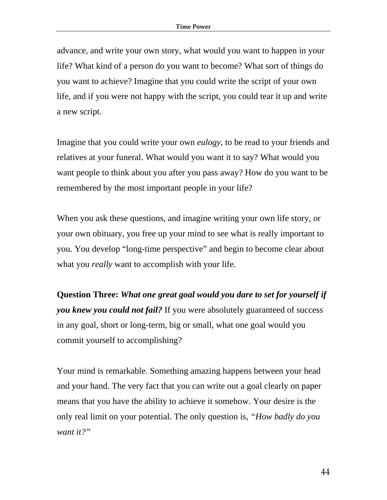advance, and write your own story, what would you want to happen in your life? What kind of a person do you want to become? What sort of things do you want to achieve? Imagine that you could write the script of your own life, and if you were not happy with the script, you could tear it up and write a new script.

Imagine that you could write your own *eulogy*, to be read to your friends and relatives at your funeral. What would you want it to say? What would you want people to think about you after you pass away? How do you want to be remembered by the most important people in your life?

When you ask these questions, and imagine writing your own life story, or your own obituary, you free up your mind to see what is really important to you. You develop "long-time perspective" and begin to become clear about what you *really* want to accomplish with your life.

**Question Three:** *What one great goal would you dare to set for yourself if you knew you could not fail?* If you were absolutely guaranteed of success in any goal, short or long-term, big or small, what one goal would you commit yourself to accomplishing?

Your mind is remarkable. Something amazing happens between your head and your hand. The very fact that you can write out a goal clearly on paper means that you have the ability to achieve it somehow. Your desire is the only real limit on your potential. The only question is, *"How badly do you want it?"*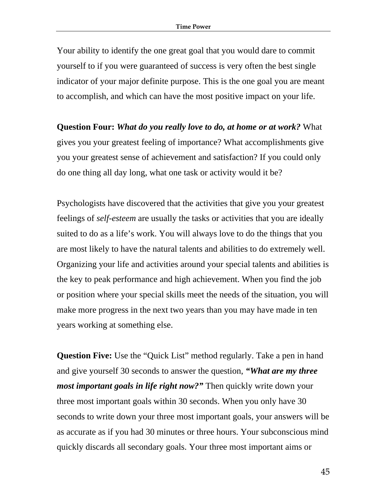Your ability to identify the one great goal that you would dare to commit yourself to if you were guaranteed of success is very often the best single indicator of your major definite purpose. This is the one goal you are meant to accomplish, and which can have the most positive impact on your life.

**Question Four:** *What do you really love to do, at home or at work?* What gives you your greatest feeling of importance? What accomplishments give you your greatest sense of achievement and satisfaction? If you could only do one thing all day long, what one task or activity would it be?

Psychologists have discovered that the activities that give you your greatest feelings of *self-esteem* are usually the tasks or activities that you are ideally suited to do as a life's work. You will always love to do the things that you are most likely to have the natural talents and abilities to do extremely well. Organizing your life and activities around your special talents and abilities is the key to peak performance and high achievement. When you find the job or position where your special skills meet the needs of the situation, you will make more progress in the next two years than you may have made in ten years working at something else.

**Question Five:** Use the "Quick List" method regularly. Take a pen in hand and give yourself 30 seconds to answer the question, *"What are my three most important goals in life right now?"* Then quickly write down your three most important goals within 30 seconds. When you only have 30 seconds to write down your three most important goals, your answers will be as accurate as if you had 30 minutes or three hours. Your subconscious mind quickly discards all secondary goals. Your three most important aims or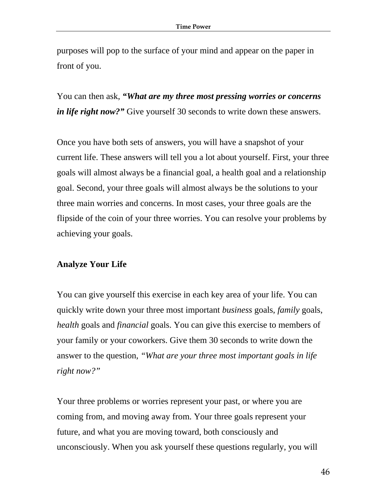purposes will pop to the surface of your mind and appear on the paper in front of you.

You can then ask, *"What are my three most pressing worries or concerns in life right now?"* Give yourself 30 seconds to write down these answers.

Once you have both sets of answers, you will have a snapshot of your current life. These answers will tell you a lot about yourself. First, your three goals will almost always be a financial goal, a health goal and a relationship goal. Second, your three goals will almost always be the solutions to your three main worries and concerns. In most cases, your three goals are the flipside of the coin of your three worries. You can resolve your problems by achieving your goals.

### **Analyze Your Life**

You can give yourself this exercise in each key area of your life. You can quickly write down your three most important *business* goals, *family* goals, *health* goals and *financial* goals. You can give this exercise to members of your family or your coworkers. Give them 30 seconds to write down the answer to the question, *"What are your three most important goals in life right now?"* 

Your three problems or worries represent your past, or where you are coming from, and moving away from. Your three goals represent your future, and what you are moving toward, both consciously and unconsciously. When you ask yourself these questions regularly, you will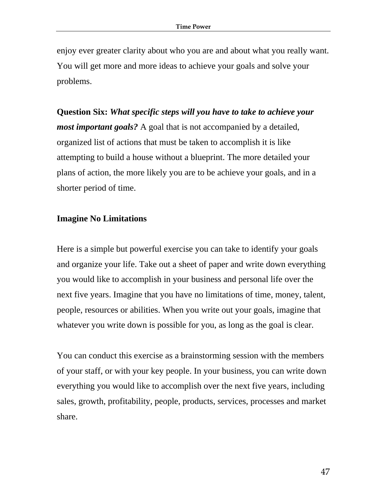enjoy ever greater clarity about who you are and about what you really want. You will get more and more ideas to achieve your goals and solve your problems.

**Question Six:** *What specific steps will you have to take to achieve your most important goals?* A goal that is not accompanied by a detailed, organized list of actions that must be taken to accomplish it is like attempting to build a house without a blueprint. The more detailed your plans of action, the more likely you are to be achieve your goals, and in a shorter period of time.

### **Imagine No Limitations**

Here is a simple but powerful exercise you can take to identify your goals and organize your life. Take out a sheet of paper and write down everything you would like to accomplish in your business and personal life over the next five years. Imagine that you have no limitations of time, money, talent, people, resources or abilities. When you write out your goals, imagine that whatever you write down is possible for you, as long as the goal is clear.

You can conduct this exercise as a brainstorming session with the members of your staff, or with your key people. In your business, you can write down everything you would like to accomplish over the next five years, including sales, growth, profitability, people, products, services, processes and market share.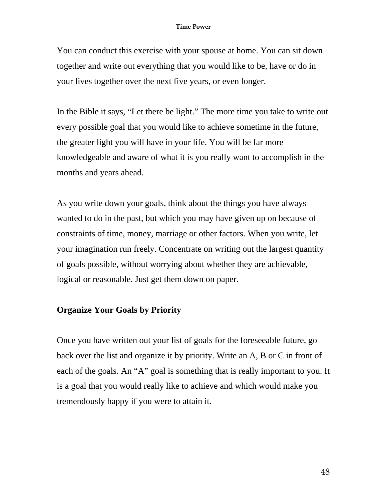You can conduct this exercise with your spouse at home. You can sit down together and write out everything that you would like to be, have or do in your lives together over the next five years, or even longer.

In the Bible it says, "Let there be light." The more time you take to write out every possible goal that you would like to achieve sometime in the future, the greater light you will have in your life. You will be far more knowledgeable and aware of what it is you really want to accomplish in the months and years ahead.

As you write down your goals, think about the things you have always wanted to do in the past, but which you may have given up on because of constraints of time, money, marriage or other factors. When you write, let your imagination run freely. Concentrate on writing out the largest quantity of goals possible, without worrying about whether they are achievable, logical or reasonable. Just get them down on paper.

# **Organize Your Goals by Priority**

Once you have written out your list of goals for the foreseeable future, go back over the list and organize it by priority. Write an A, B or C in front of each of the goals. An "A" goal is something that is really important to you. It is a goal that you would really like to achieve and which would make you tremendously happy if you were to attain it.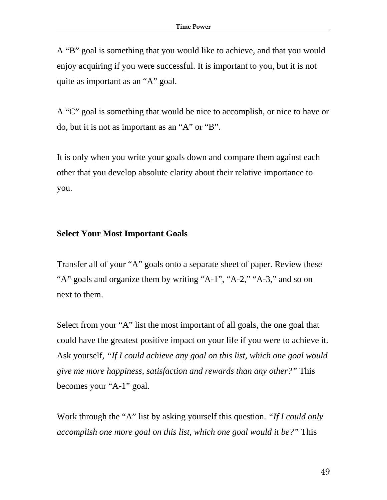A "B" goal is something that you would like to achieve, and that you would enjoy acquiring if you were successful. It is important to you, but it is not quite as important as an "A" goal.

A "C" goal is something that would be nice to accomplish, or nice to have or do, but it is not as important as an "A" or "B".

It is only when you write your goals down and compare them against each other that you develop absolute clarity about their relative importance to you.

### **Select Your Most Important Goals**

Transfer all of your "A" goals onto a separate sheet of paper. Review these "A" goals and organize them by writing "A-1", "A-2," "A-3," and so on next to them.

Select from your "A" list the most important of all goals, the one goal that could have the greatest positive impact on your life if you were to achieve it. Ask yourself, *"If I could achieve any goal on this list, which one goal would give me more happiness, satisfaction and rewards than any other?"* This becomes your "A-1" goal.

Work through the "A" list by asking yourself this question. *"If I could only accomplish one more goal on this list, which one goal would it be?"* This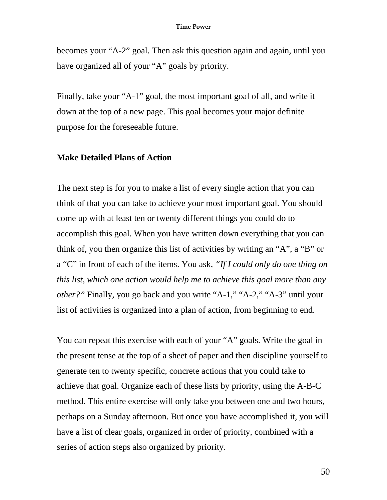becomes your "A-2" goal. Then ask this question again and again, until you have organized all of your "A" goals by priority.

Finally, take your "A-1" goal, the most important goal of all, and write it down at the top of a new page. This goal becomes your major definite purpose for the foreseeable future.

## **Make Detailed Plans of Action**

The next step is for you to make a list of every single action that you can think of that you can take to achieve your most important goal. You should come up with at least ten or twenty different things you could do to accomplish this goal. When you have written down everything that you can think of, you then organize this list of activities by writing an "A", a "B" or a "C" in front of each of the items. You ask, *"If I could only do one thing on this list, which one action would help me to achieve this goal more than any other?"* Finally, you go back and you write "A-1," "A-2," "A-3" until your list of activities is organized into a plan of action, from beginning to end.

You can repeat this exercise with each of your "A" goals. Write the goal in the present tense at the top of a sheet of paper and then discipline yourself to generate ten to twenty specific, concrete actions that you could take to achieve that goal. Organize each of these lists by priority, using the A-B-C method. This entire exercise will only take you between one and two hours, perhaps on a Sunday afternoon. But once you have accomplished it, you will have a list of clear goals, organized in order of priority, combined with a series of action steps also organized by priority.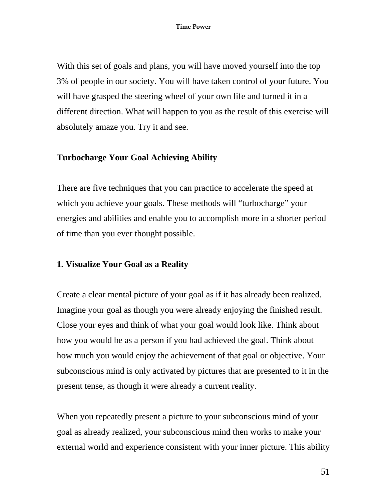With this set of goals and plans, you will have moved yourself into the top 3% of people in our society. You will have taken control of your future. You will have grasped the steering wheel of your own life and turned it in a different direction. What will happen to you as the result of this exercise will absolutely amaze you. Try it and see.

## **Turbocharge Your Goal Achieving Ability**

There are five techniques that you can practice to accelerate the speed at which you achieve your goals. These methods will "turbocharge" your energies and abilities and enable you to accomplish more in a shorter period of time than you ever thought possible.

### **1. Visualize Your Goal as a Reality**

Create a clear mental picture of your goal as if it has already been realized. Imagine your goal as though you were already enjoying the finished result. Close your eyes and think of what your goal would look like. Think about how you would be as a person if you had achieved the goal. Think about how much you would enjoy the achievement of that goal or objective. Your subconscious mind is only activated by pictures that are presented to it in the present tense, as though it were already a current reality.

When you repeatedly present a picture to your subconscious mind of your goal as already realized, your subconscious mind then works to make your external world and experience consistent with your inner picture. This ability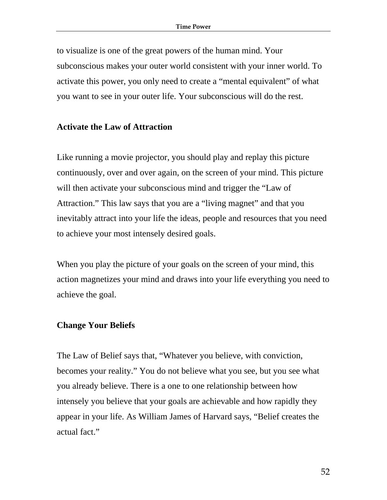to visualize is one of the great powers of the human mind. Your subconscious makes your outer world consistent with your inner world. To activate this power, you only need to create a "mental equivalent" of what you want to see in your outer life. Your subconscious will do the rest.

## **Activate the Law of Attraction**

Like running a movie projector, you should play and replay this picture continuously, over and over again, on the screen of your mind. This picture will then activate your subconscious mind and trigger the "Law of Attraction." This law says that you are a "living magnet" and that you inevitably attract into your life the ideas, people and resources that you need to achieve your most intensely desired goals.

When you play the picture of your goals on the screen of your mind, this action magnetizes your mind and draws into your life everything you need to achieve the goal.

## **Change Your Beliefs**

The Law of Belief says that, "Whatever you believe, with conviction, becomes your reality." You do not believe what you see, but you see what you already believe. There is a one to one relationship between how intensely you believe that your goals are achievable and how rapidly they appear in your life. As William James of Harvard says, "Belief creates the actual fact."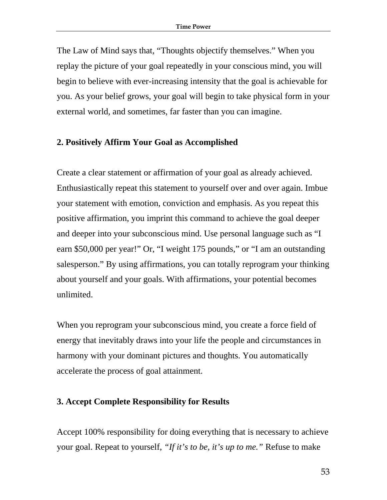The Law of Mind says that, "Thoughts objectify themselves." When you replay the picture of your goal repeatedly in your conscious mind, you will begin to believe with ever-increasing intensity that the goal is achievable for you. As your belief grows, your goal will begin to take physical form in your external world, and sometimes, far faster than you can imagine.

## **2. Positively Affirm Your Goal as Accomplished**

Create a clear statement or affirmation of your goal as already achieved. Enthusiastically repeat this statement to yourself over and over again. Imbue your statement with emotion, conviction and emphasis. As you repeat this positive affirmation, you imprint this command to achieve the goal deeper and deeper into your subconscious mind. Use personal language such as "I earn \$50,000 per year!" Or, "I weight 175 pounds," or "I am an outstanding salesperson." By using affirmations, you can totally reprogram your thinking about yourself and your goals. With affirmations, your potential becomes unlimited.

When you reprogram your subconscious mind, you create a force field of energy that inevitably draws into your life the people and circumstances in harmony with your dominant pictures and thoughts. You automatically accelerate the process of goal attainment.

#### **3. Accept Complete Responsibility for Results**

Accept 100% responsibility for doing everything that is necessary to achieve your goal. Repeat to yourself, *"If it's to be, it's up to me."* Refuse to make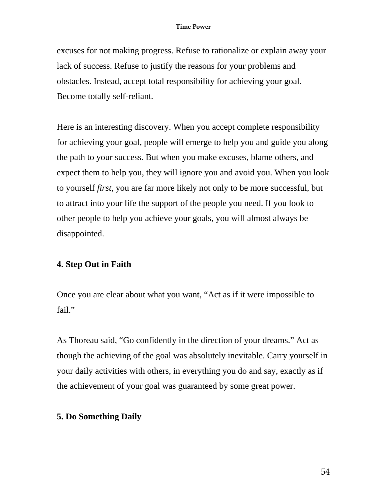excuses for not making progress. Refuse to rationalize or explain away your lack of success. Refuse to justify the reasons for your problems and obstacles. Instead, accept total responsibility for achieving your goal. Become totally self-reliant.

Here is an interesting discovery. When you accept complete responsibility for achieving your goal, people will emerge to help you and guide you along the path to your success. But when you make excuses, blame others, and expect them to help you, they will ignore you and avoid you. When you look to yourself *first*, you are far more likely not only to be more successful, but to attract into your life the support of the people you need. If you look to other people to help you achieve your goals, you will almost always be disappointed.

### **4. Step Out in Faith**

Once you are clear about what you want, "Act as if it were impossible to fail."

As Thoreau said, "Go confidently in the direction of your dreams." Act as though the achieving of the goal was absolutely inevitable. Carry yourself in your daily activities with others, in everything you do and say, exactly as if the achievement of your goal was guaranteed by some great power.

### **5. Do Something Daily**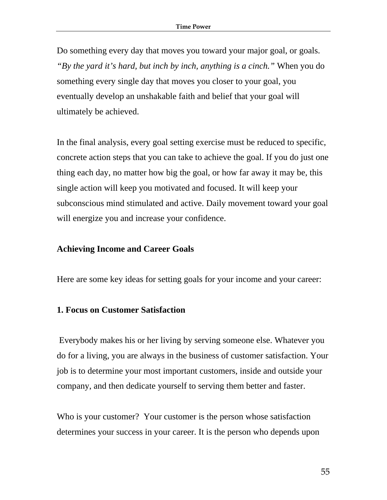Do something every day that moves you toward your major goal, or goals. *"By the yard it's hard, but inch by inch, anything is a cinch."* When you do something every single day that moves you closer to your goal, you eventually develop an unshakable faith and belief that your goal will ultimately be achieved.

In the final analysis, every goal setting exercise must be reduced to specific, concrete action steps that you can take to achieve the goal. If you do just one thing each day, no matter how big the goal, or how far away it may be, this single action will keep you motivated and focused. It will keep your subconscious mind stimulated and active. Daily movement toward your goal will energize you and increase your confidence.

#### **Achieving Income and Career Goals**

Here are some key ideas for setting goals for your income and your career:

## **1. Focus on Customer Satisfaction**

 Everybody makes his or her living by serving someone else. Whatever you do for a living, you are always in the business of customer satisfaction. Your job is to determine your most important customers, inside and outside your company, and then dedicate yourself to serving them better and faster.

Who is your customer? Your customer is the person whose satisfaction determines your success in your career. It is the person who depends upon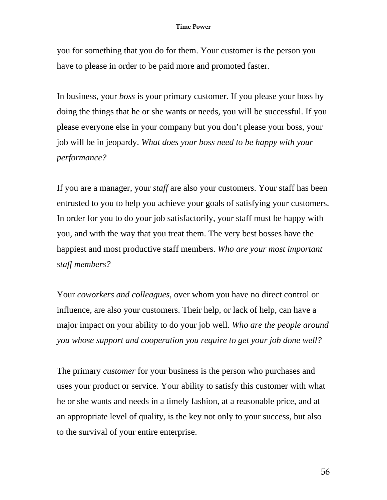you for something that you do for them. Your customer is the person you have to please in order to be paid more and promoted faster.

In business, your *boss* is your primary customer. If you please your boss by doing the things that he or she wants or needs, you will be successful. If you please everyone else in your company but you don't please your boss, your job will be in jeopardy. *What does your boss need to be happy with your performance?* 

If you are a manager, your *staff* are also your customers. Your staff has been entrusted to you to help you achieve your goals of satisfying your customers. In order for you to do your job satisfactorily, your staff must be happy with you, and with the way that you treat them. The very best bosses have the happiest and most productive staff members. *Who are your most important staff members?* 

Your *coworkers and colleagues*, over whom you have no direct control or influence, are also your customers. Their help, or lack of help, can have a major impact on your ability to do your job well. *Who are the people around you whose support and cooperation you require to get your job done well?* 

The primary *customer* for your business is the person who purchases and uses your product or service. Your ability to satisfy this customer with what he or she wants and needs in a timely fashion, at a reasonable price, and at an appropriate level of quality, is the key not only to your success, but also to the survival of your entire enterprise.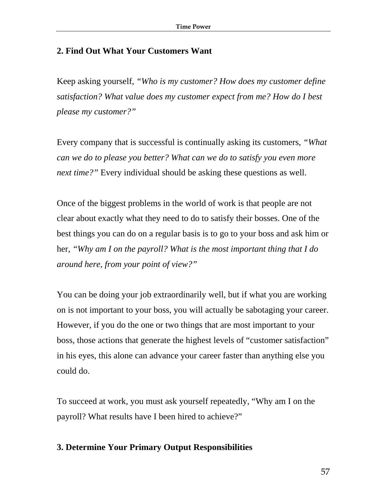## **2. Find Out What Your Customers Want**

Keep asking yourself, *"Who is my customer? How does my customer define satisfaction? What value does my customer expect from me? How do I best please my customer?"* 

Every company that is successful is continually asking its customers, *"What can we do to please you better? What can we do to satisfy you even more next time?"* Every individual should be asking these questions as well.

Once of the biggest problems in the world of work is that people are not clear about exactly what they need to do to satisfy their bosses. One of the best things you can do on a regular basis is to go to your boss and ask him or her, *"Why am I on the payroll? What is the most important thing that I do around here, from your point of view?"* 

You can be doing your job extraordinarily well, but if what you are working on is not important to your boss, you will actually be sabotaging your career. However, if you do the one or two things that are most important to your boss, those actions that generate the highest levels of "customer satisfaction" in his eyes, this alone can advance your career faster than anything else you could do.

To succeed at work, you must ask yourself repeatedly, "Why am I on the payroll? What results have I been hired to achieve?"

# **3. Determine Your Primary Output Responsibilities**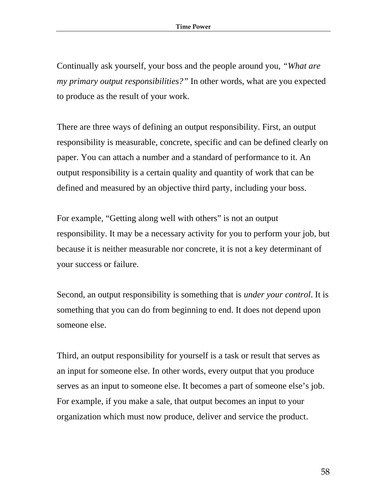Continually ask yourself, your boss and the people around you, *"What are my primary output responsibilities?"* In other words, what are you expected to produce as the result of your work.

There are three ways of defining an output responsibility. First, an output responsibility is measurable, concrete, specific and can be defined clearly on paper. You can attach a number and a standard of performance to it. An output responsibility is a certain quality and quantity of work that can be defined and measured by an objective third party, including your boss.

For example, "Getting along well with others" is not an output responsibility. It may be a necessary activity for you to perform your job, but because it is neither measurable nor concrete, it is not a key determinant of your success or failure.

Second, an output responsibility is something that is *under your control*. It is something that you can do from beginning to end. It does not depend upon someone else.

Third, an output responsibility for yourself is a task or result that serves as an input for someone else. In other words, every output that you produce serves as an input to someone else. It becomes a part of someone else's job. For example, if you make a sale, that output becomes an input to your organization which must now produce, deliver and service the product.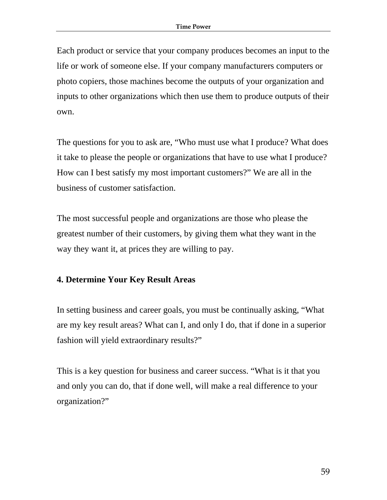Each product or service that your company produces becomes an input to the life or work of someone else. If your company manufacturers computers or photo copiers, those machines become the outputs of your organization and inputs to other organizations which then use them to produce outputs of their own.

The questions for you to ask are, "Who must use what I produce? What does it take to please the people or organizations that have to use what I produce? How can I best satisfy my most important customers?" We are all in the business of customer satisfaction.

The most successful people and organizations are those who please the greatest number of their customers, by giving them what they want in the way they want it, at prices they are willing to pay.

# **4. Determine Your Key Result Areas**

In setting business and career goals, you must be continually asking, "What are my key result areas? What can I, and only I do, that if done in a superior fashion will yield extraordinary results?"

This is a key question for business and career success. "What is it that you and only you can do, that if done well, will make a real difference to your organization?"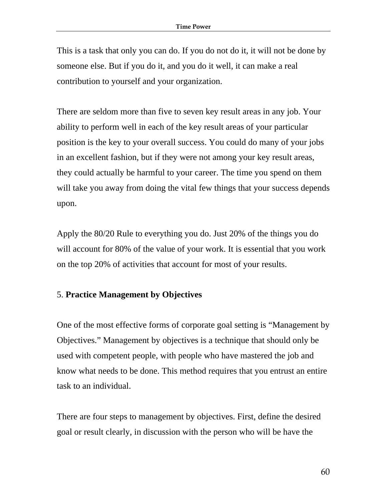This is a task that only you can do. If you do not do it, it will not be done by someone else. But if you do it, and you do it well, it can make a real contribution to yourself and your organization.

There are seldom more than five to seven key result areas in any job. Your ability to perform well in each of the key result areas of your particular position is the key to your overall success. You could do many of your jobs in an excellent fashion, but if they were not among your key result areas, they could actually be harmful to your career. The time you spend on them will take you away from doing the vital few things that your success depends upon.

Apply the 80/20 Rule to everything you do. Just 20% of the things you do will account for 80% of the value of your work. It is essential that you work on the top 20% of activities that account for most of your results.

# 5. **Practice Management by Objectives**

One of the most effective forms of corporate goal setting is "Management by Objectives." Management by objectives is a technique that should only be used with competent people, with people who have mastered the job and know what needs to be done. This method requires that you entrust an entire task to an individual.

There are four steps to management by objectives. First, define the desired goal or result clearly, in discussion with the person who will be have the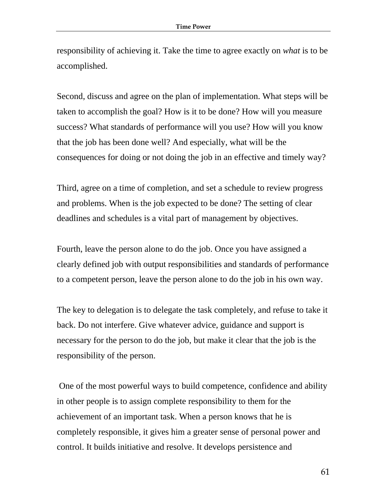responsibility of achieving it. Take the time to agree exactly on *what* is to be accomplished.

Second, discuss and agree on the plan of implementation. What steps will be taken to accomplish the goal? How is it to be done? How will you measure success? What standards of performance will you use? How will you know that the job has been done well? And especially, what will be the consequences for doing or not doing the job in an effective and timely way?

Third, agree on a time of completion, and set a schedule to review progress and problems. When is the job expected to be done? The setting of clear deadlines and schedules is a vital part of management by objectives.

Fourth, leave the person alone to do the job. Once you have assigned a clearly defined job with output responsibilities and standards of performance to a competent person, leave the person alone to do the job in his own way.

The key to delegation is to delegate the task completely, and refuse to take it back. Do not interfere. Give whatever advice, guidance and support is necessary for the person to do the job, but make it clear that the job is the responsibility of the person.

 One of the most powerful ways to build competence, confidence and ability in other people is to assign complete responsibility to them for the achievement of an important task. When a person knows that he is completely responsible, it gives him a greater sense of personal power and control. It builds initiative and resolve. It develops persistence and

61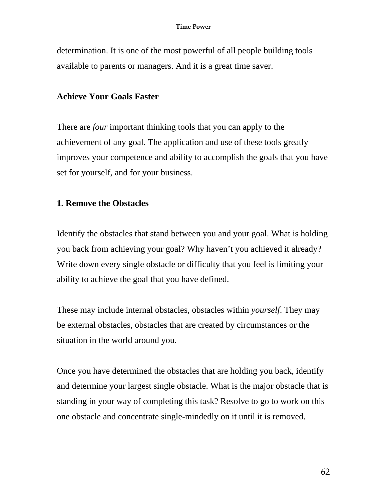determination. It is one of the most powerful of all people building tools available to parents or managers. And it is a great time saver.

## **Achieve Your Goals Faster**

There are *four* important thinking tools that you can apply to the achievement of any goal. The application and use of these tools greatly improves your competence and ability to accomplish the goals that you have set for yourself, and for your business.

## **1. Remove the Obstacles**

Identify the obstacles that stand between you and your goal. What is holding you back from achieving your goal? Why haven't you achieved it already? Write down every single obstacle or difficulty that you feel is limiting your ability to achieve the goal that you have defined.

These may include internal obstacles, obstacles within *yourself*. They may be external obstacles, obstacles that are created by circumstances or the situation in the world around you.

Once you have determined the obstacles that are holding you back, identify and determine your largest single obstacle. What is the major obstacle that is standing in your way of completing this task? Resolve to go to work on this one obstacle and concentrate single-mindedly on it until it is removed.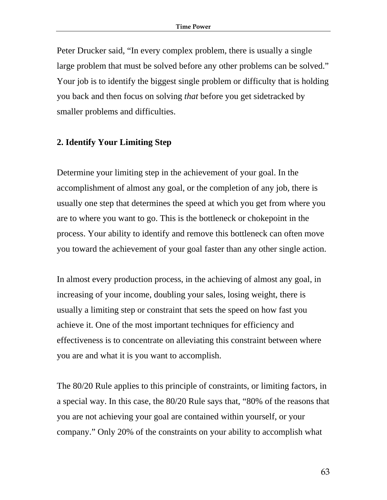Peter Drucker said, "In every complex problem, there is usually a single large problem that must be solved before any other problems can be solved." Your job is to identify the biggest single problem or difficulty that is holding you back and then focus on solving *that* before you get sidetracked by smaller problems and difficulties.

#### **2. Identify Your Limiting Step**

Determine your limiting step in the achievement of your goal. In the accomplishment of almost any goal, or the completion of any job, there is usually one step that determines the speed at which you get from where you are to where you want to go. This is the bottleneck or chokepoint in the process. Your ability to identify and remove this bottleneck can often move you toward the achievement of your goal faster than any other single action.

In almost every production process, in the achieving of almost any goal, in increasing of your income, doubling your sales, losing weight, there is usually a limiting step or constraint that sets the speed on how fast you achieve it. One of the most important techniques for efficiency and effectiveness is to concentrate on alleviating this constraint between where you are and what it is you want to accomplish.

The 80/20 Rule applies to this principle of constraints, or limiting factors, in a special way. In this case, the 80/20 Rule says that, "80% of the reasons that you are not achieving your goal are contained within yourself, or your company." Only 20% of the constraints on your ability to accomplish what

63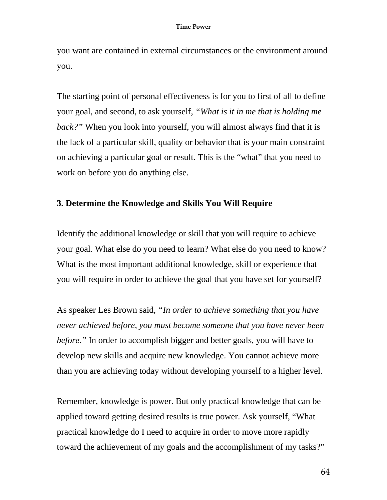you want are contained in external circumstances or the environment around you.

The starting point of personal effectiveness is for you to first of all to define your goal, and second, to ask yourself, *"What is it in me that is holding me back?"* When you look into yourself, you will almost always find that it is the lack of a particular skill, quality or behavior that is your main constraint on achieving a particular goal or result. This is the "what" that you need to work on before you do anything else.

## **3. Determine the Knowledge and Skills You Will Require**

Identify the additional knowledge or skill that you will require to achieve your goal. What else do you need to learn? What else do you need to know? What is the most important additional knowledge, skill or experience that you will require in order to achieve the goal that you have set for yourself?

As speaker Les Brown said, *"In order to achieve something that you have never achieved before, you must become someone that you have never been before."* In order to accomplish bigger and better goals, you will have to develop new skills and acquire new knowledge. You cannot achieve more than you are achieving today without developing yourself to a higher level.

Remember, knowledge is power. But only practical knowledge that can be applied toward getting desired results is true power. Ask yourself, "What practical knowledge do I need to acquire in order to move more rapidly toward the achievement of my goals and the accomplishment of my tasks?"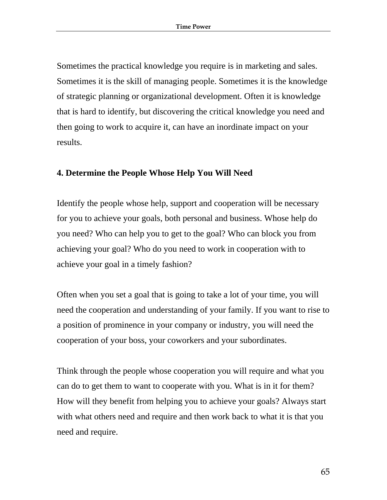Sometimes the practical knowledge you require is in marketing and sales. Sometimes it is the skill of managing people. Sometimes it is the knowledge of strategic planning or organizational development. Often it is knowledge that is hard to identify, but discovering the critical knowledge you need and then going to work to acquire it, can have an inordinate impact on your results.

# **4. Determine the People Whose Help You Will Need**

Identify the people whose help, support and cooperation will be necessary for you to achieve your goals, both personal and business. Whose help do you need? Who can help you to get to the goal? Who can block you from achieving your goal? Who do you need to work in cooperation with to achieve your goal in a timely fashion?

Often when you set a goal that is going to take a lot of your time, you will need the cooperation and understanding of your family. If you want to rise to a position of prominence in your company or industry, you will need the cooperation of your boss, your coworkers and your subordinates.

Think through the people whose cooperation you will require and what you can do to get them to want to cooperate with you. What is in it for them? How will they benefit from helping you to achieve your goals? Always start with what others need and require and then work back to what it is that you need and require.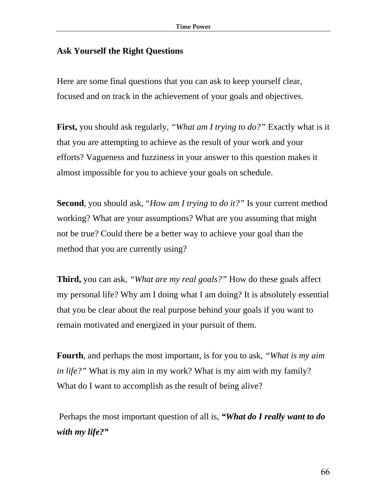## **Ask Yourself the Right Questions**

Here are some final questions that you can ask to keep yourself clear, focused and on track in the achievement of your goals and objectives.

**First,** you should ask regularly, *"What am I trying to do?"* Exactly what is it that you are attempting to achieve as the result of your work and your efforts? Vagueness and fuzziness in your answer to this question makes it almost impossible for you to achieve your goals on schedule.

**Second**, you should ask, "*How am I trying to do it?"* Is your current method working? What are your assumptions? What are you assuming that might not be true? Could there be a better way to achieve your goal than the method that you are currently using?

**Third,** you can ask, *"What are my real goals?"* How do these goals affect my personal life? Why am I doing what I am doing? It is absolutely essential that you be clear about the real purpose behind your goals if you want to remain motivated and energized in your pursuit of them.

**Fourth**, and perhaps the most important, is for you to ask, *"What is my aim in life?"* What is my aim in my work? What is my aim with my family? What do I want to accomplish as the result of being alive?

 Perhaps the most important question of all is, *"What do I really want to do with my life?"*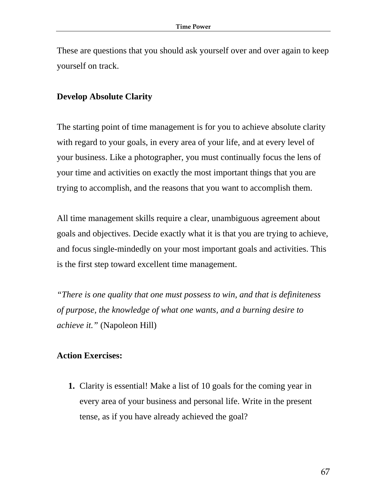These are questions that you should ask yourself over and over again to keep yourself on track.

# **Develop Absolute Clarity**

The starting point of time management is for you to achieve absolute clarity with regard to your goals, in every area of your life, and at every level of your business. Like a photographer, you must continually focus the lens of your time and activities on exactly the most important things that you are trying to accomplish, and the reasons that you want to accomplish them.

All time management skills require a clear, unambiguous agreement about goals and objectives. Decide exactly what it is that you are trying to achieve, and focus single-mindedly on your most important goals and activities. This is the first step toward excellent time management.

*"There is one quality that one must possess to win, and that is definiteness of purpose, the knowledge of what one wants, and a burning desire to achieve it."* (Napoleon Hill)

# **Action Exercises:**

**1.** Clarity is essential! Make a list of 10 goals for the coming year in every area of your business and personal life. Write in the present tense, as if you have already achieved the goal?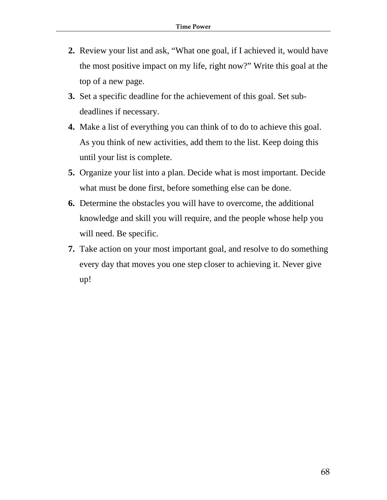- **2.** Review your list and ask, "What one goal, if I achieved it, would have the most positive impact on my life, right now?" Write this goal at the top of a new page.
- **3.** Set a specific deadline for the achievement of this goal. Set subdeadlines if necessary.
- **4.** Make a list of everything you can think of to do to achieve this goal. As you think of new activities, add them to the list. Keep doing this until your list is complete.
- **5.** Organize your list into a plan. Decide what is most important. Decide what must be done first, before something else can be done.
- **6.** Determine the obstacles you will have to overcome, the additional knowledge and skill you will require, and the people whose help you will need. Be specific.
- **7.** Take action on your most important goal, and resolve to do something every day that moves you one step closer to achieving it. Never give up!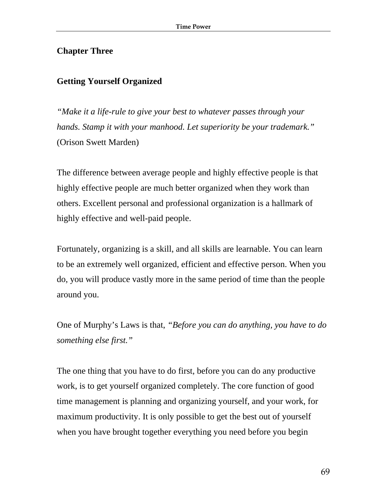## **Chapter Three**

## **Getting Yourself Organized**

*"Make it a life-rule to give your best to whatever passes through your hands. Stamp it with your manhood. Let superiority be your trademark."* (Orison Swett Marden)

The difference between average people and highly effective people is that highly effective people are much better organized when they work than others. Excellent personal and professional organization is a hallmark of highly effective and well-paid people.

Fortunately, organizing is a skill, and all skills are learnable. You can learn to be an extremely well organized, efficient and effective person. When you do, you will produce vastly more in the same period of time than the people around you.

One of Murphy's Laws is that, *"Before you can do anything, you have to do something else first."* 

The one thing that you have to do first, before you can do any productive work, is to get yourself organized completely. The core function of good time management is planning and organizing yourself, and your work, for maximum productivity. It is only possible to get the best out of yourself when you have brought together everything you need before you begin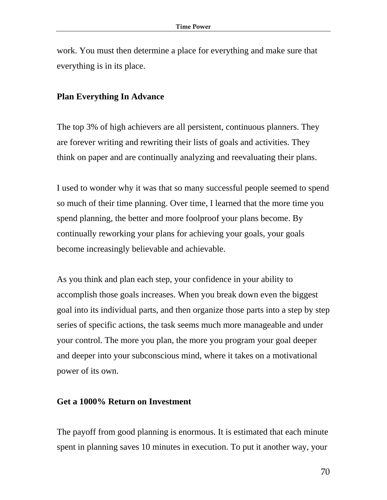work. You must then determine a place for everything and make sure that everything is in its place.

# **Plan Everything In Advance**

The top 3% of high achievers are all persistent, continuous planners. They are forever writing and rewriting their lists of goals and activities. They think on paper and are continually analyzing and reevaluating their plans.

I used to wonder why it was that so many successful people seemed to spend so much of their time planning. Over time, I learned that the more time you spend planning, the better and more foolproof your plans become. By continually reworking your plans for achieving your goals, your goals become increasingly believable and achievable.

As you think and plan each step, your confidence in your ability to accomplish those goals increases. When you break down even the biggest goal into its individual parts, and then organize those parts into a step by step series of specific actions, the task seems much more manageable and under your control. The more you plan, the more you program your goal deeper and deeper into your subconscious mind, where it takes on a motivational power of its own.

# **Get a 1000% Return on Investment**

The payoff from good planning is enormous. It is estimated that each minute spent in planning saves 10 minutes in execution. To put it another way, your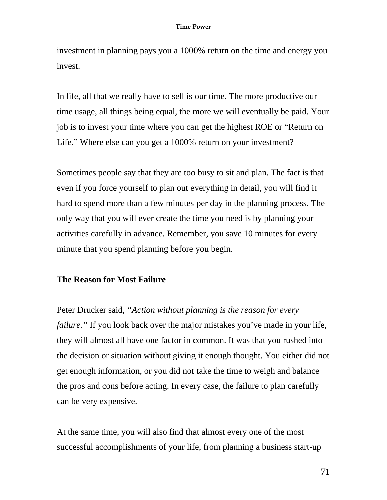investment in planning pays you a 1000% return on the time and energy you invest.

In life, all that we really have to sell is our time. The more productive our time usage, all things being equal, the more we will eventually be paid. Your job is to invest your time where you can get the highest ROE or "Return on Life." Where else can you get a 1000% return on your investment?

Sometimes people say that they are too busy to sit and plan. The fact is that even if you force yourself to plan out everything in detail, you will find it hard to spend more than a few minutes per day in the planning process. The only way that you will ever create the time you need is by planning your activities carefully in advance. Remember, you save 10 minutes for every minute that you spend planning before you begin.

## **The Reason for Most Failure**

Peter Drucker said, *"Action without planning is the reason for every failure.*" If you look back over the major mistakes you've made in your life, they will almost all have one factor in common. It was that you rushed into the decision or situation without giving it enough thought. You either did not get enough information, or you did not take the time to weigh and balance the pros and cons before acting. In every case, the failure to plan carefully can be very expensive.

At the same time, you will also find that almost every one of the most successful accomplishments of your life, from planning a business start-up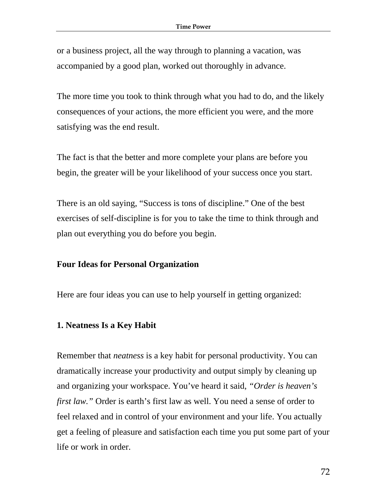or a business project, all the way through to planning a vacation, was accompanied by a good plan, worked out thoroughly in advance.

The more time you took to think through what you had to do, and the likely consequences of your actions, the more efficient you were, and the more satisfying was the end result.

The fact is that the better and more complete your plans are before you begin, the greater will be your likelihood of your success once you start.

There is an old saying, "Success is tons of discipline." One of the best exercises of self-discipline is for you to take the time to think through and plan out everything you do before you begin.

#### **Four Ideas for Personal Organization**

Here are four ideas you can use to help yourself in getting organized:

### **1. Neatness Is a Key Habit**

Remember that *neatness* is a key habit for personal productivity. You can dramatically increase your productivity and output simply by cleaning up and organizing your workspace. You've heard it said, *"Order is heaven's first law."* Order is earth's first law as well. You need a sense of order to feel relaxed and in control of your environment and your life. You actually get a feeling of pleasure and satisfaction each time you put some part of your life or work in order.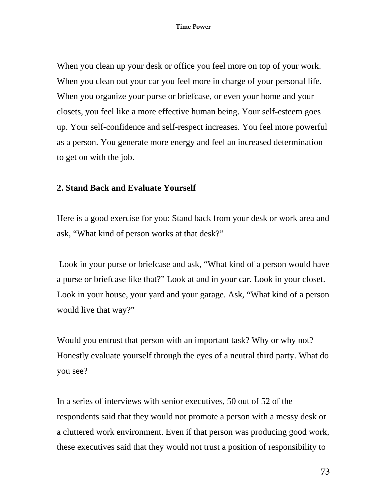When you clean up your desk or office you feel more on top of your work. When you clean out your car you feel more in charge of your personal life. When you organize your purse or briefcase, or even your home and your closets, you feel like a more effective human being. Your self-esteem goes up. Your self-confidence and self-respect increases. You feel more powerful as a person. You generate more energy and feel an increased determination to get on with the job.

# **2. Stand Back and Evaluate Yourself**

Here is a good exercise for you: Stand back from your desk or work area and ask, "What kind of person works at that desk?"

 Look in your purse or briefcase and ask, "What kind of a person would have a purse or briefcase like that?" Look at and in your car. Look in your closet. Look in your house, your yard and your garage. Ask, "What kind of a person would live that way?"

Would you entrust that person with an important task? Why or why not? Honestly evaluate yourself through the eyes of a neutral third party. What do you see?

In a series of interviews with senior executives, 50 out of 52 of the respondents said that they would not promote a person with a messy desk or a cluttered work environment. Even if that person was producing good work, these executives said that they would not trust a position of responsibility to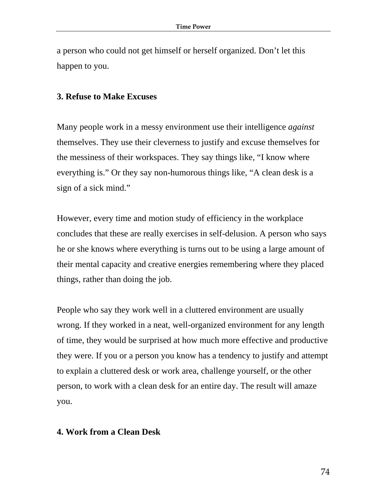a person who could not get himself or herself organized. Don't let this happen to you.

# **3. Refuse to Make Excuses**

Many people work in a messy environment use their intelligence *against* themselves. They use their cleverness to justify and excuse themselves for the messiness of their workspaces. They say things like, "I know where everything is." Or they say non-humorous things like, "A clean desk is a sign of a sick mind."

However, every time and motion study of efficiency in the workplace concludes that these are really exercises in self-delusion. A person who says he or she knows where everything is turns out to be using a large amount of their mental capacity and creative energies remembering where they placed things, rather than doing the job.

People who say they work well in a cluttered environment are usually wrong. If they worked in a neat, well-organized environment for any length of time, they would be surprised at how much more effective and productive they were. If you or a person you know has a tendency to justify and attempt to explain a cluttered desk or work area, challenge yourself, or the other person, to work with a clean desk for an entire day. The result will amaze you.

# **4. Work from a Clean Desk**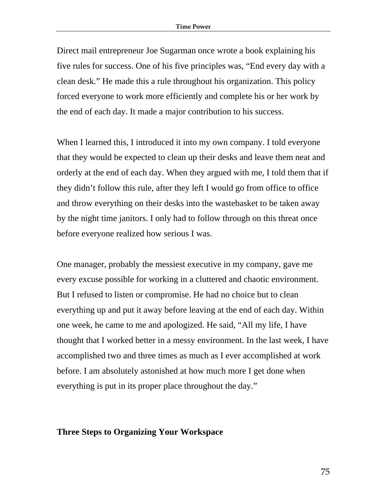Direct mail entrepreneur Joe Sugarman once wrote a book explaining his five rules for success. One of his five principles was, "End every day with a clean desk." He made this a rule throughout his organization. This policy forced everyone to work more efficiently and complete his or her work by the end of each day. It made a major contribution to his success.

When I learned this, I introduced it into my own company. I told everyone that they would be expected to clean up their desks and leave them neat and orderly at the end of each day. When they argued with me, I told them that if they didn't follow this rule, after they left I would go from office to office and throw everything on their desks into the wastebasket to be taken away by the night time janitors. I only had to follow through on this threat once before everyone realized how serious I was.

One manager, probably the messiest executive in my company, gave me every excuse possible for working in a cluttered and chaotic environment. But I refused to listen or compromise. He had no choice but to clean everything up and put it away before leaving at the end of each day. Within one week, he came to me and apologized. He said, "All my life, I have thought that I worked better in a messy environment. In the last week, I have accomplished two and three times as much as I ever accomplished at work before. I am absolutely astonished at how much more I get done when everything is put in its proper place throughout the day."

### **Three Steps to Organizing Your Workspace**

75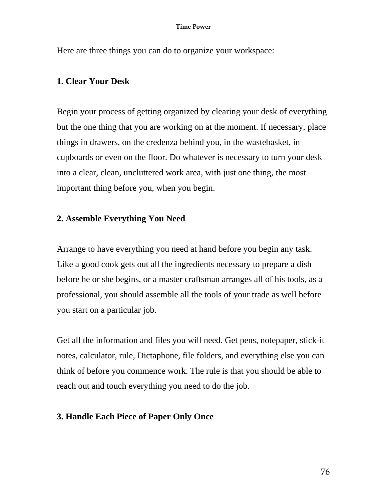Here are three things you can do to organize your workspace:

### **1. Clear Your Desk**

Begin your process of getting organized by clearing your desk of everything but the one thing that you are working on at the moment. If necessary, place things in drawers, on the credenza behind you, in the wastebasket, in cupboards or even on the floor. Do whatever is necessary to turn your desk into a clear, clean, uncluttered work area, with just one thing, the most important thing before you, when you begin.

#### **2. Assemble Everything You Need**

Arrange to have everything you need at hand before you begin any task. Like a good cook gets out all the ingredients necessary to prepare a dish before he or she begins, or a master craftsman arranges all of his tools, as a professional, you should assemble all the tools of your trade as well before you start on a particular job.

Get all the information and files you will need. Get pens, notepaper, stick-it notes, calculator, rule, Dictaphone, file folders, and everything else you can think of before you commence work. The rule is that you should be able to reach out and touch everything you need to do the job.

### **3. Handle Each Piece of Paper Only Once**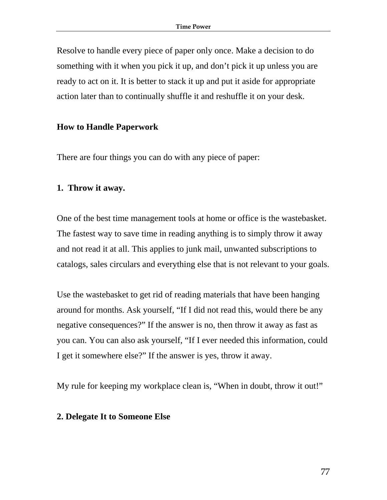Resolve to handle every piece of paper only once. Make a decision to do something with it when you pick it up, and don't pick it up unless you are ready to act on it. It is better to stack it up and put it aside for appropriate action later than to continually shuffle it and reshuffle it on your desk.

## **How to Handle Paperwork**

There are four things you can do with any piece of paper:

## **1. Throw it away.**

One of the best time management tools at home or office is the wastebasket. The fastest way to save time in reading anything is to simply throw it away and not read it at all. This applies to junk mail, unwanted subscriptions to catalogs, sales circulars and everything else that is not relevant to your goals.

Use the wastebasket to get rid of reading materials that have been hanging around for months. Ask yourself, "If I did not read this, would there be any negative consequences?" If the answer is no, then throw it away as fast as you can. You can also ask yourself, "If I ever needed this information, could I get it somewhere else?" If the answer is yes, throw it away.

My rule for keeping my workplace clean is, "When in doubt, throw it out!"

## **2. Delegate It to Someone Else**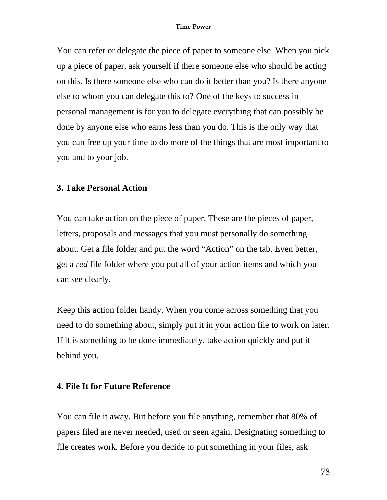You can refer or delegate the piece of paper to someone else. When you pick up a piece of paper, ask yourself if there someone else who should be acting on this. Is there someone else who can do it better than you? Is there anyone else to whom you can delegate this to? One of the keys to success in personal management is for you to delegate everything that can possibly be done by anyone else who earns less than you do. This is the only way that you can free up your time to do more of the things that are most important to you and to your job.

## **3. Take Personal Action**

You can take action on the piece of paper. These are the pieces of paper, letters, proposals and messages that you must personally do something about. Get a file folder and put the word "Action" on the tab. Even better, get a *red* file folder where you put all of your action items and which you can see clearly.

Keep this action folder handy. When you come across something that you need to do something about, simply put it in your action file to work on later. If it is something to be done immediately, take action quickly and put it behind you.

## **4. File It for Future Reference**

You can file it away. But before you file anything, remember that 80% of papers filed are never needed, used or seen again. Designating something to file creates work. Before you decide to put something in your files, ask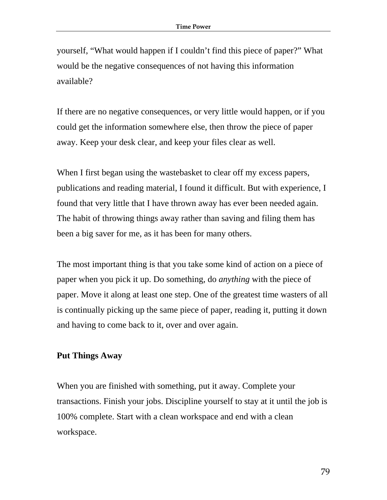yourself, "What would happen if I couldn't find this piece of paper?" What would be the negative consequences of not having this information available?

If there are no negative consequences, or very little would happen, or if you could get the information somewhere else, then throw the piece of paper away. Keep your desk clear, and keep your files clear as well.

When I first began using the wastebasket to clear off my excess papers, publications and reading material, I found it difficult. But with experience, I found that very little that I have thrown away has ever been needed again. The habit of throwing things away rather than saving and filing them has been a big saver for me, as it has been for many others.

The most important thing is that you take some kind of action on a piece of paper when you pick it up. Do something, do *anything* with the piece of paper. Move it along at least one step. One of the greatest time wasters of all is continually picking up the same piece of paper, reading it, putting it down and having to come back to it, over and over again.

## **Put Things Away**

When you are finished with something, put it away. Complete your transactions. Finish your jobs. Discipline yourself to stay at it until the job is 100% complete. Start with a clean workspace and end with a clean workspace.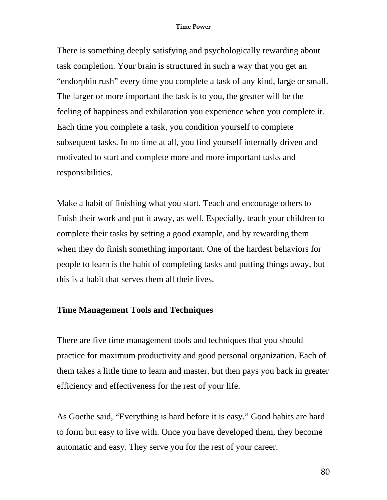There is something deeply satisfying and psychologically rewarding about task completion. Your brain is structured in such a way that you get an "endorphin rush" every time you complete a task of any kind, large or small. The larger or more important the task is to you, the greater will be the feeling of happiness and exhilaration you experience when you complete it. Each time you complete a task, you condition yourself to complete subsequent tasks. In no time at all, you find yourself internally driven and motivated to start and complete more and more important tasks and responsibilities.

Make a habit of finishing what you start. Teach and encourage others to finish their work and put it away, as well. Especially, teach your children to complete their tasks by setting a good example, and by rewarding them when they do finish something important. One of the hardest behaviors for people to learn is the habit of completing tasks and putting things away, but this is a habit that serves them all their lives.

### **Time Management Tools and Techniques**

There are five time management tools and techniques that you should practice for maximum productivity and good personal organization. Each of them takes a little time to learn and master, but then pays you back in greater efficiency and effectiveness for the rest of your life.

As Goethe said, "Everything is hard before it is easy." Good habits are hard to form but easy to live with. Once you have developed them, they become automatic and easy. They serve you for the rest of your career.

80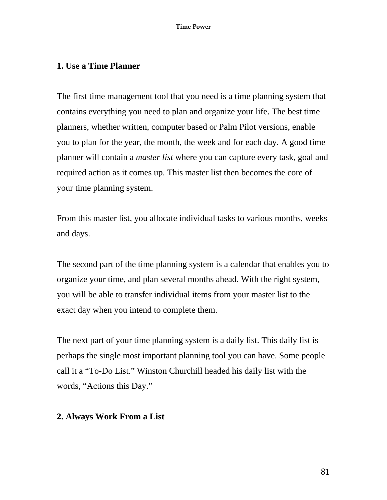## **1. Use a Time Planner**

The first time management tool that you need is a time planning system that contains everything you need to plan and organize your life. The best time planners, whether written, computer based or Palm Pilot versions, enable you to plan for the year, the month, the week and for each day. A good time planner will contain a *master list* where you can capture every task, goal and required action as it comes up. This master list then becomes the core of your time planning system.

From this master list, you allocate individual tasks to various months, weeks and days.

The second part of the time planning system is a calendar that enables you to organize your time, and plan several months ahead. With the right system, you will be able to transfer individual items from your master list to the exact day when you intend to complete them.

The next part of your time planning system is a daily list. This daily list is perhaps the single most important planning tool you can have. Some people call it a "To-Do List." Winston Churchill headed his daily list with the words, "Actions this Day."

## **2. Always Work From a List**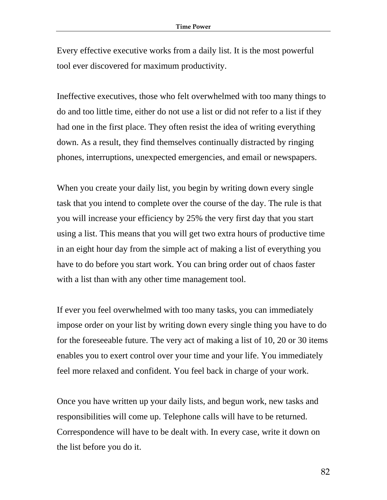Every effective executive works from a daily list. It is the most powerful tool ever discovered for maximum productivity.

Ineffective executives, those who felt overwhelmed with too many things to do and too little time, either do not use a list or did not refer to a list if they had one in the first place. They often resist the idea of writing everything down. As a result, they find themselves continually distracted by ringing phones, interruptions, unexpected emergencies, and email or newspapers.

When you create your daily list, you begin by writing down every single task that you intend to complete over the course of the day. The rule is that you will increase your efficiency by 25% the very first day that you start using a list. This means that you will get two extra hours of productive time in an eight hour day from the simple act of making a list of everything you have to do before you start work. You can bring order out of chaos faster with a list than with any other time management tool.

If ever you feel overwhelmed with too many tasks, you can immediately impose order on your list by writing down every single thing you have to do for the foreseeable future. The very act of making a list of 10, 20 or 30 items enables you to exert control over your time and your life. You immediately feel more relaxed and confident. You feel back in charge of your work.

Once you have written up your daily lists, and begun work, new tasks and responsibilities will come up. Telephone calls will have to be returned. Correspondence will have to be dealt with. In every case, write it down on the list before you do it.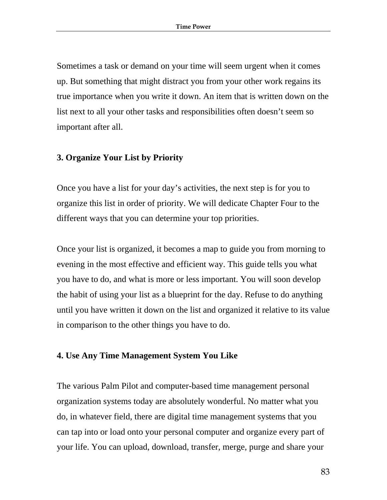Sometimes a task or demand on your time will seem urgent when it comes up. But something that might distract you from your other work regains its true importance when you write it down. An item that is written down on the list next to all your other tasks and responsibilities often doesn't seem so important after all.

## **3. Organize Your List by Priority**

Once you have a list for your day's activities, the next step is for you to organize this list in order of priority. We will dedicate Chapter Four to the different ways that you can determine your top priorities.

Once your list is organized, it becomes a map to guide you from morning to evening in the most effective and efficient way. This guide tells you what you have to do, and what is more or less important. You will soon develop the habit of using your list as a blueprint for the day. Refuse to do anything until you have written it down on the list and organized it relative to its value in comparison to the other things you have to do.

## **4. Use Any Time Management System You Like**

The various Palm Pilot and computer-based time management personal organization systems today are absolutely wonderful. No matter what you do, in whatever field, there are digital time management systems that you can tap into or load onto your personal computer and organize every part of your life. You can upload, download, transfer, merge, purge and share your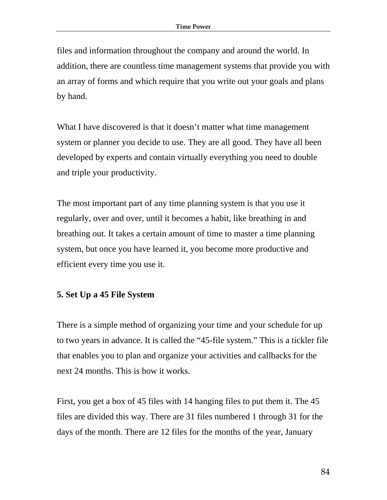files and information throughout the company and around the world. In addition, there are countless time management systems that provide you with an array of forms and which require that you write out your goals and plans by hand.

What I have discovered is that it doesn't matter what time management system or planner you decide to use. They are all good. They have all been developed by experts and contain virtually everything you need to double and triple your productivity.

The most important part of any time planning system is that you use it regularly, over and over, until it becomes a habit, like breathing in and breathing out. It takes a certain amount of time to master a time planning system, but once you have learned it, you become more productive and efficient every time you use it.

## **5. Set Up a 45 File System**

There is a simple method of organizing your time and your schedule for up to two years in advance. It is called the "45-file system." This is a tickler file that enables you to plan and organize your activities and callbacks for the next 24 months. This is how it works.

First, you get a box of 45 files with 14 hanging files to put them it. The 45 files are divided this way. There are 31 files numbered 1 through 31 for the days of the month. There are 12 files for the months of the year, January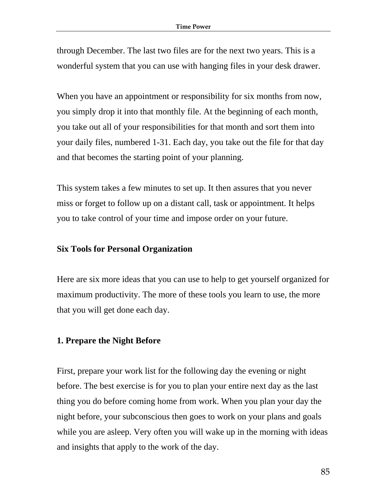through December. The last two files are for the next two years. This is a wonderful system that you can use with hanging files in your desk drawer.

When you have an appointment or responsibility for six months from now, you simply drop it into that monthly file. At the beginning of each month, you take out all of your responsibilities for that month and sort them into your daily files, numbered 1-31. Each day, you take out the file for that day and that becomes the starting point of your planning.

This system takes a few minutes to set up. It then assures that you never miss or forget to follow up on a distant call, task or appointment. It helps you to take control of your time and impose order on your future.

#### **Six Tools for Personal Organization**

Here are six more ideas that you can use to help to get yourself organized for maximum productivity. The more of these tools you learn to use, the more that you will get done each day.

#### **1. Prepare the Night Before**

First, prepare your work list for the following day the evening or night before. The best exercise is for you to plan your entire next day as the last thing you do before coming home from work. When you plan your day the night before, your subconscious then goes to work on your plans and goals while you are asleep. Very often you will wake up in the morning with ideas and insights that apply to the work of the day.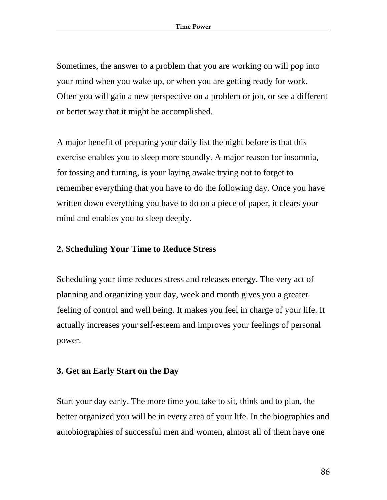Sometimes, the answer to a problem that you are working on will pop into your mind when you wake up, or when you are getting ready for work. Often you will gain a new perspective on a problem or job, or see a different or better way that it might be accomplished.

A major benefit of preparing your daily list the night before is that this exercise enables you to sleep more soundly. A major reason for insomnia, for tossing and turning, is your laying awake trying not to forget to remember everything that you have to do the following day. Once you have written down everything you have to do on a piece of paper, it clears your mind and enables you to sleep deeply.

### **2. Scheduling Your Time to Reduce Stress**

Scheduling your time reduces stress and releases energy. The very act of planning and organizing your day, week and month gives you a greater feeling of control and well being. It makes you feel in charge of your life. It actually increases your self-esteem and improves your feelings of personal power.

### **3. Get an Early Start on the Day**

Start your day early. The more time you take to sit, think and to plan, the better organized you will be in every area of your life. In the biographies and autobiographies of successful men and women, almost all of them have one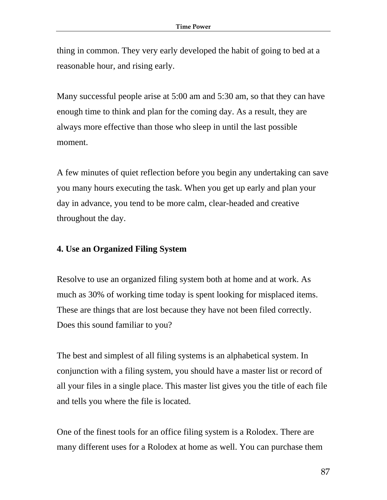thing in common. They very early developed the habit of going to bed at a reasonable hour, and rising early.

Many successful people arise at 5:00 am and 5:30 am, so that they can have enough time to think and plan for the coming day. As a result, they are always more effective than those who sleep in until the last possible moment.

A few minutes of quiet reflection before you begin any undertaking can save you many hours executing the task. When you get up early and plan your day in advance, you tend to be more calm, clear-headed and creative throughout the day.

# **4. Use an Organized Filing System**

Resolve to use an organized filing system both at home and at work. As much as 30% of working time today is spent looking for misplaced items. These are things that are lost because they have not been filed correctly. Does this sound familiar to you?

The best and simplest of all filing systems is an alphabetical system. In conjunction with a filing system, you should have a master list or record of all your files in a single place. This master list gives you the title of each file and tells you where the file is located.

One of the finest tools for an office filing system is a Rolodex. There are many different uses for a Rolodex at home as well. You can purchase them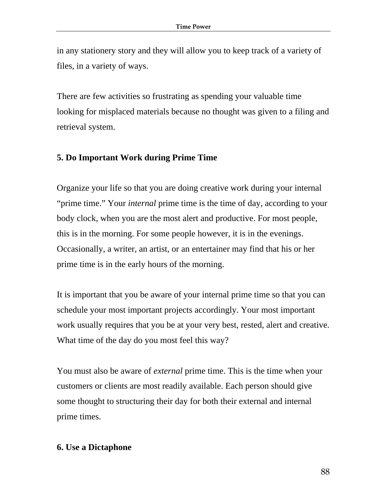in any stationery story and they will allow you to keep track of a variety of files, in a variety of ways.

There are few activities so frustrating as spending your valuable time looking for misplaced materials because no thought was given to a filing and retrieval system.

# **5. Do Important Work during Prime Time**

Organize your life so that you are doing creative work during your internal "prime time." Your *internal* prime time is the time of day, according to your body clock, when you are the most alert and productive. For most people, this is in the morning. For some people however, it is in the evenings. Occasionally, a writer, an artist, or an entertainer may find that his or her prime time is in the early hours of the morning.

It is important that you be aware of your internal prime time so that you can schedule your most important projects accordingly. Your most important work usually requires that you be at your very best, rested, alert and creative. What time of the day do you most feel this way?

You must also be aware of *external* prime time. This is the time when your customers or clients are most readily available. Each person should give some thought to structuring their day for both their external and internal prime times.

# **6. Use a Dictaphone**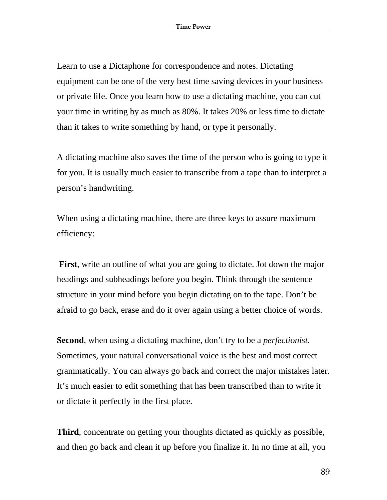Learn to use a Dictaphone for correspondence and notes. Dictating equipment can be one of the very best time saving devices in your business or private life. Once you learn how to use a dictating machine, you can cut your time in writing by as much as 80%. It takes 20% or less time to dictate than it takes to write something by hand, or type it personally.

A dictating machine also saves the time of the person who is going to type it for you. It is usually much easier to transcribe from a tape than to interpret a person's handwriting.

When using a dictating machine, there are three keys to assure maximum efficiency:

**First**, write an outline of what you are going to dictate. Jot down the major headings and subheadings before you begin. Think through the sentence structure in your mind before you begin dictating on to the tape. Don't be afraid to go back, erase and do it over again using a better choice of words.

**Second**, when using a dictating machine, don't try to be a *perfectionist*. Sometimes, your natural conversational voice is the best and most correct grammatically. You can always go back and correct the major mistakes later. It's much easier to edit something that has been transcribed than to write it or dictate it perfectly in the first place.

**Third**, concentrate on getting your thoughts dictated as quickly as possible, and then go back and clean it up before you finalize it. In no time at all, you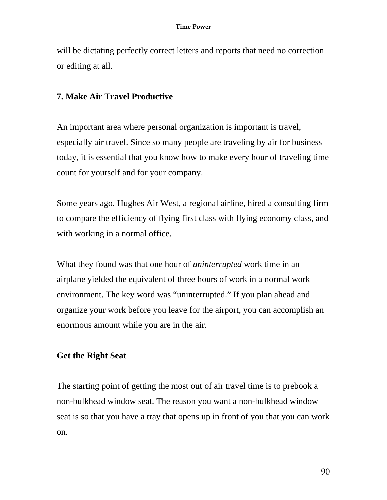will be dictating perfectly correct letters and reports that need no correction or editing at all.

# **7. Make Air Travel Productive**

An important area where personal organization is important is travel, especially air travel. Since so many people are traveling by air for business today, it is essential that you know how to make every hour of traveling time count for yourself and for your company.

Some years ago, Hughes Air West, a regional airline, hired a consulting firm to compare the efficiency of flying first class with flying economy class, and with working in a normal office.

What they found was that one hour of *uninterrupted* work time in an airplane yielded the equivalent of three hours of work in a normal work environment. The key word was "uninterrupted." If you plan ahead and organize your work before you leave for the airport, you can accomplish an enormous amount while you are in the air.

# **Get the Right Seat**

The starting point of getting the most out of air travel time is to prebook a non-bulkhead window seat. The reason you want a non-bulkhead window seat is so that you have a tray that opens up in front of you that you can work on.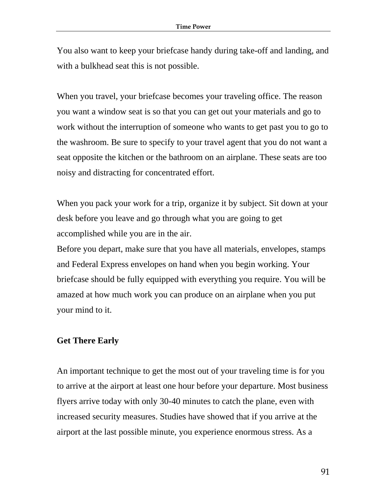You also want to keep your briefcase handy during take-off and landing, and with a bulkhead seat this is not possible.

When you travel, your briefcase becomes your traveling office. The reason you want a window seat is so that you can get out your materials and go to work without the interruption of someone who wants to get past you to go to the washroom. Be sure to specify to your travel agent that you do not want a seat opposite the kitchen or the bathroom on an airplane. These seats are too noisy and distracting for concentrated effort.

When you pack your work for a trip, organize it by subject. Sit down at your desk before you leave and go through what you are going to get accomplished while you are in the air.

Before you depart, make sure that you have all materials, envelopes, stamps and Federal Express envelopes on hand when you begin working. Your briefcase should be fully equipped with everything you require. You will be amazed at how much work you can produce on an airplane when you put your mind to it.

### **Get There Early**

An important technique to get the most out of your traveling time is for you to arrive at the airport at least one hour before your departure. Most business flyers arrive today with only 30-40 minutes to catch the plane, even with increased security measures. Studies have showed that if you arrive at the airport at the last possible minute, you experience enormous stress. As a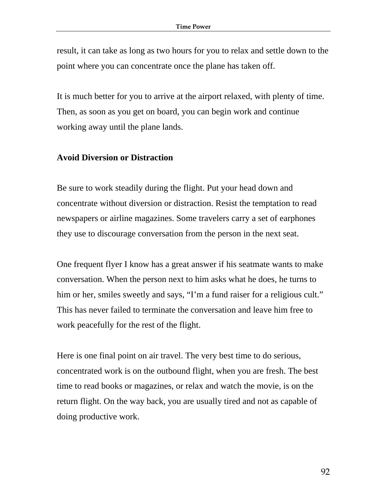result, it can take as long as two hours for you to relax and settle down to the point where you can concentrate once the plane has taken off.

It is much better for you to arrive at the airport relaxed, with plenty of time. Then, as soon as you get on board, you can begin work and continue working away until the plane lands.

# **Avoid Diversion or Distraction**

Be sure to work steadily during the flight. Put your head down and concentrate without diversion or distraction. Resist the temptation to read newspapers or airline magazines. Some travelers carry a set of earphones they use to discourage conversation from the person in the next seat.

One frequent flyer I know has a great answer if his seatmate wants to make conversation. When the person next to him asks what he does, he turns to him or her, smiles sweetly and says, "I'm a fund raiser for a religious cult." This has never failed to terminate the conversation and leave him free to work peacefully for the rest of the flight.

Here is one final point on air travel. The very best time to do serious, concentrated work is on the outbound flight, when you are fresh. The best time to read books or magazines, or relax and watch the movie, is on the return flight. On the way back, you are usually tired and not as capable of doing productive work.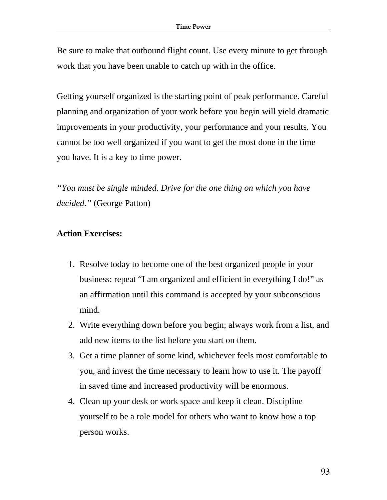Be sure to make that outbound flight count. Use every minute to get through work that you have been unable to catch up with in the office.

Getting yourself organized is the starting point of peak performance. Careful planning and organization of your work before you begin will yield dramatic improvements in your productivity, your performance and your results. You cannot be too well organized if you want to get the most done in the time you have. It is a key to time power.

*"You must be single minded. Drive for the one thing on which you have decided."* (George Patton)

# **Action Exercises:**

- 1. Resolve today to become one of the best organized people in your business: repeat "I am organized and efficient in everything I do!" as an affirmation until this command is accepted by your subconscious mind.
- 2. Write everything down before you begin; always work from a list, and add new items to the list before you start on them.
- 3. Get a time planner of some kind, whichever feels most comfortable to you, and invest the time necessary to learn how to use it. The payoff in saved time and increased productivity will be enormous.
- 4. Clean up your desk or work space and keep it clean. Discipline yourself to be a role model for others who want to know how a top person works.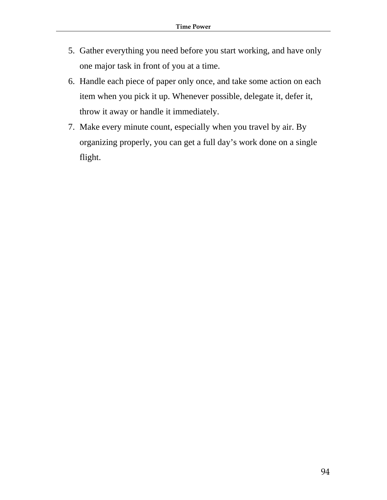- 5. Gather everything you need before you start working, and have only one major task in front of you at a time.
- 6. Handle each piece of paper only once, and take some action on each item when you pick it up. Whenever possible, delegate it, defer it, throw it away or handle it immediately.
- 7. Make every minute count, especially when you travel by air. By organizing properly, you can get a full day's work done on a single flight.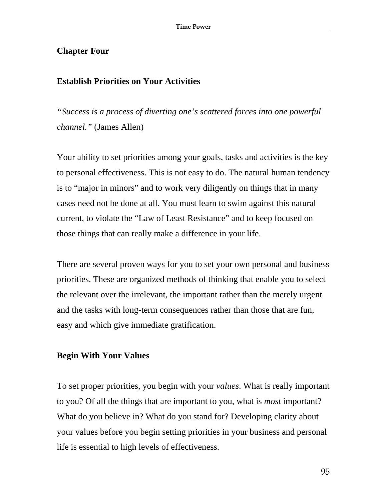## **Chapter Four**

## **Establish Priorities on Your Activities**

*"Success is a process of diverting one's scattered forces into one powerful channel."* (James Allen)

Your ability to set priorities among your goals, tasks and activities is the key to personal effectiveness. This is not easy to do. The natural human tendency is to "major in minors" and to work very diligently on things that in many cases need not be done at all. You must learn to swim against this natural current, to violate the "Law of Least Resistance" and to keep focused on those things that can really make a difference in your life.

There are several proven ways for you to set your own personal and business priorities. These are organized methods of thinking that enable you to select the relevant over the irrelevant, the important rather than the merely urgent and the tasks with long-term consequences rather than those that are fun, easy and which give immediate gratification.

### **Begin With Your Values**

To set proper priorities, you begin with your *values*. What is really important to you? Of all the things that are important to you, what is *most* important? What do you believe in? What do you stand for? Developing clarity about your values before you begin setting priorities in your business and personal life is essential to high levels of effectiveness.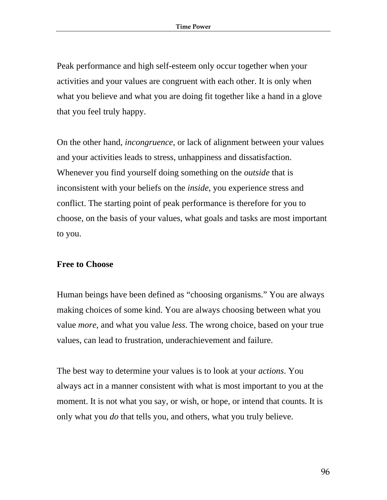Peak performance and high self-esteem only occur together when your activities and your values are congruent with each other. It is only when what you believe and what you are doing fit together like a hand in a glove that you feel truly happy.

On the other hand, *incongruence*, or lack of alignment between your values and your activities leads to stress, unhappiness and dissatisfaction. Whenever you find yourself doing something on the *outside* that is inconsistent with your beliefs on the *inside*, you experience stress and conflict. The starting point of peak performance is therefore for you to choose, on the basis of your values, what goals and tasks are most important to you.

#### **Free to Choose**

Human beings have been defined as "choosing organisms." You are always making choices of some kind. You are always choosing between what you value *more*, and what you value *less*. The wrong choice, based on your true values, can lead to frustration, underachievement and failure.

The best way to determine your values is to look at your *actions*. You always act in a manner consistent with what is most important to you at the moment. It is not what you say, or wish, or hope, or intend that counts. It is only what you *do* that tells you, and others, what you truly believe.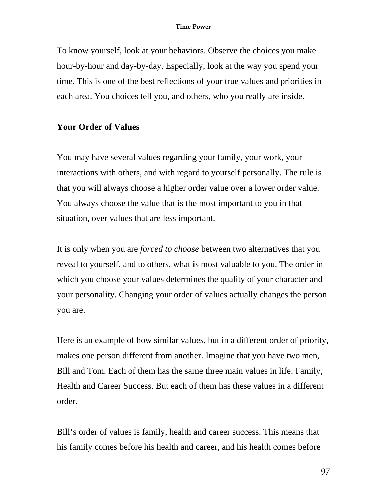To know yourself, look at your behaviors. Observe the choices you make hour-by-hour and day-by-day. Especially, look at the way you spend your time. This is one of the best reflections of your true values and priorities in each area. You choices tell you, and others, who you really are inside.

## **Your Order of Values**

You may have several values regarding your family, your work, your interactions with others, and with regard to yourself personally. The rule is that you will always choose a higher order value over a lower order value. You always choose the value that is the most important to you in that situation, over values that are less important.

It is only when you are *forced to choose* between two alternatives that you reveal to yourself, and to others, what is most valuable to you. The order in which you choose your values determines the quality of your character and your personality. Changing your order of values actually changes the person you are.

Here is an example of how similar values, but in a different order of priority, makes one person different from another. Imagine that you have two men, Bill and Tom. Each of them has the same three main values in life: Family, Health and Career Success. But each of them has these values in a different order.

Bill's order of values is family, health and career success. This means that his family comes before his health and career, and his health comes before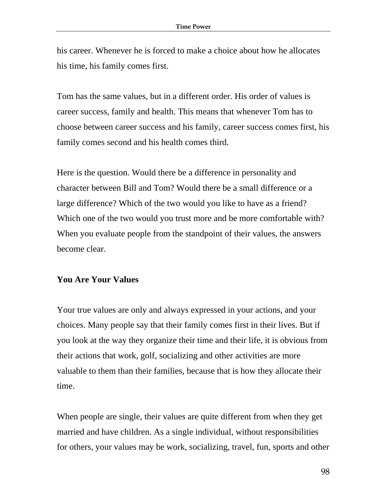his career. Whenever he is forced to make a choice about how he allocates his time, his family comes first.

Tom has the same values, but in a different order. His order of values is career success, family and health. This means that whenever Tom has to choose between career success and his family, career success comes first, his family comes second and his health comes third.

Here is the question. Would there be a difference in personality and character between Bill and Tom? Would there be a small difference or a large difference? Which of the two would you like to have as a friend? Which one of the two would you trust more and be more comfortable with? When you evaluate people from the standpoint of their values, the answers become clear.

## **You Are Your Values**

Your true values are only and always expressed in your actions, and your choices. Many people say that their family comes first in their lives. But if you look at the way they organize their time and their life, it is obvious from their actions that work, golf, socializing and other activities are more valuable to them than their families, because that is how they allocate their time.

When people are single, their values are quite different from when they get married and have children. As a single individual, without responsibilities for others, your values may be work, socializing, travel, fun, sports and other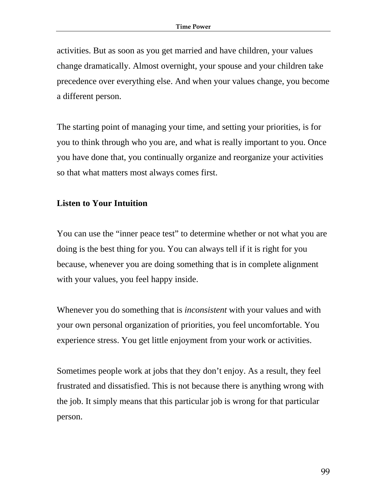activities. But as soon as you get married and have children, your values change dramatically. Almost overnight, your spouse and your children take precedence over everything else. And when your values change, you become a different person.

The starting point of managing your time, and setting your priorities, is for you to think through who you are, and what is really important to you. Once you have done that, you continually organize and reorganize your activities so that what matters most always comes first.

## **Listen to Your Intuition**

You can use the "inner peace test" to determine whether or not what you are doing is the best thing for you. You can always tell if it is right for you because, whenever you are doing something that is in complete alignment with your values, you feel happy inside.

Whenever you do something that is *inconsistent* with your values and with your own personal organization of priorities, you feel uncomfortable. You experience stress. You get little enjoyment from your work or activities.

Sometimes people work at jobs that they don't enjoy. As a result, they feel frustrated and dissatisfied. This is not because there is anything wrong with the job. It simply means that this particular job is wrong for that particular person.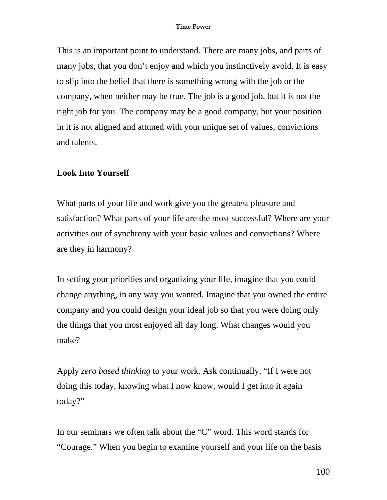This is an important point to understand. There are many jobs, and parts of many jobs, that you don't enjoy and which you instinctively avoid. It is easy to slip into the belief that there is something wrong with the job or the company, when neither may be true. The job is a good job, but it is not the right job for you. The company may be a good company, but your position in it is not aligned and attuned with your unique set of values, convictions and talents.

## **Look Into Yourself**

What parts of your life and work give you the greatest pleasure and satisfaction? What parts of your life are the most successful? Where are your activities out of synchrony with your basic values and convictions? Where are they in harmony?

In setting your priorities and organizing your life, imagine that you could change anything, in any way you wanted. Imagine that you owned the entire company and you could design your ideal job so that you were doing only the things that you most enjoyed all day long. What changes would you make?

Apply *zero based thinking* to your work. Ask continually, "If I were not doing this today, knowing what I now know, would I get into it again today?"

In our seminars we often talk about the "C" word. This word stands for "Courage." When you begin to examine yourself and your life on the basis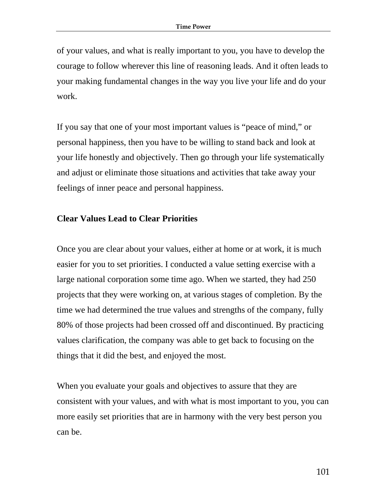of your values, and what is really important to you, you have to develop the courage to follow wherever this line of reasoning leads. And it often leads to your making fundamental changes in the way you live your life and do your work.

If you say that one of your most important values is "peace of mind," or personal happiness, then you have to be willing to stand back and look at your life honestly and objectively. Then go through your life systematically and adjust or eliminate those situations and activities that take away your feelings of inner peace and personal happiness.

### **Clear Values Lead to Clear Priorities**

Once you are clear about your values, either at home or at work, it is much easier for you to set priorities. I conducted a value setting exercise with a large national corporation some time ago. When we started, they had 250 projects that they were working on, at various stages of completion. By the time we had determined the true values and strengths of the company, fully 80% of those projects had been crossed off and discontinued. By practicing values clarification, the company was able to get back to focusing on the things that it did the best, and enjoyed the most.

When you evaluate your goals and objectives to assure that they are consistent with your values, and with what is most important to you, you can more easily set priorities that are in harmony with the very best person you can be.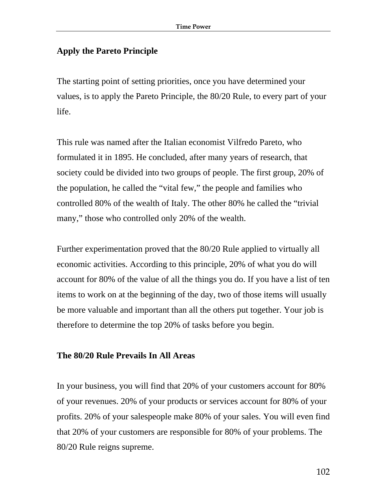## **Apply the Pareto Principle**

The starting point of setting priorities, once you have determined your values, is to apply the Pareto Principle, the 80/20 Rule, to every part of your life.

This rule was named after the Italian economist Vilfredo Pareto, who formulated it in 1895. He concluded, after many years of research, that society could be divided into two groups of people. The first group, 20% of the population, he called the "vital few," the people and families who controlled 80% of the wealth of Italy. The other 80% he called the "trivial many," those who controlled only 20% of the wealth.

Further experimentation proved that the 80/20 Rule applied to virtually all economic activities. According to this principle, 20% of what you do will account for 80% of the value of all the things you do. If you have a list of ten items to work on at the beginning of the day, two of those items will usually be more valuable and important than all the others put together. Your job is therefore to determine the top 20% of tasks before you begin.

#### **The 80/20 Rule Prevails In All Areas**

In your business, you will find that 20% of your customers account for 80% of your revenues. 20% of your products or services account for 80% of your profits. 20% of your salespeople make 80% of your sales. You will even find that 20% of your customers are responsible for 80% of your problems. The 80/20 Rule reigns supreme.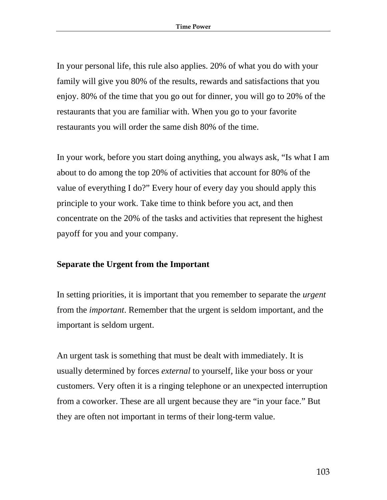In your personal life, this rule also applies. 20% of what you do with your family will give you 80% of the results, rewards and satisfactions that you enjoy. 80% of the time that you go out for dinner, you will go to 20% of the restaurants that you are familiar with. When you go to your favorite restaurants you will order the same dish 80% of the time.

In your work, before you start doing anything, you always ask, "Is what I am about to do among the top 20% of activities that account for 80% of the value of everything I do?" Every hour of every day you should apply this principle to your work. Take time to think before you act, and then concentrate on the 20% of the tasks and activities that represent the highest payoff for you and your company.

# **Separate the Urgent from the Important**

In setting priorities, it is important that you remember to separate the *urgent* from the *important*. Remember that the urgent is seldom important, and the important is seldom urgent.

An urgent task is something that must be dealt with immediately. It is usually determined by forces *external* to yourself, like your boss or your customers. Very often it is a ringing telephone or an unexpected interruption from a coworker. These are all urgent because they are "in your face." But they are often not important in terms of their long-term value.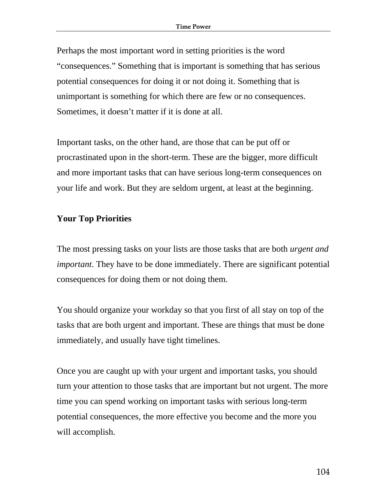Perhaps the most important word in setting priorities is the word "consequences." Something that is important is something that has serious potential consequences for doing it or not doing it. Something that is unimportant is something for which there are few or no consequences. Sometimes, it doesn't matter if it is done at all.

Important tasks, on the other hand, are those that can be put off or procrastinated upon in the short-term. These are the bigger, more difficult and more important tasks that can have serious long-term consequences on your life and work. But they are seldom urgent, at least at the beginning.

## **Your Top Priorities**

The most pressing tasks on your lists are those tasks that are both *urgent and important*. They have to be done immediately. There are significant potential consequences for doing them or not doing them.

You should organize your workday so that you first of all stay on top of the tasks that are both urgent and important. These are things that must be done immediately, and usually have tight timelines.

Once you are caught up with your urgent and important tasks, you should turn your attention to those tasks that are important but not urgent. The more time you can spend working on important tasks with serious long-term potential consequences, the more effective you become and the more you will accomplish.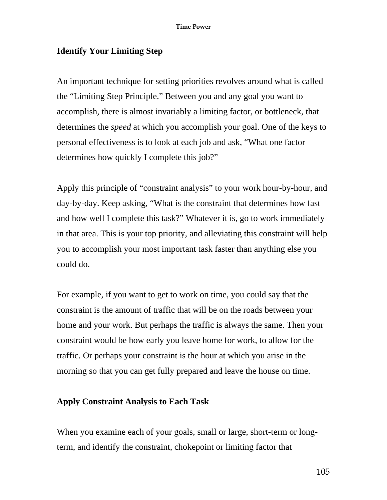## **Identify Your Limiting Step**

An important technique for setting priorities revolves around what is called the "Limiting Step Principle." Between you and any goal you want to accomplish, there is almost invariably a limiting factor, or bottleneck, that determines the *speed* at which you accomplish your goal. One of the keys to personal effectiveness is to look at each job and ask, "What one factor determines how quickly I complete this job?"

Apply this principle of "constraint analysis" to your work hour-by-hour, and day-by-day. Keep asking, "What is the constraint that determines how fast and how well I complete this task?" Whatever it is, go to work immediately in that area. This is your top priority, and alleviating this constraint will help you to accomplish your most important task faster than anything else you could do.

For example, if you want to get to work on time, you could say that the constraint is the amount of traffic that will be on the roads between your home and your work. But perhaps the traffic is always the same. Then your constraint would be how early you leave home for work, to allow for the traffic. Or perhaps your constraint is the hour at which you arise in the morning so that you can get fully prepared and leave the house on time.

### **Apply Constraint Analysis to Each Task**

When you examine each of your goals, small or large, short-term or longterm, and identify the constraint, chokepoint or limiting factor that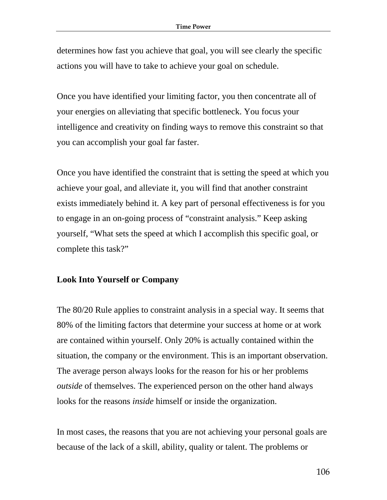determines how fast you achieve that goal, you will see clearly the specific actions you will have to take to achieve your goal on schedule.

Once you have identified your limiting factor, you then concentrate all of your energies on alleviating that specific bottleneck. You focus your intelligence and creativity on finding ways to remove this constraint so that you can accomplish your goal far faster.

Once you have identified the constraint that is setting the speed at which you achieve your goal, and alleviate it, you will find that another constraint exists immediately behind it. A key part of personal effectiveness is for you to engage in an on-going process of "constraint analysis." Keep asking yourself, "What sets the speed at which I accomplish this specific goal, or complete this task?"

### **Look Into Yourself or Company**

The 80/20 Rule applies to constraint analysis in a special way. It seems that 80% of the limiting factors that determine your success at home or at work are contained within yourself. Only 20% is actually contained within the situation, the company or the environment. This is an important observation. The average person always looks for the reason for his or her problems *outside* of themselves. The experienced person on the other hand always looks for the reasons *inside* himself or inside the organization.

In most cases, the reasons that you are not achieving your personal goals are because of the lack of a skill, ability, quality or talent. The problems or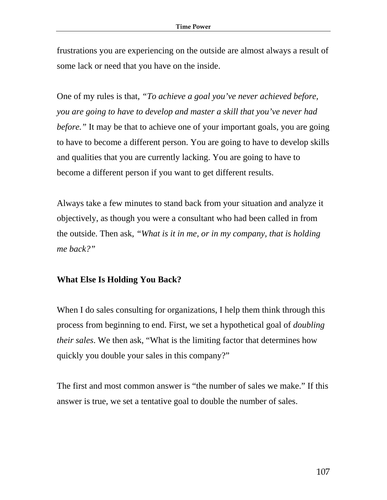frustrations you are experiencing on the outside are almost always a result of some lack or need that you have on the inside.

One of my rules is that, *"To achieve a goal you've never achieved before, you are going to have to develop and master a skill that you've never had before.*" It may be that to achieve one of your important goals, you are going to have to become a different person. You are going to have to develop skills and qualities that you are currently lacking. You are going to have to become a different person if you want to get different results.

Always take a few minutes to stand back from your situation and analyze it objectively, as though you were a consultant who had been called in from the outside. Then ask, *"What is it in me, or in my company, that is holding me back?"* 

# **What Else Is Holding You Back?**

When I do sales consulting for organizations, I help them think through this process from beginning to end. First, we set a hypothetical goal of *doubling their sales*. We then ask, "What is the limiting factor that determines how quickly you double your sales in this company?"

The first and most common answer is "the number of sales we make." If this answer is true, we set a tentative goal to double the number of sales.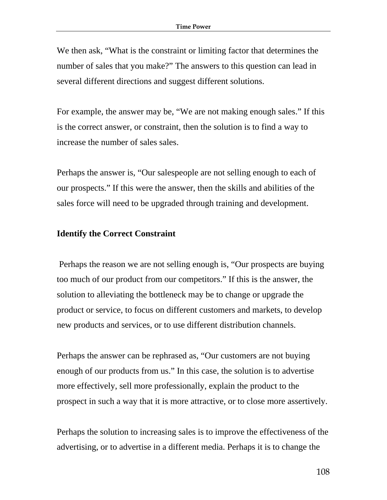We then ask, "What is the constraint or limiting factor that determines the number of sales that you make?" The answers to this question can lead in several different directions and suggest different solutions.

For example, the answer may be, "We are not making enough sales." If this is the correct answer, or constraint, then the solution is to find a way to increase the number of sales sales.

Perhaps the answer is, "Our salespeople are not selling enough to each of our prospects." If this were the answer, then the skills and abilities of the sales force will need to be upgraded through training and development.

#### **Identify the Correct Constraint**

 Perhaps the reason we are not selling enough is, "Our prospects are buying too much of our product from our competitors." If this is the answer, the solution to alleviating the bottleneck may be to change or upgrade the product or service, to focus on different customers and markets, to develop new products and services, or to use different distribution channels.

Perhaps the answer can be rephrased as, "Our customers are not buying enough of our products from us." In this case, the solution is to advertise more effectively, sell more professionally, explain the product to the prospect in such a way that it is more attractive, or to close more assertively.

Perhaps the solution to increasing sales is to improve the effectiveness of the advertising, or to advertise in a different media. Perhaps it is to change the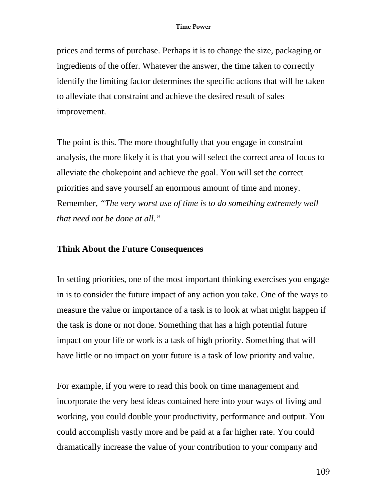prices and terms of purchase. Perhaps it is to change the size, packaging or ingredients of the offer. Whatever the answer, the time taken to correctly identify the limiting factor determines the specific actions that will be taken to alleviate that constraint and achieve the desired result of sales improvement.

The point is this. The more thoughtfully that you engage in constraint analysis, the more likely it is that you will select the correct area of focus to alleviate the chokepoint and achieve the goal. You will set the correct priorities and save yourself an enormous amount of time and money. Remember, *"The very worst use of time is to do something extremely well that need not be done at all."* 

#### **Think About the Future Consequences**

In setting priorities, one of the most important thinking exercises you engage in is to consider the future impact of any action you take. One of the ways to measure the value or importance of a task is to look at what might happen if the task is done or not done. Something that has a high potential future impact on your life or work is a task of high priority. Something that will have little or no impact on your future is a task of low priority and value.

For example, if you were to read this book on time management and incorporate the very best ideas contained here into your ways of living and working, you could double your productivity, performance and output. You could accomplish vastly more and be paid at a far higher rate. You could dramatically increase the value of your contribution to your company and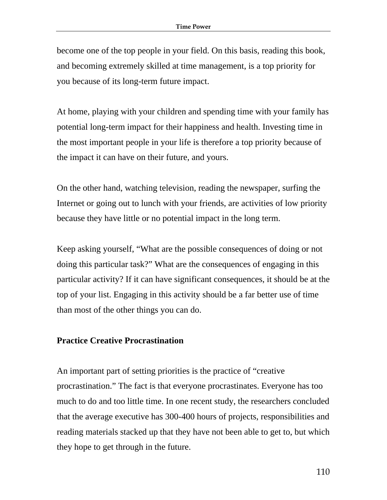become one of the top people in your field. On this basis, reading this book, and becoming extremely skilled at time management, is a top priority for you because of its long-term future impact.

At home, playing with your children and spending time with your family has potential long-term impact for their happiness and health. Investing time in the most important people in your life is therefore a top priority because of the impact it can have on their future, and yours.

On the other hand, watching television, reading the newspaper, surfing the Internet or going out to lunch with your friends, are activities of low priority because they have little or no potential impact in the long term.

Keep asking yourself, "What are the possible consequences of doing or not doing this particular task?" What are the consequences of engaging in this particular activity? If it can have significant consequences, it should be at the top of your list. Engaging in this activity should be a far better use of time than most of the other things you can do.

### **Practice Creative Procrastination**

An important part of setting priorities is the practice of "creative procrastination." The fact is that everyone procrastinates. Everyone has too much to do and too little time. In one recent study, the researchers concluded that the average executive has 300-400 hours of projects, responsibilities and reading materials stacked up that they have not been able to get to, but which they hope to get through in the future.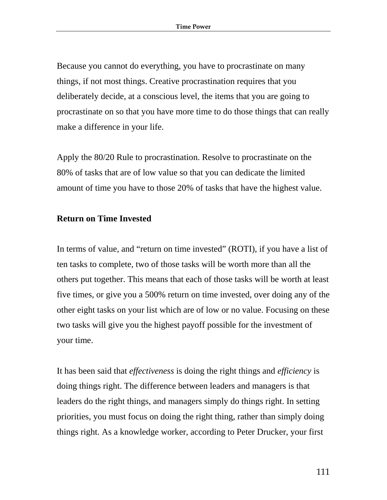Because you cannot do everything, you have to procrastinate on many things, if not most things. Creative procrastination requires that you deliberately decide, at a conscious level, the items that you are going to procrastinate on so that you have more time to do those things that can really make a difference in your life.

Apply the 80/20 Rule to procrastination. Resolve to procrastinate on the 80% of tasks that are of low value so that you can dedicate the limited amount of time you have to those 20% of tasks that have the highest value.

### **Return on Time Invested**

In terms of value, and "return on time invested" (ROTI), if you have a list of ten tasks to complete, two of those tasks will be worth more than all the others put together. This means that each of those tasks will be worth at least five times, or give you a 500% return on time invested, over doing any of the other eight tasks on your list which are of low or no value. Focusing on these two tasks will give you the highest payoff possible for the investment of your time.

It has been said that *effectiveness* is doing the right things and *efficiency* is doing things right. The difference between leaders and managers is that leaders do the right things, and managers simply do things right. In setting priorities, you must focus on doing the right thing, rather than simply doing things right. As a knowledge worker, according to Peter Drucker, your first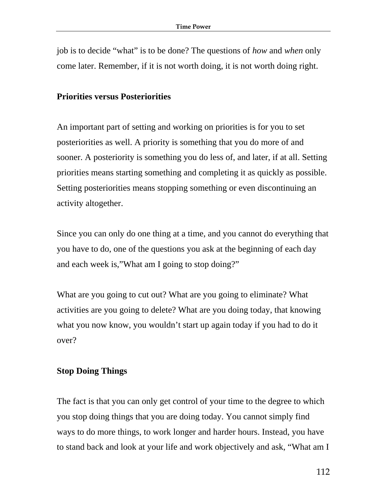job is to decide "what" is to be done? The questions of *how* and *when* only come later. Remember, if it is not worth doing, it is not worth doing right.

# **Priorities versus Posteriorities**

An important part of setting and working on priorities is for you to set posteriorities as well. A priority is something that you do more of and sooner. A posteriority is something you do less of, and later, if at all. Setting priorities means starting something and completing it as quickly as possible. Setting posteriorities means stopping something or even discontinuing an activity altogether.

Since you can only do one thing at a time, and you cannot do everything that you have to do, one of the questions you ask at the beginning of each day and each week is,"What am I going to stop doing?"

What are you going to cut out? What are you going to eliminate? What activities are you going to delete? What are you doing today, that knowing what you now know, you wouldn't start up again today if you had to do it over?

# **Stop Doing Things**

The fact is that you can only get control of your time to the degree to which you stop doing things that you are doing today. You cannot simply find ways to do more things, to work longer and harder hours. Instead, you have to stand back and look at your life and work objectively and ask, "What am I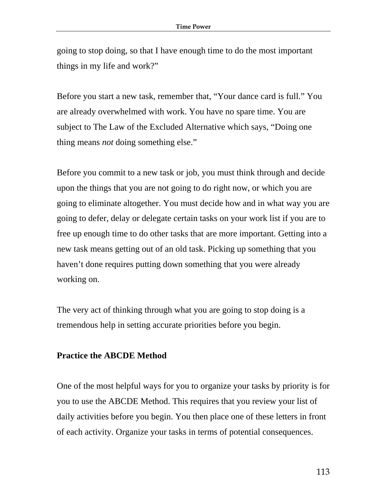going to stop doing, so that I have enough time to do the most important things in my life and work?"

Before you start a new task, remember that, "Your dance card is full." You are already overwhelmed with work. You have no spare time. You are subject to The Law of the Excluded Alternative which says, "Doing one thing means *not* doing something else."

Before you commit to a new task or job, you must think through and decide upon the things that you are not going to do right now, or which you are going to eliminate altogether. You must decide how and in what way you are going to defer, delay or delegate certain tasks on your work list if you are to free up enough time to do other tasks that are more important. Getting into a new task means getting out of an old task. Picking up something that you haven't done requires putting down something that you were already working on.

The very act of thinking through what you are going to stop doing is a tremendous help in setting accurate priorities before you begin.

#### **Practice the ABCDE Method**

One of the most helpful ways for you to organize your tasks by priority is for you to use the ABCDE Method. This requires that you review your list of daily activities before you begin. You then place one of these letters in front of each activity. Organize your tasks in terms of potential consequences.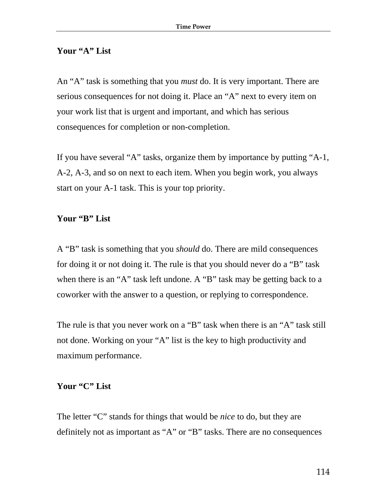#### **Your "A" List**

An "A" task is something that you *must* do. It is very important. There are serious consequences for not doing it. Place an "A" next to every item on your work list that is urgent and important, and which has serious consequences for completion or non-completion.

If you have several "A" tasks, organize them by importance by putting "A-1, A-2, A-3, and so on next to each item. When you begin work, you always start on your A-1 task. This is your top priority.

### **Your "B" List**

A "B" task is something that you *should* do. There are mild consequences for doing it or not doing it. The rule is that you should never do a "B" task when there is an "A" task left undone. A "B" task may be getting back to a coworker with the answer to a question, or replying to correspondence.

The rule is that you never work on a "B" task when there is an "A" task still not done. Working on your "A" list is the key to high productivity and maximum performance.

#### **Your "C" List**

The letter "C" stands for things that would be *nice* to do, but they are definitely not as important as "A" or "B" tasks. There are no consequences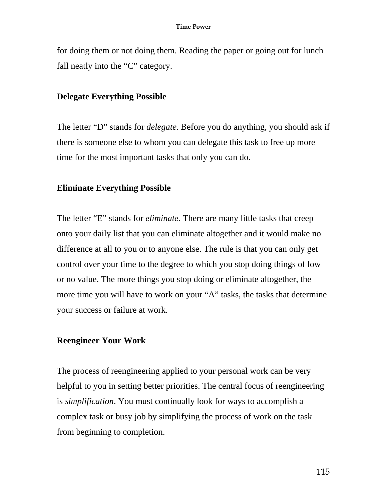for doing them or not doing them. Reading the paper or going out for lunch fall neatly into the "C" category.

### **Delegate Everything Possible**

The letter "D" stands for *delegate*. Before you do anything, you should ask if there is someone else to whom you can delegate this task to free up more time for the most important tasks that only you can do.

#### **Eliminate Everything Possible**

The letter "E" stands for *eliminate*. There are many little tasks that creep onto your daily list that you can eliminate altogether and it would make no difference at all to you or to anyone else. The rule is that you can only get control over your time to the degree to which you stop doing things of low or no value. The more things you stop doing or eliminate altogether, the more time you will have to work on your "A" tasks, the tasks that determine your success or failure at work.

#### **Reengineer Your Work**

The process of reengineering applied to your personal work can be very helpful to you in setting better priorities. The central focus of reengineering is *simplification*. You must continually look for ways to accomplish a complex task or busy job by simplifying the process of work on the task from beginning to completion.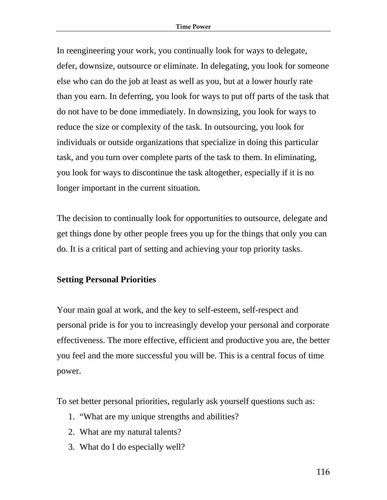#### **Time Power**

In reengineering your work, you continually look for ways to delegate, defer, downsize, outsource or eliminate. In delegating, you look for someone else who can do the job at least as well as you, but at a lower hourly rate than you earn. In deferring, you look for ways to put off parts of the task that do not have to be done immediately. In downsizing, you look for ways to reduce the size or complexity of the task. In outsourcing, you look for individuals or outside organizations that specialize in doing this particular task, and you turn over complete parts of the task to them. In eliminating, you look for ways to discontinue the task altogether, especially if it is no longer important in the current situation.

The decision to continually look for opportunities to outsource, delegate and get things done by other people frees you up for the things that only you can do. It is a critical part of setting and achieving your top priority tasks.

### **Setting Personal Priorities**

Your main goal at work, and the key to self-esteem, self-respect and personal pride is for you to increasingly develop your personal and corporate effectiveness. The more effective, efficient and productive you are, the better you feel and the more successful you will be. This is a central focus of time power.

To set better personal priorities, regularly ask yourself questions such as:

- 1. "What are my unique strengths and abilities?
- 2. What are my natural talents?
- 3. What do I do especially well?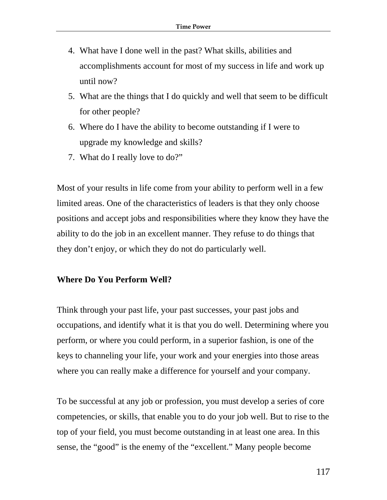- 4. What have I done well in the past? What skills, abilities and accomplishments account for most of my success in life and work up until now?
- 5. What are the things that I do quickly and well that seem to be difficult for other people?
- 6. Where do I have the ability to become outstanding if I were to upgrade my knowledge and skills?
- 7. What do I really love to do?"

Most of your results in life come from your ability to perform well in a few limited areas. One of the characteristics of leaders is that they only choose positions and accept jobs and responsibilities where they know they have the ability to do the job in an excellent manner. They refuse to do things that they don't enjoy, or which they do not do particularly well.

#### **Where Do You Perform Well?**

Think through your past life, your past successes, your past jobs and occupations, and identify what it is that you do well. Determining where you perform, or where you could perform, in a superior fashion, is one of the keys to channeling your life, your work and your energies into those areas where you can really make a difference for yourself and your company.

To be successful at any job or profession, you must develop a series of core competencies, or skills, that enable you to do your job well. But to rise to the top of your field, you must become outstanding in at least one area. In this sense, the "good" is the enemy of the "excellent." Many people become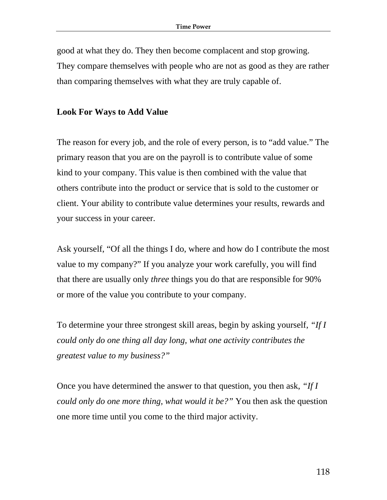good at what they do. They then become complacent and stop growing. They compare themselves with people who are not as good as they are rather than comparing themselves with what they are truly capable of.

## **Look For Ways to Add Value**

The reason for every job, and the role of every person, is to "add value." The primary reason that you are on the payroll is to contribute value of some kind to your company. This value is then combined with the value that others contribute into the product or service that is sold to the customer or client. Your ability to contribute value determines your results, rewards and your success in your career.

Ask yourself, "Of all the things I do, where and how do I contribute the most value to my company?" If you analyze your work carefully, you will find that there are usually only *three* things you do that are responsible for 90% or more of the value you contribute to your company.

To determine your three strongest skill areas, begin by asking yourself, *"If I could only do one thing all day long, what one activity contributes the greatest value to my business?"* 

Once you have determined the answer to that question, you then ask, *"If I could only do one more thing, what would it be?"* You then ask the question one more time until you come to the third major activity.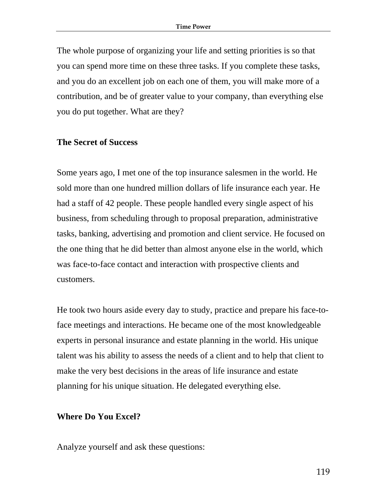The whole purpose of organizing your life and setting priorities is so that you can spend more time on these three tasks. If you complete these tasks, and you do an excellent job on each one of them, you will make more of a contribution, and be of greater value to your company, than everything else you do put together. What are they?

#### **The Secret of Success**

Some years ago, I met one of the top insurance salesmen in the world. He sold more than one hundred million dollars of life insurance each year. He had a staff of 42 people. These people handled every single aspect of his business, from scheduling through to proposal preparation, administrative tasks, banking, advertising and promotion and client service. He focused on the one thing that he did better than almost anyone else in the world, which was face-to-face contact and interaction with prospective clients and customers.

He took two hours aside every day to study, practice and prepare his face-toface meetings and interactions. He became one of the most knowledgeable experts in personal insurance and estate planning in the world. His unique talent was his ability to assess the needs of a client and to help that client to make the very best decisions in the areas of life insurance and estate planning for his unique situation. He delegated everything else.

#### **Where Do You Excel?**

Analyze yourself and ask these questions: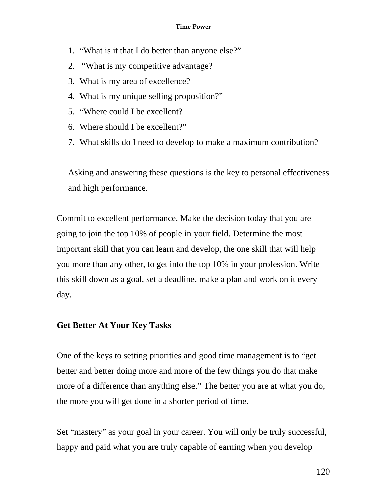- 1. "What is it that I do better than anyone else?"
- 2. "What is my competitive advantage?
- 3. What is my area of excellence?
- 4. What is my unique selling proposition?"
- 5. "Where could I be excellent?
- 6. Where should I be excellent?"
- 7. What skills do I need to develop to make a maximum contribution?

Asking and answering these questions is the key to personal effectiveness and high performance.

Commit to excellent performance. Make the decision today that you are going to join the top 10% of people in your field. Determine the most important skill that you can learn and develop, the one skill that will help you more than any other, to get into the top 10% in your profession. Write this skill down as a goal, set a deadline, make a plan and work on it every day.

### **Get Better At Your Key Tasks**

One of the keys to setting priorities and good time management is to "get better and better doing more and more of the few things you do that make more of a difference than anything else." The better you are at what you do, the more you will get done in a shorter period of time.

Set "mastery" as your goal in your career. You will only be truly successful, happy and paid what you are truly capable of earning when you develop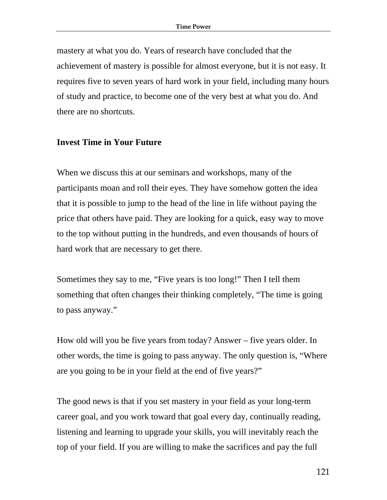mastery at what you do. Years of research have concluded that the achievement of mastery is possible for almost everyone, but it is not easy. It requires five to seven years of hard work in your field, including many hours of study and practice, to become one of the very best at what you do. And there are no shortcuts.

### **Invest Time in Your Future**

When we discuss this at our seminars and workshops, many of the participants moan and roll their eyes. They have somehow gotten the idea that it is possible to jump to the head of the line in life without paying the price that others have paid. They are looking for a quick, easy way to move to the top without putting in the hundreds, and even thousands of hours of hard work that are necessary to get there.

Sometimes they say to me, "Five years is too long!" Then I tell them something that often changes their thinking completely, "The time is going to pass anyway."

How old will you be five years from today? Answer – five years older. In other words, the time is going to pass anyway. The only question is, "Where are you going to be in your field at the end of five years?"

The good news is that if you set mastery in your field as your long-term career goal, and you work toward that goal every day, continually reading, listening and learning to upgrade your skills, you will inevitably reach the top of your field. If you are willing to make the sacrifices and pay the full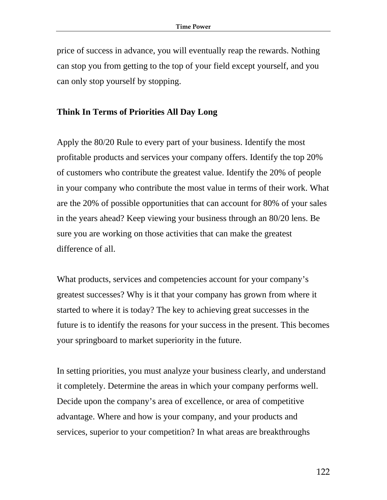price of success in advance, you will eventually reap the rewards. Nothing can stop you from getting to the top of your field except yourself, and you can only stop yourself by stopping.

#### **Think In Terms of Priorities All Day Long**

Apply the 80/20 Rule to every part of your business. Identify the most profitable products and services your company offers. Identify the top 20% of customers who contribute the greatest value. Identify the 20% of people in your company who contribute the most value in terms of their work. What are the 20% of possible opportunities that can account for 80% of your sales in the years ahead? Keep viewing your business through an 80/20 lens. Be sure you are working on those activities that can make the greatest difference of all.

What products, services and competencies account for your company's greatest successes? Why is it that your company has grown from where it started to where it is today? The key to achieving great successes in the future is to identify the reasons for your success in the present. This becomes your springboard to market superiority in the future.

In setting priorities, you must analyze your business clearly, and understand it completely. Determine the areas in which your company performs well. Decide upon the company's area of excellence, or area of competitive advantage. Where and how is your company, and your products and services, superior to your competition? In what areas are breakthroughs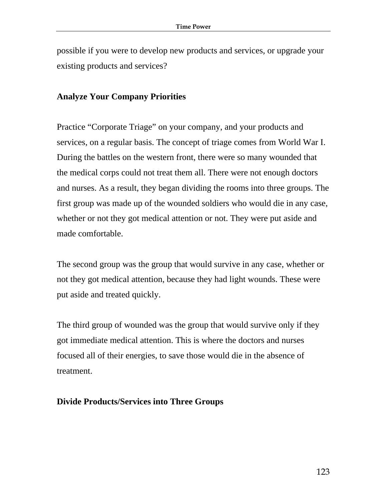possible if you were to develop new products and services, or upgrade your existing products and services?

# **Analyze Your Company Priorities**

Practice "Corporate Triage" on your company, and your products and services, on a regular basis. The concept of triage comes from World War I. During the battles on the western front, there were so many wounded that the medical corps could not treat them all. There were not enough doctors and nurses. As a result, they began dividing the rooms into three groups. The first group was made up of the wounded soldiers who would die in any case, whether or not they got medical attention or not. They were put aside and made comfortable.

The second group was the group that would survive in any case, whether or not they got medical attention, because they had light wounds. These were put aside and treated quickly.

The third group of wounded was the group that would survive only if they got immediate medical attention. This is where the doctors and nurses focused all of their energies, to save those would die in the absence of treatment.

# **Divide Products/Services into Three Groups**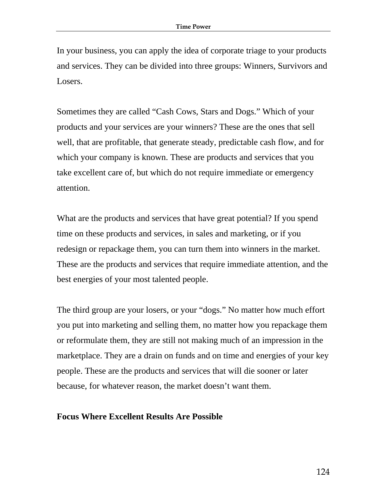In your business, you can apply the idea of corporate triage to your products and services. They can be divided into three groups: Winners, Survivors and Losers.

Sometimes they are called "Cash Cows, Stars and Dogs." Which of your products and your services are your winners? These are the ones that sell well, that are profitable, that generate steady, predictable cash flow, and for which your company is known. These are products and services that you take excellent care of, but which do not require immediate or emergency attention.

What are the products and services that have great potential? If you spend time on these products and services, in sales and marketing, or if you redesign or repackage them, you can turn them into winners in the market. These are the products and services that require immediate attention, and the best energies of your most talented people.

The third group are your losers, or your "dogs." No matter how much effort you put into marketing and selling them, no matter how you repackage them or reformulate them, they are still not making much of an impression in the marketplace. They are a drain on funds and on time and energies of your key people. These are the products and services that will die sooner or later because, for whatever reason, the market doesn't want them.

### **Focus Where Excellent Results Are Possible**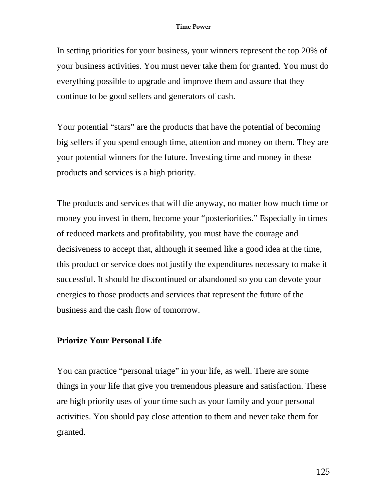In setting priorities for your business, your winners represent the top 20% of your business activities. You must never take them for granted. You must do everything possible to upgrade and improve them and assure that they continue to be good sellers and generators of cash.

Your potential "stars" are the products that have the potential of becoming big sellers if you spend enough time, attention and money on them. They are your potential winners for the future. Investing time and money in these products and services is a high priority.

The products and services that will die anyway, no matter how much time or money you invest in them, become your "posteriorities." Especially in times of reduced markets and profitability, you must have the courage and decisiveness to accept that, although it seemed like a good idea at the time, this product or service does not justify the expenditures necessary to make it successful. It should be discontinued or abandoned so you can devote your energies to those products and services that represent the future of the business and the cash flow of tomorrow.

### **Priorize Your Personal Life**

You can practice "personal triage" in your life, as well. There are some things in your life that give you tremendous pleasure and satisfaction. These are high priority uses of your time such as your family and your personal activities. You should pay close attention to them and never take them for granted.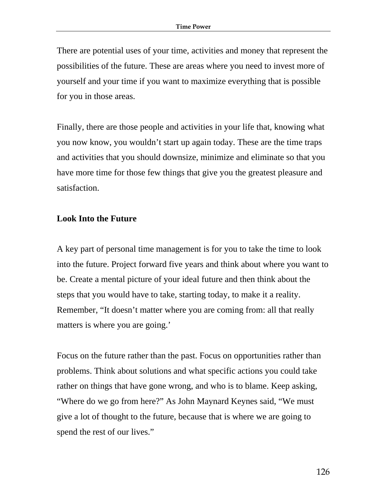There are potential uses of your time, activities and money that represent the possibilities of the future. These are areas where you need to invest more of yourself and your time if you want to maximize everything that is possible for you in those areas.

Finally, there are those people and activities in your life that, knowing what you now know, you wouldn't start up again today. These are the time traps and activities that you should downsize, minimize and eliminate so that you have more time for those few things that give you the greatest pleasure and satisfaction.

### **Look Into the Future**

A key part of personal time management is for you to take the time to look into the future. Project forward five years and think about where you want to be. Create a mental picture of your ideal future and then think about the steps that you would have to take, starting today, to make it a reality. Remember, "It doesn't matter where you are coming from: all that really matters is where you are going.'

Focus on the future rather than the past. Focus on opportunities rather than problems. Think about solutions and what specific actions you could take rather on things that have gone wrong, and who is to blame. Keep asking, "Where do we go from here?" As John Maynard Keynes said, "We must give a lot of thought to the future, because that is where we are going to spend the rest of our lives."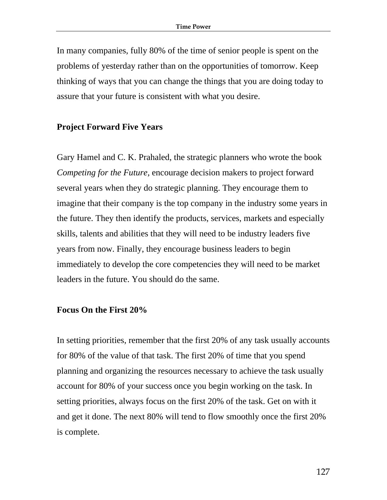In many companies, fully 80% of the time of senior people is spent on the problems of yesterday rather than on the opportunities of tomorrow. Keep thinking of ways that you can change the things that you are doing today to assure that your future is consistent with what you desire.

#### **Project Forward Five Years**

Gary Hamel and C. K. Prahaled, the strategic planners who wrote the book *Competing for the Future,* encourage decision makers to project forward several years when they do strategic planning. They encourage them to imagine that their company is the top company in the industry some years in the future. They then identify the products, services, markets and especially skills, talents and abilities that they will need to be industry leaders five years from now. Finally, they encourage business leaders to begin immediately to develop the core competencies they will need to be market leaders in the future. You should do the same.

#### **Focus On the First 20%**

In setting priorities, remember that the first 20% of any task usually accounts for 80% of the value of that task. The first 20% of time that you spend planning and organizing the resources necessary to achieve the task usually account for 80% of your success once you begin working on the task. In setting priorities, always focus on the first 20% of the task. Get on with it and get it done. The next 80% will tend to flow smoothly once the first 20% is complete.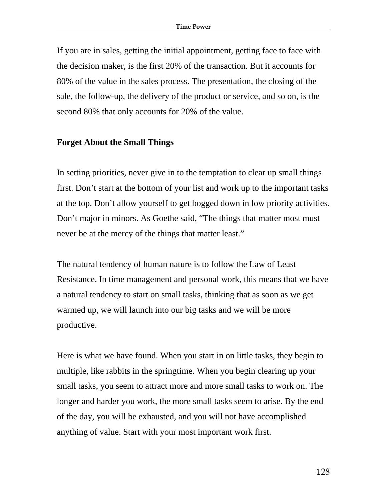If you are in sales, getting the initial appointment, getting face to face with the decision maker, is the first 20% of the transaction. But it accounts for 80% of the value in the sales process. The presentation, the closing of the sale, the follow-up, the delivery of the product or service, and so on, is the second 80% that only accounts for 20% of the value.

#### **Forget About the Small Things**

In setting priorities, never give in to the temptation to clear up small things first. Don't start at the bottom of your list and work up to the important tasks at the top. Don't allow yourself to get bogged down in low priority activities. Don't major in minors. As Goethe said, "The things that matter most must never be at the mercy of the things that matter least."

The natural tendency of human nature is to follow the Law of Least Resistance. In time management and personal work, this means that we have a natural tendency to start on small tasks, thinking that as soon as we get warmed up, we will launch into our big tasks and we will be more productive.

Here is what we have found. When you start in on little tasks, they begin to multiple, like rabbits in the springtime. When you begin clearing up your small tasks, you seem to attract more and more small tasks to work on. The longer and harder you work, the more small tasks seem to arise. By the end of the day, you will be exhausted, and you will not have accomplished anything of value. Start with your most important work first.

128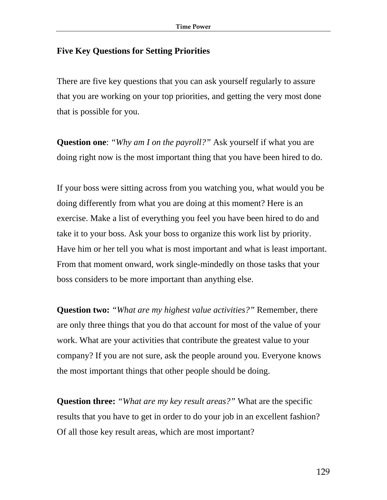### **Five Key Questions for Setting Priorities**

There are five key questions that you can ask yourself regularly to assure that you are working on your top priorities, and getting the very most done that is possible for you.

**Question one**: *"Why am I on the payroll?"* Ask yourself if what you are doing right now is the most important thing that you have been hired to do.

If your boss were sitting across from you watching you, what would you be doing differently from what you are doing at this moment? Here is an exercise. Make a list of everything you feel you have been hired to do and take it to your boss. Ask your boss to organize this work list by priority. Have him or her tell you what is most important and what is least important. From that moment onward, work single-mindedly on those tasks that your boss considers to be more important than anything else.

**Question two:** *"What are my highest value activities?"* Remember, there are only three things that you do that account for most of the value of your work. What are your activities that contribute the greatest value to your company? If you are not sure, ask the people around you. Everyone knows the most important things that other people should be doing.

**Question three:** *"What are my key result areas?"* What are the specific results that you have to get in order to do your job in an excellent fashion? Of all those key result areas, which are most important?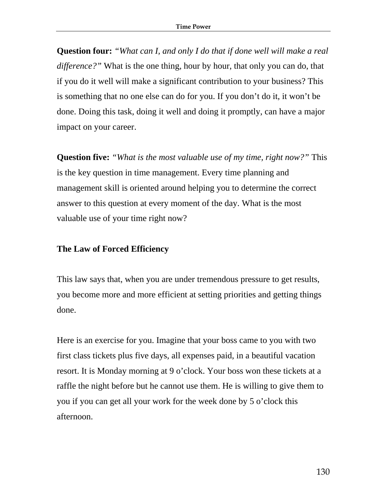**Question four:** *"What can I, and only I do that if done well will make a real difference?"* What is the one thing, hour by hour, that only you can do, that if you do it well will make a significant contribution to your business? This is something that no one else can do for you. If you don't do it, it won't be done. Doing this task, doing it well and doing it promptly, can have a major impact on your career.

**Question five:** *"What is the most valuable use of my time, right now?"* This is the key question in time management. Every time planning and management skill is oriented around helping you to determine the correct answer to this question at every moment of the day. What is the most valuable use of your time right now?

#### **The Law of Forced Efficiency**

This law says that, when you are under tremendous pressure to get results, you become more and more efficient at setting priorities and getting things done.

Here is an exercise for you. Imagine that your boss came to you with two first class tickets plus five days, all expenses paid, in a beautiful vacation resort. It is Monday morning at 9 o'clock. Your boss won these tickets at a raffle the night before but he cannot use them. He is willing to give them to you if you can get all your work for the week done by 5 o'clock this afternoon.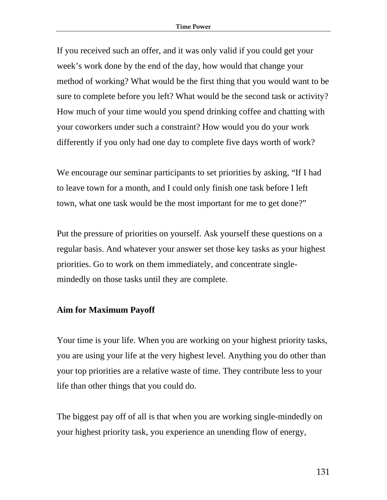If you received such an offer, and it was only valid if you could get your week's work done by the end of the day, how would that change your method of working? What would be the first thing that you would want to be sure to complete before you left? What would be the second task or activity? How much of your time would you spend drinking coffee and chatting with your coworkers under such a constraint? How would you do your work differently if you only had one day to complete five days worth of work?

We encourage our seminar participants to set priorities by asking, "If I had to leave town for a month, and I could only finish one task before I left town, what one task would be the most important for me to get done?"

Put the pressure of priorities on yourself. Ask yourself these questions on a regular basis. And whatever your answer set those key tasks as your highest priorities. Go to work on them immediately, and concentrate singlemindedly on those tasks until they are complete.

# **Aim for Maximum Payoff**

Your time is your life. When you are working on your highest priority tasks, you are using your life at the very highest level. Anything you do other than your top priorities are a relative waste of time. They contribute less to your life than other things that you could do.

The biggest pay off of all is that when you are working single-mindedly on your highest priority task, you experience an unending flow of energy,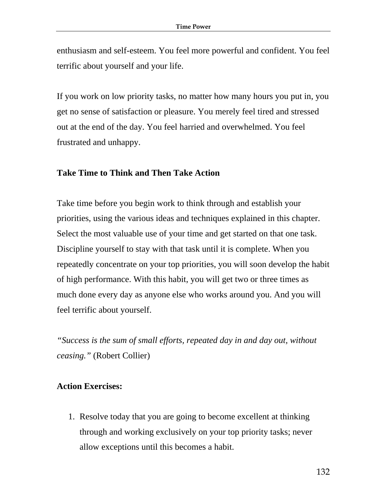enthusiasm and self-esteem. You feel more powerful and confident. You feel terrific about yourself and your life.

If you work on low priority tasks, no matter how many hours you put in, you get no sense of satisfaction or pleasure. You merely feel tired and stressed out at the end of the day. You feel harried and overwhelmed. You feel frustrated and unhappy.

# **Take Time to Think and Then Take Action**

Take time before you begin work to think through and establish your priorities, using the various ideas and techniques explained in this chapter. Select the most valuable use of your time and get started on that one task. Discipline yourself to stay with that task until it is complete. When you repeatedly concentrate on your top priorities, you will soon develop the habit of high performance. With this habit, you will get two or three times as much done every day as anyone else who works around you. And you will feel terrific about yourself.

*"Success is the sum of small efforts, repeated day in and day out, without ceasing."* (Robert Collier)

# **Action Exercises:**

1. Resolve today that you are going to become excellent at thinking through and working exclusively on your top priority tasks; never allow exceptions until this becomes a habit.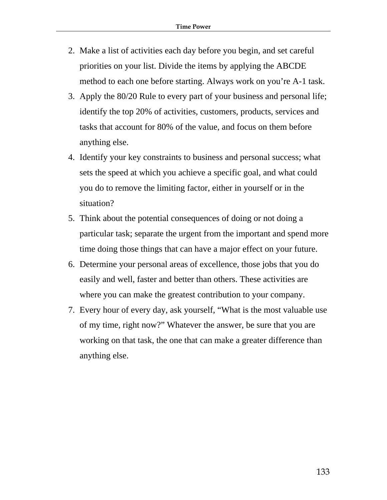- 2. Make a list of activities each day before you begin, and set careful priorities on your list. Divide the items by applying the ABCDE method to each one before starting. Always work on you're A-1 task.
- 3. Apply the 80/20 Rule to every part of your business and personal life; identify the top 20% of activities, customers, products, services and tasks that account for 80% of the value, and focus on them before anything else.
- 4. Identify your key constraints to business and personal success; what sets the speed at which you achieve a specific goal, and what could you do to remove the limiting factor, either in yourself or in the situation?
- 5. Think about the potential consequences of doing or not doing a particular task; separate the urgent from the important and spend more time doing those things that can have a major effect on your future.
- 6. Determine your personal areas of excellence, those jobs that you do easily and well, faster and better than others. These activities are where you can make the greatest contribution to your company.
- 7. Every hour of every day, ask yourself, "What is the most valuable use of my time, right now?" Whatever the answer, be sure that you are working on that task, the one that can make a greater difference than anything else.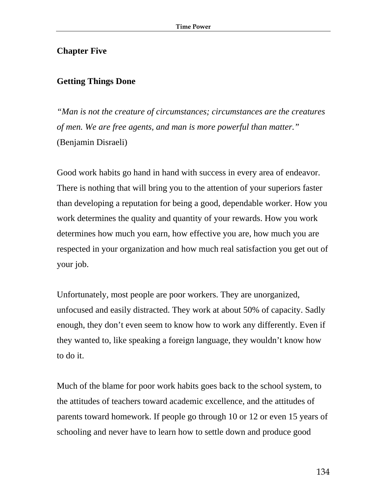## **Chapter Five**

### **Getting Things Done**

*"Man is not the creature of circumstances; circumstances are the creatures of men. We are free agents, and man is more powerful than matter."* (Benjamin Disraeli)

Good work habits go hand in hand with success in every area of endeavor. There is nothing that will bring you to the attention of your superiors faster than developing a reputation for being a good, dependable worker. How you work determines the quality and quantity of your rewards. How you work determines how much you earn, how effective you are, how much you are respected in your organization and how much real satisfaction you get out of your job.

Unfortunately, most people are poor workers. They are unorganized, unfocused and easily distracted. They work at about 50% of capacity. Sadly enough, they don't even seem to know how to work any differently. Even if they wanted to, like speaking a foreign language, they wouldn't know how to do it.

Much of the blame for poor work habits goes back to the school system, to the attitudes of teachers toward academic excellence, and the attitudes of parents toward homework. If people go through 10 or 12 or even 15 years of schooling and never have to learn how to settle down and produce good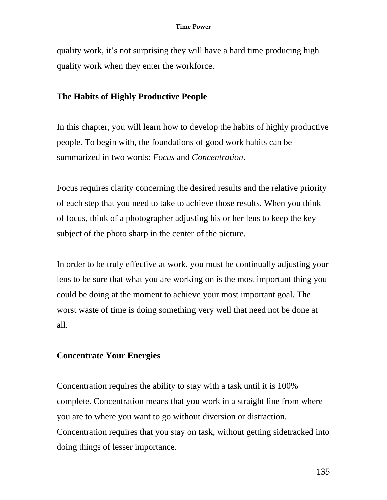quality work, it's not surprising they will have a hard time producing high quality work when they enter the workforce.

# **The Habits of Highly Productive People**

In this chapter, you will learn how to develop the habits of highly productive people. To begin with, the foundations of good work habits can be summarized in two words: *Focus* and *Concentration*.

Focus requires clarity concerning the desired results and the relative priority of each step that you need to take to achieve those results. When you think of focus, think of a photographer adjusting his or her lens to keep the key subject of the photo sharp in the center of the picture.

In order to be truly effective at work, you must be continually adjusting your lens to be sure that what you are working on is the most important thing you could be doing at the moment to achieve your most important goal. The worst waste of time is doing something very well that need not be done at all.

# **Concentrate Your Energies**

Concentration requires the ability to stay with a task until it is 100% complete. Concentration means that you work in a straight line from where you are to where you want to go without diversion or distraction. Concentration requires that you stay on task, without getting sidetracked into doing things of lesser importance.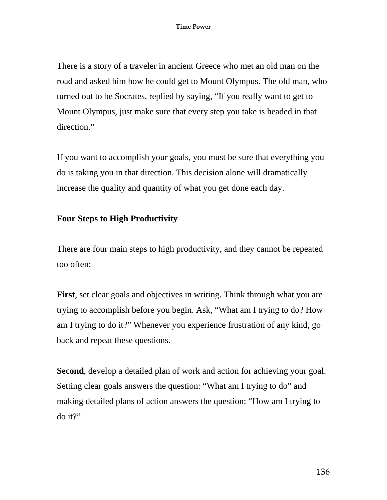There is a story of a traveler in ancient Greece who met an old man on the road and asked him how he could get to Mount Olympus. The old man, who turned out to be Socrates, replied by saying, "If you really want to get to Mount Olympus, just make sure that every step you take is headed in that direction."

If you want to accomplish your goals, you must be sure that everything you do is taking you in that direction. This decision alone will dramatically increase the quality and quantity of what you get done each day.

# **Four Steps to High Productivity**

There are four main steps to high productivity, and they cannot be repeated too often:

**First**, set clear goals and objectives in writing. Think through what you are trying to accomplish before you begin. Ask, "What am I trying to do? How am I trying to do it?" Whenever you experience frustration of any kind, go back and repeat these questions.

**Second**, develop a detailed plan of work and action for achieving your goal. Setting clear goals answers the question: "What am I trying to do" and making detailed plans of action answers the question: "How am I trying to do it?"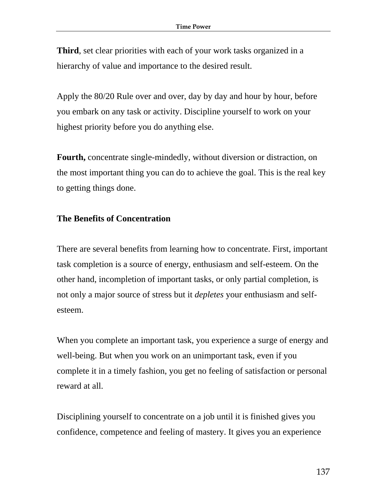**Third**, set clear priorities with each of your work tasks organized in a hierarchy of value and importance to the desired result.

Apply the 80/20 Rule over and over, day by day and hour by hour, before you embark on any task or activity. Discipline yourself to work on your highest priority before you do anything else.

**Fourth,** concentrate single-mindedly, without diversion or distraction, on the most important thing you can do to achieve the goal. This is the real key to getting things done.

# **The Benefits of Concentration**

There are several benefits from learning how to concentrate. First, important task completion is a source of energy, enthusiasm and self-esteem. On the other hand, incompletion of important tasks, or only partial completion, is not only a major source of stress but it *depletes* your enthusiasm and selfesteem.

When you complete an important task, you experience a surge of energy and well-being. But when you work on an unimportant task, even if you complete it in a timely fashion, you get no feeling of satisfaction or personal reward at all.

Disciplining yourself to concentrate on a job until it is finished gives you confidence, competence and feeling of mastery. It gives you an experience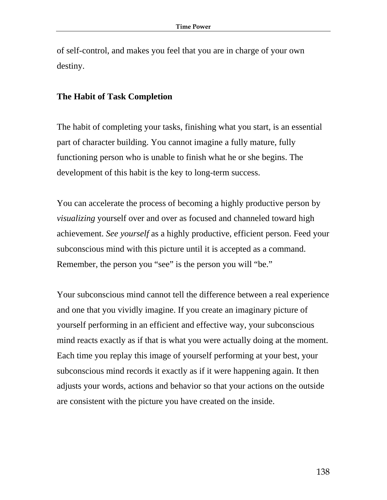of self-control, and makes you feel that you are in charge of your own destiny.

# **The Habit of Task Completion**

The habit of completing your tasks, finishing what you start, is an essential part of character building. You cannot imagine a fully mature, fully functioning person who is unable to finish what he or she begins. The development of this habit is the key to long-term success.

You can accelerate the process of becoming a highly productive person by *visualizing* yourself over and over as focused and channeled toward high achievement. *See yourself* as a highly productive, efficient person. Feed your subconscious mind with this picture until it is accepted as a command. Remember, the person you "see" is the person you will "be."

Your subconscious mind cannot tell the difference between a real experience and one that you vividly imagine. If you create an imaginary picture of yourself performing in an efficient and effective way, your subconscious mind reacts exactly as if that is what you were actually doing at the moment. Each time you replay this image of yourself performing at your best, your subconscious mind records it exactly as if it were happening again. It then adjusts your words, actions and behavior so that your actions on the outside are consistent with the picture you have created on the inside.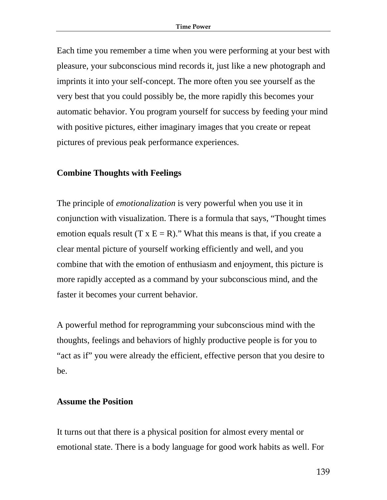Each time you remember a time when you were performing at your best with pleasure, your subconscious mind records it, just like a new photograph and imprints it into your self-concept. The more often you see yourself as the very best that you could possibly be, the more rapidly this becomes your automatic behavior. You program yourself for success by feeding your mind with positive pictures, either imaginary images that you create or repeat pictures of previous peak performance experiences.

#### **Combine Thoughts with Feelings**

The principle of *emotionalization* is very powerful when you use it in conjunction with visualization. There is a formula that says, "Thought times emotion equals result  $(T \times E = R)$ ." What this means is that, if you create a clear mental picture of yourself working efficiently and well, and you combine that with the emotion of enthusiasm and enjoyment, this picture is more rapidly accepted as a command by your subconscious mind, and the faster it becomes your current behavior.

A powerful method for reprogramming your subconscious mind with the thoughts, feelings and behaviors of highly productive people is for you to "act as if" you were already the efficient, effective person that you desire to be.

#### **Assume the Position**

It turns out that there is a physical position for almost every mental or emotional state. There is a body language for good work habits as well. For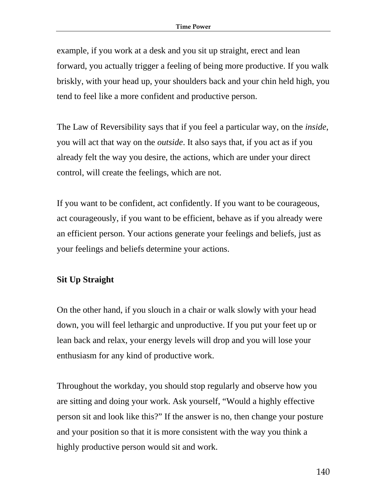example, if you work at a desk and you sit up straight, erect and lean forward, you actually trigger a feeling of being more productive. If you walk briskly, with your head up, your shoulders back and your chin held high, you tend to feel like a more confident and productive person.

The Law of Reversibility says that if you feel a particular way, on the *inside*, you will act that way on the *outside*. It also says that, if you act as if you already felt the way you desire, the actions, which are under your direct control, will create the feelings, which are not.

If you want to be confident, act confidently. If you want to be courageous, act courageously, if you want to be efficient, behave as if you already were an efficient person. Your actions generate your feelings and beliefs, just as your feelings and beliefs determine your actions.

# **Sit Up Straight**

On the other hand, if you slouch in a chair or walk slowly with your head down, you will feel lethargic and unproductive. If you put your feet up or lean back and relax, your energy levels will drop and you will lose your enthusiasm for any kind of productive work.

Throughout the workday, you should stop regularly and observe how you are sitting and doing your work. Ask yourself, "Would a highly effective person sit and look like this?" If the answer is no, then change your posture and your position so that it is more consistent with the way you think a highly productive person would sit and work.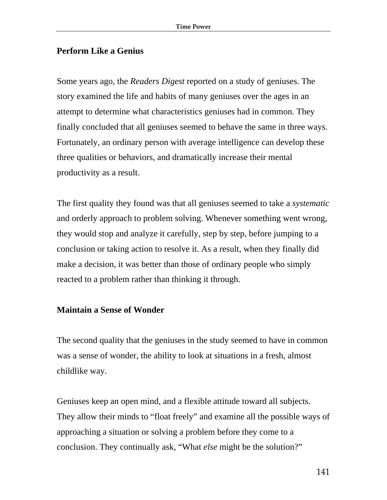### **Perform Like a Genius**

Some years ago, the *Readers Digest* reported on a study of geniuses. The story examined the life and habits of many geniuses over the ages in an attempt to determine what characteristics geniuses had in common. They finally concluded that all geniuses seemed to behave the same in three ways. Fortunately, an ordinary person with average intelligence can develop these three qualities or behaviors, and dramatically increase their mental productivity as a result.

The first quality they found was that all geniuses seemed to take a *systematic* and orderly approach to problem solving. Whenever something went wrong, they would stop and analyze it carefully, step by step, before jumping to a conclusion or taking action to resolve it. As a result, when they finally did make a decision, it was better than those of ordinary people who simply reacted to a problem rather than thinking it through.

## **Maintain a Sense of Wonder**

The second quality that the geniuses in the study seemed to have in common was a sense of wonder, the ability to look at situations in a fresh, almost childlike way.

Geniuses keep an open mind, and a flexible attitude toward all subjects. They allow their minds to "float freely" and examine all the possible ways of approaching a situation or solving a problem before they come to a conclusion. They continually ask, "What *else* might be the solution?"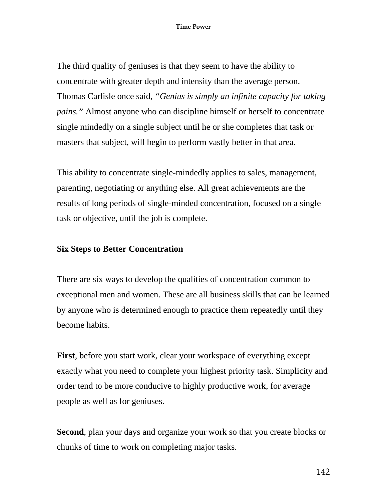The third quality of geniuses is that they seem to have the ability to concentrate with greater depth and intensity than the average person. Thomas Carlisle once said, *"Genius is simply an infinite capacity for taking pains."* Almost anyone who can discipline himself or herself to concentrate single mindedly on a single subject until he or she completes that task or masters that subject, will begin to perform vastly better in that area.

This ability to concentrate single-mindedly applies to sales, management, parenting, negotiating or anything else. All great achievements are the results of long periods of single-minded concentration, focused on a single task or objective, until the job is complete.

# **Six Steps to Better Concentration**

There are six ways to develop the qualities of concentration common to exceptional men and women. These are all business skills that can be learned by anyone who is determined enough to practice them repeatedly until they become habits.

**First**, before you start work, clear your workspace of everything except exactly what you need to complete your highest priority task. Simplicity and order tend to be more conducive to highly productive work, for average people as well as for geniuses.

**Second**, plan your days and organize your work so that you create blocks or chunks of time to work on completing major tasks.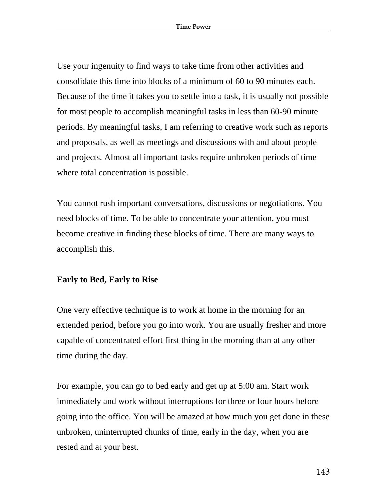Use your ingenuity to find ways to take time from other activities and consolidate this time into blocks of a minimum of 60 to 90 minutes each. Because of the time it takes you to settle into a task, it is usually not possible for most people to accomplish meaningful tasks in less than 60-90 minute periods. By meaningful tasks, I am referring to creative work such as reports and proposals, as well as meetings and discussions with and about people and projects. Almost all important tasks require unbroken periods of time where total concentration is possible.

You cannot rush important conversations, discussions or negotiations. You need blocks of time. To be able to concentrate your attention, you must become creative in finding these blocks of time. There are many ways to accomplish this.

# **Early to Bed, Early to Rise**

One very effective technique is to work at home in the morning for an extended period, before you go into work. You are usually fresher and more capable of concentrated effort first thing in the morning than at any other time during the day.

For example, you can go to bed early and get up at 5:00 am. Start work immediately and work without interruptions for three or four hours before going into the office. You will be amazed at how much you get done in these unbroken, uninterrupted chunks of time, early in the day, when you are rested and at your best.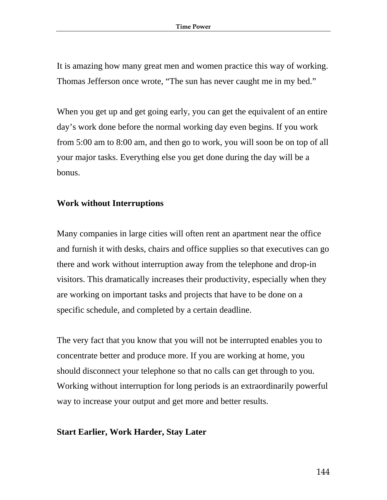It is amazing how many great men and women practice this way of working. Thomas Jefferson once wrote, "The sun has never caught me in my bed."

When you get up and get going early, you can get the equivalent of an entire day's work done before the normal working day even begins. If you work from 5:00 am to 8:00 am, and then go to work, you will soon be on top of all your major tasks. Everything else you get done during the day will be a bonus.

#### **Work without Interruptions**

Many companies in large cities will often rent an apartment near the office and furnish it with desks, chairs and office supplies so that executives can go there and work without interruption away from the telephone and drop-in visitors. This dramatically increases their productivity, especially when they are working on important tasks and projects that have to be done on a specific schedule, and completed by a certain deadline.

The very fact that you know that you will not be interrupted enables you to concentrate better and produce more. If you are working at home, you should disconnect your telephone so that no calls can get through to you. Working without interruption for long periods is an extraordinarily powerful way to increase your output and get more and better results.

#### **Start Earlier, Work Harder, Stay Later**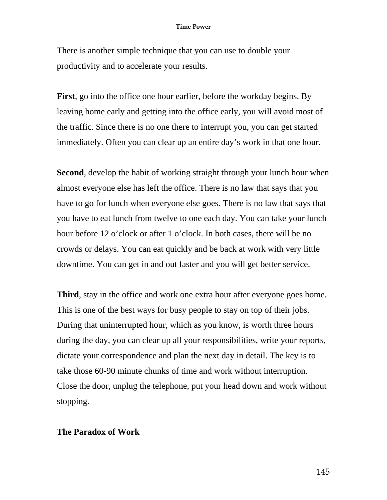There is another simple technique that you can use to double your productivity and to accelerate your results.

**First**, go into the office one hour earlier, before the workday begins. By leaving home early and getting into the office early, you will avoid most of the traffic. Since there is no one there to interrupt you, you can get started immediately. Often you can clear up an entire day's work in that one hour.

**Second**, develop the habit of working straight through your lunch hour when almost everyone else has left the office. There is no law that says that you have to go for lunch when everyone else goes. There is no law that says that you have to eat lunch from twelve to one each day. You can take your lunch hour before 12 o'clock or after 1 o'clock. In both cases, there will be no crowds or delays. You can eat quickly and be back at work with very little downtime. You can get in and out faster and you will get better service.

**Third**, stay in the office and work one extra hour after everyone goes home. This is one of the best ways for busy people to stay on top of their jobs. During that uninterrupted hour, which as you know, is worth three hours during the day, you can clear up all your responsibilities, write your reports, dictate your correspondence and plan the next day in detail. The key is to take those 60-90 minute chunks of time and work without interruption. Close the door, unplug the telephone, put your head down and work without stopping.

## **The Paradox of Work**

145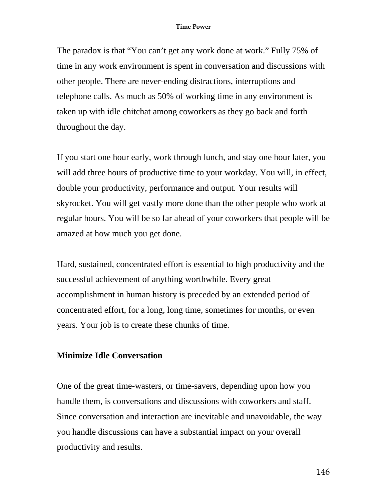The paradox is that "You can't get any work done at work." Fully 75% of time in any work environment is spent in conversation and discussions with other people. There are never-ending distractions, interruptions and telephone calls. As much as 50% of working time in any environment is taken up with idle chitchat among coworkers as they go back and forth throughout the day.

If you start one hour early, work through lunch, and stay one hour later, you will add three hours of productive time to your workday. You will, in effect, double your productivity, performance and output. Your results will skyrocket. You will get vastly more done than the other people who work at regular hours. You will be so far ahead of your coworkers that people will be amazed at how much you get done.

Hard, sustained, concentrated effort is essential to high productivity and the successful achievement of anything worthwhile. Every great accomplishment in human history is preceded by an extended period of concentrated effort, for a long, long time, sometimes for months, or even years. Your job is to create these chunks of time.

### **Minimize Idle Conversation**

One of the great time-wasters, or time-savers, depending upon how you handle them, is conversations and discussions with coworkers and staff. Since conversation and interaction are inevitable and unavoidable, the way you handle discussions can have a substantial impact on your overall productivity and results.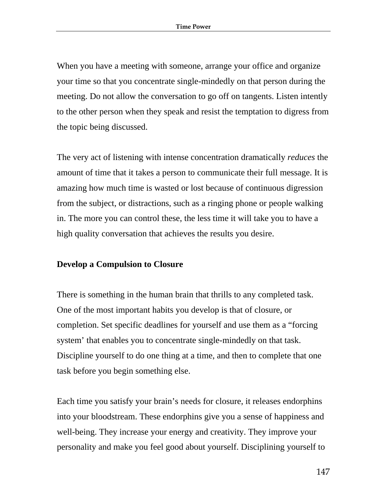When you have a meeting with someone, arrange your office and organize your time so that you concentrate single-mindedly on that person during the meeting. Do not allow the conversation to go off on tangents. Listen intently to the other person when they speak and resist the temptation to digress from the topic being discussed.

The very act of listening with intense concentration dramatically *reduces* the amount of time that it takes a person to communicate their full message. It is amazing how much time is wasted or lost because of continuous digression from the subject, or distractions, such as a ringing phone or people walking in. The more you can control these, the less time it will take you to have a high quality conversation that achieves the results you desire.

## **Develop a Compulsion to Closure**

There is something in the human brain that thrills to any completed task. One of the most important habits you develop is that of closure, or completion. Set specific deadlines for yourself and use them as a "forcing system' that enables you to concentrate single-mindedly on that task. Discipline yourself to do one thing at a time, and then to complete that one task before you begin something else.

Each time you satisfy your brain's needs for closure, it releases endorphins into your bloodstream. These endorphins give you a sense of happiness and well-being. They increase your energy and creativity. They improve your personality and make you feel good about yourself. Disciplining yourself to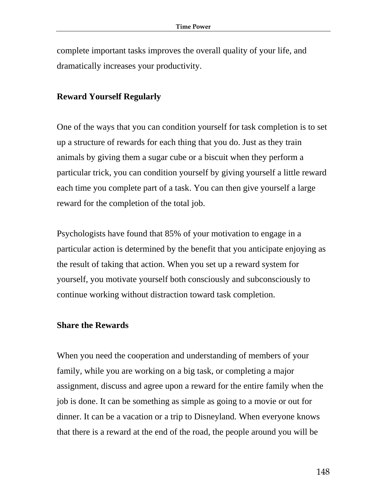complete important tasks improves the overall quality of your life, and dramatically increases your productivity.

## **Reward Yourself Regularly**

One of the ways that you can condition yourself for task completion is to set up a structure of rewards for each thing that you do. Just as they train animals by giving them a sugar cube or a biscuit when they perform a particular trick, you can condition yourself by giving yourself a little reward each time you complete part of a task. You can then give yourself a large reward for the completion of the total job.

Psychologists have found that 85% of your motivation to engage in a particular action is determined by the benefit that you anticipate enjoying as the result of taking that action. When you set up a reward system for yourself, you motivate yourself both consciously and subconsciously to continue working without distraction toward task completion.

### **Share the Rewards**

When you need the cooperation and understanding of members of your family, while you are working on a big task, or completing a major assignment, discuss and agree upon a reward for the entire family when the job is done. It can be something as simple as going to a movie or out for dinner. It can be a vacation or a trip to Disneyland. When everyone knows that there is a reward at the end of the road, the people around you will be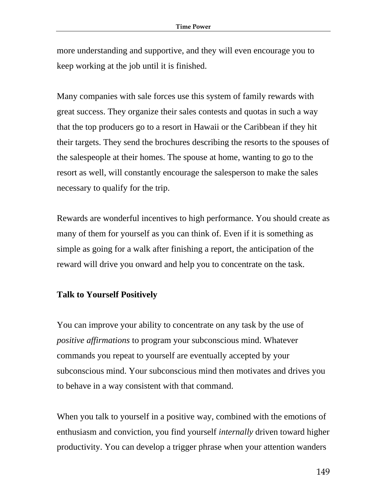more understanding and supportive, and they will even encourage you to keep working at the job until it is finished.

Many companies with sale forces use this system of family rewards with great success. They organize their sales contests and quotas in such a way that the top producers go to a resort in Hawaii or the Caribbean if they hit their targets. They send the brochures describing the resorts to the spouses of the salespeople at their homes. The spouse at home, wanting to go to the resort as well, will constantly encourage the salesperson to make the sales necessary to qualify for the trip.

Rewards are wonderful incentives to high performance. You should create as many of them for yourself as you can think of. Even if it is something as simple as going for a walk after finishing a report, the anticipation of the reward will drive you onward and help you to concentrate on the task.

### **Talk to Yourself Positively**

You can improve your ability to concentrate on any task by the use of *positive affirmations* to program your subconscious mind. Whatever commands you repeat to yourself are eventually accepted by your subconscious mind. Your subconscious mind then motivates and drives you to behave in a way consistent with that command.

When you talk to yourself in a positive way, combined with the emotions of enthusiasm and conviction, you find yourself *internally* driven toward higher productivity. You can develop a trigger phrase when your attention wanders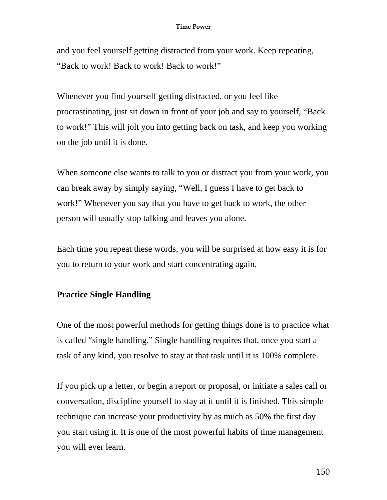and you feel yourself getting distracted from your work. Keep repeating, "Back to work! Back to work! Back to work!"

Whenever you find yourself getting distracted, or you feel like procrastinating, just sit down in front of your job and say to yourself, "Back to work!" This will jolt you into getting back on task, and keep you working on the job until it is done.

When someone else wants to talk to you or distract you from your work, you can break away by simply saying, "Well, I guess I have to get back to work!" Whenever you say that you have to get back to work, the other person will usually stop talking and leaves you alone.

Each time you repeat these words, you will be surprised at how easy it is for you to return to your work and start concentrating again.

# **Practice Single Handling**

One of the most powerful methods for getting things done is to practice what is called "single handling." Single handling requires that, once you start a task of any kind, you resolve to stay at that task until it is 100% complete.

If you pick up a letter, or begin a report or proposal, or initiate a sales call or conversation, discipline yourself to stay at it until it is finished. This simple technique can increase your productivity by as much as 50% the first day you start using it. It is one of the most powerful habits of time management you will ever learn.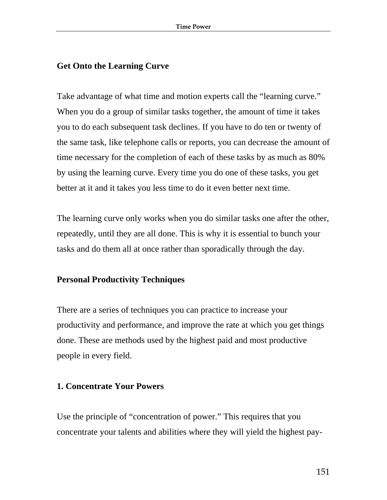## **Get Onto the Learning Curve**

Take advantage of what time and motion experts call the "learning curve." When you do a group of similar tasks together, the amount of time it takes you to do each subsequent task declines. If you have to do ten or twenty of the same task, like telephone calls or reports, you can decrease the amount of time necessary for the completion of each of these tasks by as much as 80% by using the learning curve. Every time you do one of these tasks, you get better at it and it takes you less time to do it even better next time.

The learning curve only works when you do similar tasks one after the other, repeatedly, until they are all done. This is why it is essential to bunch your tasks and do them all at once rather than sporadically through the day.

## **Personal Productivity Techniques**

There are a series of techniques you can practice to increase your productivity and performance, and improve the rate at which you get things done. These are methods used by the highest paid and most productive people in every field.

### **1. Concentrate Your Powers**

Use the principle of "concentration of power." This requires that you concentrate your talents and abilities where they will yield the highest pay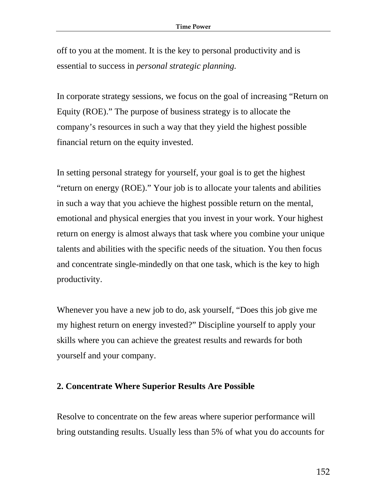off to you at the moment. It is the key to personal productivity and is essential to success in *personal strategic planning.* 

In corporate strategy sessions, we focus on the goal of increasing "Return on Equity (ROE)." The purpose of business strategy is to allocate the company's resources in such a way that they yield the highest possible financial return on the equity invested.

In setting personal strategy for yourself, your goal is to get the highest "return on energy (ROE)." Your job is to allocate your talents and abilities in such a way that you achieve the highest possible return on the mental, emotional and physical energies that you invest in your work. Your highest return on energy is almost always that task where you combine your unique talents and abilities with the specific needs of the situation. You then focus and concentrate single-mindedly on that one task, which is the key to high productivity.

Whenever you have a new job to do, ask yourself, "Does this job give me my highest return on energy invested?" Discipline yourself to apply your skills where you can achieve the greatest results and rewards for both yourself and your company.

### **2. Concentrate Where Superior Results Are Possible**

Resolve to concentrate on the few areas where superior performance will bring outstanding results. Usually less than 5% of what you do accounts for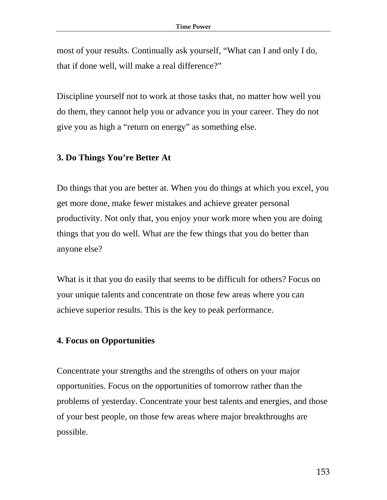most of your results. Continually ask yourself, "What can I and only I do, that if done well, will make a real difference?"

Discipline yourself not to work at those tasks that, no matter how well you do them, they cannot help you or advance you in your career. They do not give you as high a "return on energy" as something else.

# **3. Do Things You're Better At**

Do things that you are better at. When you do things at which you excel, you get more done, make fewer mistakes and achieve greater personal productivity. Not only that, you enjoy your work more when you are doing things that you do well. What are the few things that you do better than anyone else?

What is it that you do easily that seems to be difficult for others? Focus on your unique talents and concentrate on those few areas where you can achieve superior results. This is the key to peak performance.

## **4. Focus on Opportunities**

Concentrate your strengths and the strengths of others on your major opportunities. Focus on the opportunities of tomorrow rather than the problems of yesterday. Concentrate your best talents and energies, and those of your best people, on those few areas where major breakthroughs are possible.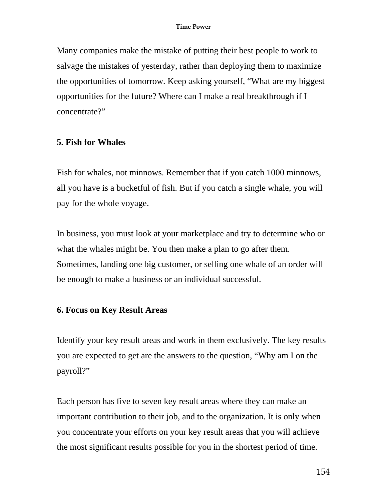Many companies make the mistake of putting their best people to work to salvage the mistakes of yesterday, rather than deploying them to maximize the opportunities of tomorrow. Keep asking yourself, "What are my biggest opportunities for the future? Where can I make a real breakthrough if I concentrate?"

## **5. Fish for Whales**

Fish for whales, not minnows. Remember that if you catch 1000 minnows, all you have is a bucketful of fish. But if you catch a single whale, you will pay for the whole voyage.

In business, you must look at your marketplace and try to determine who or what the whales might be. You then make a plan to go after them. Sometimes, landing one big customer, or selling one whale of an order will be enough to make a business or an individual successful.

# **6. Focus on Key Result Areas**

Identify your key result areas and work in them exclusively. The key results you are expected to get are the answers to the question, "Why am I on the payroll?"

Each person has five to seven key result areas where they can make an important contribution to their job, and to the organization. It is only when you concentrate your efforts on your key result areas that you will achieve the most significant results possible for you in the shortest period of time.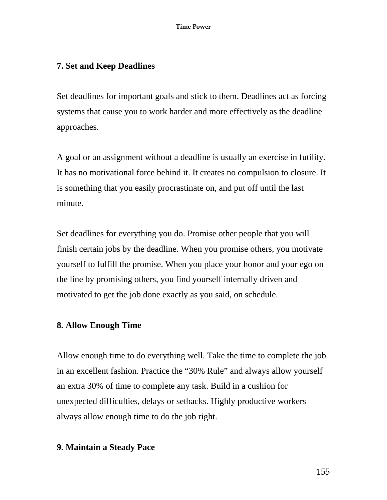# **7. Set and Keep Deadlines**

Set deadlines for important goals and stick to them. Deadlines act as forcing systems that cause you to work harder and more effectively as the deadline approaches.

A goal or an assignment without a deadline is usually an exercise in futility. It has no motivational force behind it. It creates no compulsion to closure. It is something that you easily procrastinate on, and put off until the last minute.

Set deadlines for everything you do. Promise other people that you will finish certain jobs by the deadline. When you promise others, you motivate yourself to fulfill the promise. When you place your honor and your ego on the line by promising others, you find yourself internally driven and motivated to get the job done exactly as you said, on schedule.

# **8. Allow Enough Time**

Allow enough time to do everything well. Take the time to complete the job in an excellent fashion. Practice the "30% Rule" and always allow yourself an extra 30% of time to complete any task. Build in a cushion for unexpected difficulties, delays or setbacks. Highly productive workers always allow enough time to do the job right.

# **9. Maintain a Steady Pace**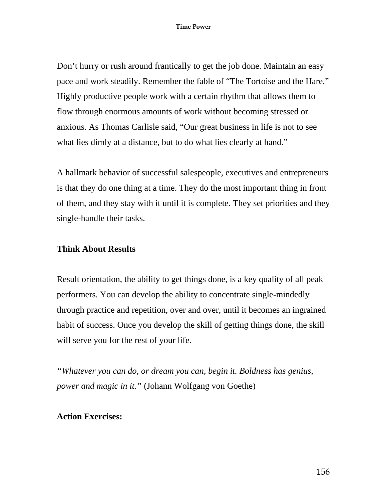Don't hurry or rush around frantically to get the job done. Maintain an easy pace and work steadily. Remember the fable of "The Tortoise and the Hare." Highly productive people work with a certain rhythm that allows them to flow through enormous amounts of work without becoming stressed or anxious. As Thomas Carlisle said, "Our great business in life is not to see what lies dimly at a distance, but to do what lies clearly at hand."

A hallmark behavior of successful salespeople, executives and entrepreneurs is that they do one thing at a time. They do the most important thing in front of them, and they stay with it until it is complete. They set priorities and they single-handle their tasks.

# **Think About Results**

Result orientation, the ability to get things done, is a key quality of all peak performers. You can develop the ability to concentrate single-mindedly through practice and repetition, over and over, until it becomes an ingrained habit of success. Once you develop the skill of getting things done, the skill will serve you for the rest of your life.

*"Whatever you can do, or dream you can, begin it. Boldness has genius, power and magic in it."* (Johann Wolfgang von Goethe)

# **Action Exercises:**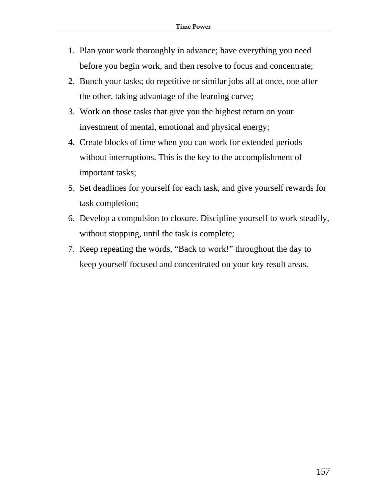- 1. Plan your work thoroughly in advance; have everything you need before you begin work, and then resolve to focus and concentrate;
- 2. Bunch your tasks; do repetitive or similar jobs all at once, one after the other, taking advantage of the learning curve;
- 3. Work on those tasks that give you the highest return on your investment of mental, emotional and physical energy;
- 4. Create blocks of time when you can work for extended periods without interruptions. This is the key to the accomplishment of important tasks;
- 5. Set deadlines for yourself for each task, and give yourself rewards for task completion;
- 6. Develop a compulsion to closure. Discipline yourself to work steadily, without stopping, until the task is complete;
- 7. Keep repeating the words, "Back to work!" throughout the day to keep yourself focused and concentrated on your key result areas.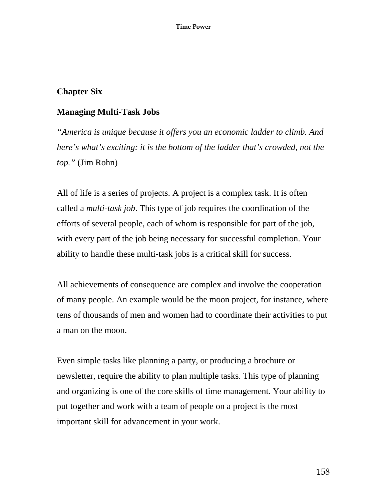## **Chapter Six**

## **Managing Multi-Task Jobs**

*"America is unique because it offers you an economic ladder to climb. And here's what's exciting: it is the bottom of the ladder that's crowded, not the top."* (Jim Rohn)

All of life is a series of projects. A project is a complex task. It is often called a *multi-task job*. This type of job requires the coordination of the efforts of several people, each of whom is responsible for part of the job, with every part of the job being necessary for successful completion. Your ability to handle these multi-task jobs is a critical skill for success.

All achievements of consequence are complex and involve the cooperation of many people. An example would be the moon project, for instance, where tens of thousands of men and women had to coordinate their activities to put a man on the moon.

Even simple tasks like planning a party, or producing a brochure or newsletter, require the ability to plan multiple tasks. This type of planning and organizing is one of the core skills of time management. Your ability to put together and work with a team of people on a project is the most important skill for advancement in your work.

158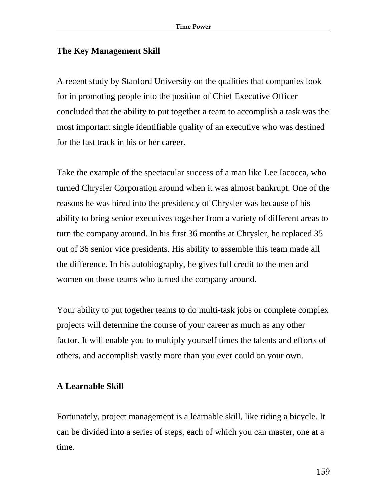## **The Key Management Skill**

A recent study by Stanford University on the qualities that companies look for in promoting people into the position of Chief Executive Officer concluded that the ability to put together a team to accomplish a task was the most important single identifiable quality of an executive who was destined for the fast track in his or her career.

Take the example of the spectacular success of a man like Lee Iacocca, who turned Chrysler Corporation around when it was almost bankrupt. One of the reasons he was hired into the presidency of Chrysler was because of his ability to bring senior executives together from a variety of different areas to turn the company around. In his first 36 months at Chrysler, he replaced 35 out of 36 senior vice presidents. His ability to assemble this team made all the difference. In his autobiography, he gives full credit to the men and women on those teams who turned the company around.

Your ability to put together teams to do multi-task jobs or complete complex projects will determine the course of your career as much as any other factor. It will enable you to multiply yourself times the talents and efforts of others, and accomplish vastly more than you ever could on your own.

### **A Learnable Skill**

Fortunately, project management is a learnable skill, like riding a bicycle. It can be divided into a series of steps, each of which you can master, one at a time.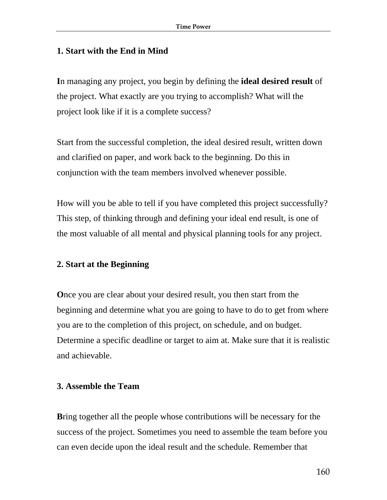## **1. Start with the End in Mind**

**I**n managing any project, you begin by defining the **ideal desired result** of the project. What exactly are you trying to accomplish? What will the project look like if it is a complete success?

Start from the successful completion, the ideal desired result, written down and clarified on paper, and work back to the beginning. Do this in conjunction with the team members involved whenever possible.

How will you be able to tell if you have completed this project successfully? This step, of thinking through and defining your ideal end result, is one of the most valuable of all mental and physical planning tools for any project.

### **2. Start at the Beginning**

**O**nce you are clear about your desired result, you then start from the beginning and determine what you are going to have to do to get from where you are to the completion of this project, on schedule, and on budget. Determine a specific deadline or target to aim at. Make sure that it is realistic and achievable.

## **3. Assemble the Team**

**B**ring together all the people whose contributions will be necessary for the success of the project. Sometimes you need to assemble the team before you can even decide upon the ideal result and the schedule. Remember that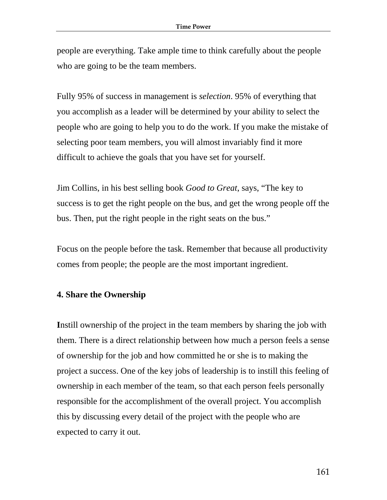people are everything. Take ample time to think carefully about the people who are going to be the team members.

Fully 95% of success in management is *selection*. 95% of everything that you accomplish as a leader will be determined by your ability to select the people who are going to help you to do the work. If you make the mistake of selecting poor team members, you will almost invariably find it more difficult to achieve the goals that you have set for yourself.

Jim Collins, in his best selling book *Good to Great*, says, "The key to success is to get the right people on the bus, and get the wrong people off the bus. Then, put the right people in the right seats on the bus."

Focus on the people before the task. Remember that because all productivity comes from people; the people are the most important ingredient.

### **4. Share the Ownership**

**I**nstill ownership of the project in the team members by sharing the job with them. There is a direct relationship between how much a person feels a sense of ownership for the job and how committed he or she is to making the project a success. One of the key jobs of leadership is to instill this feeling of ownership in each member of the team, so that each person feels personally responsible for the accomplishment of the overall project. You accomplish this by discussing every detail of the project with the people who are expected to carry it out.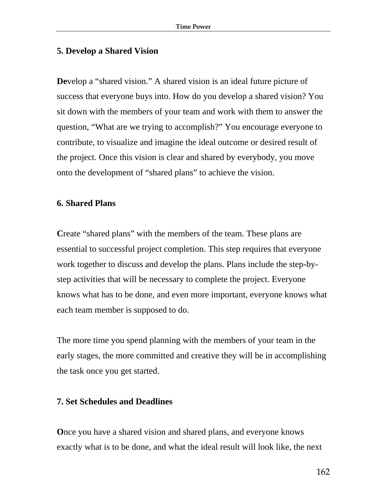### **5. Develop a Shared Vision**

**De**velop a "shared vision." A shared vision is an ideal future picture of success that everyone buys into. How do you develop a shared vision? You sit down with the members of your team and work with them to answer the question, "What are we trying to accomplish?" You encourage everyone to contribute, to visualize and imagine the ideal outcome or desired result of the project. Once this vision is clear and shared by everybody, you move onto the development of "shared plans" to achieve the vision.

### **6. Shared Plans**

**Create "shared plans" with the members of the team. These plans are** essential to successful project completion. This step requires that everyone work together to discuss and develop the plans. Plans include the step-bystep activities that will be necessary to complete the project. Everyone knows what has to be done, and even more important, everyone knows what each team member is supposed to do.

The more time you spend planning with the members of your team in the early stages, the more committed and creative they will be in accomplishing the task once you get started.

### **7. Set Schedules and Deadlines**

**O**nce you have a shared vision and shared plans, and everyone knows exactly what is to be done, and what the ideal result will look like, the next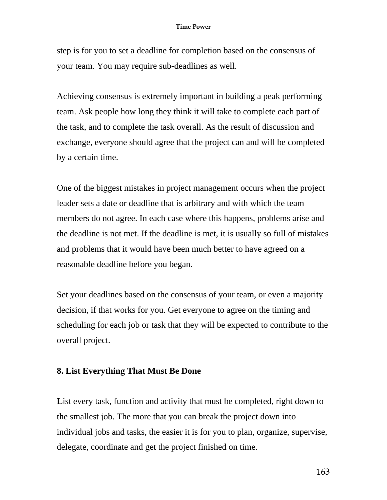step is for you to set a deadline for completion based on the consensus of your team. You may require sub-deadlines as well.

Achieving consensus is extremely important in building a peak performing team. Ask people how long they think it will take to complete each part of the task, and to complete the task overall. As the result of discussion and exchange, everyone should agree that the project can and will be completed by a certain time.

One of the biggest mistakes in project management occurs when the project leader sets a date or deadline that is arbitrary and with which the team members do not agree. In each case where this happens, problems arise and the deadline is not met. If the deadline is met, it is usually so full of mistakes and problems that it would have been much better to have agreed on a reasonable deadline before you began.

Set your deadlines based on the consensus of your team, or even a majority decision, if that works for you. Get everyone to agree on the timing and scheduling for each job or task that they will be expected to contribute to the overall project.

### **8. List Everything That Must Be Done**

**L**ist every task, function and activity that must be completed, right down to the smallest job. The more that you can break the project down into individual jobs and tasks, the easier it is for you to plan, organize, supervise, delegate, coordinate and get the project finished on time.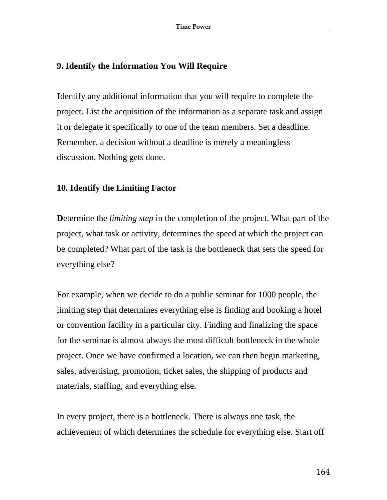# **9. Identify the Information You Will Require**

**I**dentify any additional information that you will require to complete the project. List the acquisition of the information as a separate task and assign it or delegate it specifically to one of the team members. Set a deadline. Remember, a decision without a deadline is merely a meaningless discussion. Nothing gets done.

# **10. Identify the Limiting Factor**

**D**etermine the *limiting step* in the completion of the project. What part of the project, what task or activity, determines the speed at which the project can be completed? What part of the task is the bottleneck that sets the speed for everything else?

For example, when we decide to do a public seminar for 1000 people, the limiting step that determines everything else is finding and booking a hotel or convention facility in a particular city. Finding and finalizing the space for the seminar is almost always the most difficult bottleneck in the whole project. Once we have confirmed a location, we can then begin marketing, sales, advertising, promotion, ticket sales, the shipping of products and materials, staffing, and everything else.

In every project, there is a bottleneck. There is always one task, the achievement of which determines the schedule for everything else. Start off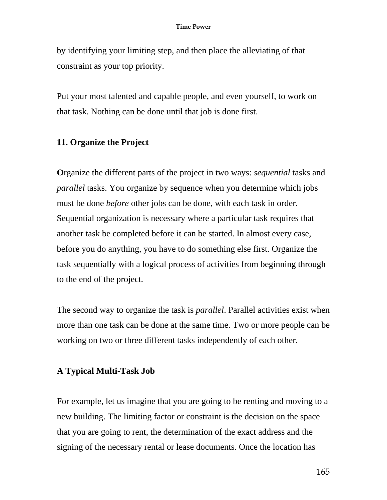by identifying your limiting step, and then place the alleviating of that constraint as your top priority.

Put your most talented and capable people, and even yourself, to work on that task. Nothing can be done until that job is done first.

### **11. Organize the Project**

**O**rganize the different parts of the project in two ways: *sequential* tasks and *parallel* tasks. You organize by sequence when you determine which jobs must be done *before* other jobs can be done, with each task in order. Sequential organization is necessary where a particular task requires that another task be completed before it can be started. In almost every case, before you do anything, you have to do something else first. Organize the task sequentially with a logical process of activities from beginning through to the end of the project.

The second way to organize the task is *parallel*. Parallel activities exist when more than one task can be done at the same time. Two or more people can be working on two or three different tasks independently of each other.

### **A Typical Multi-Task Job**

For example, let us imagine that you are going to be renting and moving to a new building. The limiting factor or constraint is the decision on the space that you are going to rent, the determination of the exact address and the signing of the necessary rental or lease documents. Once the location has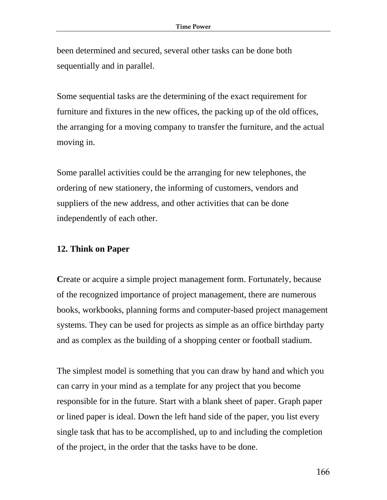been determined and secured, several other tasks can be done both sequentially and in parallel.

Some sequential tasks are the determining of the exact requirement for furniture and fixtures in the new offices, the packing up of the old offices, the arranging for a moving company to transfer the furniture, and the actual moving in.

Some parallel activities could be the arranging for new telephones, the ordering of new stationery, the informing of customers, vendors and suppliers of the new address, and other activities that can be done independently of each other.

#### **12. Think on Paper**

**C**reate or acquire a simple project management form. Fortunately, because of the recognized importance of project management, there are numerous books, workbooks, planning forms and computer-based project management systems. They can be used for projects as simple as an office birthday party and as complex as the building of a shopping center or football stadium.

The simplest model is something that you can draw by hand and which you can carry in your mind as a template for any project that you become responsible for in the future. Start with a blank sheet of paper. Graph paper or lined paper is ideal. Down the left hand side of the paper, you list every single task that has to be accomplished, up to and including the completion of the project, in the order that the tasks have to be done.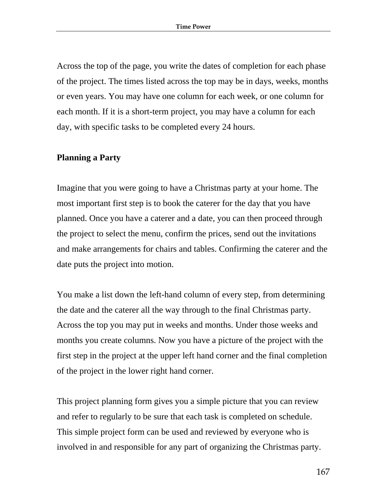Across the top of the page, you write the dates of completion for each phase of the project. The times listed across the top may be in days, weeks, months or even years. You may have one column for each week, or one column for each month. If it is a short-term project, you may have a column for each day, with specific tasks to be completed every 24 hours.

# **Planning a Party**

Imagine that you were going to have a Christmas party at your home. The most important first step is to book the caterer for the day that you have planned. Once you have a caterer and a date, you can then proceed through the project to select the menu, confirm the prices, send out the invitations and make arrangements for chairs and tables. Confirming the caterer and the date puts the project into motion.

You make a list down the left-hand column of every step, from determining the date and the caterer all the way through to the final Christmas party. Across the top you may put in weeks and months. Under those weeks and months you create columns. Now you have a picture of the project with the first step in the project at the upper left hand corner and the final completion of the project in the lower right hand corner.

This project planning form gives you a simple picture that you can review and refer to regularly to be sure that each task is completed on schedule. This simple project form can be used and reviewed by everyone who is involved in and responsible for any part of organizing the Christmas party.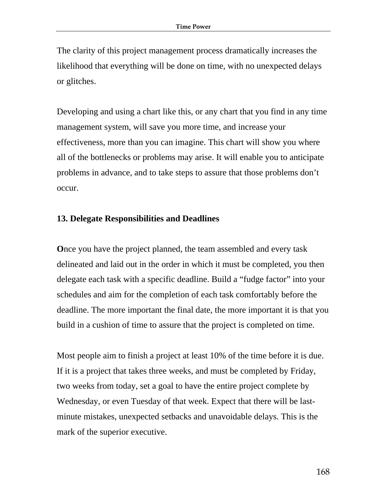The clarity of this project management process dramatically increases the likelihood that everything will be done on time, with no unexpected delays or glitches.

Developing and using a chart like this, or any chart that you find in any time management system, will save you more time, and increase your effectiveness, more than you can imagine. This chart will show you where all of the bottlenecks or problems may arise. It will enable you to anticipate problems in advance, and to take steps to assure that those problems don't occur.

### **13. Delegate Responsibilities and Deadlines**

**O**nce you have the project planned, the team assembled and every task delineated and laid out in the order in which it must be completed, you then delegate each task with a specific deadline. Build a "fudge factor" into your schedules and aim for the completion of each task comfortably before the deadline. The more important the final date, the more important it is that you build in a cushion of time to assure that the project is completed on time.

Most people aim to finish a project at least 10% of the time before it is due. If it is a project that takes three weeks, and must be completed by Friday, two weeks from today, set a goal to have the entire project complete by Wednesday, or even Tuesday of that week. Expect that there will be lastminute mistakes, unexpected setbacks and unavoidable delays. This is the mark of the superior executive.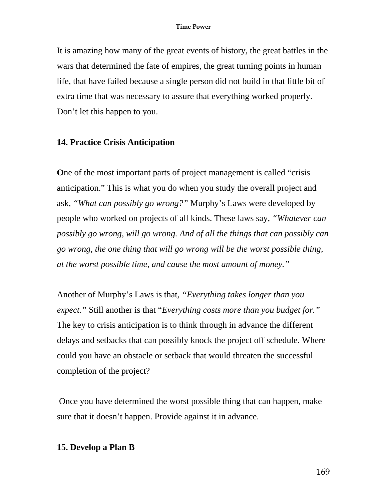It is amazing how many of the great events of history, the great battles in the wars that determined the fate of empires, the great turning points in human life, that have failed because a single person did not build in that little bit of extra time that was necessary to assure that everything worked properly. Don't let this happen to you.

#### **14. Practice Crisis Anticipation**

**O**ne of the most important parts of project management is called "crisis anticipation." This is what you do when you study the overall project and ask, *"What can possibly go wrong?"* Murphy's Laws were developed by people who worked on projects of all kinds. These laws say, *"Whatever can possibly go wrong, will go wrong. And of all the things that can possibly can go wrong, the one thing that will go wrong will be the worst possible thing, at the worst possible time, and cause the most amount of money."* 

Another of Murphy's Laws is that*, "Everything takes longer than you expect."* Still another is that "*Everything costs more than you budget for."* The key to crisis anticipation is to think through in advance the different delays and setbacks that can possibly knock the project off schedule. Where could you have an obstacle or setback that would threaten the successful completion of the project?

 Once you have determined the worst possible thing that can happen, make sure that it doesn't happen. Provide against it in advance.

#### **15. Develop a Plan B**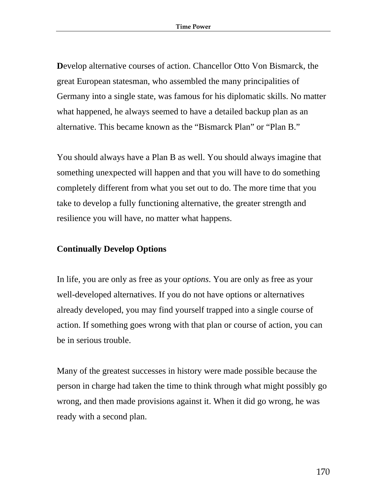**D**evelop alternative courses of action. Chancellor Otto Von Bismarck, the great European statesman, who assembled the many principalities of Germany into a single state, was famous for his diplomatic skills. No matter what happened, he always seemed to have a detailed backup plan as an alternative. This became known as the "Bismarck Plan" or "Plan B."

You should always have a Plan B as well. You should always imagine that something unexpected will happen and that you will have to do something completely different from what you set out to do. The more time that you take to develop a fully functioning alternative, the greater strength and resilience you will have, no matter what happens.

## **Continually Develop Options**

In life, you are only as free as your *options*. You are only as free as your well-developed alternatives. If you do not have options or alternatives already developed, you may find yourself trapped into a single course of action. If something goes wrong with that plan or course of action, you can be in serious trouble.

Many of the greatest successes in history were made possible because the person in charge had taken the time to think through what might possibly go wrong, and then made provisions against it. When it did go wrong, he was ready with a second plan.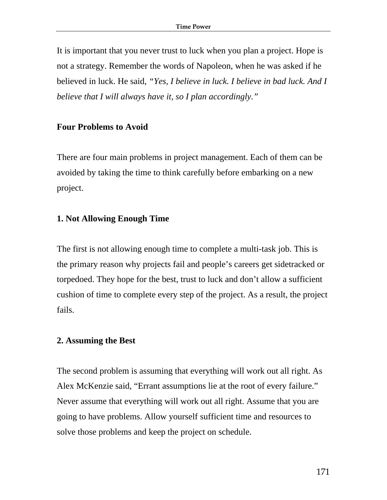It is important that you never trust to luck when you plan a project. Hope is not a strategy. Remember the words of Napoleon, when he was asked if he believed in luck. He said, *"Yes, I believe in luck. I believe in bad luck. And I believe that I will always have it, so I plan accordingly."* 

## **Four Problems to Avoid**

There are four main problems in project management. Each of them can be avoided by taking the time to think carefully before embarking on a new project.

### **1. Not Allowing Enough Time**

The first is not allowing enough time to complete a multi-task job. This is the primary reason why projects fail and people's careers get sidetracked or torpedoed. They hope for the best, trust to luck and don't allow a sufficient cushion of time to complete every step of the project. As a result, the project fails.

### **2. Assuming the Best**

The second problem is assuming that everything will work out all right. As Alex McKenzie said, "Errant assumptions lie at the root of every failure." Never assume that everything will work out all right. Assume that you are going to have problems. Allow yourself sufficient time and resources to solve those problems and keep the project on schedule.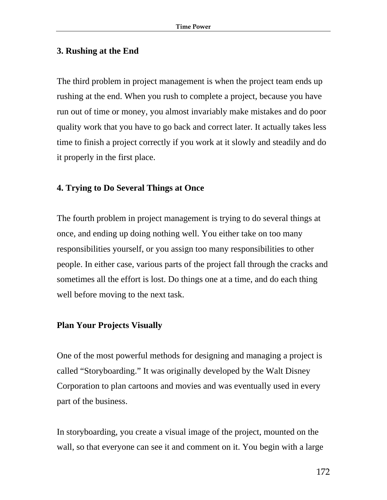## **3. Rushing at the End**

The third problem in project management is when the project team ends up rushing at the end. When you rush to complete a project, because you have run out of time or money, you almost invariably make mistakes and do poor quality work that you have to go back and correct later. It actually takes less time to finish a project correctly if you work at it slowly and steadily and do it properly in the first place.

### **4. Trying to Do Several Things at Once**

The fourth problem in project management is trying to do several things at once, and ending up doing nothing well. You either take on too many responsibilities yourself, or you assign too many responsibilities to other people. In either case, various parts of the project fall through the cracks and sometimes all the effort is lost. Do things one at a time, and do each thing well before moving to the next task.

### **Plan Your Projects Visually**

One of the most powerful methods for designing and managing a project is called "Storyboarding." It was originally developed by the Walt Disney Corporation to plan cartoons and movies and was eventually used in every part of the business.

In storyboarding, you create a visual image of the project, mounted on the wall, so that everyone can see it and comment on it. You begin with a large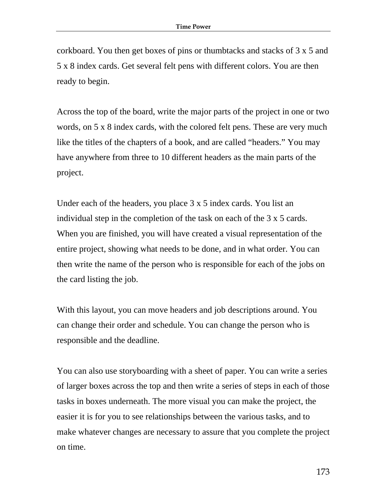corkboard. You then get boxes of pins or thumbtacks and stacks of 3 x 5 and 5 x 8 index cards. Get several felt pens with different colors. You are then ready to begin.

Across the top of the board, write the major parts of the project in one or two words, on 5 x 8 index cards, with the colored felt pens. These are very much like the titles of the chapters of a book, and are called "headers." You may have anywhere from three to 10 different headers as the main parts of the project.

Under each of the headers, you place 3 x 5 index cards. You list an individual step in the completion of the task on each of the 3 x 5 cards. When you are finished, you will have created a visual representation of the entire project, showing what needs to be done, and in what order. You can then write the name of the person who is responsible for each of the jobs on the card listing the job.

With this layout, you can move headers and job descriptions around. You can change their order and schedule. You can change the person who is responsible and the deadline.

You can also use storyboarding with a sheet of paper. You can write a series of larger boxes across the top and then write a series of steps in each of those tasks in boxes underneath. The more visual you can make the project, the easier it is for you to see relationships between the various tasks, and to make whatever changes are necessary to assure that you complete the project on time.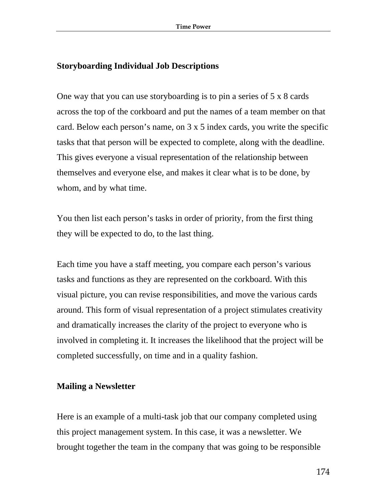### **Storyboarding Individual Job Descriptions**

One way that you can use storyboarding is to pin a series of 5 x 8 cards across the top of the corkboard and put the names of a team member on that card. Below each person's name, on 3 x 5 index cards, you write the specific tasks that that person will be expected to complete, along with the deadline. This gives everyone a visual representation of the relationship between themselves and everyone else, and makes it clear what is to be done, by whom, and by what time.

You then list each person's tasks in order of priority, from the first thing they will be expected to do, to the last thing.

Each time you have a staff meeting, you compare each person's various tasks and functions as they are represented on the corkboard. With this visual picture, you can revise responsibilities, and move the various cards around. This form of visual representation of a project stimulates creativity and dramatically increases the clarity of the project to everyone who is involved in completing it. It increases the likelihood that the project will be completed successfully, on time and in a quality fashion.

### **Mailing a Newsletter**

Here is an example of a multi-task job that our company completed using this project management system. In this case, it was a newsletter. We brought together the team in the company that was going to be responsible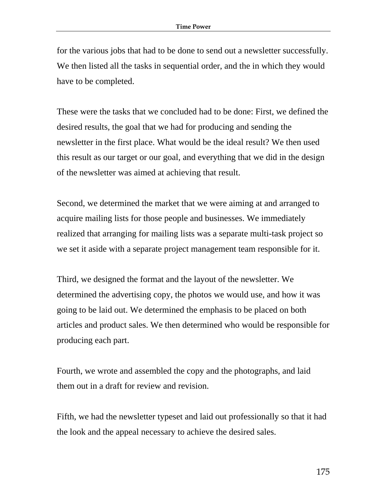for the various jobs that had to be done to send out a newsletter successfully. We then listed all the tasks in sequential order, and the in which they would have to be completed.

These were the tasks that we concluded had to be done: First, we defined the desired results, the goal that we had for producing and sending the newsletter in the first place. What would be the ideal result? We then used this result as our target or our goal, and everything that we did in the design of the newsletter was aimed at achieving that result.

Second, we determined the market that we were aiming at and arranged to acquire mailing lists for those people and businesses. We immediately realized that arranging for mailing lists was a separate multi-task project so we set it aside with a separate project management team responsible for it.

Third, we designed the format and the layout of the newsletter. We determined the advertising copy, the photos we would use, and how it was going to be laid out. We determined the emphasis to be placed on both articles and product sales. We then determined who would be responsible for producing each part.

Fourth, we wrote and assembled the copy and the photographs, and laid them out in a draft for review and revision.

Fifth, we had the newsletter typeset and laid out professionally so that it had the look and the appeal necessary to achieve the desired sales.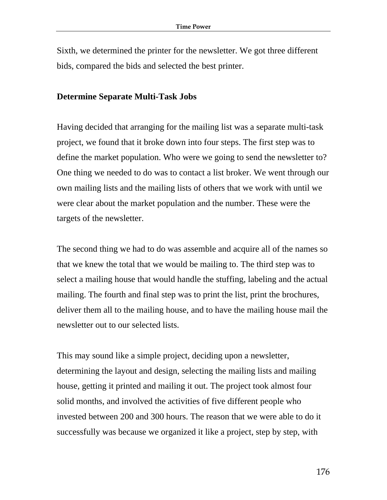Sixth, we determined the printer for the newsletter. We got three different bids, compared the bids and selected the best printer.

## **Determine Separate Multi-Task Jobs**

Having decided that arranging for the mailing list was a separate multi-task project, we found that it broke down into four steps. The first step was to define the market population. Who were we going to send the newsletter to? One thing we needed to do was to contact a list broker. We went through our own mailing lists and the mailing lists of others that we work with until we were clear about the market population and the number. These were the targets of the newsletter.

The second thing we had to do was assemble and acquire all of the names so that we knew the total that we would be mailing to. The third step was to select a mailing house that would handle the stuffing, labeling and the actual mailing. The fourth and final step was to print the list, print the brochures, deliver them all to the mailing house, and to have the mailing house mail the newsletter out to our selected lists.

This may sound like a simple project, deciding upon a newsletter, determining the layout and design, selecting the mailing lists and mailing house, getting it printed and mailing it out. The project took almost four solid months, and involved the activities of five different people who invested between 200 and 300 hours. The reason that we were able to do it successfully was because we organized it like a project, step by step, with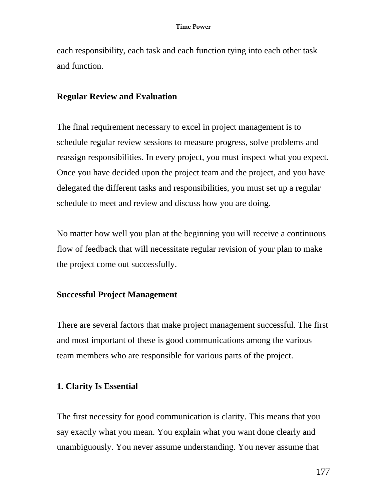each responsibility, each task and each function tying into each other task and function.

## **Regular Review and Evaluation**

The final requirement necessary to excel in project management is to schedule regular review sessions to measure progress, solve problems and reassign responsibilities. In every project, you must inspect what you expect. Once you have decided upon the project team and the project, and you have delegated the different tasks and responsibilities, you must set up a regular schedule to meet and review and discuss how you are doing.

No matter how well you plan at the beginning you will receive a continuous flow of feedback that will necessitate regular revision of your plan to make the project come out successfully.

## **Successful Project Management**

There are several factors that make project management successful. The first and most important of these is good communications among the various team members who are responsible for various parts of the project.

## **1. Clarity Is Essential**

The first necessity for good communication is clarity. This means that you say exactly what you mean. You explain what you want done clearly and unambiguously. You never assume understanding. You never assume that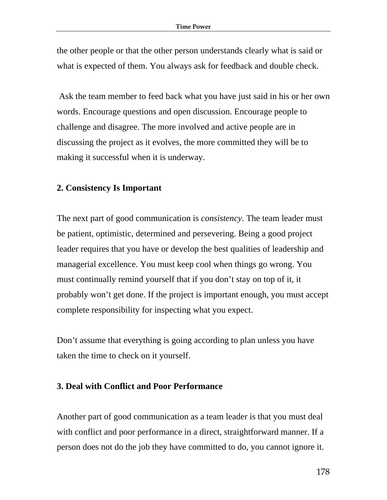the other people or that the other person understands clearly what is said or what is expected of them. You always ask for feedback and double check.

 Ask the team member to feed back what you have just said in his or her own words. Encourage questions and open discussion. Encourage people to challenge and disagree. The more involved and active people are in discussing the project as it evolves, the more committed they will be to making it successful when it is underway.

### **2. Consistency Is Important**

The next part of good communication is *consistency*. The team leader must be patient, optimistic, determined and persevering. Being a good project leader requires that you have or develop the best qualities of leadership and managerial excellence. You must keep cool when things go wrong. You must continually remind yourself that if you don't stay on top of it, it probably won't get done. If the project is important enough, you must accept complete responsibility for inspecting what you expect.

Don't assume that everything is going according to plan unless you have taken the time to check on it yourself.

## **3. Deal with Conflict and Poor Performance**

Another part of good communication as a team leader is that you must deal with conflict and poor performance in a direct, straightforward manner. If a person does not do the job they have committed to do, you cannot ignore it.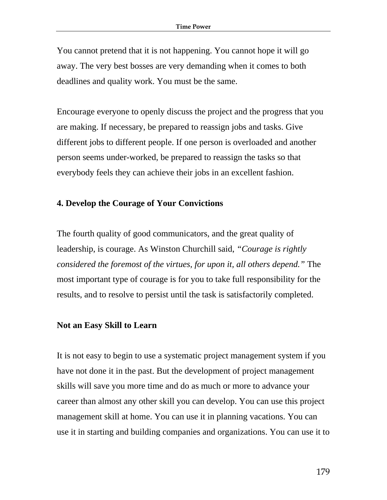You cannot pretend that it is not happening. You cannot hope it will go away. The very best bosses are very demanding when it comes to both deadlines and quality work. You must be the same.

Encourage everyone to openly discuss the project and the progress that you are making. If necessary, be prepared to reassign jobs and tasks. Give different jobs to different people. If one person is overloaded and another person seems under-worked, be prepared to reassign the tasks so that everybody feels they can achieve their jobs in an excellent fashion.

### **4. Develop the Courage of Your Convictions**

The fourth quality of good communicators, and the great quality of leadership, is courage. As Winston Churchill said, *"Courage is rightly considered the foremost of the virtues, for upon it, all others depend."* The most important type of courage is for you to take full responsibility for the results, and to resolve to persist until the task is satisfactorily completed.

#### **Not an Easy Skill to Learn**

It is not easy to begin to use a systematic project management system if you have not done it in the past. But the development of project management skills will save you more time and do as much or more to advance your career than almost any other skill you can develop. You can use this project management skill at home. You can use it in planning vacations. You can use it in starting and building companies and organizations. You can use it to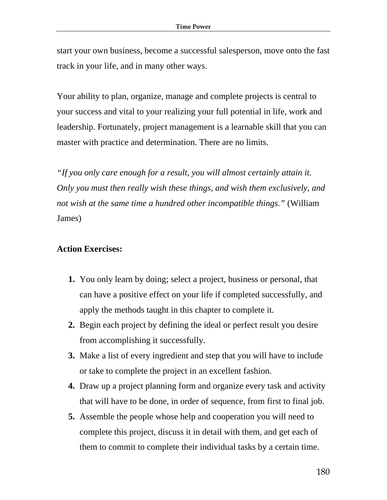start your own business, become a successful salesperson, move onto the fast track in your life, and in many other ways.

Your ability to plan, organize, manage and complete projects is central to your success and vital to your realizing your full potential in life, work and leadership. Fortunately, project management is a learnable skill that you can master with practice and determination. There are no limits.

*"If you only care enough for a result, you will almost certainly attain it. Only you must then really wish these things, and wish them exclusively, and not wish at the same time a hundred other incompatible things."* (William James)

### **Action Exercises:**

- **1.** You only learn by doing; select a project, business or personal, that can have a positive effect on your life if completed successfully, and apply the methods taught in this chapter to complete it.
- **2.** Begin each project by defining the ideal or perfect result you desire from accomplishing it successfully.
- **3.** Make a list of every ingredient and step that you will have to include or take to complete the project in an excellent fashion.
- **4.** Draw up a project planning form and organize every task and activity that will have to be done, in order of sequence, from first to final job.
- **5.** Assemble the people whose help and cooperation you will need to complete this project, discuss it in detail with them, and get each of them to commit to complete their individual tasks by a certain time.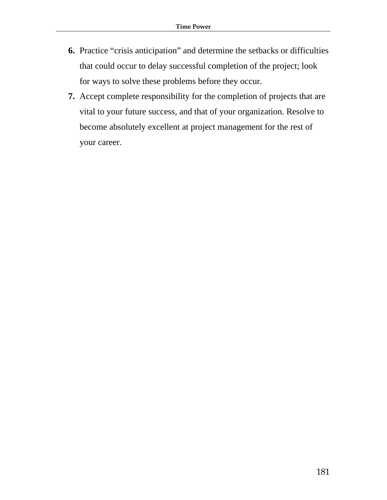- **6.** Practice "crisis anticipation" and determine the setbacks or difficulties that could occur to delay successful completion of the project; look for ways to solve these problems before they occur.
- **7.** Accept complete responsibility for the completion of projects that are vital to your future success, and that of your organization. Resolve to become absolutely excellent at project management for the rest of your career.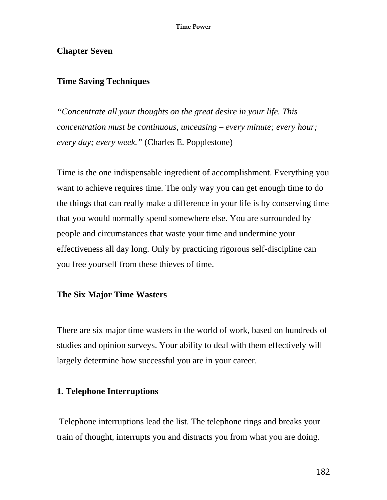#### **Chapter Seven**

#### **Time Saving Techniques**

*"Concentrate all your thoughts on the great desire in your life. This concentration must be continuous, unceasing – every minute; every hour; every day; every week."* (Charles E. Popplestone)

Time is the one indispensable ingredient of accomplishment. Everything you want to achieve requires time. The only way you can get enough time to do the things that can really make a difference in your life is by conserving time that you would normally spend somewhere else. You are surrounded by people and circumstances that waste your time and undermine your effectiveness all day long. Only by practicing rigorous self-discipline can you free yourself from these thieves of time.

#### **The Six Major Time Wasters**

There are six major time wasters in the world of work, based on hundreds of studies and opinion surveys. Your ability to deal with them effectively will largely determine how successful you are in your career.

### **1. Telephone Interruptions**

 Telephone interruptions lead the list. The telephone rings and breaks your train of thought, interrupts you and distracts you from what you are doing.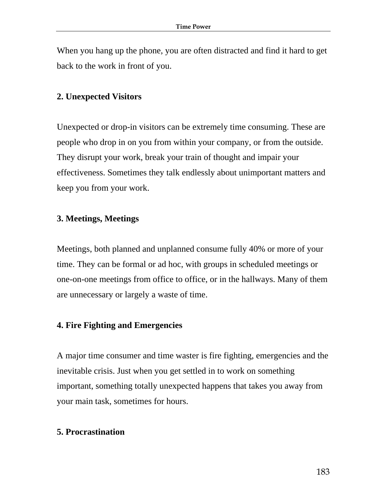When you hang up the phone, you are often distracted and find it hard to get back to the work in front of you.

## **2. Unexpected Visitors**

Unexpected or drop-in visitors can be extremely time consuming. These are people who drop in on you from within your company, or from the outside. They disrupt your work, break your train of thought and impair your effectiveness. Sometimes they talk endlessly about unimportant matters and keep you from your work.

## **3. Meetings, Meetings**

Meetings, both planned and unplanned consume fully 40% or more of your time. They can be formal or ad hoc, with groups in scheduled meetings or one-on-one meetings from office to office, or in the hallways. Many of them are unnecessary or largely a waste of time.

## **4. Fire Fighting and Emergencies**

A major time consumer and time waster is fire fighting, emergencies and the inevitable crisis. Just when you get settled in to work on something important, something totally unexpected happens that takes you away from your main task, sometimes for hours.

# **5. Procrastination**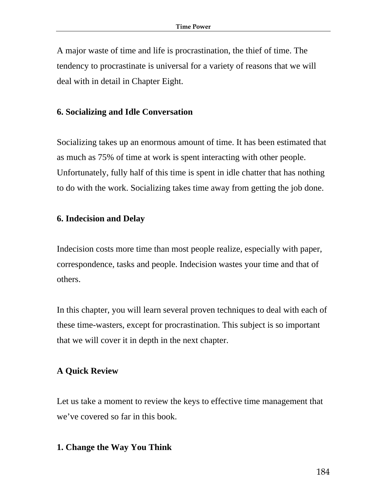A major waste of time and life is procrastination, the thief of time. The tendency to procrastinate is universal for a variety of reasons that we will deal with in detail in Chapter Eight.

## **6. Socializing and Idle Conversation**

Socializing takes up an enormous amount of time. It has been estimated that as much as 75% of time at work is spent interacting with other people. Unfortunately, fully half of this time is spent in idle chatter that has nothing to do with the work. Socializing takes time away from getting the job done.

## **6. Indecision and Delay**

Indecision costs more time than most people realize, especially with paper, correspondence, tasks and people. Indecision wastes your time and that of others.

In this chapter, you will learn several proven techniques to deal with each of these time-wasters, except for procrastination. This subject is so important that we will cover it in depth in the next chapter.

## **A Quick Review**

Let us take a moment to review the keys to effective time management that we've covered so far in this book.

## **1. Change the Way You Think**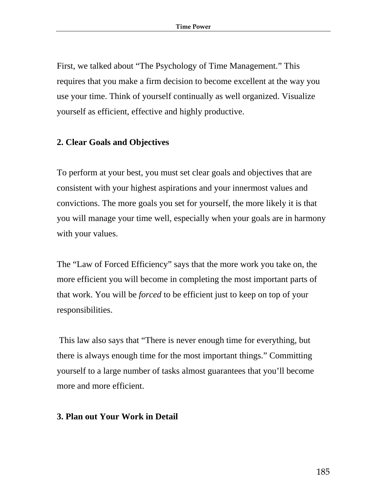First, we talked about "The Psychology of Time Management." This requires that you make a firm decision to become excellent at the way you use your time. Think of yourself continually as well organized. Visualize yourself as efficient, effective and highly productive.

## **2. Clear Goals and Objectives**

To perform at your best, you must set clear goals and objectives that are consistent with your highest aspirations and your innermost values and convictions. The more goals you set for yourself, the more likely it is that you will manage your time well, especially when your goals are in harmony with your values.

The "Law of Forced Efficiency" says that the more work you take on, the more efficient you will become in completing the most important parts of that work. You will be *forced* to be efficient just to keep on top of your responsibilities.

 This law also says that "There is never enough time for everything, but there is always enough time for the most important things." Committing yourself to a large number of tasks almost guarantees that you'll become more and more efficient.

## **3. Plan out Your Work in Detail**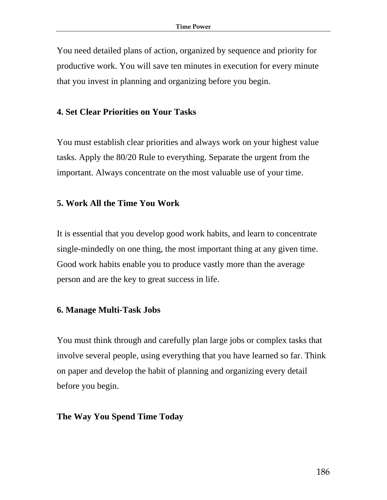You need detailed plans of action, organized by sequence and priority for productive work. You will save ten minutes in execution for every minute that you invest in planning and organizing before you begin.

### **4. Set Clear Priorities on Your Tasks**

You must establish clear priorities and always work on your highest value tasks. Apply the 80/20 Rule to everything. Separate the urgent from the important. Always concentrate on the most valuable use of your time.

## **5. Work All the Time You Work**

It is essential that you develop good work habits, and learn to concentrate single-mindedly on one thing, the most important thing at any given time. Good work habits enable you to produce vastly more than the average person and are the key to great success in life.

### **6. Manage Multi-Task Jobs**

You must think through and carefully plan large jobs or complex tasks that involve several people, using everything that you have learned so far. Think on paper and develop the habit of planning and organizing every detail before you begin.

### **The Way You Spend Time Today**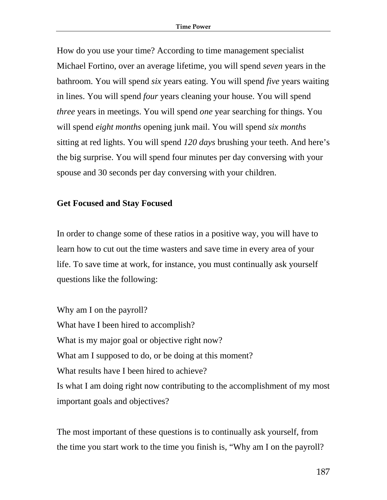How do you use your time? According to time management specialist Michael Fortino, over an average lifetime, you will spend *seven* years in the bathroom. You will spend *six* years eating. You will spend *five* years waiting in lines. You will spend *four* years cleaning your house. You will spend *three* years in meetings. You will spend *one* year searching for things. You will spend *eight months* opening junk mail. You will spend *six months* sitting at red lights. You will spend *120 days* brushing your teeth. And here's the big surprise. You will spend four minutes per day conversing with your spouse and 30 seconds per day conversing with your children.

## **Get Focused and Stay Focused**

In order to change some of these ratios in a positive way, you will have to learn how to cut out the time wasters and save time in every area of your life. To save time at work, for instance, you must continually ask yourself questions like the following:

Why am I on the payroll? What have I been hired to accomplish? What is my major goal or objective right now? What am I supposed to do, or be doing at this moment? What results have I been hired to achieve? Is what I am doing right now contributing to the accomplishment of my most important goals and objectives?

The most important of these questions is to continually ask yourself, from the time you start work to the time you finish is, "Why am I on the payroll?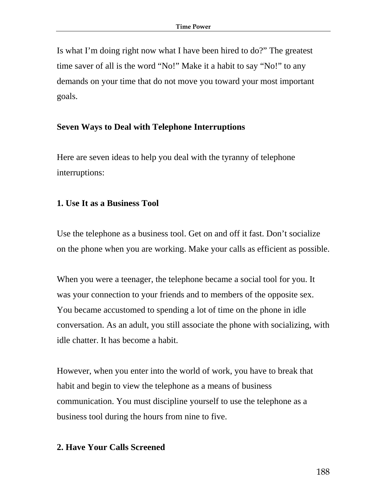Is what I'm doing right now what I have been hired to do?" The greatest time saver of all is the word "No!" Make it a habit to say "No!" to any demands on your time that do not move you toward your most important goals.

## **Seven Ways to Deal with Telephone Interruptions**

Here are seven ideas to help you deal with the tyranny of telephone interruptions:

### **1. Use It as a Business Tool**

Use the telephone as a business tool. Get on and off it fast. Don't socialize on the phone when you are working. Make your calls as efficient as possible.

When you were a teenager, the telephone became a social tool for you. It was your connection to your friends and to members of the opposite sex. You became accustomed to spending a lot of time on the phone in idle conversation. As an adult, you still associate the phone with socializing, with idle chatter. It has become a habit.

However, when you enter into the world of work, you have to break that habit and begin to view the telephone as a means of business communication. You must discipline yourself to use the telephone as a business tool during the hours from nine to five.

## **2. Have Your Calls Screened**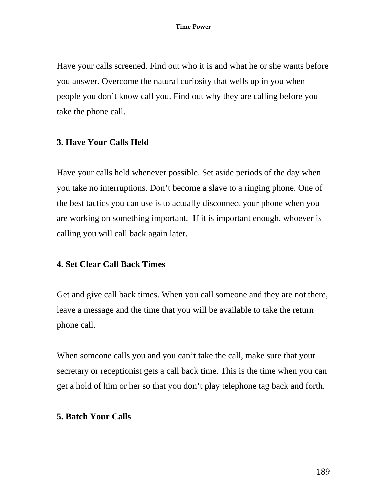Have your calls screened. Find out who it is and what he or she wants before you answer. Overcome the natural curiosity that wells up in you when people you don't know call you. Find out why they are calling before you take the phone call.

### **3. Have Your Calls Held**

Have your calls held whenever possible. Set aside periods of the day when you take no interruptions. Don't become a slave to a ringing phone. One of the best tactics you can use is to actually disconnect your phone when you are working on something important. If it is important enough, whoever is calling you will call back again later.

#### **4. Set Clear Call Back Times**

Get and give call back times. When you call someone and they are not there, leave a message and the time that you will be available to take the return phone call.

When someone calls you and you can't take the call, make sure that your secretary or receptionist gets a call back time. This is the time when you can get a hold of him or her so that you don't play telephone tag back and forth.

#### **5. Batch Your Calls**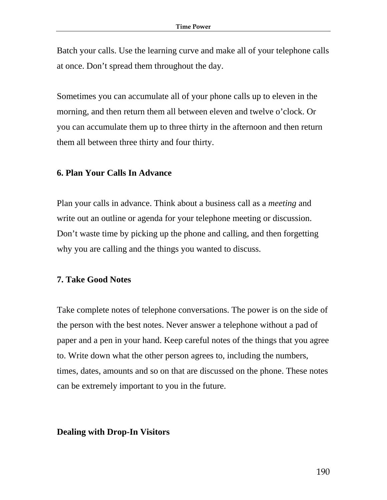Batch your calls. Use the learning curve and make all of your telephone calls at once. Don't spread them throughout the day.

Sometimes you can accumulate all of your phone calls up to eleven in the morning, and then return them all between eleven and twelve o'clock. Or you can accumulate them up to three thirty in the afternoon and then return them all between three thirty and four thirty.

### **6. Plan Your Calls In Advance**

Plan your calls in advance. Think about a business call as a *meeting* and write out an outline or agenda for your telephone meeting or discussion. Don't waste time by picking up the phone and calling, and then forgetting why you are calling and the things you wanted to discuss.

#### **7. Take Good Notes**

Take complete notes of telephone conversations. The power is on the side of the person with the best notes. Never answer a telephone without a pad of paper and a pen in your hand. Keep careful notes of the things that you agree to. Write down what the other person agrees to, including the numbers, times, dates, amounts and so on that are discussed on the phone. These notes can be extremely important to you in the future.

#### **Dealing with Drop-In Visitors**

190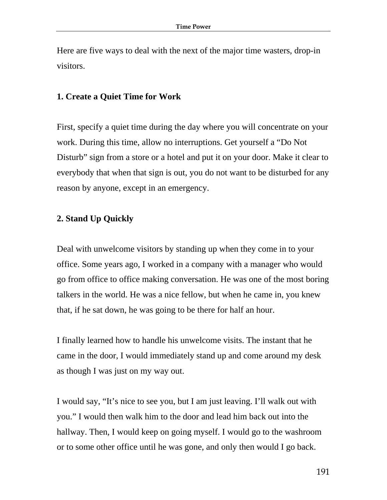Here are five ways to deal with the next of the major time wasters, drop-in visitors.

#### **1. Create a Quiet Time for Work**

First, specify a quiet time during the day where you will concentrate on your work. During this time, allow no interruptions. Get yourself a "Do Not Disturb" sign from a store or a hotel and put it on your door. Make it clear to everybody that when that sign is out, you do not want to be disturbed for any reason by anyone, except in an emergency.

#### **2. Stand Up Quickly**

Deal with unwelcome visitors by standing up when they come in to your office. Some years ago, I worked in a company with a manager who would go from office to office making conversation. He was one of the most boring talkers in the world. He was a nice fellow, but when he came in, you knew that, if he sat down, he was going to be there for half an hour.

I finally learned how to handle his unwelcome visits. The instant that he came in the door, I would immediately stand up and come around my desk as though I was just on my way out.

I would say, "It's nice to see you, but I am just leaving. I'll walk out with you." I would then walk him to the door and lead him back out into the hallway. Then, I would keep on going myself. I would go to the washroom or to some other office until he was gone, and only then would I go back.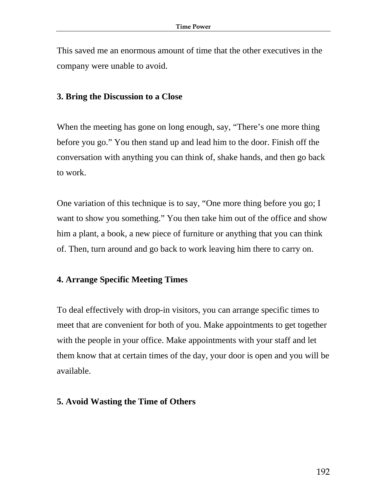This saved me an enormous amount of time that the other executives in the company were unable to avoid.

## **3. Bring the Discussion to a Close**

When the meeting has gone on long enough, say, "There's one more thing before you go." You then stand up and lead him to the door. Finish off the conversation with anything you can think of, shake hands, and then go back to work.

One variation of this technique is to say, "One more thing before you go; I want to show you something." You then take him out of the office and show him a plant, a book, a new piece of furniture or anything that you can think of. Then, turn around and go back to work leaving him there to carry on.

# **4. Arrange Specific Meeting Times**

To deal effectively with drop-in visitors, you can arrange specific times to meet that are convenient for both of you. Make appointments to get together with the people in your office. Make appointments with your staff and let them know that at certain times of the day, your door is open and you will be available.

### **5. Avoid Wasting the Time of Others**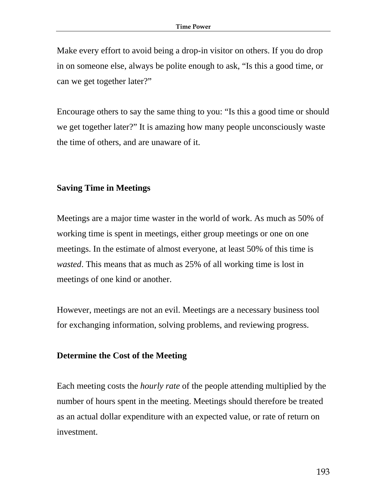Make every effort to avoid being a drop-in visitor on others. If you do drop in on someone else, always be polite enough to ask, "Is this a good time, or can we get together later?"

Encourage others to say the same thing to you: "Is this a good time or should we get together later?" It is amazing how many people unconsciously waste the time of others, and are unaware of it.

#### **Saving Time in Meetings**

Meetings are a major time waster in the world of work. As much as 50% of working time is spent in meetings, either group meetings or one on one meetings. In the estimate of almost everyone, at least 50% of this time is *wasted*. This means that as much as 25% of all working time is lost in meetings of one kind or another.

However, meetings are not an evil. Meetings are a necessary business tool for exchanging information, solving problems, and reviewing progress.

#### **Determine the Cost of the Meeting**

Each meeting costs the *hourly rate* of the people attending multiplied by the number of hours spent in the meeting. Meetings should therefore be treated as an actual dollar expenditure with an expected value, or rate of return on investment.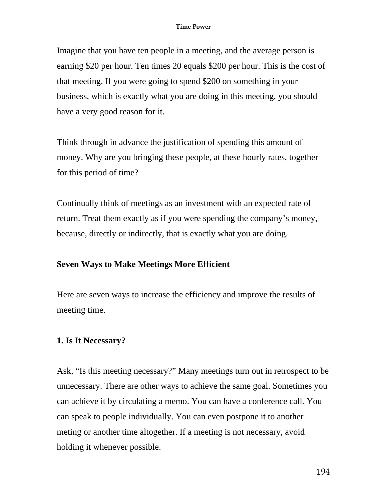Imagine that you have ten people in a meeting, and the average person is earning \$20 per hour. Ten times 20 equals \$200 per hour. This is the cost of that meeting. If you were going to spend \$200 on something in your business, which is exactly what you are doing in this meeting, you should have a very good reason for it.

Think through in advance the justification of spending this amount of money. Why are you bringing these people, at these hourly rates, together for this period of time?

Continually think of meetings as an investment with an expected rate of return. Treat them exactly as if you were spending the company's money, because, directly or indirectly, that is exactly what you are doing.

## **Seven Ways to Make Meetings More Efficient**

Here are seven ways to increase the efficiency and improve the results of meeting time.

### **1. Is It Necessary?**

Ask, "Is this meeting necessary?" Many meetings turn out in retrospect to be unnecessary. There are other ways to achieve the same goal. Sometimes you can achieve it by circulating a memo. You can have a conference call. You can speak to people individually. You can even postpone it to another meting or another time altogether. If a meeting is not necessary, avoid holding it whenever possible.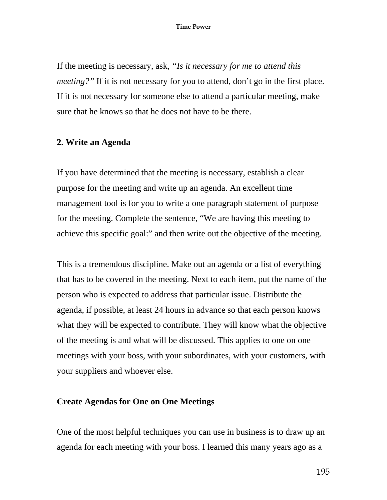If the meeting is necessary, ask, *"Is it necessary for me to attend this meeting?"* If it is not necessary for you to attend, don't go in the first place. If it is not necessary for someone else to attend a particular meeting, make sure that he knows so that he does not have to be there.

#### **2. Write an Agenda**

If you have determined that the meeting is necessary, establish a clear purpose for the meeting and write up an agenda. An excellent time management tool is for you to write a one paragraph statement of purpose for the meeting. Complete the sentence, "We are having this meeting to achieve this specific goal:" and then write out the objective of the meeting.

This is a tremendous discipline. Make out an agenda or a list of everything that has to be covered in the meeting. Next to each item, put the name of the person who is expected to address that particular issue. Distribute the agenda, if possible, at least 24 hours in advance so that each person knows what they will be expected to contribute. They will know what the objective of the meeting is and what will be discussed. This applies to one on one meetings with your boss, with your subordinates, with your customers, with your suppliers and whoever else.

## **Create Agendas for One on One Meetings**

One of the most helpful techniques you can use in business is to draw up an agenda for each meeting with your boss. I learned this many years ago as a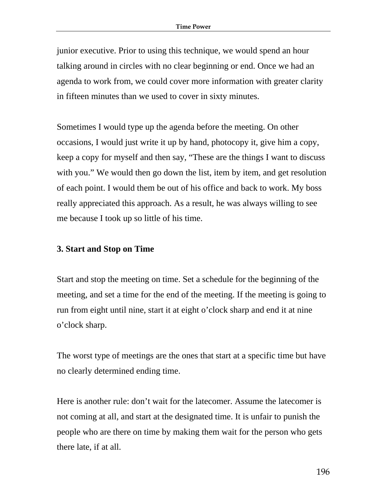junior executive. Prior to using this technique, we would spend an hour talking around in circles with no clear beginning or end. Once we had an agenda to work from, we could cover more information with greater clarity in fifteen minutes than we used to cover in sixty minutes.

Sometimes I would type up the agenda before the meeting. On other occasions, I would just write it up by hand, photocopy it, give him a copy, keep a copy for myself and then say, "These are the things I want to discuss with you." We would then go down the list, item by item, and get resolution of each point. I would them be out of his office and back to work. My boss really appreciated this approach. As a result, he was always willing to see me because I took up so little of his time.

## **3. Start and Stop on Time**

Start and stop the meeting on time. Set a schedule for the beginning of the meeting, and set a time for the end of the meeting. If the meeting is going to run from eight until nine, start it at eight o'clock sharp and end it at nine o'clock sharp.

The worst type of meetings are the ones that start at a specific time but have no clearly determined ending time.

Here is another rule: don't wait for the latecomer. Assume the latecomer is not coming at all, and start at the designated time. It is unfair to punish the people who are there on time by making them wait for the person who gets there late, if at all.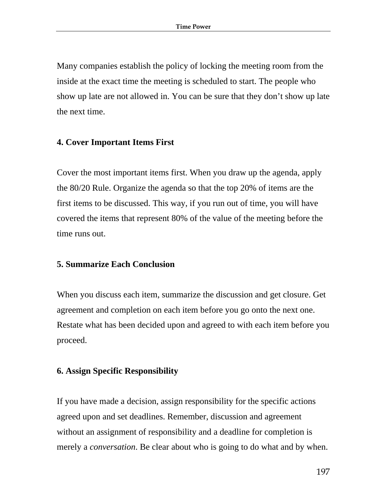Many companies establish the policy of locking the meeting room from the inside at the exact time the meeting is scheduled to start. The people who show up late are not allowed in. You can be sure that they don't show up late the next time.

### **4. Cover Important Items First**

Cover the most important items first. When you draw up the agenda, apply the 80/20 Rule. Organize the agenda so that the top 20% of items are the first items to be discussed. This way, if you run out of time, you will have covered the items that represent 80% of the value of the meeting before the time runs out.

### **5. Summarize Each Conclusion**

When you discuss each item, summarize the discussion and get closure. Get agreement and completion on each item before you go onto the next one. Restate what has been decided upon and agreed to with each item before you proceed.

## **6. Assign Specific Responsibility**

If you have made a decision, assign responsibility for the specific actions agreed upon and set deadlines. Remember, discussion and agreement without an assignment of responsibility and a deadline for completion is merely a *conversation*. Be clear about who is going to do what and by when.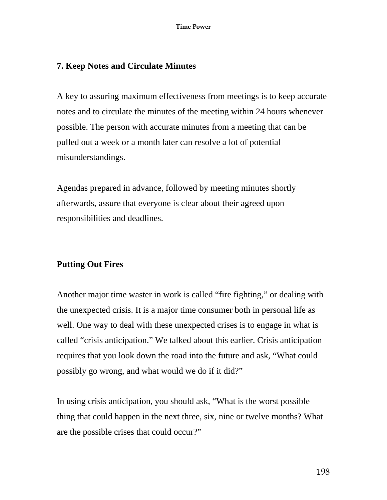### **7. Keep Notes and Circulate Minutes**

A key to assuring maximum effectiveness from meetings is to keep accurate notes and to circulate the minutes of the meeting within 24 hours whenever possible. The person with accurate minutes from a meeting that can be pulled out a week or a month later can resolve a lot of potential misunderstandings.

Agendas prepared in advance, followed by meeting minutes shortly afterwards, assure that everyone is clear about their agreed upon responsibilities and deadlines.

## **Putting Out Fires**

Another major time waster in work is called "fire fighting," or dealing with the unexpected crisis. It is a major time consumer both in personal life as well. One way to deal with these unexpected crises is to engage in what is called "crisis anticipation." We talked about this earlier. Crisis anticipation requires that you look down the road into the future and ask, "What could possibly go wrong, and what would we do if it did?"

In using crisis anticipation, you should ask, "What is the worst possible thing that could happen in the next three, six, nine or twelve months? What are the possible crises that could occur?"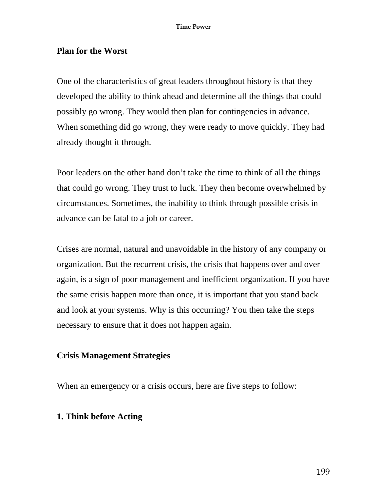#### **Plan for the Worst**

One of the characteristics of great leaders throughout history is that they developed the ability to think ahead and determine all the things that could possibly go wrong. They would then plan for contingencies in advance. When something did go wrong, they were ready to move quickly. They had already thought it through.

Poor leaders on the other hand don't take the time to think of all the things that could go wrong. They trust to luck. They then become overwhelmed by circumstances. Sometimes, the inability to think through possible crisis in advance can be fatal to a job or career.

Crises are normal, natural and unavoidable in the history of any company or organization. But the recurrent crisis, the crisis that happens over and over again, is a sign of poor management and inefficient organization. If you have the same crisis happen more than once, it is important that you stand back and look at your systems. Why is this occurring? You then take the steps necessary to ensure that it does not happen again.

#### **Crisis Management Strategies**

When an emergency or a crisis occurs, here are five steps to follow:

#### **1. Think before Acting**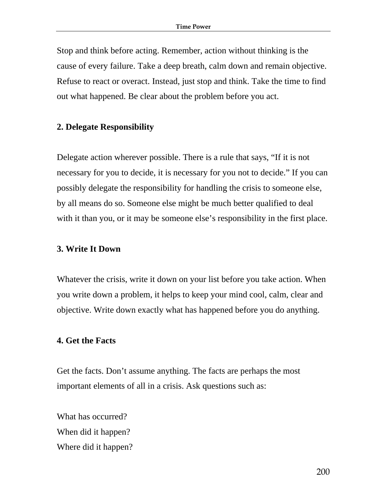Stop and think before acting. Remember, action without thinking is the cause of every failure. Take a deep breath, calm down and remain objective. Refuse to react or overact. Instead, just stop and think. Take the time to find out what happened. Be clear about the problem before you act.

#### **2. Delegate Responsibility**

Delegate action wherever possible. There is a rule that says, "If it is not necessary for you to decide, it is necessary for you not to decide." If you can possibly delegate the responsibility for handling the crisis to someone else, by all means do so. Someone else might be much better qualified to deal with it than you, or it may be some one else's responsibility in the first place.

#### **3. Write It Down**

Whatever the crisis, write it down on your list before you take action. When you write down a problem, it helps to keep your mind cool, calm, clear and objective. Write down exactly what has happened before you do anything.

#### **4. Get the Facts**

Get the facts. Don't assume anything. The facts are perhaps the most important elements of all in a crisis. Ask questions such as:

What has occurred? When did it happen? Where did it happen?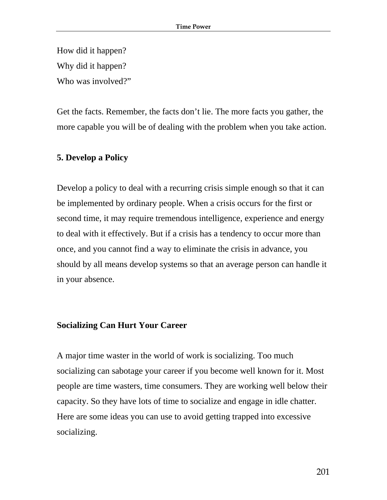How did it happen? Why did it happen? Who was involved?"

Get the facts. Remember, the facts don't lie. The more facts you gather, the more capable you will be of dealing with the problem when you take action.

### **5. Develop a Policy**

Develop a policy to deal with a recurring crisis simple enough so that it can be implemented by ordinary people. When a crisis occurs for the first or second time, it may require tremendous intelligence, experience and energy to deal with it effectively. But if a crisis has a tendency to occur more than once, and you cannot find a way to eliminate the crisis in advance, you should by all means develop systems so that an average person can handle it in your absence.

#### **Socializing Can Hurt Your Career**

A major time waster in the world of work is socializing. Too much socializing can sabotage your career if you become well known for it. Most people are time wasters, time consumers. They are working well below their capacity. So they have lots of time to socialize and engage in idle chatter. Here are some ideas you can use to avoid getting trapped into excessive socializing.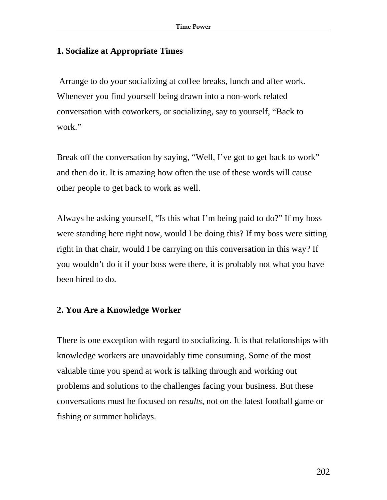#### **1. Socialize at Appropriate Times**

 Arrange to do your socializing at coffee breaks, lunch and after work. Whenever you find yourself being drawn into a non-work related conversation with coworkers, or socializing, say to yourself, "Back to work."

Break off the conversation by saying, "Well, I've got to get back to work" and then do it. It is amazing how often the use of these words will cause other people to get back to work as well.

Always be asking yourself, "Is this what I'm being paid to do?" If my boss were standing here right now, would I be doing this? If my boss were sitting right in that chair, would I be carrying on this conversation in this way? If you wouldn't do it if your boss were there, it is probably not what you have been hired to do.

#### **2. You Are a Knowledge Worker**

There is one exception with regard to socializing. It is that relationships with knowledge workers are unavoidably time consuming. Some of the most valuable time you spend at work is talking through and working out problems and solutions to the challenges facing your business. But these conversations must be focused on *results*, not on the latest football game or fishing or summer holidays.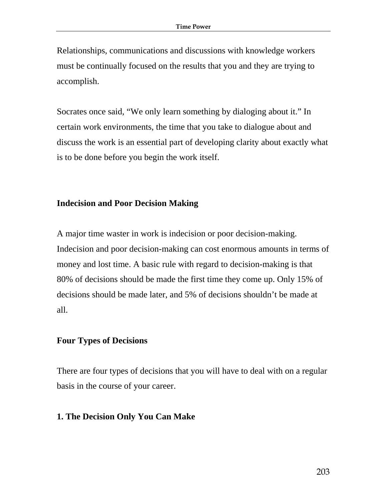Relationships, communications and discussions with knowledge workers must be continually focused on the results that you and they are trying to accomplish.

Socrates once said, "We only learn something by dialoging about it." In certain work environments, the time that you take to dialogue about and discuss the work is an essential part of developing clarity about exactly what is to be done before you begin the work itself.

#### **Indecision and Poor Decision Making**

A major time waster in work is indecision or poor decision-making. Indecision and poor decision-making can cost enormous amounts in terms of money and lost time. A basic rule with regard to decision-making is that 80% of decisions should be made the first time they come up. Only 15% of decisions should be made later, and 5% of decisions shouldn't be made at all.

#### **Four Types of Decisions**

There are four types of decisions that you will have to deal with on a regular basis in the course of your career.

#### **1. The Decision Only You Can Make**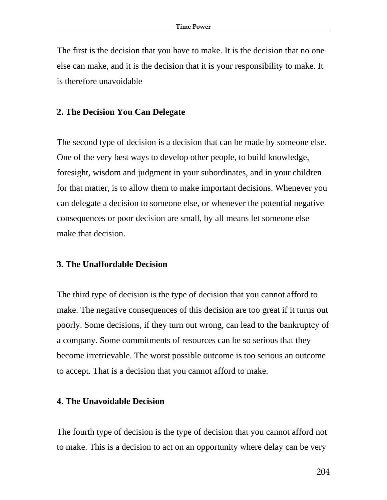The first is the decision that you have to make. It is the decision that no one else can make, and it is the decision that it is your responsibility to make. It is therefore unavoidable

#### **2. The Decision You Can Delegate**

The second type of decision is a decision that can be made by someone else. One of the very best ways to develop other people, to build knowledge, foresight, wisdom and judgment in your subordinates, and in your children for that matter, is to allow them to make important decisions. Whenever you can delegate a decision to someone else, or whenever the potential negative consequences or poor decision are small, by all means let someone else make that decision.

#### **3. The Unaffordable Decision**

The third type of decision is the type of decision that you cannot afford to make. The negative consequences of this decision are too great if it turns out poorly. Some decisions, if they turn out wrong, can lead to the bankruptcy of a company. Some commitments of resources can be so serious that they become irretrievable. The worst possible outcome is too serious an outcome to accept. That is a decision that you cannot afford to make.

#### **4. The Unavoidable Decision**

The fourth type of decision is the type of decision that you cannot afford not to make. This is a decision to act on an opportunity where delay can be very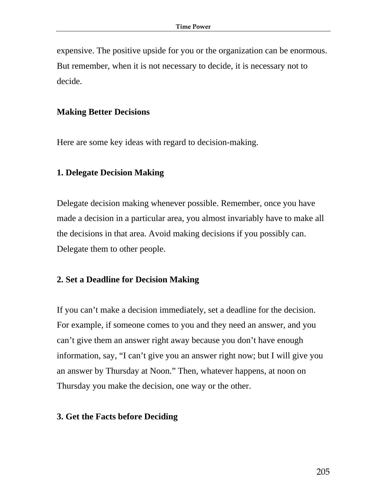expensive. The positive upside for you or the organization can be enormous. But remember, when it is not necessary to decide, it is necessary not to decide.

### **Making Better Decisions**

Here are some key ideas with regard to decision-making.

## **1. Delegate Decision Making**

Delegate decision making whenever possible. Remember, once you have made a decision in a particular area, you almost invariably have to make all the decisions in that area. Avoid making decisions if you possibly can. Delegate them to other people.

## **2. Set a Deadline for Decision Making**

If you can't make a decision immediately, set a deadline for the decision. For example, if someone comes to you and they need an answer, and you can't give them an answer right away because you don't have enough information, say, "I can't give you an answer right now; but I will give you an answer by Thursday at Noon." Then, whatever happens, at noon on Thursday you make the decision, one way or the other.

### **3. Get the Facts before Deciding**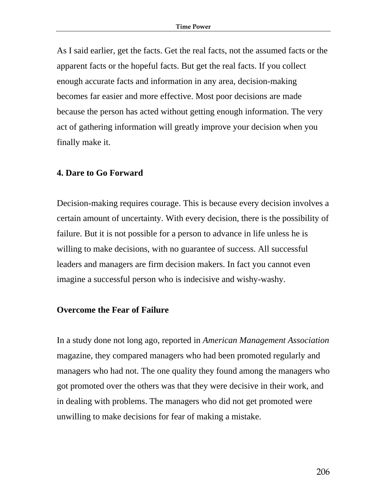As I said earlier, get the facts. Get the real facts, not the assumed facts or the apparent facts or the hopeful facts. But get the real facts. If you collect enough accurate facts and information in any area, decision-making becomes far easier and more effective. Most poor decisions are made because the person has acted without getting enough information. The very act of gathering information will greatly improve your decision when you finally make it.

#### **4. Dare to Go Forward**

Decision-making requires courage. This is because every decision involves a certain amount of uncertainty. With every decision, there is the possibility of failure. But it is not possible for a person to advance in life unless he is willing to make decisions, with no guarantee of success. All successful leaders and managers are firm decision makers. In fact you cannot even imagine a successful person who is indecisive and wishy-washy.

## **Overcome the Fear of Failure**

In a study done not long ago, reported in *American Management Association* magazine, they compared managers who had been promoted regularly and managers who had not. The one quality they found among the managers who got promoted over the others was that they were decisive in their work, and in dealing with problems. The managers who did not get promoted were unwilling to make decisions for fear of making a mistake.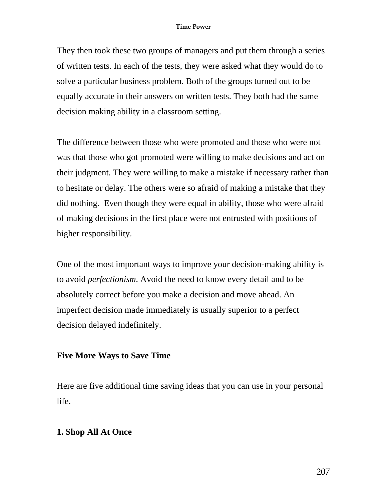They then took these two groups of managers and put them through a series of written tests. In each of the tests, they were asked what they would do to solve a particular business problem. Both of the groups turned out to be equally accurate in their answers on written tests. They both had the same decision making ability in a classroom setting.

The difference between those who were promoted and those who were not was that those who got promoted were willing to make decisions and act on their judgment. They were willing to make a mistake if necessary rather than to hesitate or delay. The others were so afraid of making a mistake that they did nothing. Even though they were equal in ability, those who were afraid of making decisions in the first place were not entrusted with positions of higher responsibility.

One of the most important ways to improve your decision-making ability is to avoid *perfectionism*. Avoid the need to know every detail and to be absolutely correct before you make a decision and move ahead. An imperfect decision made immediately is usually superior to a perfect decision delayed indefinitely.

# **Five More Ways to Save Time**

Here are five additional time saving ideas that you can use in your personal life.

## **1. Shop All At Once**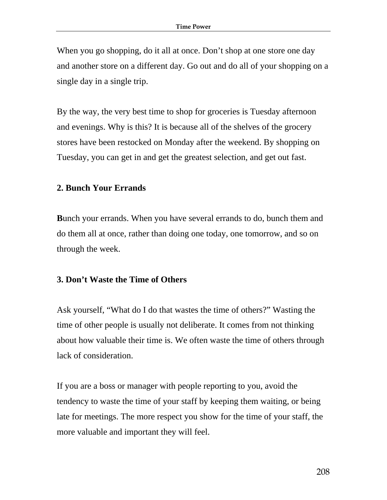When you go shopping, do it all at once. Don't shop at one store one day and another store on a different day. Go out and do all of your shopping on a single day in a single trip.

By the way, the very best time to shop for groceries is Tuesday afternoon and evenings. Why is this? It is because all of the shelves of the grocery stores have been restocked on Monday after the weekend. By shopping on Tuesday, you can get in and get the greatest selection, and get out fast.

#### **2. Bunch Your Errands**

**B**unch your errands. When you have several errands to do, bunch them and do them all at once, rather than doing one today, one tomorrow, and so on through the week.

#### **3. Don't Waste the Time of Others**

Ask yourself, "What do I do that wastes the time of others?" Wasting the time of other people is usually not deliberate. It comes from not thinking about how valuable their time is. We often waste the time of others through lack of consideration.

If you are a boss or manager with people reporting to you, avoid the tendency to waste the time of your staff by keeping them waiting, or being late for meetings. The more respect you show for the time of your staff, the more valuable and important they will feel.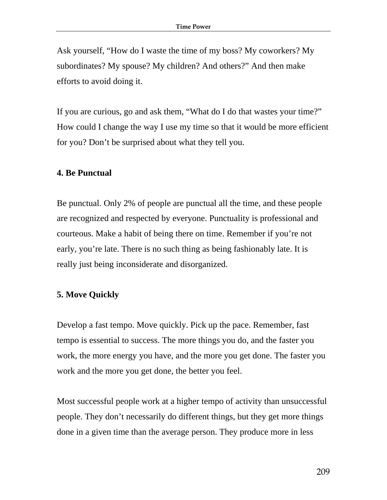Ask yourself, "How do I waste the time of my boss? My coworkers? My subordinates? My spouse? My children? And others?" And then make efforts to avoid doing it.

If you are curious, go and ask them, "What do I do that wastes your time?" How could I change the way I use my time so that it would be more efficient for you? Don't be surprised about what they tell you.

## **4. Be Punctual**

Be punctual. Only 2% of people are punctual all the time, and these people are recognized and respected by everyone. Punctuality is professional and courteous. Make a habit of being there on time. Remember if you're not early, you're late. There is no such thing as being fashionably late. It is really just being inconsiderate and disorganized.

## **5. Move Quickly**

Develop a fast tempo. Move quickly. Pick up the pace. Remember, fast tempo is essential to success. The more things you do, and the faster you work, the more energy you have, and the more you get done. The faster you work and the more you get done, the better you feel.

Most successful people work at a higher tempo of activity than unsuccessful people. They don't necessarily do different things, but they get more things done in a given time than the average person. They produce more in less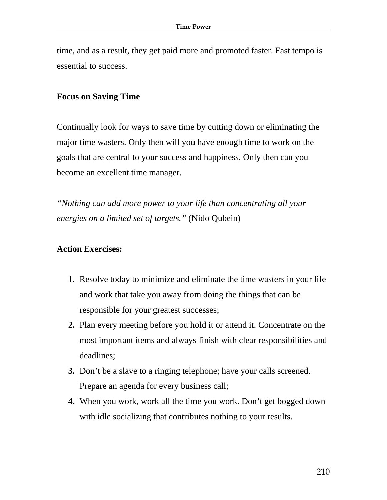time, and as a result, they get paid more and promoted faster. Fast tempo is essential to success.

## **Focus on Saving Time**

Continually look for ways to save time by cutting down or eliminating the major time wasters. Only then will you have enough time to work on the goals that are central to your success and happiness. Only then can you become an excellent time manager.

*"Nothing can add more power to your life than concentrating all your energies on a limited set of targets."* (Nido Qubein)

## **Action Exercises:**

- 1. Resolve today to minimize and eliminate the time wasters in your life and work that take you away from doing the things that can be responsible for your greatest successes;
- **2.** Plan every meeting before you hold it or attend it. Concentrate on the most important items and always finish with clear responsibilities and deadlines;
- **3.** Don't be a slave to a ringing telephone; have your calls screened. Prepare an agenda for every business call;
- **4.** When you work, work all the time you work. Don't get bogged down with idle socializing that contributes nothing to your results.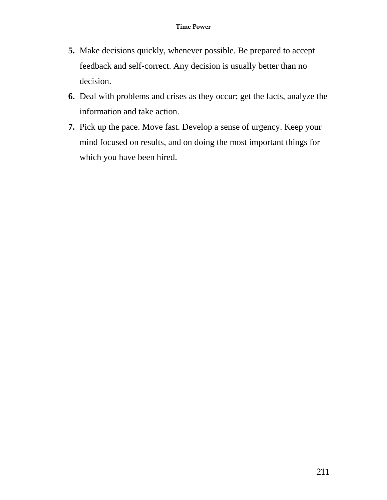- **5.** Make decisions quickly, whenever possible. Be prepared to accept feedback and self-correct. Any decision is usually better than no decision.
- **6.** Deal with problems and crises as they occur; get the facts, analyze the information and take action.
- **7.** Pick up the pace. Move fast. Develop a sense of urgency. Keep your mind focused on results, and on doing the most important things for which you have been hired.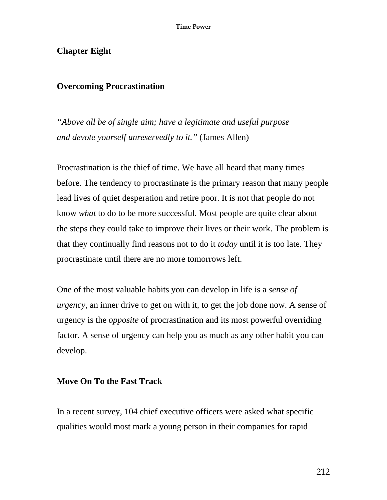### **Chapter Eight**

### **Overcoming Procrastination**

*"Above all be of single aim; have a legitimate and useful purpose and devote yourself unreservedly to it."* (James Allen)

Procrastination is the thief of time. We have all heard that many times before. The tendency to procrastinate is the primary reason that many people lead lives of quiet desperation and retire poor. It is not that people do not know *what* to do to be more successful. Most people are quite clear about the steps they could take to improve their lives or their work. The problem is that they continually find reasons not to do it *today* until it is too late. They procrastinate until there are no more tomorrows left.

One of the most valuable habits you can develop in life is a *sense of urgency*, an inner drive to get on with it, to get the job done now. A sense of urgency is the *opposite* of procrastination and its most powerful overriding factor. A sense of urgency can help you as much as any other habit you can develop.

## **Move On To the Fast Track**

In a recent survey, 104 chief executive officers were asked what specific qualities would most mark a young person in their companies for rapid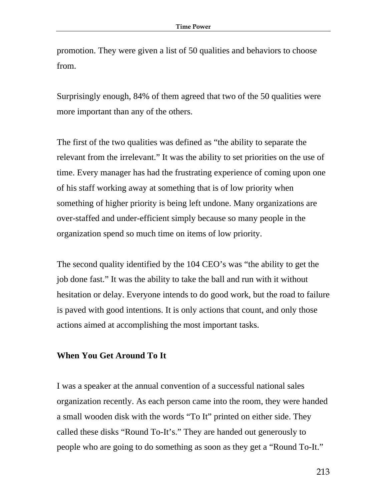promotion. They were given a list of 50 qualities and behaviors to choose from.

Surprisingly enough, 84% of them agreed that two of the 50 qualities were more important than any of the others.

The first of the two qualities was defined as "the ability to separate the relevant from the irrelevant." It was the ability to set priorities on the use of time. Every manager has had the frustrating experience of coming upon one of his staff working away at something that is of low priority when something of higher priority is being left undone. Many organizations are over-staffed and under-efficient simply because so many people in the organization spend so much time on items of low priority.

The second quality identified by the 104 CEO's was "the ability to get the job done fast." It was the ability to take the ball and run with it without hesitation or delay. Everyone intends to do good work, but the road to failure is paved with good intentions. It is only actions that count, and only those actions aimed at accomplishing the most important tasks.

### **When You Get Around To It**

I was a speaker at the annual convention of a successful national sales organization recently. As each person came into the room, they were handed a small wooden disk with the words "To It" printed on either side. They called these disks "Round To-It's." They are handed out generously to people who are going to do something as soon as they get a "Round To-It."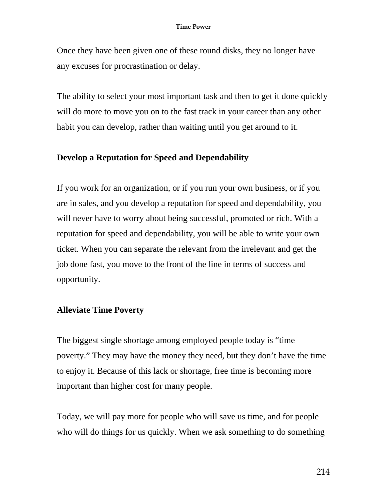Once they have been given one of these round disks, they no longer have any excuses for procrastination or delay.

The ability to select your most important task and then to get it done quickly will do more to move you on to the fast track in your career than any other habit you can develop, rather than waiting until you get around to it.

### **Develop a Reputation for Speed and Dependability**

If you work for an organization, or if you run your own business, or if you are in sales, and you develop a reputation for speed and dependability, you will never have to worry about being successful, promoted or rich. With a reputation for speed and dependability, you will be able to write your own ticket. When you can separate the relevant from the irrelevant and get the job done fast, you move to the front of the line in terms of success and opportunity.

### **Alleviate Time Poverty**

The biggest single shortage among employed people today is "time poverty." They may have the money they need, but they don't have the time to enjoy it. Because of this lack or shortage, free time is becoming more important than higher cost for many people.

Today, we will pay more for people who will save us time, and for people who will do things for us quickly. When we ask something to do something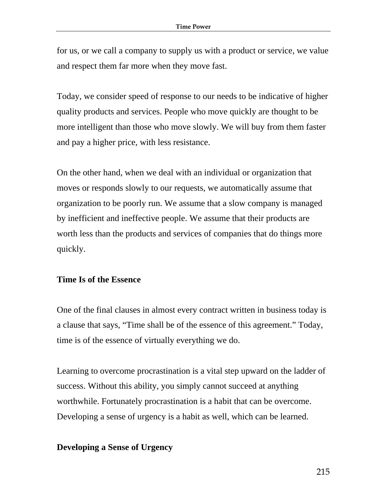for us, or we call a company to supply us with a product or service, we value and respect them far more when they move fast.

Today, we consider speed of response to our needs to be indicative of higher quality products and services. People who move quickly are thought to be more intelligent than those who move slowly. We will buy from them faster and pay a higher price, with less resistance.

On the other hand, when we deal with an individual or organization that moves or responds slowly to our requests, we automatically assume that organization to be poorly run. We assume that a slow company is managed by inefficient and ineffective people. We assume that their products are worth less than the products and services of companies that do things more quickly.

### **Time Is of the Essence**

One of the final clauses in almost every contract written in business today is a clause that says, "Time shall be of the essence of this agreement." Today, time is of the essence of virtually everything we do.

Learning to overcome procrastination is a vital step upward on the ladder of success. Without this ability, you simply cannot succeed at anything worthwhile. Fortunately procrastination is a habit that can be overcome. Developing a sense of urgency is a habit as well, which can be learned.

#### **Developing a Sense of Urgency**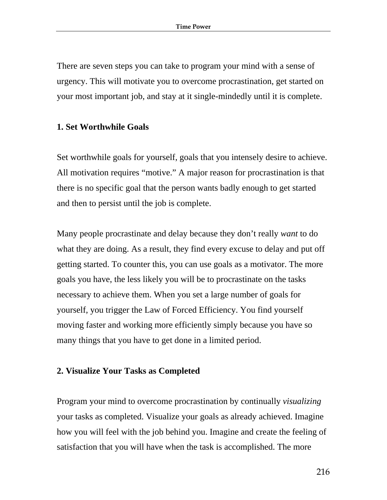There are seven steps you can take to program your mind with a sense of urgency. This will motivate you to overcome procrastination, get started on your most important job, and stay at it single-mindedly until it is complete.

#### **1. Set Worthwhile Goals**

Set worthwhile goals for yourself, goals that you intensely desire to achieve. All motivation requires "motive." A major reason for procrastination is that there is no specific goal that the person wants badly enough to get started and then to persist until the job is complete.

Many people procrastinate and delay because they don't really *want* to do what they are doing. As a result, they find every excuse to delay and put off getting started. To counter this, you can use goals as a motivator. The more goals you have, the less likely you will be to procrastinate on the tasks necessary to achieve them. When you set a large number of goals for yourself, you trigger the Law of Forced Efficiency. You find yourself moving faster and working more efficiently simply because you have so many things that you have to get done in a limited period.

#### **2. Visualize Your Tasks as Completed**

Program your mind to overcome procrastination by continually *visualizing* your tasks as completed. Visualize your goals as already achieved. Imagine how you will feel with the job behind you. Imagine and create the feeling of satisfaction that you will have when the task is accomplished. The more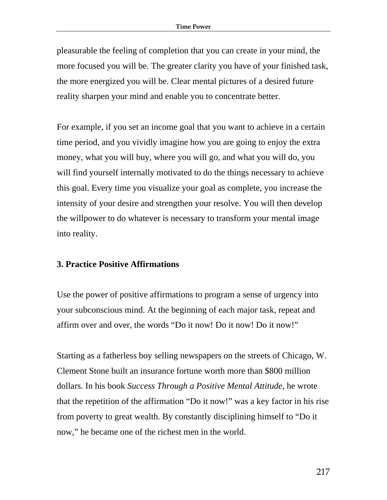pleasurable the feeling of completion that you can create in your mind, the more focused you will be. The greater clarity you have of your finished task, the more energized you will be. Clear mental pictures of a desired future reality sharpen your mind and enable you to concentrate better.

For example, if you set an income goal that you want to achieve in a certain time period, and you vividly imagine how you are going to enjoy the extra money, what you will buy, where you will go, and what you will do, you will find yourself internally motivated to do the things necessary to achieve this goal. Every time you visualize your goal as complete, you increase the intensity of your desire and strengthen your resolve. You will then develop the willpower to do whatever is necessary to transform your mental image into reality.

## **3. Practice Positive Affirmations**

Use the power of positive affirmations to program a sense of urgency into your subconscious mind. At the beginning of each major task, repeat and affirm over and over, the words "Do it now! Do it now! Do it now!"

Starting as a fatherless boy selling newspapers on the streets of Chicago, W. Clement Stone built an insurance fortune worth more than \$800 million dollars. In his book *Success Through a Positive Mental Attitude*, he wrote that the repetition of the affirmation "Do it now!" was a key factor in his rise from poverty to great wealth. By constantly disciplining himself to "Do it now," he became one of the richest men in the world.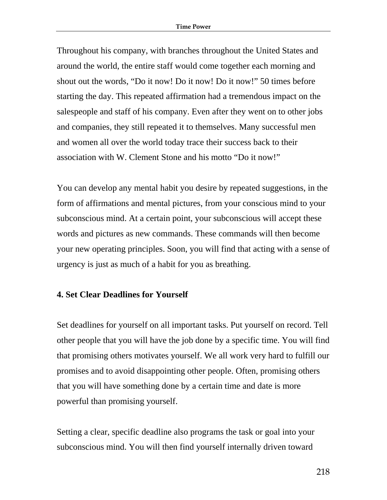Throughout his company, with branches throughout the United States and around the world, the entire staff would come together each morning and shout out the words, "Do it now! Do it now! Do it now!" 50 times before starting the day. This repeated affirmation had a tremendous impact on the salespeople and staff of his company. Even after they went on to other jobs and companies, they still repeated it to themselves. Many successful men and women all over the world today trace their success back to their association with W. Clement Stone and his motto "Do it now!"

You can develop any mental habit you desire by repeated suggestions, in the form of affirmations and mental pictures, from your conscious mind to your subconscious mind. At a certain point, your subconscious will accept these words and pictures as new commands. These commands will then become your new operating principles. Soon, you will find that acting with a sense of urgency is just as much of a habit for you as breathing.

## **4. Set Clear Deadlines for Yourself**

Set deadlines for yourself on all important tasks. Put yourself on record. Tell other people that you will have the job done by a specific time. You will find that promising others motivates yourself. We all work very hard to fulfill our promises and to avoid disappointing other people. Often, promising others that you will have something done by a certain time and date is more powerful than promising yourself.

Setting a clear, specific deadline also programs the task or goal into your subconscious mind. You will then find yourself internally driven toward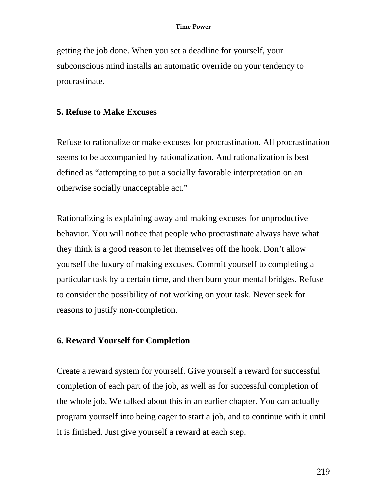getting the job done. When you set a deadline for yourself, your subconscious mind installs an automatic override on your tendency to procrastinate.

# **5. Refuse to Make Excuses**

Refuse to rationalize or make excuses for procrastination. All procrastination seems to be accompanied by rationalization. And rationalization is best defined as "attempting to put a socially favorable interpretation on an otherwise socially unacceptable act."

Rationalizing is explaining away and making excuses for unproductive behavior. You will notice that people who procrastinate always have what they think is a good reason to let themselves off the hook. Don't allow yourself the luxury of making excuses. Commit yourself to completing a particular task by a certain time, and then burn your mental bridges. Refuse to consider the possibility of not working on your task. Never seek for reasons to justify non-completion.

# **6. Reward Yourself for Completion**

Create a reward system for yourself. Give yourself a reward for successful completion of each part of the job, as well as for successful completion of the whole job. We talked about this in an earlier chapter. You can actually program yourself into being eager to start a job, and to continue with it until it is finished. Just give yourself a reward at each step.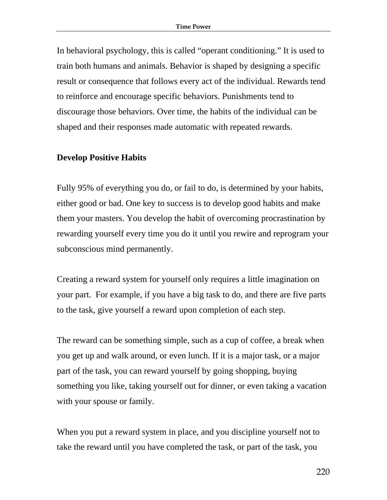In behavioral psychology, this is called "operant conditioning." It is used to train both humans and animals. Behavior is shaped by designing a specific result or consequence that follows every act of the individual. Rewards tend to reinforce and encourage specific behaviors. Punishments tend to discourage those behaviors. Over time, the habits of the individual can be shaped and their responses made automatic with repeated rewards.

## **Develop Positive Habits**

Fully 95% of everything you do, or fail to do, is determined by your habits, either good or bad. One key to success is to develop good habits and make them your masters. You develop the habit of overcoming procrastination by rewarding yourself every time you do it until you rewire and reprogram your subconscious mind permanently.

Creating a reward system for yourself only requires a little imagination on your part. For example, if you have a big task to do, and there are five parts to the task, give yourself a reward upon completion of each step.

The reward can be something simple, such as a cup of coffee, a break when you get up and walk around, or even lunch. If it is a major task, or a major part of the task, you can reward yourself by going shopping, buying something you like, taking yourself out for dinner, or even taking a vacation with your spouse or family.

When you put a reward system in place, and you discipline yourself not to take the reward until you have completed the task, or part of the task, you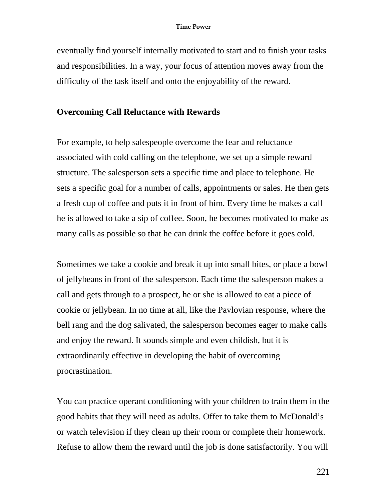eventually find yourself internally motivated to start and to finish your tasks and responsibilities. In a way, your focus of attention moves away from the difficulty of the task itself and onto the enjoyability of the reward.

#### **Overcoming Call Reluctance with Rewards**

For example, to help salespeople overcome the fear and reluctance associated with cold calling on the telephone, we set up a simple reward structure. The salesperson sets a specific time and place to telephone. He sets a specific goal for a number of calls, appointments or sales. He then gets a fresh cup of coffee and puts it in front of him. Every time he makes a call he is allowed to take a sip of coffee. Soon, he becomes motivated to make as many calls as possible so that he can drink the coffee before it goes cold.

Sometimes we take a cookie and break it up into small bites, or place a bowl of jellybeans in front of the salesperson. Each time the salesperson makes a call and gets through to a prospect, he or she is allowed to eat a piece of cookie or jellybean. In no time at all, like the Pavlovian response, where the bell rang and the dog salivated, the salesperson becomes eager to make calls and enjoy the reward. It sounds simple and even childish, but it is extraordinarily effective in developing the habit of overcoming procrastination.

You can practice operant conditioning with your children to train them in the good habits that they will need as adults. Offer to take them to McDonald's or watch television if they clean up their room or complete their homework. Refuse to allow them the reward until the job is done satisfactorily. You will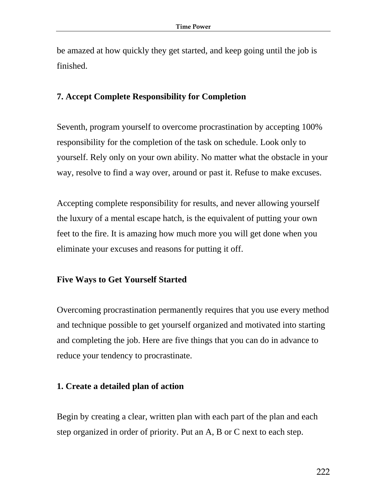be amazed at how quickly they get started, and keep going until the job is finished.

# **7. Accept Complete Responsibility for Completion**

Seventh, program yourself to overcome procrastination by accepting 100% responsibility for the completion of the task on schedule. Look only to yourself. Rely only on your own ability. No matter what the obstacle in your way, resolve to find a way over, around or past it. Refuse to make excuses.

Accepting complete responsibility for results, and never allowing yourself the luxury of a mental escape hatch, is the equivalent of putting your own feet to the fire. It is amazing how much more you will get done when you eliminate your excuses and reasons for putting it off.

# **Five Ways to Get Yourself Started**

Overcoming procrastination permanently requires that you use every method and technique possible to get yourself organized and motivated into starting and completing the job. Here are five things that you can do in advance to reduce your tendency to procrastinate.

## **1. Create a detailed plan of action**

Begin by creating a clear, written plan with each part of the plan and each step organized in order of priority. Put an A, B or C next to each step.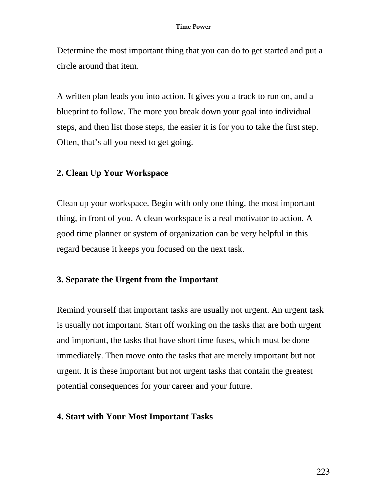Determine the most important thing that you can do to get started and put a circle around that item.

A written plan leads you into action. It gives you a track to run on, and a blueprint to follow. The more you break down your goal into individual steps, and then list those steps, the easier it is for you to take the first step. Often, that's all you need to get going.

## **2. Clean Up Your Workspace**

Clean up your workspace. Begin with only one thing, the most important thing, in front of you. A clean workspace is a real motivator to action. A good time planner or system of organization can be very helpful in this regard because it keeps you focused on the next task.

#### **3. Separate the Urgent from the Important**

Remind yourself that important tasks are usually not urgent. An urgent task is usually not important. Start off working on the tasks that are both urgent and important, the tasks that have short time fuses, which must be done immediately. Then move onto the tasks that are merely important but not urgent. It is these important but not urgent tasks that contain the greatest potential consequences for your career and your future.

#### **4. Start with Your Most Important Tasks**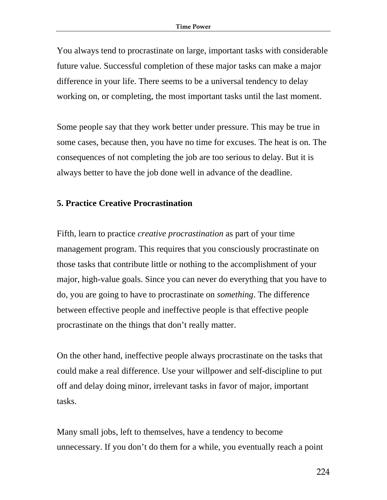You always tend to procrastinate on large, important tasks with considerable future value. Successful completion of these major tasks can make a major difference in your life. There seems to be a universal tendency to delay working on, or completing, the most important tasks until the last moment.

Some people say that they work better under pressure. This may be true in some cases, because then, you have no time for excuses. The heat is on. The consequences of not completing the job are too serious to delay. But it is always better to have the job done well in advance of the deadline.

# **5. Practice Creative Procrastination**

Fifth, learn to practice *creative procrastination* as part of your time management program. This requires that you consciously procrastinate on those tasks that contribute little or nothing to the accomplishment of your major, high-value goals. Since you can never do everything that you have to do, you are going to have to procrastinate on *something*. The difference between effective people and ineffective people is that effective people procrastinate on the things that don't really matter.

On the other hand, ineffective people always procrastinate on the tasks that could make a real difference. Use your willpower and self-discipline to put off and delay doing minor, irrelevant tasks in favor of major, important tasks.

Many small jobs, left to themselves, have a tendency to become unnecessary. If you don't do them for a while, you eventually reach a point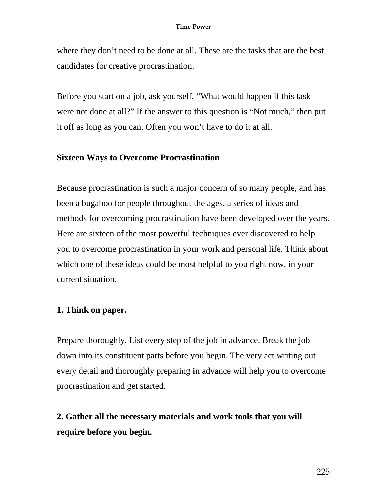where they don't need to be done at all. These are the tasks that are the best candidates for creative procrastination.

Before you start on a job, ask yourself, "What would happen if this task were not done at all?" If the answer to this question is "Not much," then put it off as long as you can. Often you won't have to do it at all.

## **Sixteen Ways to Overcome Procrastination**

Because procrastination is such a major concern of so many people, and has been a bugaboo for people throughout the ages, a series of ideas and methods for overcoming procrastination have been developed over the years. Here are sixteen of the most powerful techniques ever discovered to help you to overcome procrastination in your work and personal life. Think about which one of these ideas could be most helpful to you right now, in your current situation.

## **1. Think on paper.**

Prepare thoroughly. List every step of the job in advance. Break the job down into its constituent parts before you begin. The very act writing out every detail and thoroughly preparing in advance will help you to overcome procrastination and get started.

# **2. Gather all the necessary materials and work tools that you will require before you begin.**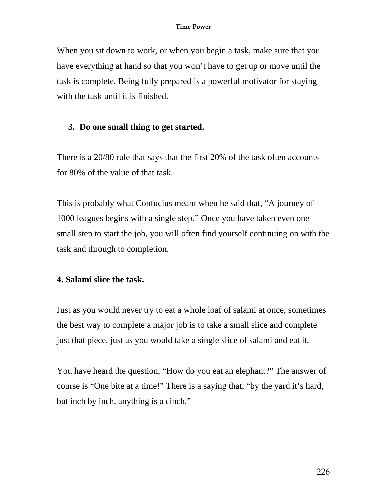When you sit down to work, or when you begin a task, make sure that you have everything at hand so that you won't have to get up or move until the task is complete. Being fully prepared is a powerful motivator for staying with the task until it is finished.

# **3. Do one small thing to get started.**

There is a 20/80 rule that says that the first 20% of the task often accounts for 80% of the value of that task.

This is probably what Confucius meant when he said that, "A journey of 1000 leagues begins with a single step." Once you have taken even one small step to start the job, you will often find yourself continuing on with the task and through to completion.

## **4. Salami slice the task.**

Just as you would never try to eat a whole loaf of salami at once, sometimes the best way to complete a major job is to take a small slice and complete just that piece, just as you would take a single slice of salami and eat it.

You have heard the question, "How do you eat an elephant?" The answer of course is "One bite at a time!" There is a saying that, "by the yard it's hard, but inch by inch, anything is a cinch."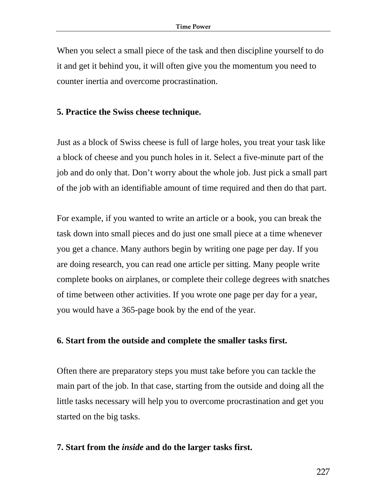When you select a small piece of the task and then discipline yourself to do it and get it behind you, it will often give you the momentum you need to counter inertia and overcome procrastination.

## **5. Practice the Swiss cheese technique.**

Just as a block of Swiss cheese is full of large holes, you treat your task like a block of cheese and you punch holes in it. Select a five-minute part of the job and do only that. Don't worry about the whole job. Just pick a small part of the job with an identifiable amount of time required and then do that part.

For example, if you wanted to write an article or a book, you can break the task down into small pieces and do just one small piece at a time whenever you get a chance. Many authors begin by writing one page per day. If you are doing research, you can read one article per sitting. Many people write complete books on airplanes, or complete their college degrees with snatches of time between other activities. If you wrote one page per day for a year, you would have a 365-page book by the end of the year.

## **6. Start from the outside and complete the smaller tasks first.**

Often there are preparatory steps you must take before you can tackle the main part of the job. In that case, starting from the outside and doing all the little tasks necessary will help you to overcome procrastination and get you started on the big tasks.

## **7. Start from the** *inside* **and do the larger tasks first.**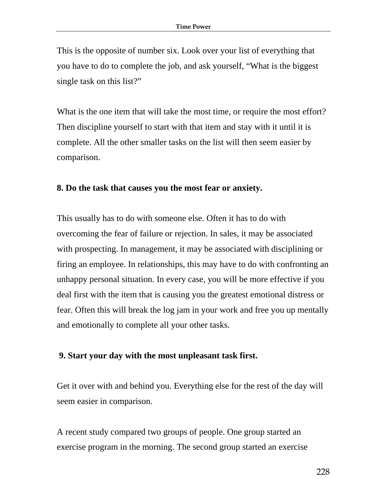This is the opposite of number six. Look over your list of everything that you have to do to complete the job, and ask yourself, "What is the biggest single task on this list?"

What is the one item that will take the most time, or require the most effort? Then discipline yourself to start with that item and stay with it until it is complete. All the other smaller tasks on the list will then seem easier by comparison.

#### **8. Do the task that causes you the most fear or anxiety.**

This usually has to do with someone else. Often it has to do with overcoming the fear of failure or rejection. In sales, it may be associated with prospecting. In management, it may be associated with disciplining or firing an employee. In relationships, this may have to do with confronting an unhappy personal situation. In every case, you will be more effective if you deal first with the item that is causing you the greatest emotional distress or fear. Often this will break the log jam in your work and free you up mentally and emotionally to complete all your other tasks.

#### **9. Start your day with the most unpleasant task first.**

Get it over with and behind you. Everything else for the rest of the day will seem easier in comparison.

A recent study compared two groups of people. One group started an exercise program in the morning. The second group started an exercise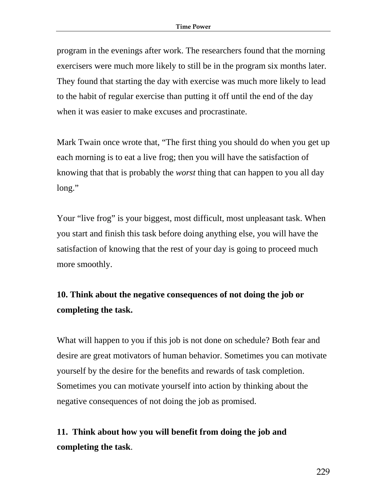program in the evenings after work. The researchers found that the morning exercisers were much more likely to still be in the program six months later. They found that starting the day with exercise was much more likely to lead to the habit of regular exercise than putting it off until the end of the day when it was easier to make excuses and procrastinate.

Mark Twain once wrote that, "The first thing you should do when you get up each morning is to eat a live frog; then you will have the satisfaction of knowing that that is probably the *worst* thing that can happen to you all day long."

Your "live frog" is your biggest, most difficult, most unpleasant task. When you start and finish this task before doing anything else, you will have the satisfaction of knowing that the rest of your day is going to proceed much more smoothly.

# **10. Think about the negative consequences of not doing the job or completing the task.**

What will happen to you if this job is not done on schedule? Both fear and desire are great motivators of human behavior. Sometimes you can motivate yourself by the desire for the benefits and rewards of task completion. Sometimes you can motivate yourself into action by thinking about the negative consequences of not doing the job as promised.

# **11. Think about how you will benefit from doing the job and completing the task**.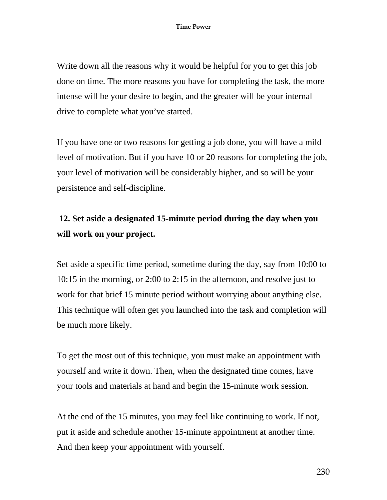Write down all the reasons why it would be helpful for you to get this job done on time. The more reasons you have for completing the task, the more intense will be your desire to begin, and the greater will be your internal drive to complete what you've started.

If you have one or two reasons for getting a job done, you will have a mild level of motivation. But if you have 10 or 20 reasons for completing the job, your level of motivation will be considerably higher, and so will be your persistence and self-discipline.

# **12. Set aside a designated 15-minute period during the day when you will work on your project.**

Set aside a specific time period, sometime during the day, say from 10:00 to 10:15 in the morning, or 2:00 to 2:15 in the afternoon, and resolve just to work for that brief 15 minute period without worrying about anything else. This technique will often get you launched into the task and completion will be much more likely.

To get the most out of this technique, you must make an appointment with yourself and write it down. Then, when the designated time comes, have your tools and materials at hand and begin the 15-minute work session.

At the end of the 15 minutes, you may feel like continuing to work. If not, put it aside and schedule another 15-minute appointment at another time. And then keep your appointment with yourself.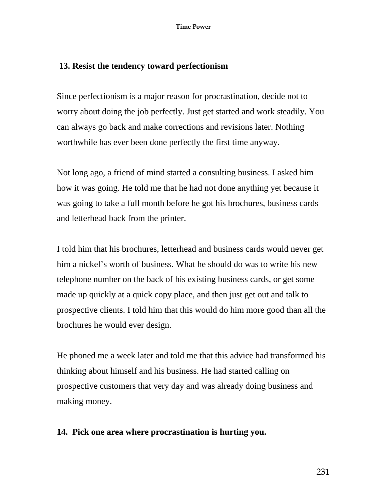## **13. Resist the tendency toward perfectionism**

Since perfectionism is a major reason for procrastination, decide not to worry about doing the job perfectly. Just get started and work steadily. You can always go back and make corrections and revisions later. Nothing worthwhile has ever been done perfectly the first time anyway.

Not long ago, a friend of mind started a consulting business. I asked him how it was going. He told me that he had not done anything yet because it was going to take a full month before he got his brochures, business cards and letterhead back from the printer.

I told him that his brochures, letterhead and business cards would never get him a nickel's worth of business. What he should do was to write his new telephone number on the back of his existing business cards, or get some made up quickly at a quick copy place, and then just get out and talk to prospective clients. I told him that this would do him more good than all the brochures he would ever design.

He phoned me a week later and told me that this advice had transformed his thinking about himself and his business. He had started calling on prospective customers that very day and was already doing business and making money.

## **14. Pick one area where procrastination is hurting you.**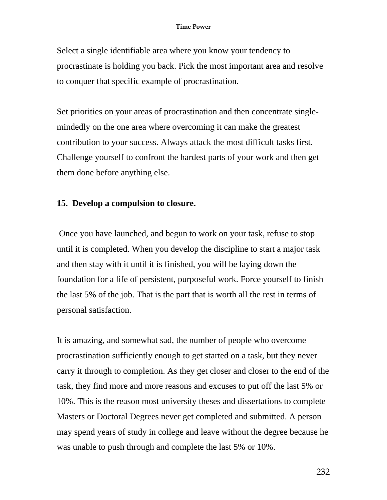Select a single identifiable area where you know your tendency to procrastinate is holding you back. Pick the most important area and resolve to conquer that specific example of procrastination.

Set priorities on your areas of procrastination and then concentrate singlemindedly on the one area where overcoming it can make the greatest contribution to your success. Always attack the most difficult tasks first. Challenge yourself to confront the hardest parts of your work and then get them done before anything else.

#### **15. Develop a compulsion to closure.**

 Once you have launched, and begun to work on your task, refuse to stop until it is completed. When you develop the discipline to start a major task and then stay with it until it is finished, you will be laying down the foundation for a life of persistent, purposeful work. Force yourself to finish the last 5% of the job. That is the part that is worth all the rest in terms of personal satisfaction.

It is amazing, and somewhat sad, the number of people who overcome procrastination sufficiently enough to get started on a task, but they never carry it through to completion. As they get closer and closer to the end of the task, they find more and more reasons and excuses to put off the last 5% or 10%. This is the reason most university theses and dissertations to complete Masters or Doctoral Degrees never get completed and submitted. A person may spend years of study in college and leave without the degree because he was unable to push through and complete the last 5% or 10%.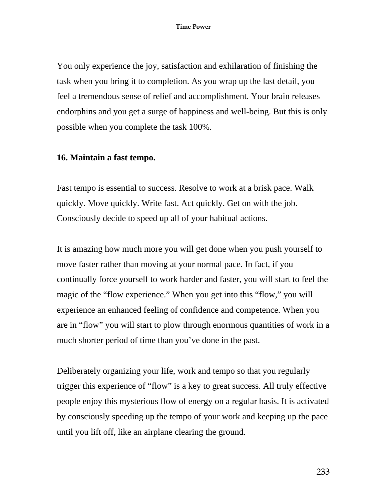You only experience the joy, satisfaction and exhilaration of finishing the task when you bring it to completion. As you wrap up the last detail, you feel a tremendous sense of relief and accomplishment. Your brain releases endorphins and you get a surge of happiness and well-being. But this is only possible when you complete the task 100%.

## **16. Maintain a fast tempo.**

Fast tempo is essential to success. Resolve to work at a brisk pace. Walk quickly. Move quickly. Write fast. Act quickly. Get on with the job. Consciously decide to speed up all of your habitual actions.

It is amazing how much more you will get done when you push yourself to move faster rather than moving at your normal pace. In fact, if you continually force yourself to work harder and faster, you will start to feel the magic of the "flow experience." When you get into this "flow," you will experience an enhanced feeling of confidence and competence. When you are in "flow" you will start to plow through enormous quantities of work in a much shorter period of time than you've done in the past.

Deliberately organizing your life, work and tempo so that you regularly trigger this experience of "flow" is a key to great success. All truly effective people enjoy this mysterious flow of energy on a regular basis. It is activated by consciously speeding up the tempo of your work and keeping up the pace until you lift off, like an airplane clearing the ground.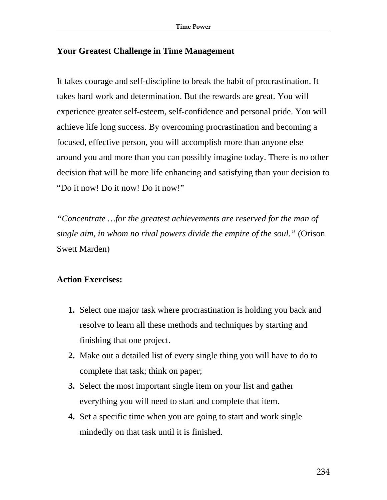# **Your Greatest Challenge in Time Management**

It takes courage and self-discipline to break the habit of procrastination. It takes hard work and determination. But the rewards are great. You will experience greater self-esteem, self-confidence and personal pride. You will achieve life long success. By overcoming procrastination and becoming a focused, effective person, you will accomplish more than anyone else around you and more than you can possibly imagine today. There is no other decision that will be more life enhancing and satisfying than your decision to "Do it now! Do it now! Do it now!"

*"Concentrate …for the greatest achievements are reserved for the man of single aim, in whom no rival powers divide the empire of the soul."* (Orison Swett Marden)

## **Action Exercises:**

- **1.** Select one major task where procrastination is holding you back and resolve to learn all these methods and techniques by starting and finishing that one project.
- **2.** Make out a detailed list of every single thing you will have to do to complete that task; think on paper;
- **3.** Select the most important single item on your list and gather everything you will need to start and complete that item.
- **4.** Set a specific time when you are going to start and work single mindedly on that task until it is finished.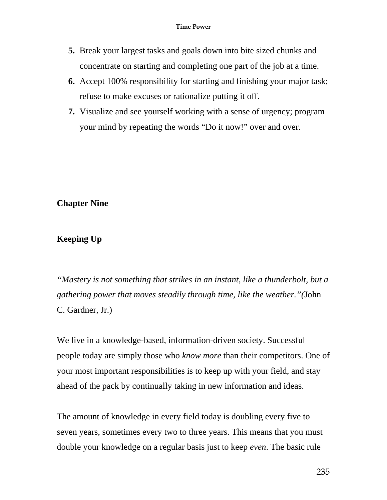- **5.** Break your largest tasks and goals down into bite sized chunks and concentrate on starting and completing one part of the job at a time.
- **6.** Accept 100% responsibility for starting and finishing your major task; refuse to make excuses or rationalize putting it off.
- **7.** Visualize and see yourself working with a sense of urgency; program your mind by repeating the words "Do it now!" over and over.

## **Chapter Nine**

# **Keeping Up**

*"Mastery is not something that strikes in an instant, like a thunderbolt, but a gathering power that moves steadily through time, like the weather."(*John C. Gardner, Jr.)

We live in a knowledge-based, information-driven society. Successful people today are simply those who *know more* than their competitors. One of your most important responsibilities is to keep up with your field, and stay ahead of the pack by continually taking in new information and ideas.

The amount of knowledge in every field today is doubling every five to seven years, sometimes every two to three years. This means that you must double your knowledge on a regular basis just to keep *even*. The basic rule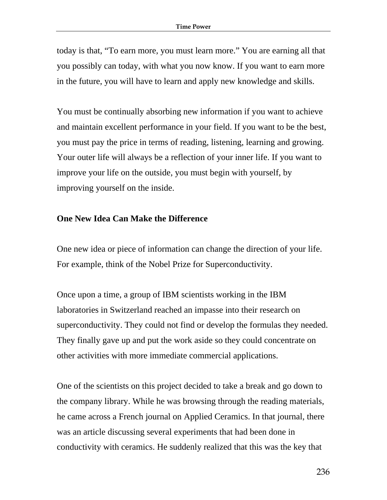today is that, "To earn more, you must learn more." You are earning all that you possibly can today, with what you now know. If you want to earn more in the future, you will have to learn and apply new knowledge and skills.

You must be continually absorbing new information if you want to achieve and maintain excellent performance in your field. If you want to be the best, you must pay the price in terms of reading, listening, learning and growing. Your outer life will always be a reflection of your inner life. If you want to improve your life on the outside, you must begin with yourself, by improving yourself on the inside.

## **One New Idea Can Make the Difference**

One new idea or piece of information can change the direction of your life. For example, think of the Nobel Prize for Superconductivity.

Once upon a time, a group of IBM scientists working in the IBM laboratories in Switzerland reached an impasse into their research on superconductivity. They could not find or develop the formulas they needed. They finally gave up and put the work aside so they could concentrate on other activities with more immediate commercial applications.

One of the scientists on this project decided to take a break and go down to the company library. While he was browsing through the reading materials, he came across a French journal on Applied Ceramics. In that journal, there was an article discussing several experiments that had been done in conductivity with ceramics. He suddenly realized that this was the key that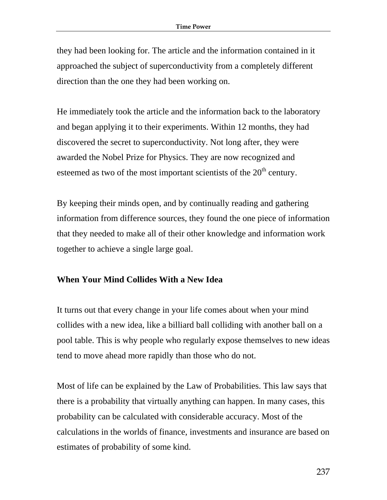they had been looking for. The article and the information contained in it approached the subject of superconductivity from a completely different direction than the one they had been working on.

He immediately took the article and the information back to the laboratory and began applying it to their experiments. Within 12 months, they had discovered the secret to superconductivity. Not long after, they were awarded the Nobel Prize for Physics. They are now recognized and esteemed as two of the most important scientists of the  $20<sup>th</sup>$  century.

By keeping their minds open, and by continually reading and gathering information from difference sources, they found the one piece of information that they needed to make all of their other knowledge and information work together to achieve a single large goal.

# **When Your Mind Collides With a New Idea**

It turns out that every change in your life comes about when your mind collides with a new idea, like a billiard ball colliding with another ball on a pool table. This is why people who regularly expose themselves to new ideas tend to move ahead more rapidly than those who do not.

Most of life can be explained by the Law of Probabilities. This law says that there is a probability that virtually anything can happen. In many cases, this probability can be calculated with considerable accuracy. Most of the calculations in the worlds of finance, investments and insurance are based on estimates of probability of some kind.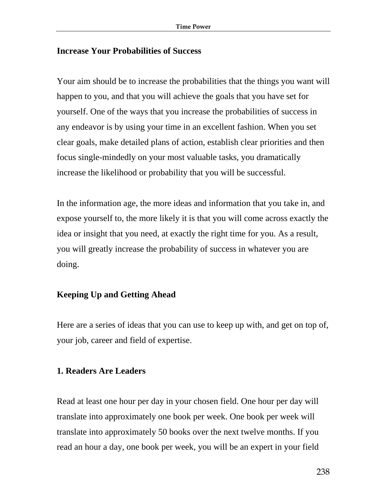## **Increase Your Probabilities of Success**

Your aim should be to increase the probabilities that the things you want will happen to you, and that you will achieve the goals that you have set for yourself. One of the ways that you increase the probabilities of success in any endeavor is by using your time in an excellent fashion. When you set clear goals, make detailed plans of action, establish clear priorities and then focus single-mindedly on your most valuable tasks, you dramatically increase the likelihood or probability that you will be successful.

In the information age, the more ideas and information that you take in, and expose yourself to, the more likely it is that you will come across exactly the idea or insight that you need, at exactly the right time for you. As a result, you will greatly increase the probability of success in whatever you are doing.

## **Keeping Up and Getting Ahead**

Here are a series of ideas that you can use to keep up with, and get on top of, your job, career and field of expertise.

#### **1. Readers Are Leaders**

Read at least one hour per day in your chosen field. One hour per day will translate into approximately one book per week. One book per week will translate into approximately 50 books over the next twelve months. If you read an hour a day, one book per week, you will be an expert in your field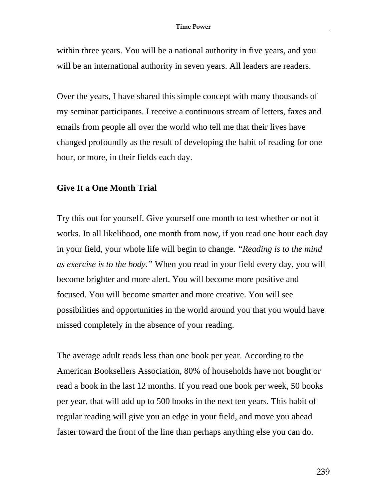within three years. You will be a national authority in five years, and you will be an international authority in seven years. All leaders are readers.

Over the years, I have shared this simple concept with many thousands of my seminar participants. I receive a continuous stream of letters, faxes and emails from people all over the world who tell me that their lives have changed profoundly as the result of developing the habit of reading for one hour, or more, in their fields each day.

## **Give It a One Month Trial**

Try this out for yourself. Give yourself one month to test whether or not it works. In all likelihood, one month from now, if you read one hour each day in your field, your whole life will begin to change. *"Reading is to the mind as exercise is to the body."* When you read in your field every day, you will become brighter and more alert. You will become more positive and focused. You will become smarter and more creative. You will see possibilities and opportunities in the world around you that you would have missed completely in the absence of your reading.

The average adult reads less than one book per year. According to the American Booksellers Association, 80% of households have not bought or read a book in the last 12 months. If you read one book per week, 50 books per year, that will add up to 500 books in the next ten years. This habit of regular reading will give you an edge in your field, and move you ahead faster toward the front of the line than perhaps anything else you can do.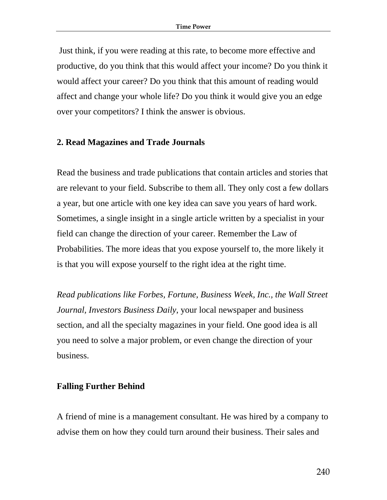Just think, if you were reading at this rate, to become more effective and productive, do you think that this would affect your income? Do you think it would affect your career? Do you think that this amount of reading would affect and change your whole life? Do you think it would give you an edge over your competitors? I think the answer is obvious.

## **2. Read Magazines and Trade Journals**

Read the business and trade publications that contain articles and stories that are relevant to your field. Subscribe to them all. They only cost a few dollars a year, but one article with one key idea can save you years of hard work. Sometimes, a single insight in a single article written by a specialist in your field can change the direction of your career. Remember the Law of Probabilities. The more ideas that you expose yourself to, the more likely it is that you will expose yourself to the right idea at the right time.

*Read publications like Forbes, Fortune, Business Week, Inc., the Wall Street Journal, Investors Business Daily*, your local newspaper and business section, and all the specialty magazines in your field. One good idea is all you need to solve a major problem, or even change the direction of your business.

## **Falling Further Behind**

A friend of mine is a management consultant. He was hired by a company to advise them on how they could turn around their business. Their sales and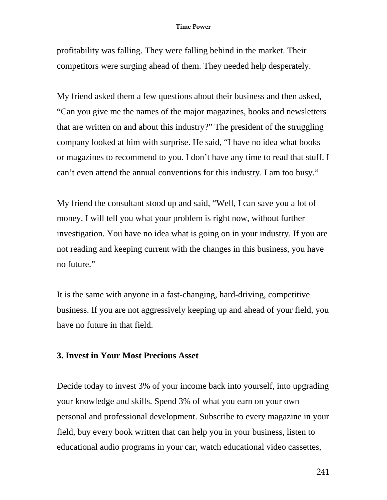profitability was falling. They were falling behind in the market. Their competitors were surging ahead of them. They needed help desperately.

My friend asked them a few questions about their business and then asked, "Can you give me the names of the major magazines, books and newsletters that are written on and about this industry?" The president of the struggling company looked at him with surprise. He said, "I have no idea what books or magazines to recommend to you. I don't have any time to read that stuff. I can't even attend the annual conventions for this industry. I am too busy."

My friend the consultant stood up and said, "Well, I can save you a lot of money. I will tell you what your problem is right now, without further investigation. You have no idea what is going on in your industry. If you are not reading and keeping current with the changes in this business, you have no future."

It is the same with anyone in a fast-changing, hard-driving, competitive business. If you are not aggressively keeping up and ahead of your field, you have no future in that field.

## **3. Invest in Your Most Precious Asset**

Decide today to invest 3% of your income back into yourself, into upgrading your knowledge and skills. Spend 3% of what you earn on your own personal and professional development. Subscribe to every magazine in your field, buy every book written that can help you in your business, listen to educational audio programs in your car, watch educational video cassettes,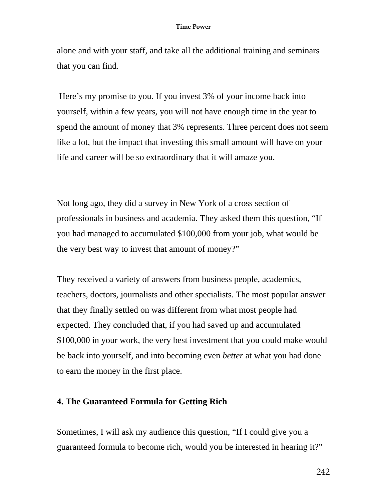alone and with your staff, and take all the additional training and seminars that you can find.

 Here's my promise to you. If you invest 3% of your income back into yourself, within a few years, you will not have enough time in the year to spend the amount of money that 3% represents. Three percent does not seem like a lot, but the impact that investing this small amount will have on your life and career will be so extraordinary that it will amaze you.

Not long ago, they did a survey in New York of a cross section of professionals in business and academia. They asked them this question, "If you had managed to accumulated \$100,000 from your job, what would be the very best way to invest that amount of money?"

They received a variety of answers from business people, academics, teachers, doctors, journalists and other specialists. The most popular answer that they finally settled on was different from what most people had expected. They concluded that, if you had saved up and accumulated \$100,000 in your work, the very best investment that you could make would be back into yourself, and into becoming even *better* at what you had done to earn the money in the first place.

## **4. The Guaranteed Formula for Getting Rich**

Sometimes, I will ask my audience this question, "If I could give you a guaranteed formula to become rich, would you be interested in hearing it?"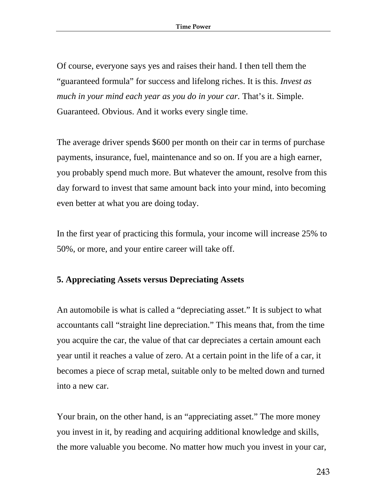Of course, everyone says yes and raises their hand. I then tell them the "guaranteed formula" for success and lifelong riches. It is this. *Invest as much in your mind each year as you do in your car.* That's it. Simple. Guaranteed. Obvious. And it works every single time.

The average driver spends \$600 per month on their car in terms of purchase payments, insurance, fuel, maintenance and so on. If you are a high earner, you probably spend much more. But whatever the amount, resolve from this day forward to invest that same amount back into your mind, into becoming even better at what you are doing today.

In the first year of practicing this formula, your income will increase 25% to 50%, or more, and your entire career will take off.

# **5. Appreciating Assets versus Depreciating Assets**

An automobile is what is called a "depreciating asset." It is subject to what accountants call "straight line depreciation." This means that, from the time you acquire the car, the value of that car depreciates a certain amount each year until it reaches a value of zero. At a certain point in the life of a car, it becomes a piece of scrap metal, suitable only to be melted down and turned into a new car.

Your brain, on the other hand, is an "appreciating asset." The more money you invest in it, by reading and acquiring additional knowledge and skills, the more valuable you become. No matter how much you invest in your car,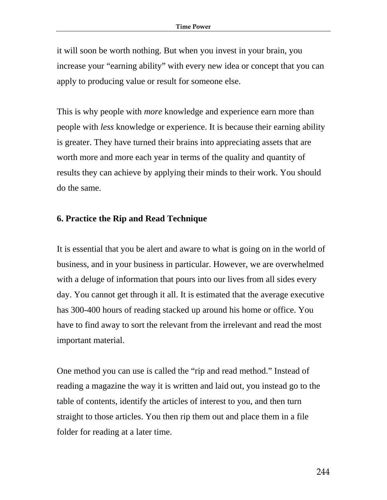it will soon be worth nothing. But when you invest in your brain, you increase your "earning ability" with every new idea or concept that you can apply to producing value or result for someone else.

This is why people with *more* knowledge and experience earn more than people with *less* knowledge or experience. It is because their earning ability is greater. They have turned their brains into appreciating assets that are worth more and more each year in terms of the quality and quantity of results they can achieve by applying their minds to their work. You should do the same.

#### **6. Practice the Rip and Read Technique**

It is essential that you be alert and aware to what is going on in the world of business, and in your business in particular. However, we are overwhelmed with a deluge of information that pours into our lives from all sides every day. You cannot get through it all. It is estimated that the average executive has 300-400 hours of reading stacked up around his home or office. You have to find away to sort the relevant from the irrelevant and read the most important material.

One method you can use is called the "rip and read method." Instead of reading a magazine the way it is written and laid out, you instead go to the table of contents, identify the articles of interest to you, and then turn straight to those articles. You then rip them out and place them in a file folder for reading at a later time.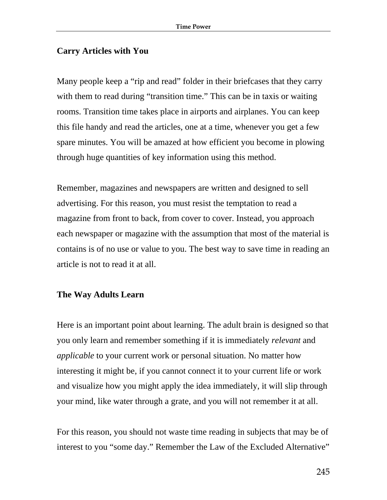## **Carry Articles with You**

Many people keep a "rip and read" folder in their briefcases that they carry with them to read during "transition time." This can be in taxis or waiting rooms. Transition time takes place in airports and airplanes. You can keep this file handy and read the articles, one at a time, whenever you get a few spare minutes. You will be amazed at how efficient you become in plowing through huge quantities of key information using this method.

Remember, magazines and newspapers are written and designed to sell advertising. For this reason, you must resist the temptation to read a magazine from front to back, from cover to cover. Instead, you approach each newspaper or magazine with the assumption that most of the material is contains is of no use or value to you. The best way to save time in reading an article is not to read it at all.

## **The Way Adults Learn**

Here is an important point about learning. The adult brain is designed so that you only learn and remember something if it is immediately *relevant* and *applicable* to your current work or personal situation. No matter how interesting it might be, if you cannot connect it to your current life or work and visualize how you might apply the idea immediately, it will slip through your mind, like water through a grate, and you will not remember it at all.

For this reason, you should not waste time reading in subjects that may be of interest to you "some day." Remember the Law of the Excluded Alternative"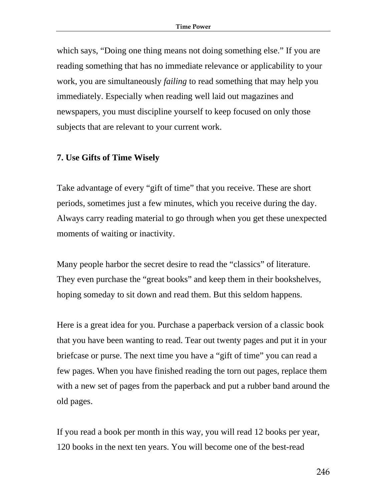which says, "Doing one thing means not doing something else." If you are reading something that has no immediate relevance or applicability to your work, you are simultaneously *failing* to read something that may help you immediately. Especially when reading well laid out magazines and newspapers, you must discipline yourself to keep focused on only those subjects that are relevant to your current work.

## **7. Use Gifts of Time Wisely**

Take advantage of every "gift of time" that you receive. These are short periods, sometimes just a few minutes, which you receive during the day. Always carry reading material to go through when you get these unexpected moments of waiting or inactivity.

Many people harbor the secret desire to read the "classics" of literature. They even purchase the "great books" and keep them in their bookshelves, hoping someday to sit down and read them. But this seldom happens.

Here is a great idea for you. Purchase a paperback version of a classic book that you have been wanting to read. Tear out twenty pages and put it in your briefcase or purse. The next time you have a "gift of time" you can read a few pages. When you have finished reading the torn out pages, replace them with a new set of pages from the paperback and put a rubber band around the old pages.

If you read a book per month in this way, you will read 12 books per year, 120 books in the next ten years. You will become one of the best-read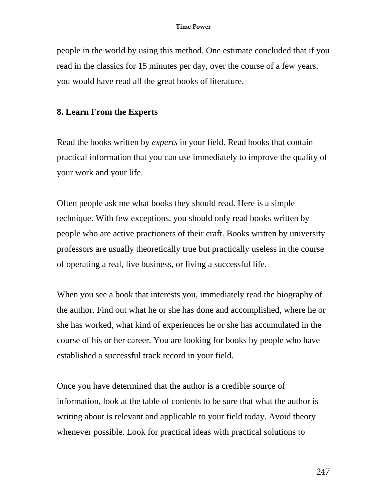people in the world by using this method. One estimate concluded that if you read in the classics for 15 minutes per day, over the course of a few years, you would have read all the great books of literature.

# **8. Learn From the Experts**

Read the books written by *experts* in your field. Read books that contain practical information that you can use immediately to improve the quality of your work and your life.

Often people ask me what books they should read. Here is a simple technique. With few exceptions, you should only read books written by people who are active practioners of their craft. Books written by university professors are usually theoretically true but practically useless in the course of operating a real, live business, or living a successful life.

When you see a book that interests you, immediately read the biography of the author. Find out what he or she has done and accomplished, where he or she has worked, what kind of experiences he or she has accumulated in the course of his or her career. You are looking for books by people who have established a successful track record in your field.

Once you have determined that the author is a credible source of information, look at the table of contents to be sure that what the author is writing about is relevant and applicable to your field today. Avoid theory whenever possible. Look for practical ideas with practical solutions to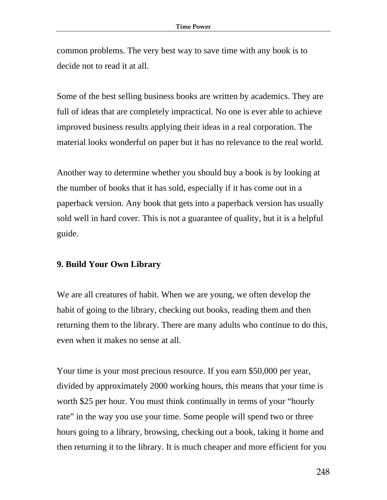common problems. The very best way to save time with any book is to decide not to read it at all.

Some of the best selling business books are written by academics. They are full of ideas that are completely impractical. No one is ever able to achieve improved business results applying their ideas in a real corporation. The material looks wonderful on paper but it has no relevance to the real world.

Another way to determine whether you should buy a book is by looking at the number of books that it has sold, especially if it has come out in a paperback version. Any book that gets into a paperback version has usually sold well in hard cover. This is not a guarantee of quality, but it is a helpful guide.

## **9. Build Your Own Library**

We are all creatures of habit. When we are young, we often develop the habit of going to the library, checking out books, reading them and then returning them to the library. There are many adults who continue to do this, even when it makes no sense at all.

Your time is your most precious resource. If you earn \$50,000 per year, divided by approximately 2000 working hours, this means that your time is worth \$25 per hour. You must think continually in terms of your "hourly rate" in the way you use your time. Some people will spend two or three hours going to a library, browsing, checking out a book, taking it home and then returning it to the library. It is much cheaper and more efficient for you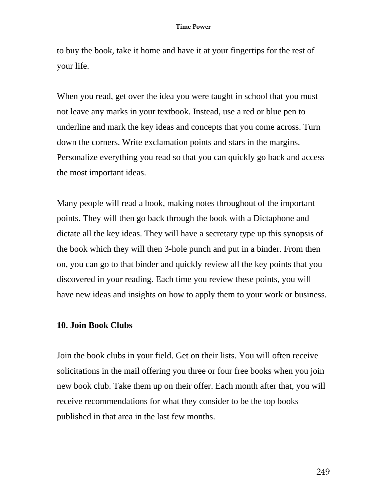to buy the book, take it home and have it at your fingertips for the rest of your life.

When you read, get over the idea you were taught in school that you must not leave any marks in your textbook. Instead, use a red or blue pen to underline and mark the key ideas and concepts that you come across. Turn down the corners. Write exclamation points and stars in the margins. Personalize everything you read so that you can quickly go back and access the most important ideas.

Many people will read a book, making notes throughout of the important points. They will then go back through the book with a Dictaphone and dictate all the key ideas. They will have a secretary type up this synopsis of the book which they will then 3-hole punch and put in a binder. From then on, you can go to that binder and quickly review all the key points that you discovered in your reading. Each time you review these points, you will have new ideas and insights on how to apply them to your work or business.

#### **10. Join Book Clubs**

Join the book clubs in your field. Get on their lists. You will often receive solicitations in the mail offering you three or four free books when you join new book club. Take them up on their offer. Each month after that, you will receive recommendations for what they consider to be the top books published in that area in the last few months.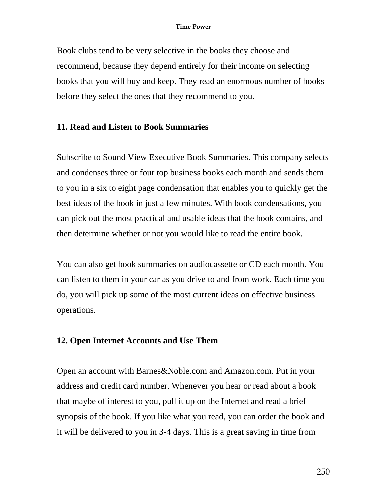Book clubs tend to be very selective in the books they choose and recommend, because they depend entirely for their income on selecting books that you will buy and keep. They read an enormous number of books before they select the ones that they recommend to you.

## **11. Read and Listen to Book Summaries**

Subscribe to Sound View Executive Book Summaries. This company selects and condenses three or four top business books each month and sends them to you in a six to eight page condensation that enables you to quickly get the best ideas of the book in just a few minutes. With book condensations, you can pick out the most practical and usable ideas that the book contains, and then determine whether or not you would like to read the entire book.

You can also get book summaries on audiocassette or CD each month. You can listen to them in your car as you drive to and from work. Each time you do, you will pick up some of the most current ideas on effective business operations.

#### **12. Open Internet Accounts and Use Them**

Open an account with Barnes&Noble.com and Amazon.com. Put in your address and credit card number. Whenever you hear or read about a book that maybe of interest to you, pull it up on the Internet and read a brief synopsis of the book. If you like what you read, you can order the book and it will be delivered to you in 3-4 days. This is a great saving in time from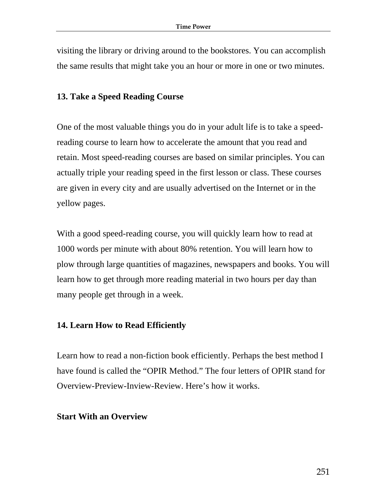visiting the library or driving around to the bookstores. You can accomplish the same results that might take you an hour or more in one or two minutes.

# **13. Take a Speed Reading Course**

One of the most valuable things you do in your adult life is to take a speedreading course to learn how to accelerate the amount that you read and retain. Most speed-reading courses are based on similar principles. You can actually triple your reading speed in the first lesson or class. These courses are given in every city and are usually advertised on the Internet or in the yellow pages.

With a good speed-reading course, you will quickly learn how to read at 1000 words per minute with about 80% retention. You will learn how to plow through large quantities of magazines, newspapers and books. You will learn how to get through more reading material in two hours per day than many people get through in a week.

# **14. Learn How to Read Efficiently**

Learn how to read a non-fiction book efficiently. Perhaps the best method I have found is called the "OPIR Method." The four letters of OPIR stand for Overview-Preview-Inview-Review. Here's how it works.

# **Start With an Overview**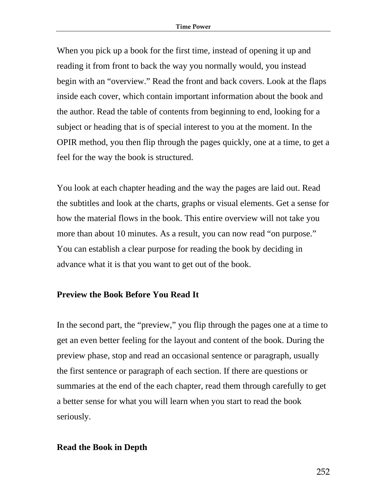When you pick up a book for the first time, instead of opening it up and reading it from front to back the way you normally would, you instead begin with an "overview." Read the front and back covers. Look at the flaps inside each cover, which contain important information about the book and the author. Read the table of contents from beginning to end, looking for a subject or heading that is of special interest to you at the moment. In the OPIR method, you then flip through the pages quickly, one at a time, to get a feel for the way the book is structured.

You look at each chapter heading and the way the pages are laid out. Read the subtitles and look at the charts, graphs or visual elements. Get a sense for how the material flows in the book. This entire overview will not take you more than about 10 minutes. As a result, you can now read "on purpose." You can establish a clear purpose for reading the book by deciding in advance what it is that you want to get out of the book.

## **Preview the Book Before You Read It**

In the second part, the "preview," you flip through the pages one at a time to get an even better feeling for the layout and content of the book. During the preview phase, stop and read an occasional sentence or paragraph, usually the first sentence or paragraph of each section. If there are questions or summaries at the end of the each chapter, read them through carefully to get a better sense for what you will learn when you start to read the book seriously.

## **Read the Book in Depth**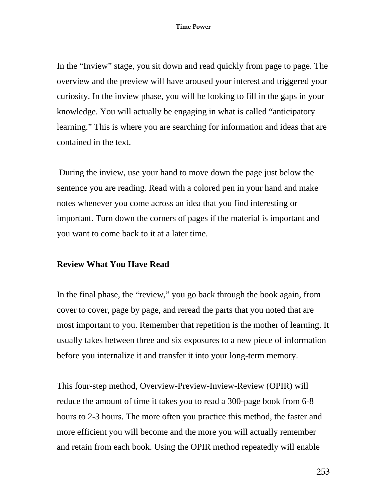In the "Inview" stage, you sit down and read quickly from page to page. The overview and the preview will have aroused your interest and triggered your curiosity. In the inview phase, you will be looking to fill in the gaps in your knowledge. You will actually be engaging in what is called "anticipatory learning." This is where you are searching for information and ideas that are contained in the text.

 During the inview, use your hand to move down the page just below the sentence you are reading. Read with a colored pen in your hand and make notes whenever you come across an idea that you find interesting or important. Turn down the corners of pages if the material is important and you want to come back to it at a later time.

## **Review What You Have Read**

In the final phase, the "review," you go back through the book again, from cover to cover, page by page, and reread the parts that you noted that are most important to you. Remember that repetition is the mother of learning. It usually takes between three and six exposures to a new piece of information before you internalize it and transfer it into your long-term memory.

This four-step method, Overview-Preview-Inview-Review (OPIR) will reduce the amount of time it takes you to read a 300-page book from 6-8 hours to 2-3 hours. The more often you practice this method, the faster and more efficient you will become and the more you will actually remember and retain from each book. Using the OPIR method repeatedly will enable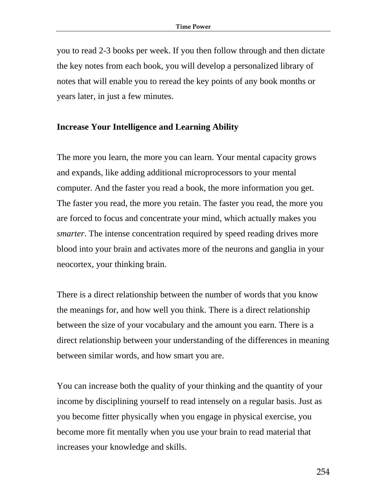you to read 2-3 books per week. If you then follow through and then dictate the key notes from each book, you will develop a personalized library of notes that will enable you to reread the key points of any book months or years later, in just a few minutes.

#### **Increase Your Intelligence and Learning Ability**

The more you learn, the more you can learn. Your mental capacity grows and expands, like adding additional microprocessors to your mental computer. And the faster you read a book, the more information you get. The faster you read, the more you retain. The faster you read, the more you are forced to focus and concentrate your mind, which actually makes you *smarter*. The intense concentration required by speed reading drives more blood into your brain and activates more of the neurons and ganglia in your neocortex, your thinking brain.

There is a direct relationship between the number of words that you know the meanings for, and how well you think. There is a direct relationship between the size of your vocabulary and the amount you earn. There is a direct relationship between your understanding of the differences in meaning between similar words, and how smart you are.

You can increase both the quality of your thinking and the quantity of your income by disciplining yourself to read intensely on a regular basis. Just as you become fitter physically when you engage in physical exercise, you become more fit mentally when you use your brain to read material that increases your knowledge and skills.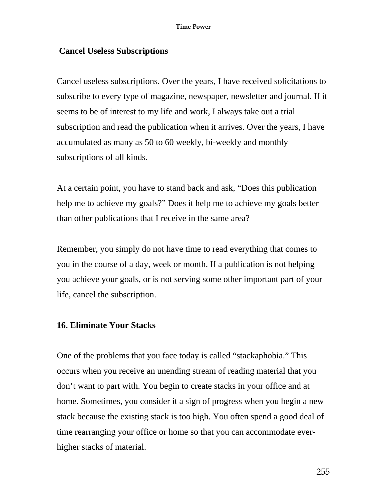## **Cancel Useless Subscriptions**

Cancel useless subscriptions. Over the years, I have received solicitations to subscribe to every type of magazine, newspaper, newsletter and journal. If it seems to be of interest to my life and work, I always take out a trial subscription and read the publication when it arrives. Over the years, I have accumulated as many as 50 to 60 weekly, bi-weekly and monthly subscriptions of all kinds.

At a certain point, you have to stand back and ask, "Does this publication help me to achieve my goals?" Does it help me to achieve my goals better than other publications that I receive in the same area?

Remember, you simply do not have time to read everything that comes to you in the course of a day, week or month. If a publication is not helping you achieve your goals, or is not serving some other important part of your life, cancel the subscription.

### **16. Eliminate Your Stacks**

One of the problems that you face today is called "stackaphobia." This occurs when you receive an unending stream of reading material that you don't want to part with. You begin to create stacks in your office and at home. Sometimes, you consider it a sign of progress when you begin a new stack because the existing stack is too high. You often spend a good deal of time rearranging your office or home so that you can accommodate everhigher stacks of material.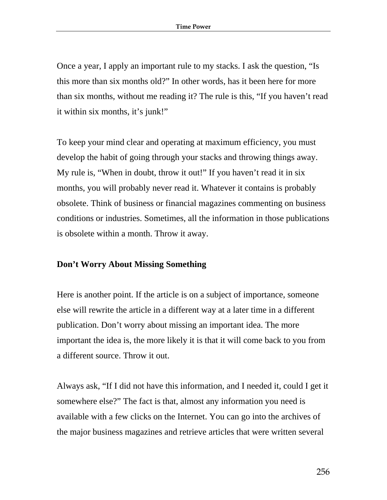Once a year, I apply an important rule to my stacks. I ask the question, "Is this more than six months old?" In other words, has it been here for more than six months, without me reading it? The rule is this, "If you haven't read it within six months, it's junk!"

To keep your mind clear and operating at maximum efficiency, you must develop the habit of going through your stacks and throwing things away. My rule is, "When in doubt, throw it out!" If you haven't read it in six months, you will probably never read it. Whatever it contains is probably obsolete. Think of business or financial magazines commenting on business conditions or industries. Sometimes, all the information in those publications is obsolete within a month. Throw it away.

# **Don't Worry About Missing Something**

Here is another point. If the article is on a subject of importance, someone else will rewrite the article in a different way at a later time in a different publication. Don't worry about missing an important idea. The more important the idea is, the more likely it is that it will come back to you from a different source. Throw it out.

Always ask, "If I did not have this information, and I needed it, could I get it somewhere else?" The fact is that, almost any information you need is available with a few clicks on the Internet. You can go into the archives of the major business magazines and retrieve articles that were written several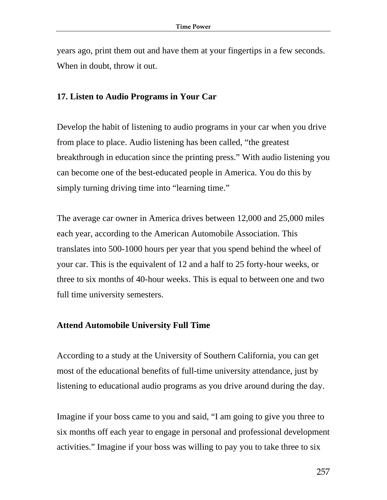years ago, print them out and have them at your fingertips in a few seconds. When in doubt, throw it out.

# **17. Listen to Audio Programs in Your Car**

Develop the habit of listening to audio programs in your car when you drive from place to place. Audio listening has been called, "the greatest breakthrough in education since the printing press." With audio listening you can become one of the best-educated people in America. You do this by simply turning driving time into "learning time."

The average car owner in America drives between 12,000 and 25,000 miles each year, according to the American Automobile Association. This translates into 500-1000 hours per year that you spend behind the wheel of your car. This is the equivalent of 12 and a half to 25 forty-hour weeks, or three to six months of 40-hour weeks. This is equal to between one and two full time university semesters.

# **Attend Automobile University Full Time**

According to a study at the University of Southern California, you can get most of the educational benefits of full-time university attendance, just by listening to educational audio programs as you drive around during the day.

Imagine if your boss came to you and said, "I am going to give you three to six months off each year to engage in personal and professional development activities." Imagine if your boss was willing to pay you to take three to six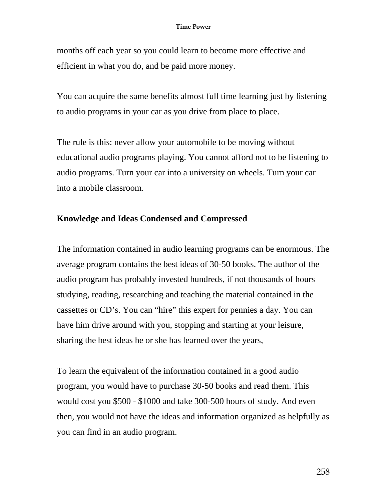months off each year so you could learn to become more effective and efficient in what you do, and be paid more money.

You can acquire the same benefits almost full time learning just by listening to audio programs in your car as you drive from place to place.

The rule is this: never allow your automobile to be moving without educational audio programs playing. You cannot afford not to be listening to audio programs. Turn your car into a university on wheels. Turn your car into a mobile classroom.

## **Knowledge and Ideas Condensed and Compressed**

The information contained in audio learning programs can be enormous. The average program contains the best ideas of 30-50 books. The author of the audio program has probably invested hundreds, if not thousands of hours studying, reading, researching and teaching the material contained in the cassettes or CD's. You can "hire" this expert for pennies a day. You can have him drive around with you, stopping and starting at your leisure, sharing the best ideas he or she has learned over the years,

To learn the equivalent of the information contained in a good audio program, you would have to purchase 30-50 books and read them. This would cost you \$500 - \$1000 and take 300-500 hours of study. And even then, you would not have the ideas and information organized as helpfully as you can find in an audio program.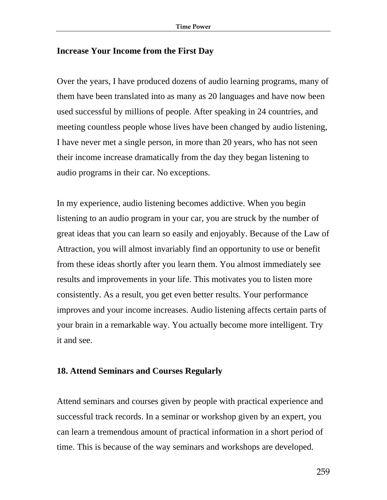#### **Increase Your Income from the First Day**

Over the years, I have produced dozens of audio learning programs, many of them have been translated into as many as 20 languages and have now been used successful by millions of people. After speaking in 24 countries, and meeting countless people whose lives have been changed by audio listening, I have never met a single person, in more than 20 years, who has not seen their income increase dramatically from the day they began listening to audio programs in their car. No exceptions.

In my experience, audio listening becomes addictive. When you begin listening to an audio program in your car, you are struck by the number of great ideas that you can learn so easily and enjoyably. Because of the Law of Attraction, you will almost invariably find an opportunity to use or benefit from these ideas shortly after you learn them. You almost immediately see results and improvements in your life. This motivates you to listen more consistently. As a result, you get even better results. Your performance improves and your income increases. Audio listening affects certain parts of your brain in a remarkable way. You actually become more intelligent. Try it and see.

#### **18. Attend Seminars and Courses Regularly**

Attend seminars and courses given by people with practical experience and successful track records. In a seminar or workshop given by an expert, you can learn a tremendous amount of practical information in a short period of time. This is because of the way seminars and workshops are developed.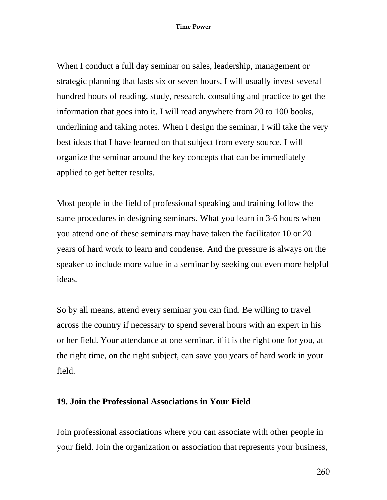When I conduct a full day seminar on sales, leadership, management or strategic planning that lasts six or seven hours, I will usually invest several hundred hours of reading, study, research, consulting and practice to get the information that goes into it. I will read anywhere from 20 to 100 books, underlining and taking notes. When I design the seminar, I will take the very best ideas that I have learned on that subject from every source. I will organize the seminar around the key concepts that can be immediately applied to get better results.

Most people in the field of professional speaking and training follow the same procedures in designing seminars. What you learn in 3-6 hours when you attend one of these seminars may have taken the facilitator 10 or 20 years of hard work to learn and condense. And the pressure is always on the speaker to include more value in a seminar by seeking out even more helpful ideas.

So by all means, attend every seminar you can find. Be willing to travel across the country if necessary to spend several hours with an expert in his or her field. Your attendance at one seminar, if it is the right one for you, at the right time, on the right subject, can save you years of hard work in your field.

## **19. Join the Professional Associations in Your Field**

Join professional associations where you can associate with other people in your field. Join the organization or association that represents your business,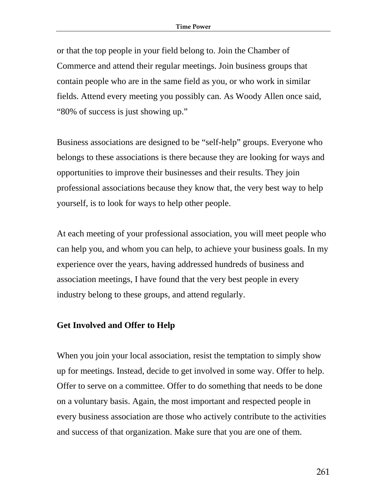or that the top people in your field belong to. Join the Chamber of Commerce and attend their regular meetings. Join business groups that contain people who are in the same field as you, or who work in similar fields. Attend every meeting you possibly can. As Woody Allen once said, "80% of success is just showing up."

Business associations are designed to be "self-help" groups. Everyone who belongs to these associations is there because they are looking for ways and opportunities to improve their businesses and their results. They join professional associations because they know that, the very best way to help yourself, is to look for ways to help other people.

At each meeting of your professional association, you will meet people who can help you, and whom you can help, to achieve your business goals. In my experience over the years, having addressed hundreds of business and association meetings, I have found that the very best people in every industry belong to these groups, and attend regularly.

## **Get Involved and Offer to Help**

When you join your local association, resist the temptation to simply show up for meetings. Instead, decide to get involved in some way. Offer to help. Offer to serve on a committee. Offer to do something that needs to be done on a voluntary basis. Again, the most important and respected people in every business association are those who actively contribute to the activities and success of that organization. Make sure that you are one of them.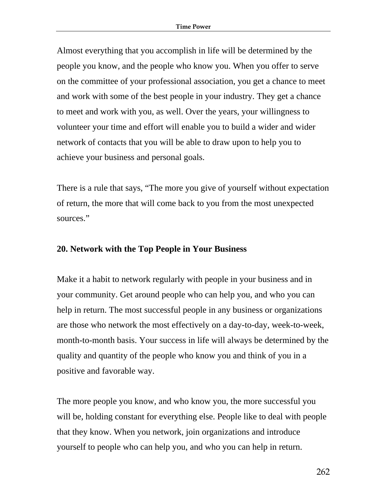Almost everything that you accomplish in life will be determined by the people you know, and the people who know you. When you offer to serve on the committee of your professional association, you get a chance to meet and work with some of the best people in your industry. They get a chance to meet and work with you, as well. Over the years, your willingness to volunteer your time and effort will enable you to build a wider and wider network of contacts that you will be able to draw upon to help you to achieve your business and personal goals.

There is a rule that says, "The more you give of yourself without expectation of return, the more that will come back to you from the most unexpected sources."

# **20. Network with the Top People in Your Business**

Make it a habit to network regularly with people in your business and in your community. Get around people who can help you, and who you can help in return. The most successful people in any business or organizations are those who network the most effectively on a day-to-day, week-to-week, month-to-month basis. Your success in life will always be determined by the quality and quantity of the people who know you and think of you in a positive and favorable way.

The more people you know, and who know you, the more successful you will be, holding constant for everything else. People like to deal with people that they know. When you network, join organizations and introduce yourself to people who can help you, and who you can help in return.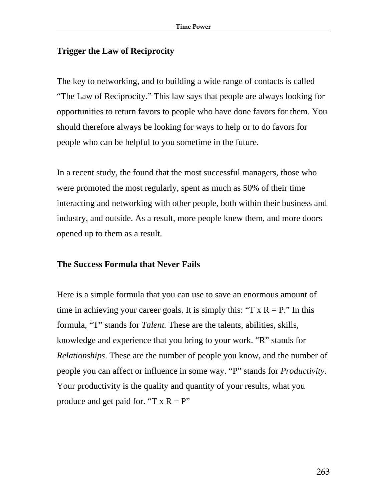# **Trigger the Law of Reciprocity**

The key to networking, and to building a wide range of contacts is called "The Law of Reciprocity." This law says that people are always looking for opportunities to return favors to people who have done favors for them. You should therefore always be looking for ways to help or to do favors for people who can be helpful to you sometime in the future.

In a recent study, the found that the most successful managers, those who were promoted the most regularly, spent as much as 50% of their time interacting and networking with other people, both within their business and industry, and outside. As a result, more people knew them, and more doors opened up to them as a result.

### **The Success Formula that Never Fails**

Here is a simple formula that you can use to save an enormous amount of time in achieving your career goals. It is simply this: " $T \times R = P$ ." In this formula, "T" stands for *Talent.* These are the talents, abilities, skills, knowledge and experience that you bring to your work. "R" stands for *Relationships*. These are the number of people you know, and the number of people you can affect or influence in some way. "P" stands for *Productivity*. Your productivity is the quality and quantity of your results, what you produce and get paid for. "T  $x R = P$ "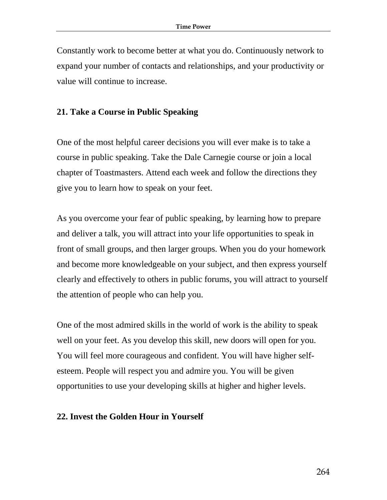Constantly work to become better at what you do. Continuously network to expand your number of contacts and relationships, and your productivity or value will continue to increase.

## **21. Take a Course in Public Speaking**

One of the most helpful career decisions you will ever make is to take a course in public speaking. Take the Dale Carnegie course or join a local chapter of Toastmasters. Attend each week and follow the directions they give you to learn how to speak on your feet.

As you overcome your fear of public speaking, by learning how to prepare and deliver a talk, you will attract into your life opportunities to speak in front of small groups, and then larger groups. When you do your homework and become more knowledgeable on your subject, and then express yourself clearly and effectively to others in public forums, you will attract to yourself the attention of people who can help you.

One of the most admired skills in the world of work is the ability to speak well on your feet. As you develop this skill, new doors will open for you. You will feel more courageous and confident. You will have higher selfesteem. People will respect you and admire you. You will be given opportunities to use your developing skills at higher and higher levels.

## **22. Invest the Golden Hour in Yourself**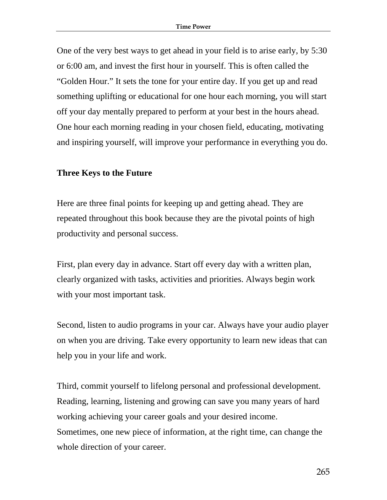One of the very best ways to get ahead in your field is to arise early, by 5:30 or 6:00 am, and invest the first hour in yourself. This is often called the "Golden Hour." It sets the tone for your entire day. If you get up and read something uplifting or educational for one hour each morning, you will start off your day mentally prepared to perform at your best in the hours ahead. One hour each morning reading in your chosen field, educating, motivating and inspiring yourself, will improve your performance in everything you do.

# **Three Keys to the Future**

Here are three final points for keeping up and getting ahead. They are repeated throughout this book because they are the pivotal points of high productivity and personal success.

First, plan every day in advance. Start off every day with a written plan, clearly organized with tasks, activities and priorities. Always begin work with your most important task.

Second, listen to audio programs in your car. Always have your audio player on when you are driving. Take every opportunity to learn new ideas that can help you in your life and work.

Third, commit yourself to lifelong personal and professional development. Reading, learning, listening and growing can save you many years of hard working achieving your career goals and your desired income. Sometimes, one new piece of information, at the right time, can change the whole direction of your career.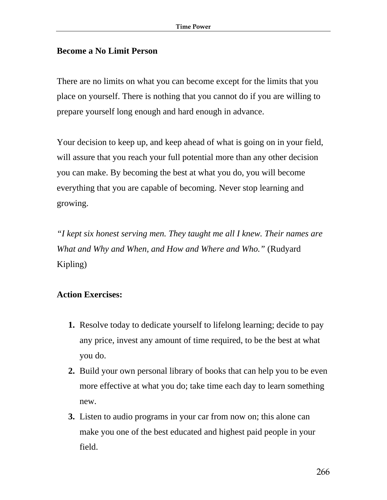## **Become a No Limit Person**

There are no limits on what you can become except for the limits that you place on yourself. There is nothing that you cannot do if you are willing to prepare yourself long enough and hard enough in advance.

Your decision to keep up, and keep ahead of what is going on in your field, will assure that you reach your full potential more than any other decision you can make. By becoming the best at what you do, you will become everything that you are capable of becoming. Never stop learning and growing.

*"I kept six honest serving men. They taught me all I knew. Their names are What and Why and When, and How and Where and Who."* (Rudyard Kipling)

### **Action Exercises:**

- **1.** Resolve today to dedicate yourself to lifelong learning; decide to pay any price, invest any amount of time required, to be the best at what you do.
- **2.** Build your own personal library of books that can help you to be even more effective at what you do; take time each day to learn something new.
- **3.** Listen to audio programs in your car from now on; this alone can make you one of the best educated and highest paid people in your field.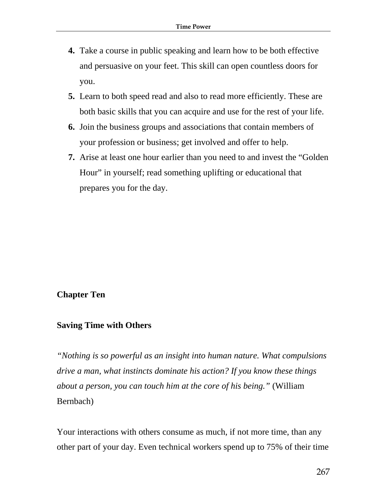- **4.** Take a course in public speaking and learn how to be both effective and persuasive on your feet. This skill can open countless doors for you.
- **5.** Learn to both speed read and also to read more efficiently. These are both basic skills that you can acquire and use for the rest of your life.
- **6.** Join the business groups and associations that contain members of your profession or business; get involved and offer to help.
- **7.** Arise at least one hour earlier than you need to and invest the "Golden Hour" in yourself; read something uplifting or educational that prepares you for the day.

# **Chapter Ten**

# **Saving Time with Others**

*"Nothing is so powerful as an insight into human nature. What compulsions drive a man, what instincts dominate his action? If you know these things about a person, you can touch him at the core of his being."* (William Bernbach)

Your interactions with others consume as much, if not more time, than any other part of your day. Even technical workers spend up to 75% of their time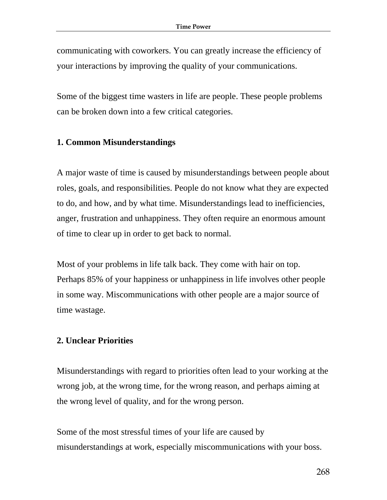communicating with coworkers. You can greatly increase the efficiency of your interactions by improving the quality of your communications.

Some of the biggest time wasters in life are people. These people problems can be broken down into a few critical categories.

## **1. Common Misunderstandings**

A major waste of time is caused by misunderstandings between people about roles, goals, and responsibilities. People do not know what they are expected to do, and how, and by what time. Misunderstandings lead to inefficiencies, anger, frustration and unhappiness. They often require an enormous amount of time to clear up in order to get back to normal.

Most of your problems in life talk back. They come with hair on top. Perhaps 85% of your happiness or unhappiness in life involves other people in some way. Miscommunications with other people are a major source of time wastage.

## **2. Unclear Priorities**

Misunderstandings with regard to priorities often lead to your working at the wrong job, at the wrong time, for the wrong reason, and perhaps aiming at the wrong level of quality, and for the wrong person.

Some of the most stressful times of your life are caused by misunderstandings at work, especially miscommunications with your boss.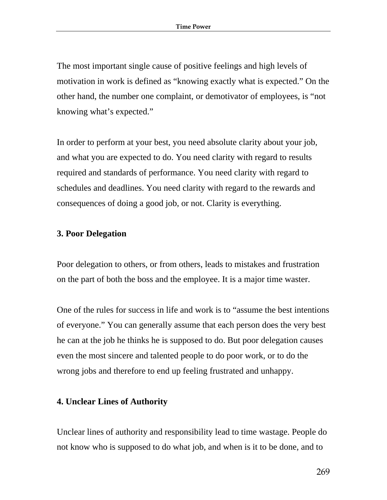The most important single cause of positive feelings and high levels of motivation in work is defined as "knowing exactly what is expected." On the other hand, the number one complaint, or demotivator of employees, is "not knowing what's expected."

In order to perform at your best, you need absolute clarity about your job, and what you are expected to do. You need clarity with regard to results required and standards of performance. You need clarity with regard to schedules and deadlines. You need clarity with regard to the rewards and consequences of doing a good job, or not. Clarity is everything.

### **3. Poor Delegation**

Poor delegation to others, or from others, leads to mistakes and frustration on the part of both the boss and the employee. It is a major time waster.

One of the rules for success in life and work is to "assume the best intentions of everyone." You can generally assume that each person does the very best he can at the job he thinks he is supposed to do. But poor delegation causes even the most sincere and talented people to do poor work, or to do the wrong jobs and therefore to end up feeling frustrated and unhappy.

## **4. Unclear Lines of Authority**

Unclear lines of authority and responsibility lead to time wastage. People do not know who is supposed to do what job, and when is it to be done, and to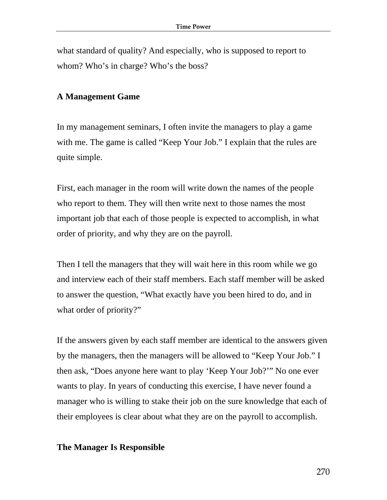what standard of quality? And especially, who is supposed to report to whom? Who's in charge? Who's the boss?

## **A Management Game**

In my management seminars, I often invite the managers to play a game with me. The game is called "Keep Your Job." I explain that the rules are quite simple.

First, each manager in the room will write down the names of the people who report to them. They will then write next to those names the most important job that each of those people is expected to accomplish, in what order of priority, and why they are on the payroll.

Then I tell the managers that they will wait here in this room while we go and interview each of their staff members. Each staff member will be asked to answer the question, "What exactly have you been hired to do, and in what order of priority?"

If the answers given by each staff member are identical to the answers given by the managers, then the managers will be allowed to "Keep Your Job." I then ask, "Does anyone here want to play 'Keep Your Job?'" No one ever wants to play. In years of conducting this exercise, I have never found a manager who is willing to stake their job on the sure knowledge that each of their employees is clear about what they are on the payroll to accomplish.

## **The Manager Is Responsible**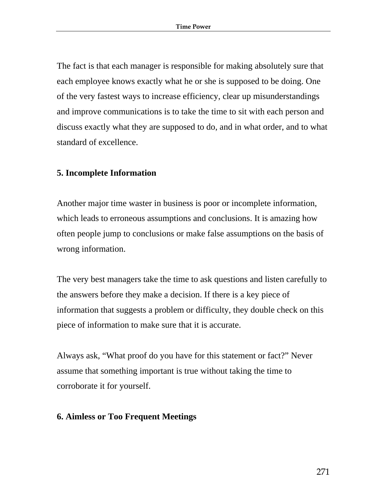The fact is that each manager is responsible for making absolutely sure that each employee knows exactly what he or she is supposed to be doing. One of the very fastest ways to increase efficiency, clear up misunderstandings and improve communications is to take the time to sit with each person and discuss exactly what they are supposed to do, and in what order, and to what standard of excellence.

# **5. Incomplete Information**

Another major time waster in business is poor or incomplete information, which leads to erroneous assumptions and conclusions. It is amazing how often people jump to conclusions or make false assumptions on the basis of wrong information.

The very best managers take the time to ask questions and listen carefully to the answers before they make a decision. If there is a key piece of information that suggests a problem or difficulty, they double check on this piece of information to make sure that it is accurate.

Always ask, "What proof do you have for this statement or fact?" Never assume that something important is true without taking the time to corroborate it for yourself.

# **6. Aimless or Too Frequent Meetings**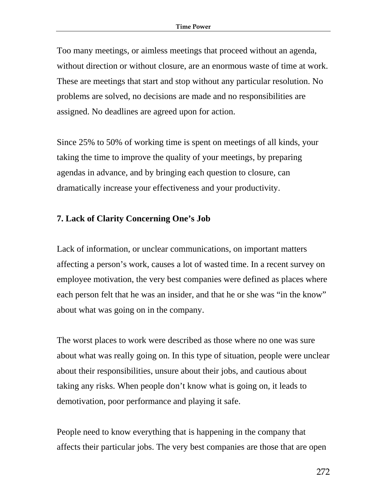Too many meetings, or aimless meetings that proceed without an agenda, without direction or without closure, are an enormous waste of time at work. These are meetings that start and stop without any particular resolution. No problems are solved, no decisions are made and no responsibilities are assigned. No deadlines are agreed upon for action.

Since 25% to 50% of working time is spent on meetings of all kinds, your taking the time to improve the quality of your meetings, by preparing agendas in advance, and by bringing each question to closure, can dramatically increase your effectiveness and your productivity.

## **7. Lack of Clarity Concerning One's Job**

Lack of information, or unclear communications, on important matters affecting a person's work, causes a lot of wasted time. In a recent survey on employee motivation, the very best companies were defined as places where each person felt that he was an insider, and that he or she was "in the know" about what was going on in the company.

The worst places to work were described as those where no one was sure about what was really going on. In this type of situation, people were unclear about their responsibilities, unsure about their jobs, and cautious about taking any risks. When people don't know what is going on, it leads to demotivation, poor performance and playing it safe.

People need to know everything that is happening in the company that affects their particular jobs. The very best companies are those that are open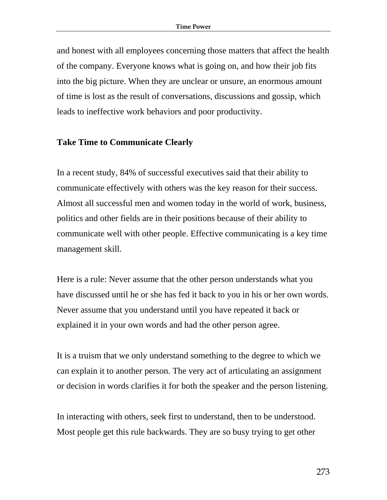and honest with all employees concerning those matters that affect the health of the company. Everyone knows what is going on, and how their job fits into the big picture. When they are unclear or unsure, an enormous amount of time is lost as the result of conversations, discussions and gossip, which leads to ineffective work behaviors and poor productivity.

### **Take Time to Communicate Clearly**

In a recent study, 84% of successful executives said that their ability to communicate effectively with others was the key reason for their success. Almost all successful men and women today in the world of work, business, politics and other fields are in their positions because of their ability to communicate well with other people. Effective communicating is a key time management skill.

Here is a rule: Never assume that the other person understands what you have discussed until he or she has fed it back to you in his or her own words. Never assume that you understand until you have repeated it back or explained it in your own words and had the other person agree.

It is a truism that we only understand something to the degree to which we can explain it to another person. The very act of articulating an assignment or decision in words clarifies it for both the speaker and the person listening.

In interacting with others, seek first to understand, then to be understood. Most people get this rule backwards. They are so busy trying to get other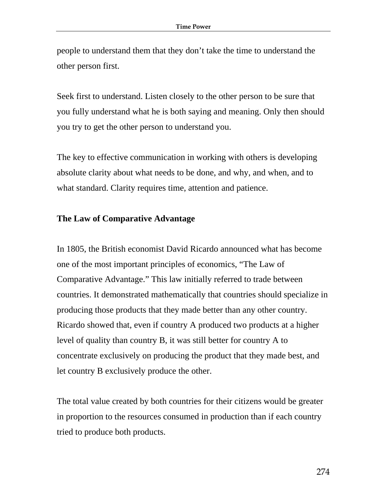people to understand them that they don't take the time to understand the other person first.

Seek first to understand. Listen closely to the other person to be sure that you fully understand what he is both saying and meaning. Only then should you try to get the other person to understand you.

The key to effective communication in working with others is developing absolute clarity about what needs to be done, and why, and when, and to what standard. Clarity requires time, attention and patience.

### **The Law of Comparative Advantage**

In 1805, the British economist David Ricardo announced what has become one of the most important principles of economics, "The Law of Comparative Advantage." This law initially referred to trade between countries. It demonstrated mathematically that countries should specialize in producing those products that they made better than any other country. Ricardo showed that, even if country A produced two products at a higher level of quality than country B, it was still better for country A to concentrate exclusively on producing the product that they made best, and let country B exclusively produce the other.

The total value created by both countries for their citizens would be greater in proportion to the resources consumed in production than if each country tried to produce both products.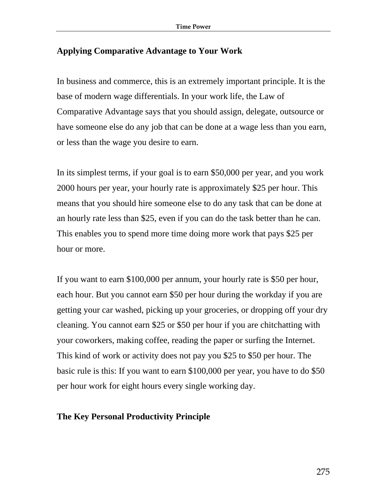## **Applying Comparative Advantage to Your Work**

In business and commerce, this is an extremely important principle. It is the base of modern wage differentials. In your work life, the Law of Comparative Advantage says that you should assign, delegate, outsource or have someone else do any job that can be done at a wage less than you earn, or less than the wage you desire to earn.

In its simplest terms, if your goal is to earn \$50,000 per year, and you work 2000 hours per year, your hourly rate is approximately \$25 per hour. This means that you should hire someone else to do any task that can be done at an hourly rate less than \$25, even if you can do the task better than he can. This enables you to spend more time doing more work that pays \$25 per hour or more.

If you want to earn \$100,000 per annum, your hourly rate is \$50 per hour, each hour. But you cannot earn \$50 per hour during the workday if you are getting your car washed, picking up your groceries, or dropping off your dry cleaning. You cannot earn \$25 or \$50 per hour if you are chitchatting with your coworkers, making coffee, reading the paper or surfing the Internet. This kind of work or activity does not pay you \$25 to \$50 per hour. The basic rule is this: If you want to earn \$100,000 per year, you have to do \$50 per hour work for eight hours every single working day.

## **The Key Personal Productivity Principle**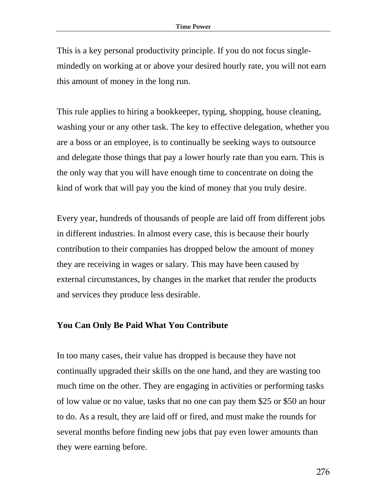This is a key personal productivity principle. If you do not focus singlemindedly on working at or above your desired hourly rate, you will not earn this amount of money in the long run.

This rule applies to hiring a bookkeeper, typing, shopping, house cleaning, washing your or any other task. The key to effective delegation, whether you are a boss or an employee, is to continually be seeking ways to outsource and delegate those things that pay a lower hourly rate than you earn. This is the only way that you will have enough time to concentrate on doing the kind of work that will pay you the kind of money that you truly desire.

Every year, hundreds of thousands of people are laid off from different jobs in different industries. In almost every case, this is because their hourly contribution to their companies has dropped below the amount of money they are receiving in wages or salary. This may have been caused by external circumstances, by changes in the market that render the products and services they produce less desirable.

#### **You Can Only Be Paid What You Contribute**

In too many cases, their value has dropped is because they have not continually upgraded their skills on the one hand, and they are wasting too much time on the other. They are engaging in activities or performing tasks of low value or no value, tasks that no one can pay them \$25 or \$50 an hour to do. As a result, they are laid off or fired, and must make the rounds for several months before finding new jobs that pay even lower amounts than they were earning before.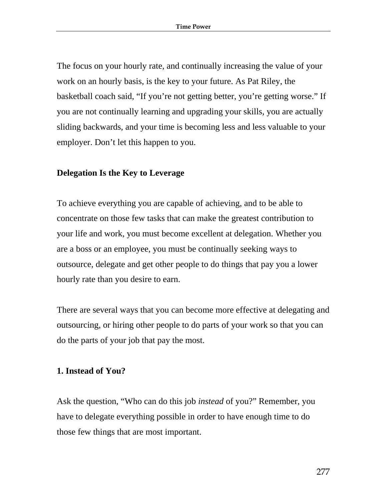The focus on your hourly rate, and continually increasing the value of your work on an hourly basis, is the key to your future. As Pat Riley, the basketball coach said, "If you're not getting better, you're getting worse." If you are not continually learning and upgrading your skills, you are actually sliding backwards, and your time is becoming less and less valuable to your employer. Don't let this happen to you.

# **Delegation Is the Key to Leverage**

To achieve everything you are capable of achieving, and to be able to concentrate on those few tasks that can make the greatest contribution to your life and work, you must become excellent at delegation. Whether you are a boss or an employee, you must be continually seeking ways to outsource, delegate and get other people to do things that pay you a lower hourly rate than you desire to earn.

There are several ways that you can become more effective at delegating and outsourcing, or hiring other people to do parts of your work so that you can do the parts of your job that pay the most.

# **1. Instead of You?**

Ask the question, "Who can do this job *instead* of you?" Remember, you have to delegate everything possible in order to have enough time to do those few things that are most important.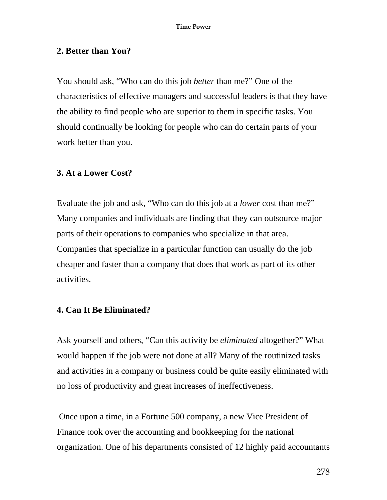### **2. Better than You?**

You should ask, "Who can do this job *better* than me?" One of the characteristics of effective managers and successful leaders is that they have the ability to find people who are superior to them in specific tasks. You should continually be looking for people who can do certain parts of your work better than you.

## **3. At a Lower Cost?**

Evaluate the job and ask, "Who can do this job at a *lower* cost than me?" Many companies and individuals are finding that they can outsource major parts of their operations to companies who specialize in that area. Companies that specialize in a particular function can usually do the job cheaper and faster than a company that does that work as part of its other activities.

## **4. Can It Be Eliminated?**

Ask yourself and others, "Can this activity be *eliminated* altogether?" What would happen if the job were not done at all? Many of the routinized tasks and activities in a company or business could be quite easily eliminated with no loss of productivity and great increases of ineffectiveness.

 Once upon a time, in a Fortune 500 company, a new Vice President of Finance took over the accounting and bookkeeping for the national organization. One of his departments consisted of 12 highly paid accountants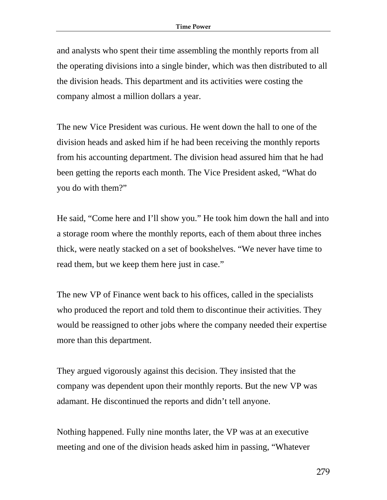and analysts who spent their time assembling the monthly reports from all the operating divisions into a single binder, which was then distributed to all the division heads. This department and its activities were costing the company almost a million dollars a year.

The new Vice President was curious. He went down the hall to one of the division heads and asked him if he had been receiving the monthly reports from his accounting department. The division head assured him that he had been getting the reports each month. The Vice President asked, "What do you do with them?"

He said, "Come here and I'll show you." He took him down the hall and into a storage room where the monthly reports, each of them about three inches thick, were neatly stacked on a set of bookshelves. "We never have time to read them, but we keep them here just in case."

The new VP of Finance went back to his offices, called in the specialists who produced the report and told them to discontinue their activities. They would be reassigned to other jobs where the company needed their expertise more than this department.

They argued vigorously against this decision. They insisted that the company was dependent upon their monthly reports. But the new VP was adamant. He discontinued the reports and didn't tell anyone.

Nothing happened. Fully nine months later, the VP was at an executive meeting and one of the division heads asked him in passing, "Whatever

279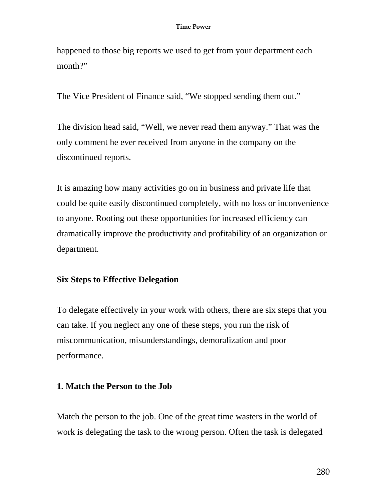happened to those big reports we used to get from your department each month?"

The Vice President of Finance said, "We stopped sending them out."

The division head said, "Well, we never read them anyway." That was the only comment he ever received from anyone in the company on the discontinued reports.

It is amazing how many activities go on in business and private life that could be quite easily discontinued completely, with no loss or inconvenience to anyone. Rooting out these opportunities for increased efficiency can dramatically improve the productivity and profitability of an organization or department.

## **Six Steps to Effective Delegation**

To delegate effectively in your work with others, there are six steps that you can take. If you neglect any one of these steps, you run the risk of miscommunication, misunderstandings, demoralization and poor performance.

## **1. Match the Person to the Job**

Match the person to the job. One of the great time wasters in the world of work is delegating the task to the wrong person. Often the task is delegated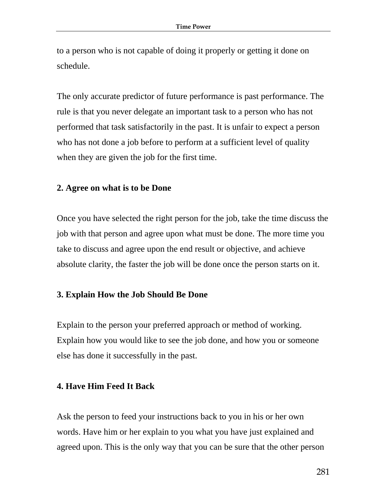to a person who is not capable of doing it properly or getting it done on schedule.

The only accurate predictor of future performance is past performance. The rule is that you never delegate an important task to a person who has not performed that task satisfactorily in the past. It is unfair to expect a person who has not done a job before to perform at a sufficient level of quality when they are given the job for the first time.

#### **2. Agree on what is to be Done**

Once you have selected the right person for the job, take the time discuss the job with that person and agree upon what must be done. The more time you take to discuss and agree upon the end result or objective, and achieve absolute clarity, the faster the job will be done once the person starts on it.

#### **3. Explain How the Job Should Be Done**

Explain to the person your preferred approach or method of working. Explain how you would like to see the job done, and how you or someone else has done it successfully in the past.

## **4. Have Him Feed It Back**

Ask the person to feed your instructions back to you in his or her own words. Have him or her explain to you what you have just explained and agreed upon. This is the only way that you can be sure that the other person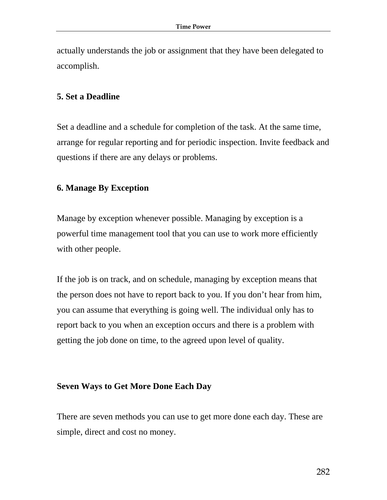actually understands the job or assignment that they have been delegated to accomplish.

# **5. Set a Deadline**

Set a deadline and a schedule for completion of the task. At the same time, arrange for regular reporting and for periodic inspection. Invite feedback and questions if there are any delays or problems.

# **6. Manage By Exception**

Manage by exception whenever possible. Managing by exception is a powerful time management tool that you can use to work more efficiently with other people.

If the job is on track, and on schedule, managing by exception means that the person does not have to report back to you. If you don't hear from him, you can assume that everything is going well. The individual only has to report back to you when an exception occurs and there is a problem with getting the job done on time, to the agreed upon level of quality.

# **Seven Ways to Get More Done Each Day**

There are seven methods you can use to get more done each day. These are simple, direct and cost no money.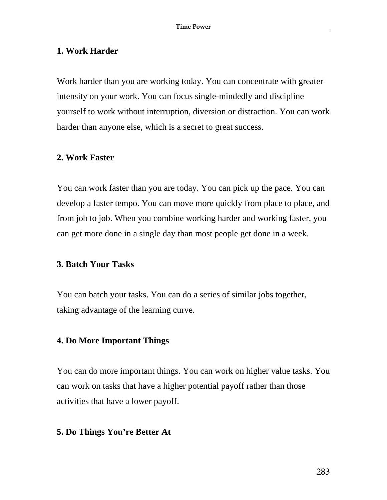### **1. Work Harder**

Work harder than you are working today. You can concentrate with greater intensity on your work. You can focus single-mindedly and discipline yourself to work without interruption, diversion or distraction. You can work harder than anyone else, which is a secret to great success.

### **2. Work Faster**

You can work faster than you are today. You can pick up the pace. You can develop a faster tempo. You can move more quickly from place to place, and from job to job. When you combine working harder and working faster, you can get more done in a single day than most people get done in a week.

### **3. Batch Your Tasks**

You can batch your tasks. You can do a series of similar jobs together, taking advantage of the learning curve.

#### **4. Do More Important Things**

You can do more important things. You can work on higher value tasks. You can work on tasks that have a higher potential payoff rather than those activities that have a lower payoff.

### **5. Do Things You're Better At**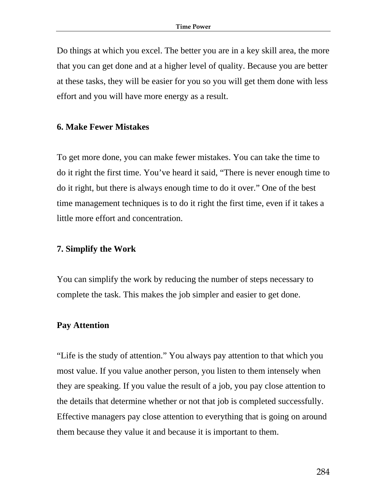Do things at which you excel. The better you are in a key skill area, the more that you can get done and at a higher level of quality. Because you are better at these tasks, they will be easier for you so you will get them done with less effort and you will have more energy as a result.

### **6. Make Fewer Mistakes**

To get more done, you can make fewer mistakes. You can take the time to do it right the first time. You've heard it said, "There is never enough time to do it right, but there is always enough time to do it over." One of the best time management techniques is to do it right the first time, even if it takes a little more effort and concentration.

#### **7. Simplify the Work**

You can simplify the work by reducing the number of steps necessary to complete the task. This makes the job simpler and easier to get done.

## **Pay Attention**

"Life is the study of attention." You always pay attention to that which you most value. If you value another person, you listen to them intensely when they are speaking. If you value the result of a job, you pay close attention to the details that determine whether or not that job is completed successfully. Effective managers pay close attention to everything that is going on around them because they value it and because it is important to them.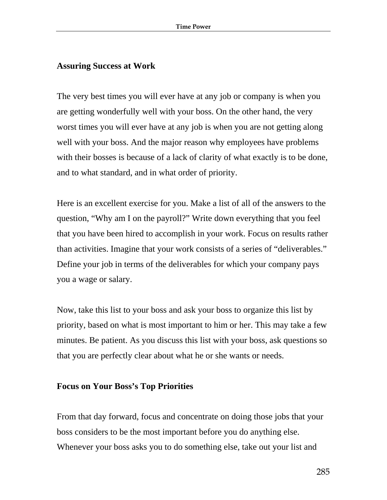### **Assuring Success at Work**

The very best times you will ever have at any job or company is when you are getting wonderfully well with your boss. On the other hand, the very worst times you will ever have at any job is when you are not getting along well with your boss. And the major reason why employees have problems with their bosses is because of a lack of clarity of what exactly is to be done, and to what standard, and in what order of priority.

Here is an excellent exercise for you. Make a list of all of the answers to the question, "Why am I on the payroll?" Write down everything that you feel that you have been hired to accomplish in your work. Focus on results rather than activities. Imagine that your work consists of a series of "deliverables." Define your job in terms of the deliverables for which your company pays you a wage or salary.

Now, take this list to your boss and ask your boss to organize this list by priority, based on what is most important to him or her. This may take a few minutes. Be patient. As you discuss this list with your boss, ask questions so that you are perfectly clear about what he or she wants or needs.

#### **Focus on Your Boss's Top Priorities**

From that day forward, focus and concentrate on doing those jobs that your boss considers to be the most important before you do anything else. Whenever your boss asks you to do something else, take out your list and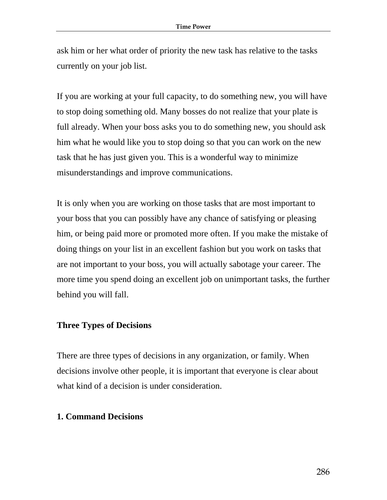ask him or her what order of priority the new task has relative to the tasks currently on your job list.

If you are working at your full capacity, to do something new, you will have to stop doing something old. Many bosses do not realize that your plate is full already. When your boss asks you to do something new, you should ask him what he would like you to stop doing so that you can work on the new task that he has just given you. This is a wonderful way to minimize misunderstandings and improve communications.

It is only when you are working on those tasks that are most important to your boss that you can possibly have any chance of satisfying or pleasing him, or being paid more or promoted more often. If you make the mistake of doing things on your list in an excellent fashion but you work on tasks that are not important to your boss, you will actually sabotage your career. The more time you spend doing an excellent job on unimportant tasks, the further behind you will fall.

### **Three Types of Decisions**

There are three types of decisions in any organization, or family. When decisions involve other people, it is important that everyone is clear about what kind of a decision is under consideration.

## **1. Command Decisions**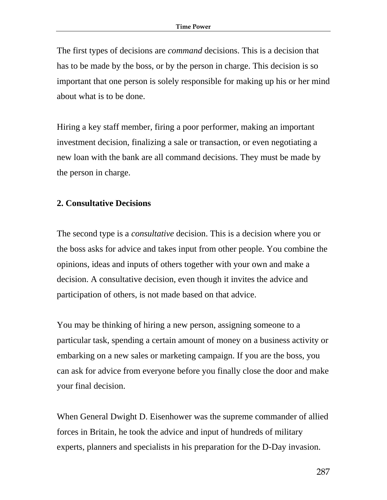The first types of decisions are *command* decisions. This is a decision that has to be made by the boss, or by the person in charge. This decision is so important that one person is solely responsible for making up his or her mind about what is to be done.

Hiring a key staff member, firing a poor performer, making an important investment decision, finalizing a sale or transaction, or even negotiating a new loan with the bank are all command decisions. They must be made by the person in charge.

## **2. Consultative Decisions**

The second type is a *consultative* decision. This is a decision where you or the boss asks for advice and takes input from other people. You combine the opinions, ideas and inputs of others together with your own and make a decision. A consultative decision, even though it invites the advice and participation of others, is not made based on that advice.

You may be thinking of hiring a new person, assigning someone to a particular task, spending a certain amount of money on a business activity or embarking on a new sales or marketing campaign. If you are the boss, you can ask for advice from everyone before you finally close the door and make your final decision.

When General Dwight D. Eisenhower was the supreme commander of allied forces in Britain, he took the advice and input of hundreds of military experts, planners and specialists in his preparation for the D-Day invasion.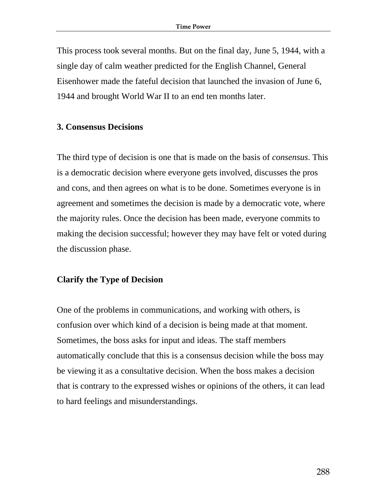This process took several months. But on the final day, June 5, 1944, with a single day of calm weather predicted for the English Channel, General Eisenhower made the fateful decision that launched the invasion of June 6, 1944 and brought World War II to an end ten months later.

### **3. Consensus Decisions**

The third type of decision is one that is made on the basis of *consensus*. This is a democratic decision where everyone gets involved, discusses the pros and cons, and then agrees on what is to be done. Sometimes everyone is in agreement and sometimes the decision is made by a democratic vote, where the majority rules. Once the decision has been made, everyone commits to making the decision successful; however they may have felt or voted during the discussion phase.

### **Clarify the Type of Decision**

One of the problems in communications, and working with others, is confusion over which kind of a decision is being made at that moment. Sometimes, the boss asks for input and ideas. The staff members automatically conclude that this is a consensus decision while the boss may be viewing it as a consultative decision. When the boss makes a decision that is contrary to the expressed wishes or opinions of the others, it can lead to hard feelings and misunderstandings.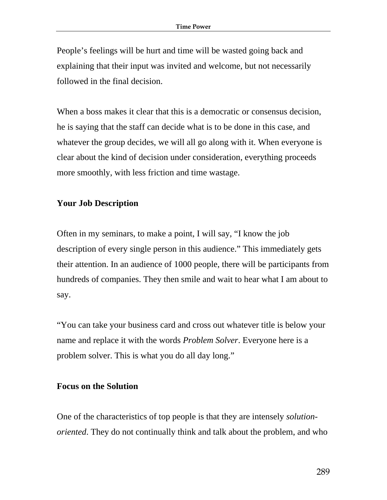People's feelings will be hurt and time will be wasted going back and explaining that their input was invited and welcome, but not necessarily followed in the final decision.

When a boss makes it clear that this is a democratic or consensus decision. he is saying that the staff can decide what is to be done in this case, and whatever the group decides, we will all go along with it. When everyone is clear about the kind of decision under consideration, everything proceeds more smoothly, with less friction and time wastage.

## **Your Job Description**

Often in my seminars, to make a point, I will say, "I know the job description of every single person in this audience." This immediately gets their attention. In an audience of 1000 people, there will be participants from hundreds of companies. They then smile and wait to hear what I am about to say.

"You can take your business card and cross out whatever title is below your name and replace it with the words *Problem Solver*. Everyone here is a problem solver. This is what you do all day long."

## **Focus on the Solution**

One of the characteristics of top people is that they are intensely *solutionoriented*. They do not continually think and talk about the problem, and who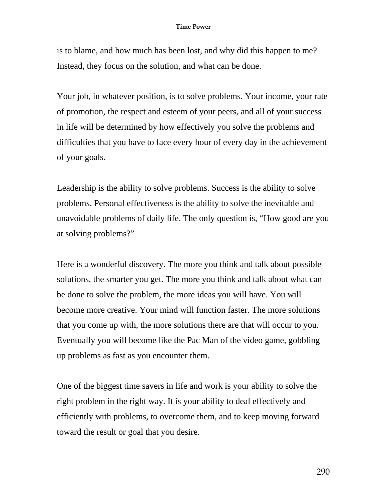is to blame, and how much has been lost, and why did this happen to me? Instead, they focus on the solution, and what can be done.

Your job, in whatever position, is to solve problems. Your income, your rate of promotion, the respect and esteem of your peers, and all of your success in life will be determined by how effectively you solve the problems and difficulties that you have to face every hour of every day in the achievement of your goals.

Leadership is the ability to solve problems. Success is the ability to solve problems. Personal effectiveness is the ability to solve the inevitable and unavoidable problems of daily life. The only question is, "How good are you at solving problems?"

Here is a wonderful discovery. The more you think and talk about possible solutions, the smarter you get. The more you think and talk about what can be done to solve the problem, the more ideas you will have. You will become more creative. Your mind will function faster. The more solutions that you come up with, the more solutions there are that will occur to you. Eventually you will become like the Pac Man of the video game, gobbling up problems as fast as you encounter them.

One of the biggest time savers in life and work is your ability to solve the right problem in the right way. It is your ability to deal effectively and efficiently with problems, to overcome them, and to keep moving forward toward the result or goal that you desire.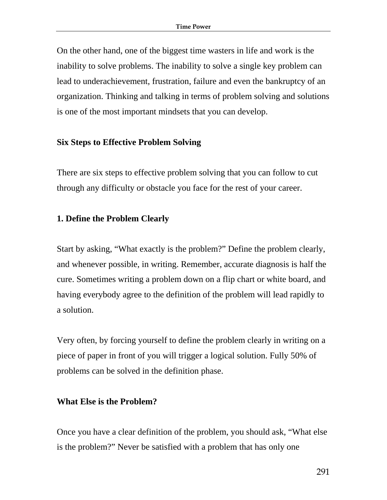On the other hand, one of the biggest time wasters in life and work is the inability to solve problems. The inability to solve a single key problem can lead to underachievement, frustration, failure and even the bankruptcy of an organization. Thinking and talking in terms of problem solving and solutions is one of the most important mindsets that you can develop.

## **Six Steps to Effective Problem Solving**

There are six steps to effective problem solving that you can follow to cut through any difficulty or obstacle you face for the rest of your career.

# **1. Define the Problem Clearly**

Start by asking, "What exactly is the problem?" Define the problem clearly, and whenever possible, in writing. Remember, accurate diagnosis is half the cure. Sometimes writing a problem down on a flip chart or white board, and having everybody agree to the definition of the problem will lead rapidly to a solution.

Very often, by forcing yourself to define the problem clearly in writing on a piece of paper in front of you will trigger a logical solution. Fully 50% of problems can be solved in the definition phase.

## **What Else is the Problem?**

Once you have a clear definition of the problem, you should ask, "What else is the problem?" Never be satisfied with a problem that has only one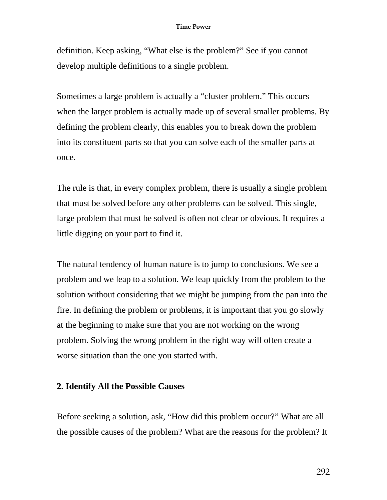definition. Keep asking, "What else is the problem?" See if you cannot develop multiple definitions to a single problem.

Sometimes a large problem is actually a "cluster problem." This occurs when the larger problem is actually made up of several smaller problems. By defining the problem clearly, this enables you to break down the problem into its constituent parts so that you can solve each of the smaller parts at once.

The rule is that, in every complex problem, there is usually a single problem that must be solved before any other problems can be solved. This single, large problem that must be solved is often not clear or obvious. It requires a little digging on your part to find it.

The natural tendency of human nature is to jump to conclusions. We see a problem and we leap to a solution. We leap quickly from the problem to the solution without considering that we might be jumping from the pan into the fire. In defining the problem or problems, it is important that you go slowly at the beginning to make sure that you are not working on the wrong problem. Solving the wrong problem in the right way will often create a worse situation than the one you started with.

### **2. Identify All the Possible Causes**

Before seeking a solution, ask, "How did this problem occur?" What are all the possible causes of the problem? What are the reasons for the problem? It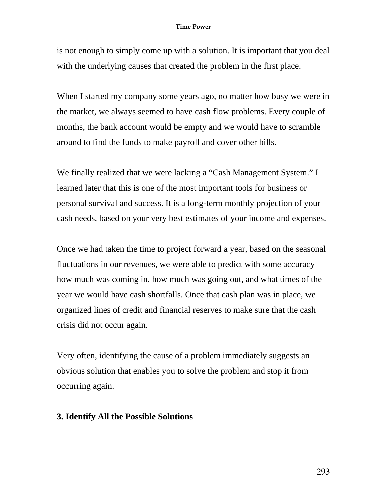is not enough to simply come up with a solution. It is important that you deal with the underlying causes that created the problem in the first place.

When I started my company some years ago, no matter how busy we were in the market, we always seemed to have cash flow problems. Every couple of months, the bank account would be empty and we would have to scramble around to find the funds to make payroll and cover other bills.

We finally realized that we were lacking a "Cash Management System." I learned later that this is one of the most important tools for business or personal survival and success. It is a long-term monthly projection of your cash needs, based on your very best estimates of your income and expenses.

Once we had taken the time to project forward a year, based on the seasonal fluctuations in our revenues, we were able to predict with some accuracy how much was coming in, how much was going out, and what times of the year we would have cash shortfalls. Once that cash plan was in place, we organized lines of credit and financial reserves to make sure that the cash crisis did not occur again.

Very often, identifying the cause of a problem immediately suggests an obvious solution that enables you to solve the problem and stop it from occurring again.

# **3. Identify All the Possible Solutions**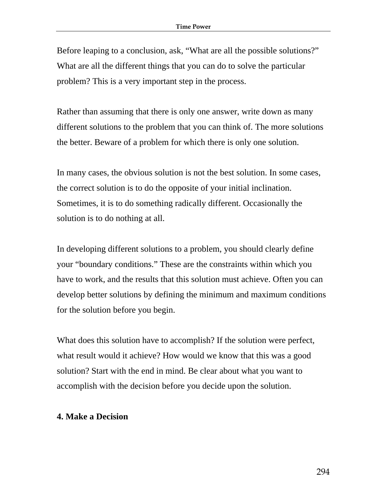Before leaping to a conclusion, ask, "What are all the possible solutions?" What are all the different things that you can do to solve the particular problem? This is a very important step in the process.

Rather than assuming that there is only one answer, write down as many different solutions to the problem that you can think of. The more solutions the better. Beware of a problem for which there is only one solution.

In many cases, the obvious solution is not the best solution. In some cases, the correct solution is to do the opposite of your initial inclination. Sometimes, it is to do something radically different. Occasionally the solution is to do nothing at all.

In developing different solutions to a problem, you should clearly define your "boundary conditions." These are the constraints within which you have to work, and the results that this solution must achieve. Often you can develop better solutions by defining the minimum and maximum conditions for the solution before you begin.

What does this solution have to accomplish? If the solution were perfect, what result would it achieve? How would we know that this was a good solution? Start with the end in mind. Be clear about what you want to accomplish with the decision before you decide upon the solution.

### **4. Make a Decision**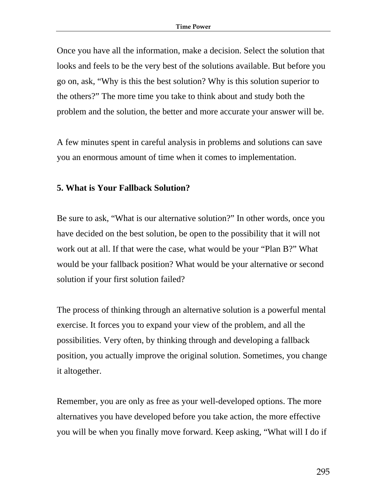Once you have all the information, make a decision. Select the solution that looks and feels to be the very best of the solutions available. But before you go on, ask, "Why is this the best solution? Why is this solution superior to the others?" The more time you take to think about and study both the problem and the solution, the better and more accurate your answer will be.

A few minutes spent in careful analysis in problems and solutions can save you an enormous amount of time when it comes to implementation.

### **5. What is Your Fallback Solution?**

Be sure to ask, "What is our alternative solution?" In other words, once you have decided on the best solution, be open to the possibility that it will not work out at all. If that were the case, what would be your "Plan B?" What would be your fallback position? What would be your alternative or second solution if your first solution failed?

The process of thinking through an alternative solution is a powerful mental exercise. It forces you to expand your view of the problem, and all the possibilities. Very often, by thinking through and developing a fallback position, you actually improve the original solution. Sometimes, you change it altogether.

Remember, you are only as free as your well-developed options. The more alternatives you have developed before you take action, the more effective you will be when you finally move forward. Keep asking, "What will I do if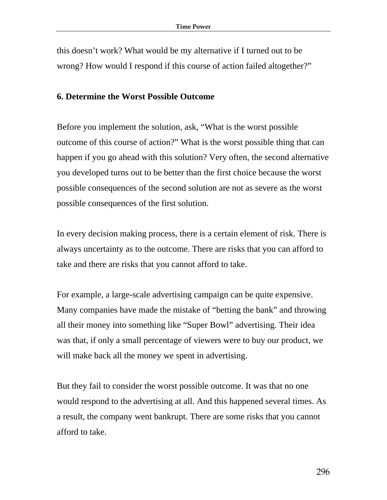this doesn't work? What would be my alternative if I turned out to be wrong? How would I respond if this course of action failed altogether?"

# **6. Determine the Worst Possible Outcome**

Before you implement the solution, ask, "What is the worst possible outcome of this course of action?" What is the worst possible thing that can happen if you go ahead with this solution? Very often, the second alternative you developed turns out to be better than the first choice because the worst possible consequences of the second solution are not as severe as the worst possible consequences of the first solution.

In every decision making process, there is a certain element of risk. There is always uncertainty as to the outcome. There are risks that you can afford to take and there are risks that you cannot afford to take.

For example, a large-scale advertising campaign can be quite expensive. Many companies have made the mistake of "betting the bank" and throwing all their money into something like "Super Bowl" advertising. Their idea was that, if only a small percentage of viewers were to buy our product, we will make back all the money we spent in advertising.

But they fail to consider the worst possible outcome. It was that no one would respond to the advertising at all. And this happened several times. As a result, the company went bankrupt. There are some risks that you cannot afford to take.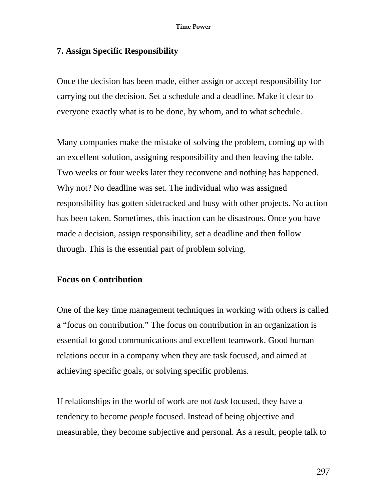### **7. Assign Specific Responsibility**

Once the decision has been made, either assign or accept responsibility for carrying out the decision. Set a schedule and a deadline. Make it clear to everyone exactly what is to be done, by whom, and to what schedule.

Many companies make the mistake of solving the problem, coming up with an excellent solution, assigning responsibility and then leaving the table. Two weeks or four weeks later they reconvene and nothing has happened. Why not? No deadline was set. The individual who was assigned responsibility has gotten sidetracked and busy with other projects. No action has been taken. Sometimes, this inaction can be disastrous. Once you have made a decision, assign responsibility, set a deadline and then follow through. This is the essential part of problem solving.

### **Focus on Contribution**

One of the key time management techniques in working with others is called a "focus on contribution." The focus on contribution in an organization is essential to good communications and excellent teamwork. Good human relations occur in a company when they are task focused, and aimed at achieving specific goals, or solving specific problems.

If relationships in the world of work are not *task* focused, they have a tendency to become *people* focused. Instead of being objective and measurable, they become subjective and personal. As a result, people talk to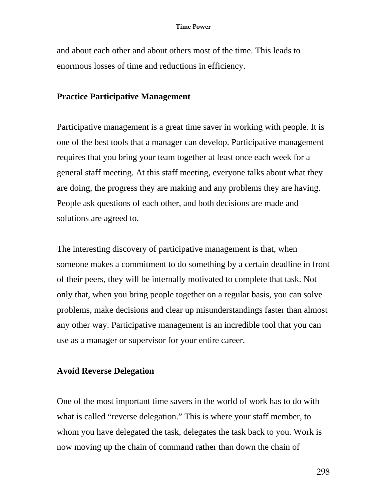and about each other and about others most of the time. This leads to enormous losses of time and reductions in efficiency.

#### **Practice Participative Management**

Participative management is a great time saver in working with people. It is one of the best tools that a manager can develop. Participative management requires that you bring your team together at least once each week for a general staff meeting. At this staff meeting, everyone talks about what they are doing, the progress they are making and any problems they are having. People ask questions of each other, and both decisions are made and solutions are agreed to.

The interesting discovery of participative management is that, when someone makes a commitment to do something by a certain deadline in front of their peers, they will be internally motivated to complete that task. Not only that, when you bring people together on a regular basis, you can solve problems, make decisions and clear up misunderstandings faster than almost any other way. Participative management is an incredible tool that you can use as a manager or supervisor for your entire career.

### **Avoid Reverse Delegation**

One of the most important time savers in the world of work has to do with what is called "reverse delegation." This is where your staff member, to whom you have delegated the task, delegates the task back to you. Work is now moving up the chain of command rather than down the chain of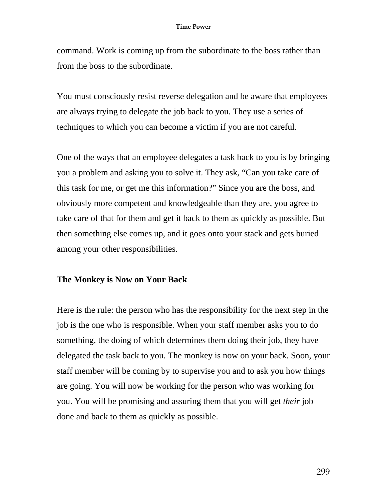command. Work is coming up from the subordinate to the boss rather than from the boss to the subordinate.

You must consciously resist reverse delegation and be aware that employees are always trying to delegate the job back to you. They use a series of techniques to which you can become a victim if you are not careful.

One of the ways that an employee delegates a task back to you is by bringing you a problem and asking you to solve it. They ask, "Can you take care of this task for me, or get me this information?" Since you are the boss, and obviously more competent and knowledgeable than they are, you agree to take care of that for them and get it back to them as quickly as possible. But then something else comes up, and it goes onto your stack and gets buried among your other responsibilities.

#### **The Monkey is Now on Your Back**

Here is the rule: the person who has the responsibility for the next step in the job is the one who is responsible. When your staff member asks you to do something, the doing of which determines them doing their job, they have delegated the task back to you. The monkey is now on your back. Soon, your staff member will be coming by to supervise you and to ask you how things are going. You will now be working for the person who was working for you. You will be promising and assuring them that you will get *their* job done and back to them as quickly as possible.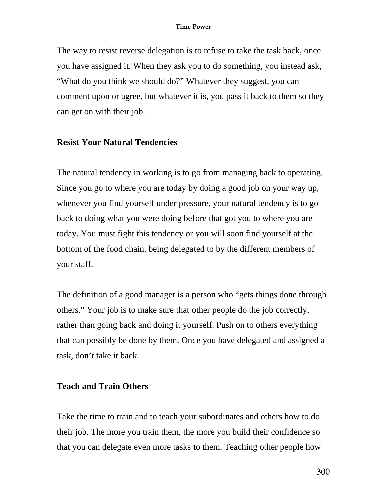The way to resist reverse delegation is to refuse to take the task back, once you have assigned it. When they ask you to do something, you instead ask, "What do you think we should do?" Whatever they suggest, you can comment upon or agree, but whatever it is, you pass it back to them so they can get on with their job.

## **Resist Your Natural Tendencies**

The natural tendency in working is to go from managing back to operating. Since you go to where you are today by doing a good job on your way up, whenever you find yourself under pressure, your natural tendency is to go back to doing what you were doing before that got you to where you are today. You must fight this tendency or you will soon find yourself at the bottom of the food chain, being delegated to by the different members of your staff.

The definition of a good manager is a person who "gets things done through others." Your job is to make sure that other people do the job correctly, rather than going back and doing it yourself. Push on to others everything that can possibly be done by them. Once you have delegated and assigned a task, don't take it back.

## **Teach and Train Others**

Take the time to train and to teach your subordinates and others how to do their job. The more you train them, the more you build their confidence so that you can delegate even more tasks to them. Teaching other people how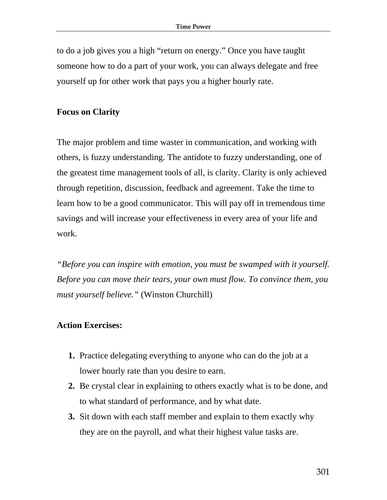to do a job gives you a high "return on energy." Once you have taught someone how to do a part of your work, you can always delegate and free yourself up for other work that pays you a higher hourly rate.

### **Focus on Clarity**

The major problem and time waster in communication, and working with others, is fuzzy understanding. The antidote to fuzzy understanding, one of the greatest time management tools of all, is clarity. Clarity is only achieved through repetition, discussion, feedback and agreement. Take the time to learn how to be a good communicator. This will pay off in tremendous time savings and will increase your effectiveness in every area of your life and work.

*"Before you can inspire with emotion, you must be swamped with it yourself. Before you can move their tears, your own must flow. To convince them, you must yourself believe."* (Winston Churchill)

#### **Action Exercises:**

- **1.** Practice delegating everything to anyone who can do the job at a lower hourly rate than you desire to earn.
- **2.** Be crystal clear in explaining to others exactly what is to be done, and to what standard of performance, and by what date.
- **3.** Sit down with each staff member and explain to them exactly why they are on the payroll, and what their highest value tasks are.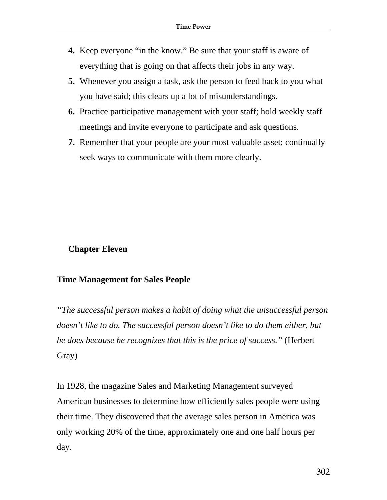- **4.** Keep everyone "in the know." Be sure that your staff is aware of everything that is going on that affects their jobs in any way.
- **5.** Whenever you assign a task, ask the person to feed back to you what you have said; this clears up a lot of misunderstandings.
- **6.** Practice participative management with your staff; hold weekly staff meetings and invite everyone to participate and ask questions.
- **7.** Remember that your people are your most valuable asset; continually seek ways to communicate with them more clearly.

# **Chapter Eleven**

# **Time Management for Sales People**

*"The successful person makes a habit of doing what the unsuccessful person*  doesn't like to do. The successful person doesn't like to do them either, but *he does because he recognizes that this is the price of success."* (Herbert Gray)

In 1928, the magazine Sales and Marketing Management surveyed American businesses to determine how efficiently sales people were using their time. They discovered that the average sales person in America was only working 20% of the time, approximately one and one half hours per day.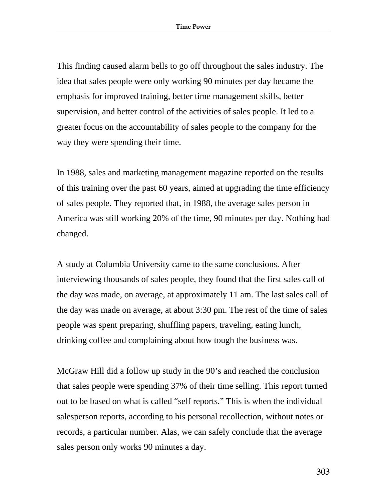This finding caused alarm bells to go off throughout the sales industry. The idea that sales people were only working 90 minutes per day became the emphasis for improved training, better time management skills, better supervision, and better control of the activities of sales people. It led to a greater focus on the accountability of sales people to the company for the way they were spending their time.

In 1988, sales and marketing management magazine reported on the results of this training over the past 60 years, aimed at upgrading the time efficiency of sales people. They reported that, in 1988, the average sales person in America was still working 20% of the time, 90 minutes per day. Nothing had changed.

A study at Columbia University came to the same conclusions. After interviewing thousands of sales people, they found that the first sales call of the day was made, on average, at approximately 11 am. The last sales call of the day was made on average, at about 3:30 pm. The rest of the time of sales people was spent preparing, shuffling papers, traveling, eating lunch, drinking coffee and complaining about how tough the business was.

McGraw Hill did a follow up study in the 90's and reached the conclusion that sales people were spending 37% of their time selling. This report turned out to be based on what is called "self reports." This is when the individual salesperson reports, according to his personal recollection, without notes or records, a particular number. Alas, we can safely conclude that the average sales person only works 90 minutes a day.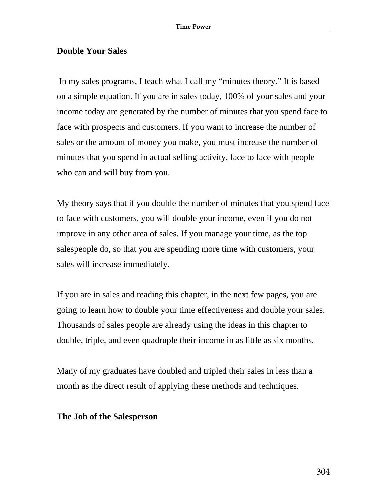### **Double Your Sales**

 In my sales programs, I teach what I call my "minutes theory." It is based on a simple equation. If you are in sales today, 100% of your sales and your income today are generated by the number of minutes that you spend face to face with prospects and customers. If you want to increase the number of sales or the amount of money you make, you must increase the number of minutes that you spend in actual selling activity, face to face with people who can and will buy from you.

My theory says that if you double the number of minutes that you spend face to face with customers, you will double your income, even if you do not improve in any other area of sales. If you manage your time, as the top salespeople do, so that you are spending more time with customers, your sales will increase immediately.

If you are in sales and reading this chapter, in the next few pages, you are going to learn how to double your time effectiveness and double your sales. Thousands of sales people are already using the ideas in this chapter to double, triple, and even quadruple their income in as little as six months.

Many of my graduates have doubled and tripled their sales in less than a month as the direct result of applying these methods and techniques.

### **The Job of the Salesperson**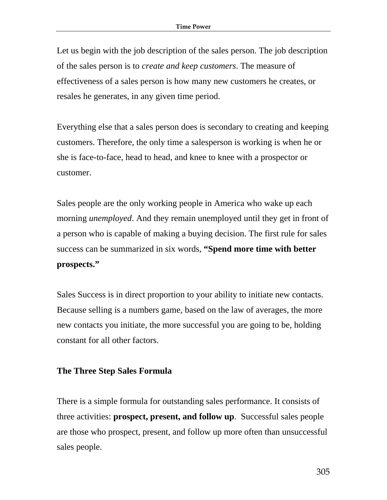Let us begin with the job description of the sales person. The job description of the sales person is to *create and keep customers*. The measure of effectiveness of a sales person is how many new customers he creates, or resales he generates, in any given time period.

Everything else that a sales person does is secondary to creating and keeping customers. Therefore, the only time a salesperson is working is when he or she is face-to-face, head to head, and knee to knee with a prospector or customer.

Sales people are the only working people in America who wake up each morning *unemployed*. And they remain unemployed until they get in front of a person who is capable of making a buying decision. The first rule for sales success can be summarized in six words, **"Spend more time with better prospects."** 

Sales Success is in direct proportion to your ability to initiate new contacts. Because selling is a numbers game, based on the law of averages, the more new contacts you initiate, the more successful you are going to be, holding constant for all other factors.

## **The Three Step Sales Formula**

There is a simple formula for outstanding sales performance. It consists of three activities: **prospect, present, and follow up**. Successful sales people are those who prospect, present, and follow up more often than unsuccessful sales people.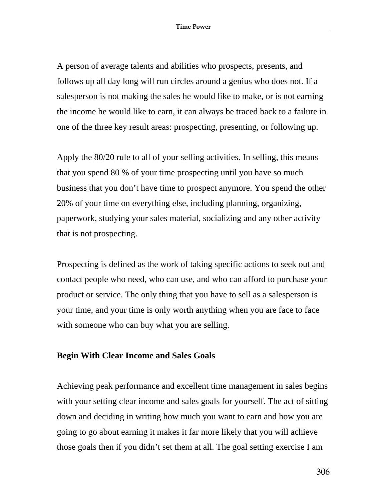A person of average talents and abilities who prospects, presents, and follows up all day long will run circles around a genius who does not. If a salesperson is not making the sales he would like to make, or is not earning the income he would like to earn, it can always be traced back to a failure in one of the three key result areas: prospecting, presenting, or following up.

Apply the 80/20 rule to all of your selling activities. In selling, this means that you spend 80 % of your time prospecting until you have so much business that you don't have time to prospect anymore. You spend the other 20% of your time on everything else, including planning, organizing, paperwork, studying your sales material, socializing and any other activity that is not prospecting.

Prospecting is defined as the work of taking specific actions to seek out and contact people who need, who can use, and who can afford to purchase your product or service. The only thing that you have to sell as a salesperson is your time, and your time is only worth anything when you are face to face with someone who can buy what you are selling.

### **Begin With Clear Income and Sales Goals**

Achieving peak performance and excellent time management in sales begins with your setting clear income and sales goals for yourself. The act of sitting down and deciding in writing how much you want to earn and how you are going to go about earning it makes it far more likely that you will achieve those goals then if you didn't set them at all. The goal setting exercise I am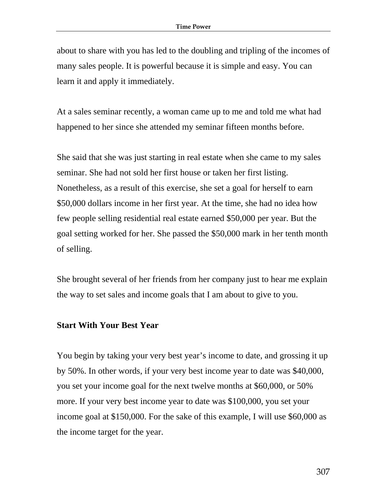about to share with you has led to the doubling and tripling of the incomes of many sales people. It is powerful because it is simple and easy. You can learn it and apply it immediately.

At a sales seminar recently, a woman came up to me and told me what had happened to her since she attended my seminar fifteen months before.

She said that she was just starting in real estate when she came to my sales seminar. She had not sold her first house or taken her first listing. Nonetheless, as a result of this exercise, she set a goal for herself to earn \$50,000 dollars income in her first year. At the time, she had no idea how few people selling residential real estate earned \$50,000 per year. But the goal setting worked for her. She passed the \$50,000 mark in her tenth month of selling.

She brought several of her friends from her company just to hear me explain the way to set sales and income goals that I am about to give to you.

#### **Start With Your Best Year**

You begin by taking your very best year's income to date, and grossing it up by 50%. In other words, if your very best income year to date was \$40,000, you set your income goal for the next twelve months at \$60,000, or 50% more. If your very best income year to date was \$100,000, you set your income goal at \$150,000. For the sake of this example, I will use \$60,000 as the income target for the year.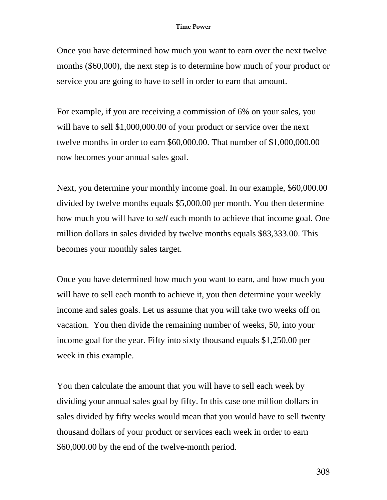Once you have determined how much you want to earn over the next twelve months (\$60,000), the next step is to determine how much of your product or service you are going to have to sell in order to earn that amount.

For example, if you are receiving a commission of 6% on your sales, you will have to sell \$1,000,000.00 of your product or service over the next twelve months in order to earn \$60,000.00. That number of \$1,000,000.00 now becomes your annual sales goal.

Next, you determine your monthly income goal. In our example, \$60,000.00 divided by twelve months equals \$5,000.00 per month. You then determine how much you will have to *sell* each month to achieve that income goal. One million dollars in sales divided by twelve months equals \$83,333.00. This becomes your monthly sales target.

Once you have determined how much you want to earn, and how much you will have to sell each month to achieve it, you then determine your weekly income and sales goals. Let us assume that you will take two weeks off on vacation. You then divide the remaining number of weeks, 50, into your income goal for the year. Fifty into sixty thousand equals \$1,250.00 per week in this example.

You then calculate the amount that you will have to sell each week by dividing your annual sales goal by fifty. In this case one million dollars in sales divided by fifty weeks would mean that you would have to sell twenty thousand dollars of your product or services each week in order to earn \$60,000.00 by the end of the twelve-month period.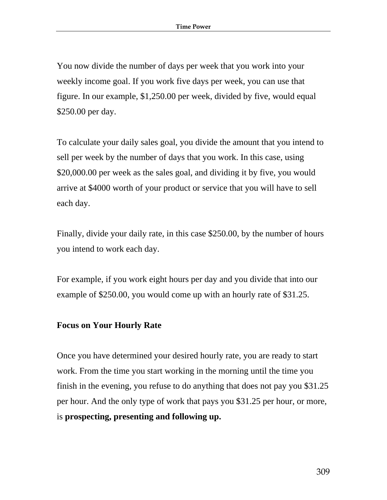You now divide the number of days per week that you work into your weekly income goal. If you work five days per week, you can use that figure. In our example, \$1,250.00 per week, divided by five, would equal \$250.00 per day.

To calculate your daily sales goal, you divide the amount that you intend to sell per week by the number of days that you work. In this case, using \$20,000.00 per week as the sales goal, and dividing it by five, you would arrive at \$4000 worth of your product or service that you will have to sell each day.

Finally, divide your daily rate, in this case \$250.00, by the number of hours you intend to work each day.

For example, if you work eight hours per day and you divide that into our example of \$250.00, you would come up with an hourly rate of \$31.25.

## **Focus on Your Hourly Rate**

Once you have determined your desired hourly rate, you are ready to start work. From the time you start working in the morning until the time you finish in the evening, you refuse to do anything that does not pay you \$31.25 per hour. And the only type of work that pays you \$31.25 per hour, or more, is **prospecting, presenting and following up.**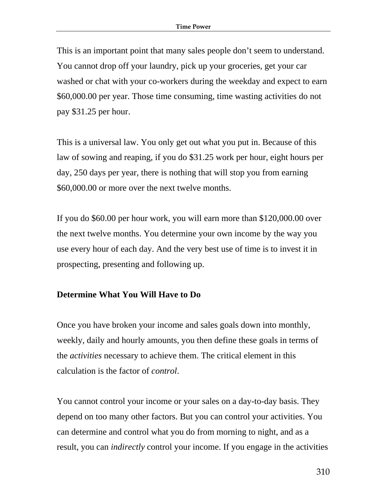This is an important point that many sales people don't seem to understand. You cannot drop off your laundry, pick up your groceries, get your car washed or chat with your co-workers during the weekday and expect to earn \$60,000.00 per year. Those time consuming, time wasting activities do not pay \$31.25 per hour.

This is a universal law. You only get out what you put in. Because of this law of sowing and reaping, if you do \$31.25 work per hour, eight hours per day, 250 days per year, there is nothing that will stop you from earning \$60,000.00 or more over the next twelve months.

If you do \$60.00 per hour work, you will earn more than \$120,000.00 over the next twelve months. You determine your own income by the way you use every hour of each day. And the very best use of time is to invest it in prospecting, presenting and following up.

# **Determine What You Will Have to Do**

Once you have broken your income and sales goals down into monthly, weekly, daily and hourly amounts, you then define these goals in terms of the *activities* necessary to achieve them. The critical element in this calculation is the factor of *control*.

You cannot control your income or your sales on a day-to-day basis. They depend on too many other factors. But you can control your activities. You can determine and control what you do from morning to night, and as a result, you can *indirectly* control your income. If you engage in the activities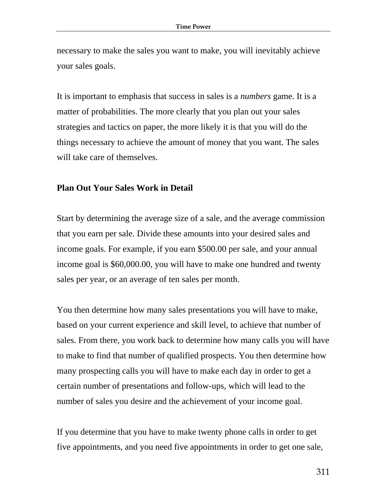necessary to make the sales you want to make, you will inevitably achieve your sales goals.

It is important to emphasis that success in sales is a *numbers* game. It is a matter of probabilities. The more clearly that you plan out your sales strategies and tactics on paper, the more likely it is that you will do the things necessary to achieve the amount of money that you want. The sales will take care of themselves.

### **Plan Out Your Sales Work in Detail**

Start by determining the average size of a sale, and the average commission that you earn per sale. Divide these amounts into your desired sales and income goals. For example, if you earn \$500.00 per sale, and your annual income goal is \$60,000.00, you will have to make one hundred and twenty sales per year, or an average of ten sales per month.

You then determine how many sales presentations you will have to make, based on your current experience and skill level, to achieve that number of sales. From there, you work back to determine how many calls you will have to make to find that number of qualified prospects. You then determine how many prospecting calls you will have to make each day in order to get a certain number of presentations and follow-ups, which will lead to the number of sales you desire and the achievement of your income goal.

If you determine that you have to make twenty phone calls in order to get five appointments, and you need five appointments in order to get one sale,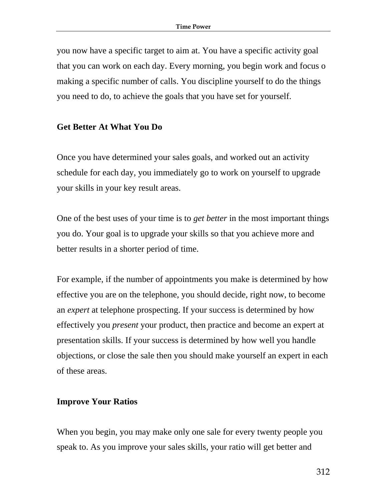you now have a specific target to aim at. You have a specific activity goal that you can work on each day. Every morning, you begin work and focus o making a specific number of calls. You discipline yourself to do the things you need to do, to achieve the goals that you have set for yourself.

## **Get Better At What You Do**

Once you have determined your sales goals, and worked out an activity schedule for each day, you immediately go to work on yourself to upgrade your skills in your key result areas.

One of the best uses of your time is to *get better* in the most important things you do. Your goal is to upgrade your skills so that you achieve more and better results in a shorter period of time.

For example, if the number of appointments you make is determined by how effective you are on the telephone, you should decide, right now, to become an *expert* at telephone prospecting. If your success is determined by how effectively you *present* your product, then practice and become an expert at presentation skills. If your success is determined by how well you handle objections, or close the sale then you should make yourself an expert in each of these areas.

# **Improve Your Ratios**

When you begin, you may make only one sale for every twenty people you speak to. As you improve your sales skills, your ratio will get better and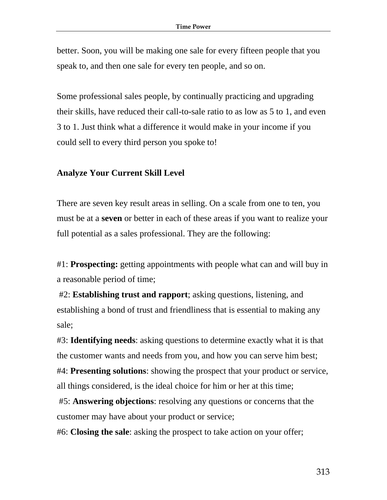better. Soon, you will be making one sale for every fifteen people that you speak to, and then one sale for every ten people, and so on.

Some professional sales people, by continually practicing and upgrading their skills, have reduced their call-to-sale ratio to as low as 5 to 1, and even 3 to 1. Just think what a difference it would make in your income if you could sell to every third person you spoke to!

# **Analyze Your Current Skill Level**

There are seven key result areas in selling. On a scale from one to ten, you must be at a **seven** or better in each of these areas if you want to realize your full potential as a sales professional. They are the following:

#1: **Prospecting:** getting appointments with people what can and will buy in a reasonable period of time;

 #2: **Establishing trust and rapport**; asking questions, listening, and establishing a bond of trust and friendliness that is essential to making any sale;

#3: **Identifying needs**: asking questions to determine exactly what it is that the customer wants and needs from you, and how you can serve him best;

#4: **Presenting solutions**: showing the prospect that your product or service, all things considered, is the ideal choice for him or her at this time;

 #5: **Answering objections**: resolving any questions or concerns that the customer may have about your product or service;

#6: **Closing the sale**: asking the prospect to take action on your offer;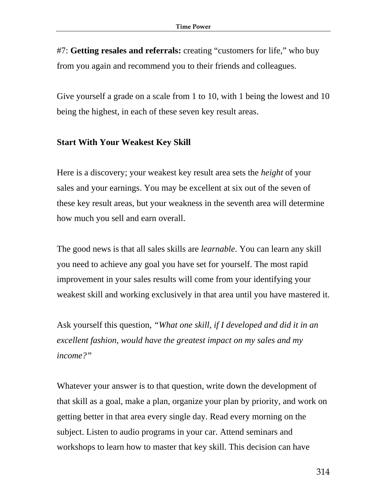#7: **Getting resales and referrals:** creating "customers for life," who buy from you again and recommend you to their friends and colleagues.

Give yourself a grade on a scale from 1 to 10, with 1 being the lowest and 10 being the highest, in each of these seven key result areas.

# **Start With Your Weakest Key Skill**

Here is a discovery; your weakest key result area sets the *height* of your sales and your earnings. You may be excellent at six out of the seven of these key result areas, but your weakness in the seventh area will determine how much you sell and earn overall.

The good news is that all sales skills are *learnable*. You can learn any skill you need to achieve any goal you have set for yourself. The most rapid improvement in your sales results will come from your identifying your weakest skill and working exclusively in that area until you have mastered it.

Ask yourself this question, *"What one skill, if I developed and did it in an excellent fashion, would have the greatest impact on my sales and my income?"* 

Whatever your answer is to that question, write down the development of that skill as a goal, make a plan, organize your plan by priority, and work on getting better in that area every single day. Read every morning on the subject. Listen to audio programs in your car. Attend seminars and workshops to learn how to master that key skill. This decision can have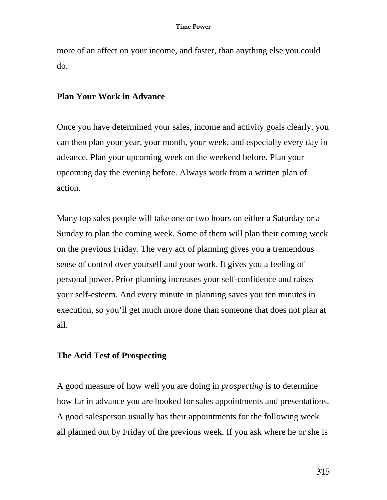more of an affect on your income, and faster, than anything else you could do.

### **Plan Your Work in Advance**

Once you have determined your sales, income and activity goals clearly, you can then plan your year, your month, your week, and especially every day in advance. Plan your upcoming week on the weekend before. Plan your upcoming day the evening before. Always work from a written plan of action.

Many top sales people will take one or two hours on either a Saturday or a Sunday to plan the coming week. Some of them will plan their coming week on the previous Friday. The very act of planning gives you a tremendous sense of control over yourself and your work. It gives you a feeling of personal power. Prior planning increases your self-confidence and raises your self-esteem. And every minute in planning saves you ten minutes in execution, so you'll get much more done than someone that does not plan at all.

### **The Acid Test of Prospecting**

A good measure of how well you are doing in *prospecting* is to determine how far in advance you are booked for sales appointments and presentations. A good salesperson usually has their appointments for the following week all planned out by Friday of the previous week. If you ask where he or she is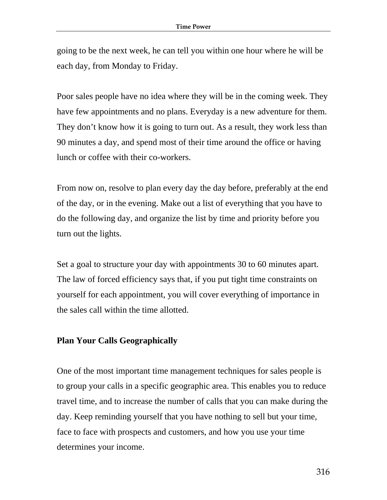going to be the next week, he can tell you within one hour where he will be each day, from Monday to Friday.

Poor sales people have no idea where they will be in the coming week. They have few appointments and no plans. Everyday is a new adventure for them. They don't know how it is going to turn out. As a result, they work less than 90 minutes a day, and spend most of their time around the office or having lunch or coffee with their co-workers.

From now on, resolve to plan every day the day before, preferably at the end of the day, or in the evening. Make out a list of everything that you have to do the following day, and organize the list by time and priority before you turn out the lights.

Set a goal to structure your day with appointments 30 to 60 minutes apart. The law of forced efficiency says that, if you put tight time constraints on yourself for each appointment, you will cover everything of importance in the sales call within the time allotted.

### **Plan Your Calls Geographically**

One of the most important time management techniques for sales people is to group your calls in a specific geographic area. This enables you to reduce travel time, and to increase the number of calls that you can make during the day. Keep reminding yourself that you have nothing to sell but your time, face to face with prospects and customers, and how you use your time determines your income.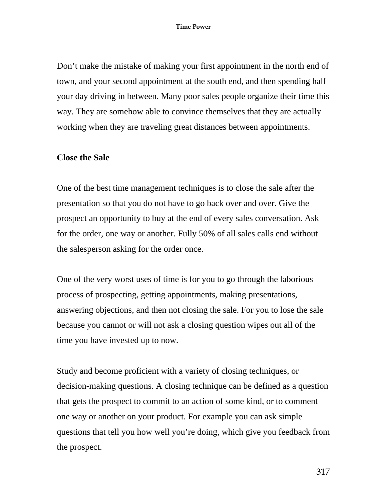Don't make the mistake of making your first appointment in the north end of town, and your second appointment at the south end, and then spending half your day driving in between. Many poor sales people organize their time this way. They are somehow able to convince themselves that they are actually working when they are traveling great distances between appointments.

#### **Close the Sale**

One of the best time management techniques is to close the sale after the presentation so that you do not have to go back over and over. Give the prospect an opportunity to buy at the end of every sales conversation. Ask for the order, one way or another. Fully 50% of all sales calls end without the salesperson asking for the order once.

One of the very worst uses of time is for you to go through the laborious process of prospecting, getting appointments, making presentations, answering objections, and then not closing the sale. For you to lose the sale because you cannot or will not ask a closing question wipes out all of the time you have invested up to now.

Study and become proficient with a variety of closing techniques, or decision-making questions. A closing technique can be defined as a question that gets the prospect to commit to an action of some kind, or to comment one way or another on your product. For example you can ask simple questions that tell you how well you're doing, which give you feedback from the prospect.

317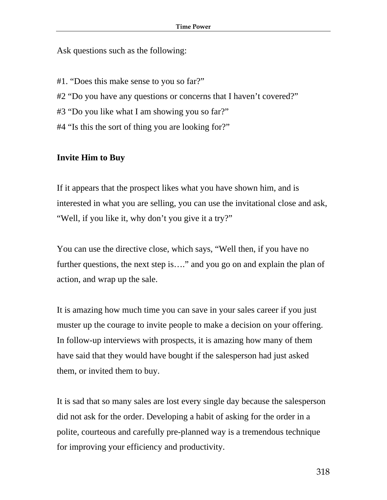Ask questions such as the following:

- #1. "Does this make sense to you so far?"
- #2 "Do you have any questions or concerns that I haven't covered?"
- #3 "Do you like what I am showing you so far?"
- #4 "Is this the sort of thing you are looking for?"

### **Invite Him to Buy**

If it appears that the prospect likes what you have shown him, and is interested in what you are selling, you can use the invitational close and ask, "Well, if you like it, why don't you give it a try?"

You can use the directive close, which says, "Well then, if you have no further questions, the next step is…." and you go on and explain the plan of action, and wrap up the sale.

It is amazing how much time you can save in your sales career if you just muster up the courage to invite people to make a decision on your offering. In follow-up interviews with prospects, it is amazing how many of them have said that they would have bought if the salesperson had just asked them, or invited them to buy.

It is sad that so many sales are lost every single day because the salesperson did not ask for the order. Developing a habit of asking for the order in a polite, courteous and carefully pre-planned way is a tremendous technique for improving your efficiency and productivity.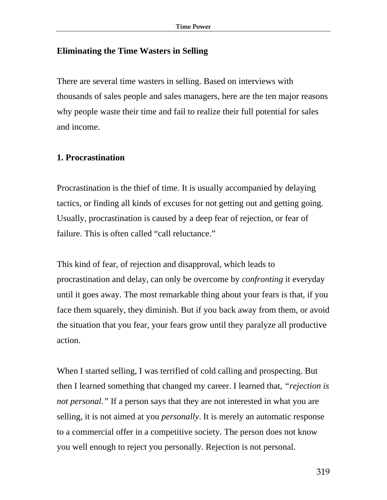### **Eliminating the Time Wasters in Selling**

There are several time wasters in selling. Based on interviews with thousands of sales people and sales managers, here are the ten major reasons why people waste their time and fail to realize their full potential for sales and income.

### **1. Procrastination**

Procrastination is the thief of time. It is usually accompanied by delaying tactics, or finding all kinds of excuses for not getting out and getting going. Usually, procrastination is caused by a deep fear of rejection, or fear of failure. This is often called "call reluctance."

This kind of fear, of rejection and disapproval, which leads to procrastination and delay, can only be overcome by *confronting* it everyday until it goes away. The most remarkable thing about your fears is that, if you face them squarely, they diminish. But if you back away from them, or avoid the situation that you fear, your fears grow until they paralyze all productive action.

When I started selling, I was terrified of cold calling and prospecting. But then I learned something that changed my career. I learned that, *"rejection is not personal.*" If a person says that they are not interested in what you are selling, it is not aimed at you *personally*. It is merely an automatic response to a commercial offer in a competitive society. The person does not know you well enough to reject you personally. Rejection is not personal.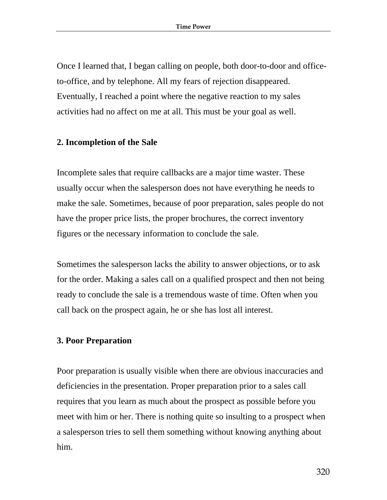Once I learned that, I began calling on people, both door-to-door and officeto-office, and by telephone. All my fears of rejection disappeared. Eventually, I reached a point where the negative reaction to my sales activities had no affect on me at all. This must be your goal as well.

### **2. Incompletion of the Sale**

Incomplete sales that require callbacks are a major time waster. These usually occur when the salesperson does not have everything he needs to make the sale. Sometimes, because of poor preparation, sales people do not have the proper price lists, the proper brochures, the correct inventory figures or the necessary information to conclude the sale.

Sometimes the salesperson lacks the ability to answer objections, or to ask for the order. Making a sales call on a qualified prospect and then not being ready to conclude the sale is a tremendous waste of time. Often when you call back on the prospect again, he or she has lost all interest.

## **3. Poor Preparation**

Poor preparation is usually visible when there are obvious inaccuracies and deficiencies in the presentation. Proper preparation prior to a sales call requires that you learn as much about the prospect as possible before you meet with him or her. There is nothing quite so insulting to a prospect when a salesperson tries to sell them something without knowing anything about him.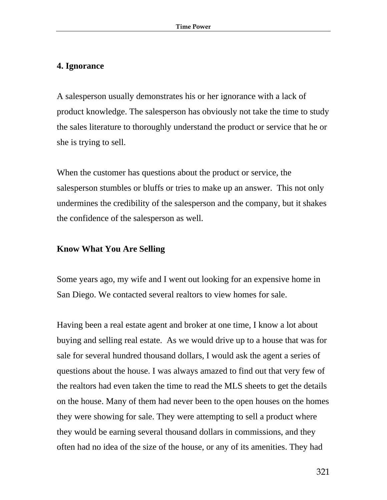#### **4. Ignorance**

A salesperson usually demonstrates his or her ignorance with a lack of product knowledge. The salesperson has obviously not take the time to study the sales literature to thoroughly understand the product or service that he or she is trying to sell.

When the customer has questions about the product or service, the salesperson stumbles or bluffs or tries to make up an answer. This not only undermines the credibility of the salesperson and the company, but it shakes the confidence of the salesperson as well.

#### **Know What You Are Selling**

Some years ago, my wife and I went out looking for an expensive home in San Diego. We contacted several realtors to view homes for sale.

Having been a real estate agent and broker at one time, I know a lot about buying and selling real estate. As we would drive up to a house that was for sale for several hundred thousand dollars, I would ask the agent a series of questions about the house. I was always amazed to find out that very few of the realtors had even taken the time to read the MLS sheets to get the details on the house. Many of them had never been to the open houses on the homes they were showing for sale. They were attempting to sell a product where they would be earning several thousand dollars in commissions, and they often had no idea of the size of the house, or any of its amenities. They had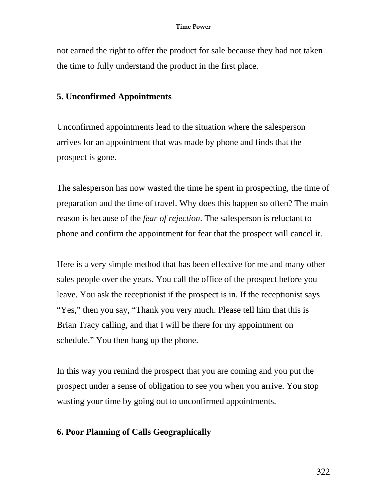not earned the right to offer the product for sale because they had not taken the time to fully understand the product in the first place.

# **5. Unconfirmed Appointments**

Unconfirmed appointments lead to the situation where the salesperson arrives for an appointment that was made by phone and finds that the prospect is gone.

The salesperson has now wasted the time he spent in prospecting, the time of preparation and the time of travel. Why does this happen so often? The main reason is because of the *fear of rejection*. The salesperson is reluctant to phone and confirm the appointment for fear that the prospect will cancel it.

Here is a very simple method that has been effective for me and many other sales people over the years. You call the office of the prospect before you leave. You ask the receptionist if the prospect is in. If the receptionist says "Yes," then you say, "Thank you very much. Please tell him that this is Brian Tracy calling, and that I will be there for my appointment on schedule." You then hang up the phone.

In this way you remind the prospect that you are coming and you put the prospect under a sense of obligation to see you when you arrive. You stop wasting your time by going out to unconfirmed appointments.

## **6. Poor Planning of Calls Geographically**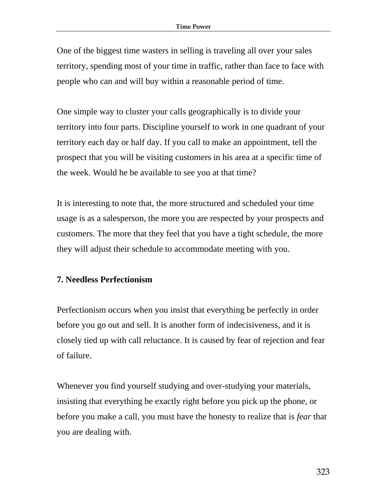One of the biggest time wasters in selling is traveling all over your sales territory, spending most of your time in traffic, rather than face to face with people who can and will buy within a reasonable period of time.

One simple way to cluster your calls geographically is to divide your territory into four parts. Discipline yourself to work in one quadrant of your territory each day or half day. If you call to make an appointment, tell the prospect that you will be visiting customers in his area at a specific time of the week. Would he be available to see you at that time?

It is interesting to note that, the more structured and scheduled your time usage is as a salesperson, the more you are respected by your prospects and customers. The more that they feel that you have a tight schedule, the more they will adjust their schedule to accommodate meeting with you.

# **7. Needless Perfectionism**

Perfectionism occurs when you insist that everything be perfectly in order before you go out and sell. It is another form of indecisiveness, and it is closely tied up with call reluctance. It is caused by fear of rejection and fear of failure.

Whenever you find yourself studying and over-studying your materials, insisting that everything be exactly right before you pick up the phone, or before you make a call, you must have the honesty to realize that is *fear* that you are dealing with.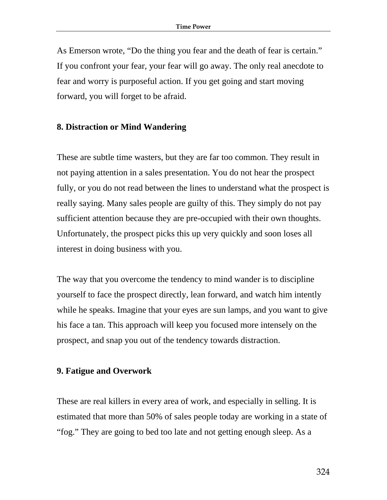As Emerson wrote, "Do the thing you fear and the death of fear is certain." If you confront your fear, your fear will go away. The only real anecdote to fear and worry is purposeful action. If you get going and start moving forward, you will forget to be afraid.

#### **8. Distraction or Mind Wandering**

These are subtle time wasters, but they are far too common. They result in not paying attention in a sales presentation. You do not hear the prospect fully, or you do not read between the lines to understand what the prospect is really saying. Many sales people are guilty of this. They simply do not pay sufficient attention because they are pre-occupied with their own thoughts. Unfortunately, the prospect picks this up very quickly and soon loses all interest in doing business with you.

The way that you overcome the tendency to mind wander is to discipline yourself to face the prospect directly, lean forward, and watch him intently while he speaks. Imagine that your eyes are sun lamps, and you want to give his face a tan. This approach will keep you focused more intensely on the prospect, and snap you out of the tendency towards distraction.

## **9. Fatigue and Overwork**

These are real killers in every area of work, and especially in selling. It is estimated that more than 50% of sales people today are working in a state of "fog." They are going to bed too late and not getting enough sleep. As a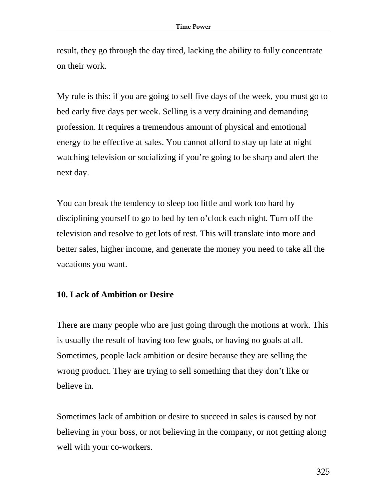result, they go through the day tired, lacking the ability to fully concentrate on their work.

My rule is this: if you are going to sell five days of the week, you must go to bed early five days per week. Selling is a very draining and demanding profession. It requires a tremendous amount of physical and emotional energy to be effective at sales. You cannot afford to stay up late at night watching television or socializing if you're going to be sharp and alert the next day.

You can break the tendency to sleep too little and work too hard by disciplining yourself to go to bed by ten o'clock each night. Turn off the television and resolve to get lots of rest. This will translate into more and better sales, higher income, and generate the money you need to take all the vacations you want.

### **10. Lack of Ambition or Desire**

There are many people who are just going through the motions at work. This is usually the result of having too few goals, or having no goals at all. Sometimes, people lack ambition or desire because they are selling the wrong product. They are trying to sell something that they don't like or believe in.

Sometimes lack of ambition or desire to succeed in sales is caused by not believing in your boss, or not believing in the company, or not getting along well with your co-workers.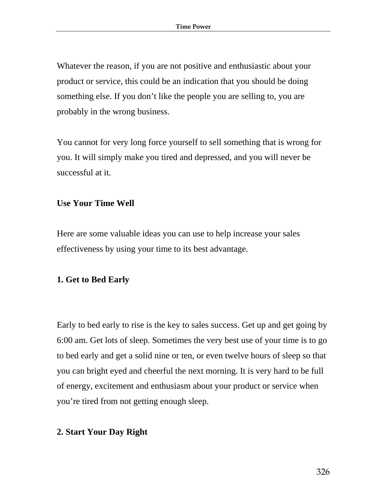Whatever the reason, if you are not positive and enthusiastic about your product or service, this could be an indication that you should be doing something else. If you don't like the people you are selling to, you are probably in the wrong business.

You cannot for very long force yourself to sell something that is wrong for you. It will simply make you tired and depressed, and you will never be successful at it.

## **Use Your Time Well**

Here are some valuable ideas you can use to help increase your sales effectiveness by using your time to its best advantage.

## **1. Get to Bed Early**

Early to bed early to rise is the key to sales success. Get up and get going by 6:00 am. Get lots of sleep. Sometimes the very best use of your time is to go to bed early and get a solid nine or ten, or even twelve hours of sleep so that you can bright eyed and cheerful the next morning. It is very hard to be full of energy, excitement and enthusiasm about your product or service when you're tired from not getting enough sleep.

# **2. Start Your Day Right**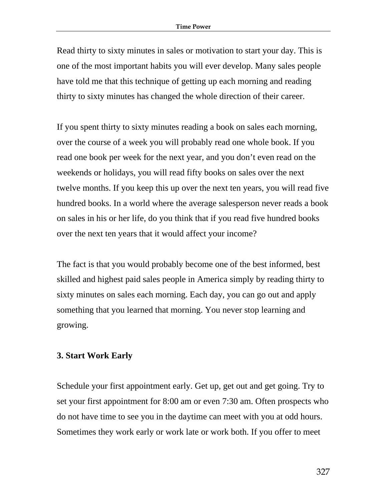Read thirty to sixty minutes in sales or motivation to start your day. This is one of the most important habits you will ever develop. Many sales people have told me that this technique of getting up each morning and reading thirty to sixty minutes has changed the whole direction of their career.

If you spent thirty to sixty minutes reading a book on sales each morning, over the course of a week you will probably read one whole book. If you read one book per week for the next year, and you don't even read on the weekends or holidays, you will read fifty books on sales over the next twelve months. If you keep this up over the next ten years, you will read five hundred books. In a world where the average salesperson never reads a book on sales in his or her life, do you think that if you read five hundred books over the next ten years that it would affect your income?

The fact is that you would probably become one of the best informed, best skilled and highest paid sales people in America simply by reading thirty to sixty minutes on sales each morning. Each day, you can go out and apply something that you learned that morning. You never stop learning and growing.

### **3. Start Work Early**

Schedule your first appointment early. Get up, get out and get going. Try to set your first appointment for 8:00 am or even 7:30 am. Often prospects who do not have time to see you in the daytime can meet with you at odd hours. Sometimes they work early or work late or work both. If you offer to meet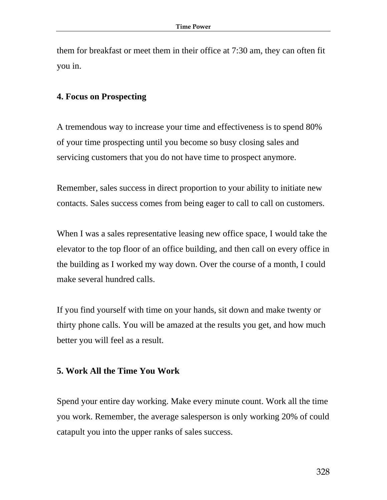them for breakfast or meet them in their office at 7:30 am, they can often fit you in.

# **4. Focus on Prospecting**

A tremendous way to increase your time and effectiveness is to spend 80% of your time prospecting until you become so busy closing sales and servicing customers that you do not have time to prospect anymore.

Remember, sales success in direct proportion to your ability to initiate new contacts. Sales success comes from being eager to call to call on customers.

When I was a sales representative leasing new office space, I would take the elevator to the top floor of an office building, and then call on every office in the building as I worked my way down. Over the course of a month, I could make several hundred calls.

If you find yourself with time on your hands, sit down and make twenty or thirty phone calls. You will be amazed at the results you get, and how much better you will feel as a result.

# **5. Work All the Time You Work**

Spend your entire day working. Make every minute count. Work all the time you work. Remember, the average salesperson is only working 20% of could catapult you into the upper ranks of sales success.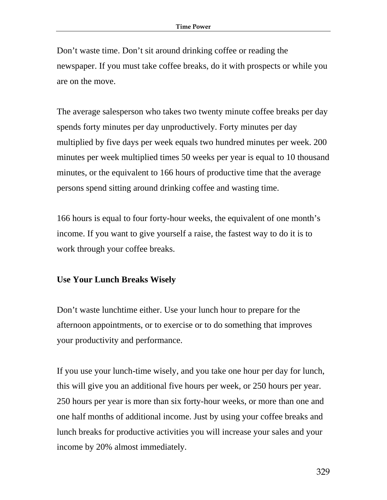Don't waste time. Don't sit around drinking coffee or reading the newspaper. If you must take coffee breaks, do it with prospects or while you are on the move.

The average salesperson who takes two twenty minute coffee breaks per day spends forty minutes per day unproductively. Forty minutes per day multiplied by five days per week equals two hundred minutes per week. 200 minutes per week multiplied times 50 weeks per year is equal to 10 thousand minutes, or the equivalent to 166 hours of productive time that the average persons spend sitting around drinking coffee and wasting time.

166 hours is equal to four forty-hour weeks, the equivalent of one month's income. If you want to give yourself a raise, the fastest way to do it is to work through your coffee breaks.

# **Use Your Lunch Breaks Wisely**

Don't waste lunchtime either. Use your lunch hour to prepare for the afternoon appointments, or to exercise or to do something that improves your productivity and performance.

If you use your lunch-time wisely, and you take one hour per day for lunch, this will give you an additional five hours per week, or 250 hours per year. 250 hours per year is more than six forty-hour weeks, or more than one and one half months of additional income. Just by using your coffee breaks and lunch breaks for productive activities you will increase your sales and your income by 20% almost immediately.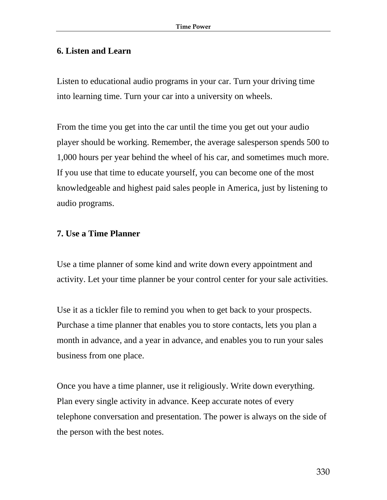## **6. Listen and Learn**

Listen to educational audio programs in your car. Turn your driving time into learning time. Turn your car into a university on wheels.

From the time you get into the car until the time you get out your audio player should be working. Remember, the average salesperson spends 500 to 1,000 hours per year behind the wheel of his car, and sometimes much more. If you use that time to educate yourself, you can become one of the most knowledgeable and highest paid sales people in America, just by listening to audio programs.

## **7. Use a Time Planner**

Use a time planner of some kind and write down every appointment and activity. Let your time planner be your control center for your sale activities.

Use it as a tickler file to remind you when to get back to your prospects. Purchase a time planner that enables you to store contacts, lets you plan a month in advance, and a year in advance, and enables you to run your sales business from one place.

Once you have a time planner, use it religiously. Write down everything. Plan every single activity in advance. Keep accurate notes of every telephone conversation and presentation. The power is always on the side of the person with the best notes.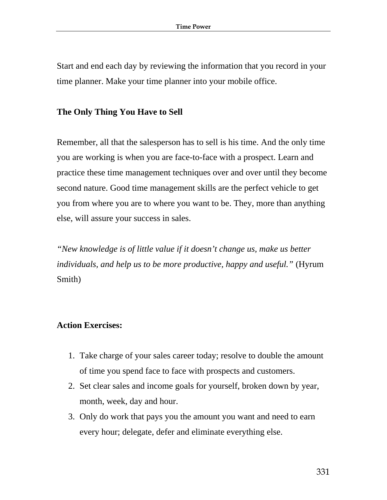Start and end each day by reviewing the information that you record in your time planner. Make your time planner into your mobile office.

# **The Only Thing You Have to Sell**

Remember, all that the salesperson has to sell is his time. And the only time you are working is when you are face-to-face with a prospect. Learn and practice these time management techniques over and over until they become second nature. Good time management skills are the perfect vehicle to get you from where you are to where you want to be. They, more than anything else, will assure your success in sales.

*"New knowledge is of little value if it doesn't change us, make us better individuals, and help us to be more productive, happy and useful."* (Hyrum Smith)

# **Action Exercises:**

- 1. Take charge of your sales career today; resolve to double the amount of time you spend face to face with prospects and customers.
- 2. Set clear sales and income goals for yourself, broken down by year, month, week, day and hour.
- 3. Only do work that pays you the amount you want and need to earn every hour; delegate, defer and eliminate everything else.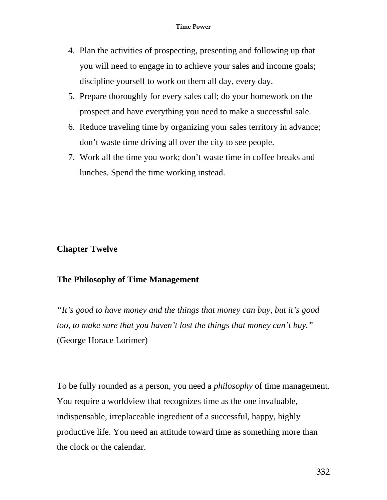- 4. Plan the activities of prospecting, presenting and following up that you will need to engage in to achieve your sales and income goals; discipline yourself to work on them all day, every day.
- 5. Prepare thoroughly for every sales call; do your homework on the prospect and have everything you need to make a successful sale.
- 6. Reduce traveling time by organizing your sales territory in advance; don't waste time driving all over the city to see people.
- 7. Work all the time you work; don't waste time in coffee breaks and lunches. Spend the time working instead.

# **Chapter Twelve**

# **The Philosophy of Time Management**

*"It's good to have money and the things that money can buy, but it's good too, to make sure that you haven't lost the things that money can't buy."*  (George Horace Lorimer)

To be fully rounded as a person, you need a *philosophy* of time management. You require a worldview that recognizes time as the one invaluable, indispensable, irreplaceable ingredient of a successful, happy, highly productive life. You need an attitude toward time as something more than the clock or the calendar.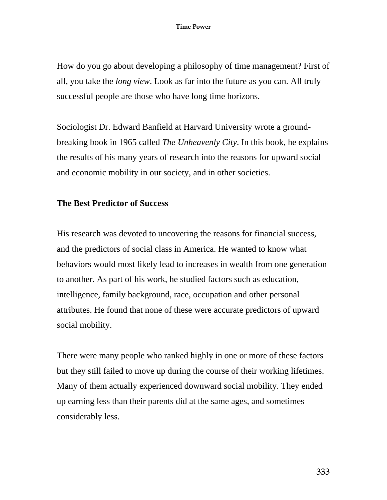How do you go about developing a philosophy of time management? First of all, you take the *long view*. Look as far into the future as you can. All truly successful people are those who have long time horizons.

Sociologist Dr. Edward Banfield at Harvard University wrote a groundbreaking book in 1965 called *The Unheavenly City*. In this book, he explains the results of his many years of research into the reasons for upward social and economic mobility in our society, and in other societies.

### **The Best Predictor of Success**

His research was devoted to uncovering the reasons for financial success, and the predictors of social class in America. He wanted to know what behaviors would most likely lead to increases in wealth from one generation to another. As part of his work, he studied factors such as education, intelligence, family background, race, occupation and other personal attributes. He found that none of these were accurate predictors of upward social mobility.

There were many people who ranked highly in one or more of these factors but they still failed to move up during the course of their working lifetimes. Many of them actually experienced downward social mobility. They ended up earning less than their parents did at the same ages, and sometimes considerably less.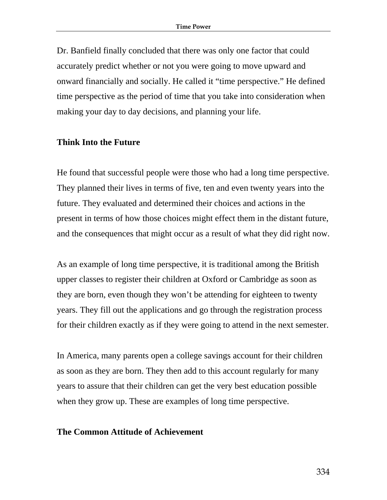Dr. Banfield finally concluded that there was only one factor that could accurately predict whether or not you were going to move upward and onward financially and socially. He called it "time perspective." He defined time perspective as the period of time that you take into consideration when making your day to day decisions, and planning your life.

### **Think Into the Future**

He found that successful people were those who had a long time perspective. They planned their lives in terms of five, ten and even twenty years into the future. They evaluated and determined their choices and actions in the present in terms of how those choices might effect them in the distant future, and the consequences that might occur as a result of what they did right now.

As an example of long time perspective, it is traditional among the British upper classes to register their children at Oxford or Cambridge as soon as they are born, even though they won't be attending for eighteen to twenty years. They fill out the applications and go through the registration process for their children exactly as if they were going to attend in the next semester.

In America, many parents open a college savings account for their children as soon as they are born. They then add to this account regularly for many years to assure that their children can get the very best education possible when they grow up. These are examples of long time perspective.

#### **The Common Attitude of Achievement**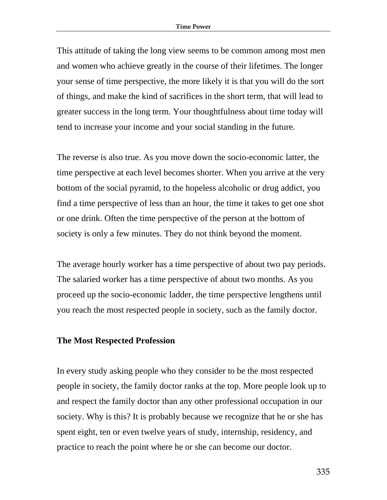#### **Time Power**

This attitude of taking the long view seems to be common among most men and women who achieve greatly in the course of their lifetimes. The longer your sense of time perspective, the more likely it is that you will do the sort of things, and make the kind of sacrifices in the short term, that will lead to greater success in the long term. Your thoughtfulness about time today will tend to increase your income and your social standing in the future.

The reverse is also true. As you move down the socio-economic latter, the time perspective at each level becomes shorter. When you arrive at the very bottom of the social pyramid, to the hopeless alcoholic or drug addict, you find a time perspective of less than an hour, the time it takes to get one shot or one drink. Often the time perspective of the person at the bottom of society is only a few minutes. They do not think beyond the moment.

The average hourly worker has a time perspective of about two pay periods. The salaried worker has a time perspective of about two months. As you proceed up the socio-economic ladder, the time perspective lengthens until you reach the most respected people in society, such as the family doctor.

#### **The Most Respected Profession**

In every study asking people who they consider to be the most respected people in society, the family doctor ranks at the top. More people look up to and respect the family doctor than any other professional occupation in our society. Why is this? It is probably because we recognize that he or she has spent eight, ten or even twelve years of study, internship, residency, and practice to reach the point where he or she can become our doctor.

335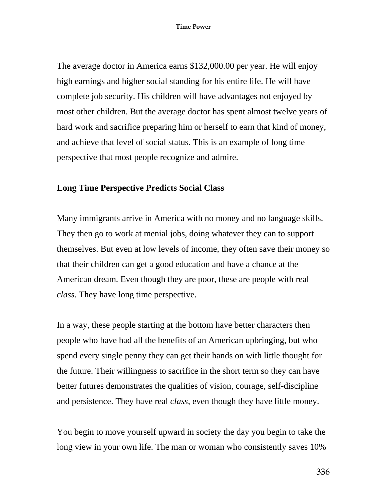The average doctor in America earns \$132,000.00 per year. He will enjoy high earnings and higher social standing for his entire life. He will have complete job security. His children will have advantages not enjoyed by most other children. But the average doctor has spent almost twelve years of hard work and sacrifice preparing him or herself to earn that kind of money, and achieve that level of social status. This is an example of long time perspective that most people recognize and admire.

### **Long Time Perspective Predicts Social Class**

Many immigrants arrive in America with no money and no language skills. They then go to work at menial jobs, doing whatever they can to support themselves. But even at low levels of income, they often save their money so that their children can get a good education and have a chance at the American dream. Even though they are poor, these are people with real *class*. They have long time perspective.

In a way, these people starting at the bottom have better characters then people who have had all the benefits of an American upbringing, but who spend every single penny they can get their hands on with little thought for the future. Their willingness to sacrifice in the short term so they can have better futures demonstrates the qualities of vision, courage, self-discipline and persistence. They have real *class*, even though they have little money.

You begin to move yourself upward in society the day you begin to take the long view in your own life. The man or woman who consistently saves 10%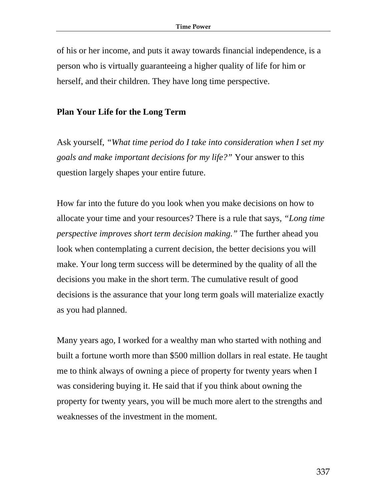of his or her income, and puts it away towards financial independence, is a person who is virtually guaranteeing a higher quality of life for him or herself, and their children. They have long time perspective.

#### **Plan Your Life for the Long Term**

Ask yourself, *"What time period do I take into consideration when I set my goals and make important decisions for my life?"* Your answer to this question largely shapes your entire future.

How far into the future do you look when you make decisions on how to allocate your time and your resources? There is a rule that says, *"Long time perspective improves short term decision making."* The further ahead you look when contemplating a current decision, the better decisions you will make. Your long term success will be determined by the quality of all the decisions you make in the short term. The cumulative result of good decisions is the assurance that your long term goals will materialize exactly as you had planned.

Many years ago, I worked for a wealthy man who started with nothing and built a fortune worth more than \$500 million dollars in real estate. He taught me to think always of owning a piece of property for twenty years when I was considering buying it. He said that if you think about owning the property for twenty years, you will be much more alert to the strengths and weaknesses of the investment in the moment.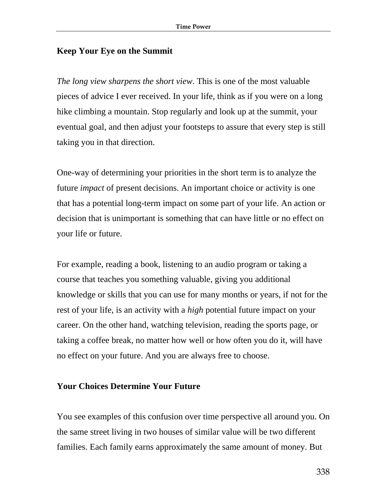## **Keep Your Eye on the Summit**

*The long view sharpens the short view*. This is one of the most valuable pieces of advice I ever received. In your life, think as if you were on a long hike climbing a mountain. Stop regularly and look up at the summit, your eventual goal, and then adjust your footsteps to assure that every step is still taking you in that direction.

One-way of determining your priorities in the short term is to analyze the future *impact* of present decisions. An important choice or activity is one that has a potential long-term impact on some part of your life. An action or decision that is unimportant is something that can have little or no effect on your life or future.

For example, reading a book, listening to an audio program or taking a course that teaches you something valuable, giving you additional knowledge or skills that you can use for many months or years, if not for the rest of your life, is an activity with a *high* potential future impact on your career. On the other hand, watching television, reading the sports page, or taking a coffee break, no matter how well or how often you do it, will have no effect on your future. And you are always free to choose.

### **Your Choices Determine Your Future**

You see examples of this confusion over time perspective all around you. On the same street living in two houses of similar value will be two different families. Each family earns approximately the same amount of money. But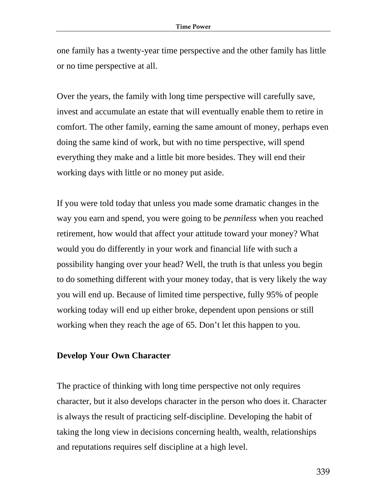one family has a twenty-year time perspective and the other family has little or no time perspective at all.

Over the years, the family with long time perspective will carefully save, invest and accumulate an estate that will eventually enable them to retire in comfort. The other family, earning the same amount of money, perhaps even doing the same kind of work, but with no time perspective, will spend everything they make and a little bit more besides. They will end their working days with little or no money put aside.

If you were told today that unless you made some dramatic changes in the way you earn and spend, you were going to be *penniless* when you reached retirement, how would that affect your attitude toward your money? What would you do differently in your work and financial life with such a possibility hanging over your head? Well, the truth is that unless you begin to do something different with your money today, that is very likely the way you will end up. Because of limited time perspective, fully 95% of people working today will end up either broke, dependent upon pensions or still working when they reach the age of 65. Don't let this happen to you.

### **Develop Your Own Character**

The practice of thinking with long time perspective not only requires character, but it also develops character in the person who does it. Character is always the result of practicing self-discipline. Developing the habit of taking the long view in decisions concerning health, wealth, relationships and reputations requires self discipline at a high level.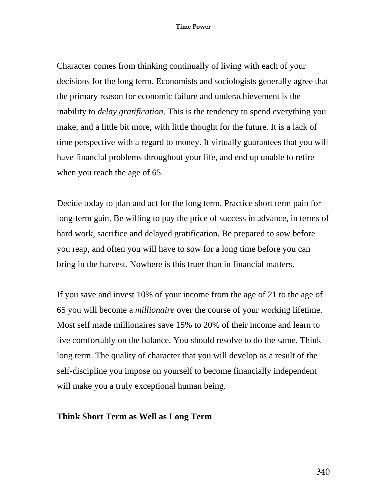Character comes from thinking continually of living with each of your decisions for the long term. Economists and sociologists generally agree that the primary reason for economic failure and underachievement is the inability to *delay gratification*. This is the tendency to spend everything you make, and a little bit more, with little thought for the future. It is a lack of time perspective with a regard to money. It virtually guarantees that you will have financial problems throughout your life, and end up unable to retire when you reach the age of 65.

Decide today to plan and act for the long term. Practice short term pain for long-term gain. Be willing to pay the price of success in advance, in terms of hard work, sacrifice and delayed gratification. Be prepared to sow before you reap, and often you will have to sow for a long time before you can bring in the harvest. Nowhere is this truer than in financial matters.

If you save and invest 10% of your income from the age of 21 to the age of 65 you will become a *millionaire* over the course of your working lifetime. Most self made millionaires save 15% to 20% of their income and learn to live comfortably on the balance. You should resolve to do the same. Think long term. The quality of character that you will develop as a result of the self-discipline you impose on yourself to become financially independent will make you a truly exceptional human being.

#### **Think Short Term as Well as Long Term**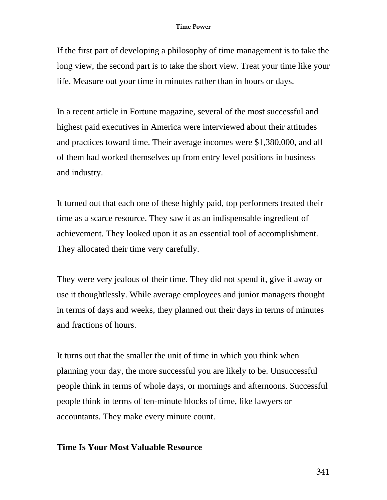If the first part of developing a philosophy of time management is to take the long view, the second part is to take the short view. Treat your time like your life. Measure out your time in minutes rather than in hours or days.

In a recent article in Fortune magazine, several of the most successful and highest paid executives in America were interviewed about their attitudes and practices toward time. Their average incomes were \$1,380,000, and all of them had worked themselves up from entry level positions in business and industry.

It turned out that each one of these highly paid, top performers treated their time as a scarce resource. They saw it as an indispensable ingredient of achievement. They looked upon it as an essential tool of accomplishment. They allocated their time very carefully.

They were very jealous of their time. They did not spend it, give it away or use it thoughtlessly. While average employees and junior managers thought in terms of days and weeks, they planned out their days in terms of minutes and fractions of hours.

It turns out that the smaller the unit of time in which you think when planning your day, the more successful you are likely to be. Unsuccessful people think in terms of whole days, or mornings and afternoons. Successful people think in terms of ten-minute blocks of time, like lawyers or accountants. They make every minute count.

### **Time Is Your Most Valuable Resource**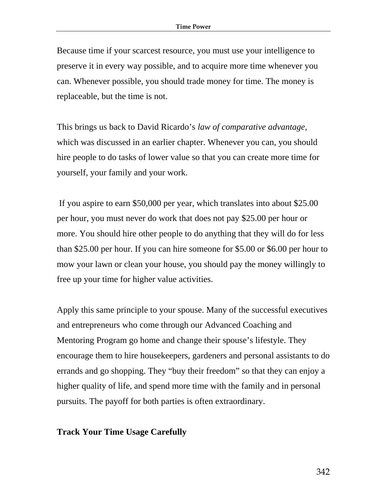Because time if your scarcest resource, you must use your intelligence to preserve it in every way possible, and to acquire more time whenever you can. Whenever possible, you should trade money for time. The money is replaceable, but the time is not.

This brings us back to David Ricardo's *law of comparative advantage,* which was discussed in an earlier chapter. Whenever you can, you should hire people to do tasks of lower value so that you can create more time for yourself, your family and your work.

 If you aspire to earn \$50,000 per year, which translates into about \$25.00 per hour, you must never do work that does not pay \$25.00 per hour or more. You should hire other people to do anything that they will do for less than \$25.00 per hour. If you can hire someone for \$5.00 or \$6.00 per hour to mow your lawn or clean your house, you should pay the money willingly to free up your time for higher value activities.

Apply this same principle to your spouse. Many of the successful executives and entrepreneurs who come through our Advanced Coaching and Mentoring Program go home and change their spouse's lifestyle. They encourage them to hire housekeepers, gardeners and personal assistants to do errands and go shopping. They "buy their freedom" so that they can enjoy a higher quality of life, and spend more time with the family and in personal pursuits. The payoff for both parties is often extraordinary.

#### **Track Your Time Usage Carefully**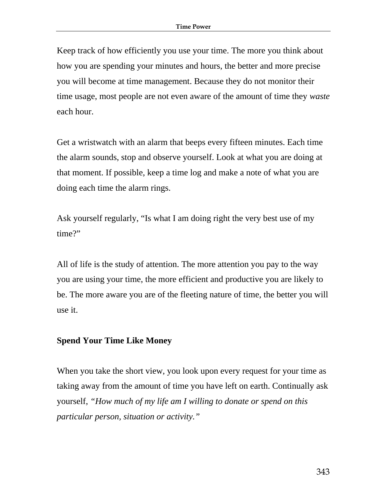Keep track of how efficiently you use your time. The more you think about how you are spending your minutes and hours, the better and more precise you will become at time management. Because they do not monitor their time usage, most people are not even aware of the amount of time they *waste* each hour.

Get a wristwatch with an alarm that beeps every fifteen minutes. Each time the alarm sounds, stop and observe yourself. Look at what you are doing at that moment. If possible, keep a time log and make a note of what you are doing each time the alarm rings.

Ask yourself regularly, "Is what I am doing right the very best use of my time?"

All of life is the study of attention. The more attention you pay to the way you are using your time, the more efficient and productive you are likely to be. The more aware you are of the fleeting nature of time, the better you will use it.

# **Spend Your Time Like Money**

When you take the short view, you look upon every request for your time as taking away from the amount of time you have left on earth. Continually ask yourself, *"How much of my life am I willing to donate or spend on this particular person, situation or activity."*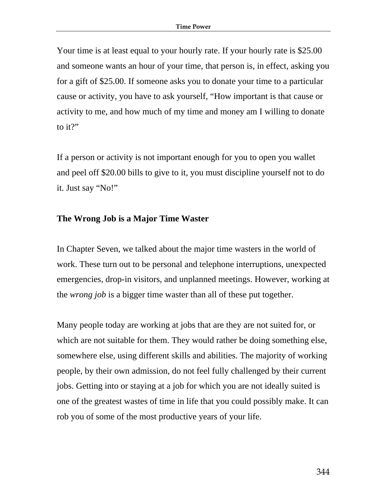Your time is at least equal to your hourly rate. If your hourly rate is \$25.00 and someone wants an hour of your time, that person is, in effect, asking you for a gift of \$25.00. If someone asks you to donate your time to a particular cause or activity, you have to ask yourself, "How important is that cause or activity to me, and how much of my time and money am I willing to donate to it?"

If a person or activity is not important enough for you to open you wallet and peel off \$20.00 bills to give to it, you must discipline yourself not to do it. Just say "No!"

#### **The Wrong Job is a Major Time Waster**

In Chapter Seven, we talked about the major time wasters in the world of work. These turn out to be personal and telephone interruptions, unexpected emergencies, drop-in visitors, and unplanned meetings. However, working at the *wrong job* is a bigger time waster than all of these put together.

Many people today are working at jobs that are they are not suited for, or which are not suitable for them. They would rather be doing something else, somewhere else, using different skills and abilities. The majority of working people, by their own admission, do not feel fully challenged by their current jobs. Getting into or staying at a job for which you are not ideally suited is one of the greatest wastes of time in life that you could possibly make. It can rob you of some of the most productive years of your life.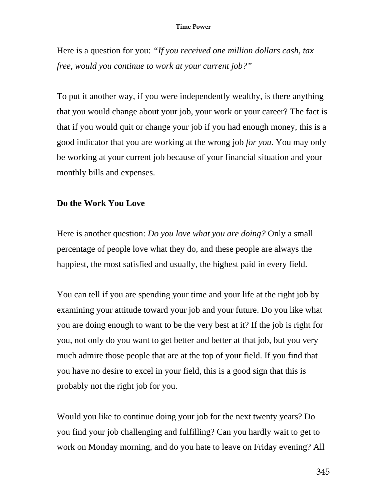Here is a question for you: *"If you received one million dollars cash, tax free, would you continue to work at your current job?"* 

To put it another way, if you were independently wealthy, is there anything that you would change about your job, your work or your career? The fact is that if you would quit or change your job if you had enough money, this is a good indicator that you are working at the wrong job *for you*. You may only be working at your current job because of your financial situation and your monthly bills and expenses.

### **Do the Work You Love**

Here is another question: *Do you love what you are doing?* Only a small percentage of people love what they do, and these people are always the happiest, the most satisfied and usually, the highest paid in every field.

You can tell if you are spending your time and your life at the right job by examining your attitude toward your job and your future. Do you like what you are doing enough to want to be the very best at it? If the job is right for you, not only do you want to get better and better at that job, but you very much admire those people that are at the top of your field. If you find that you have no desire to excel in your field, this is a good sign that this is probably not the right job for you.

Would you like to continue doing your job for the next twenty years? Do you find your job challenging and fulfilling? Can you hardly wait to get to work on Monday morning, and do you hate to leave on Friday evening? All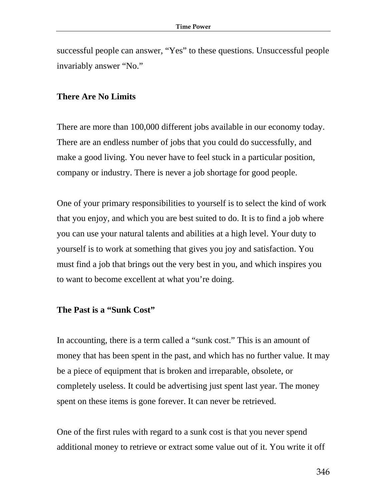successful people can answer, "Yes" to these questions. Unsuccessful people invariably answer "No."

### **There Are No Limits**

There are more than 100,000 different jobs available in our economy today. There are an endless number of jobs that you could do successfully, and make a good living. You never have to feel stuck in a particular position, company or industry. There is never a job shortage for good people.

One of your primary responsibilities to yourself is to select the kind of work that you enjoy, and which you are best suited to do. It is to find a job where you can use your natural talents and abilities at a high level. Your duty to yourself is to work at something that gives you joy and satisfaction. You must find a job that brings out the very best in you, and which inspires you to want to become excellent at what you're doing.

### **The Past is a "Sunk Cost"**

In accounting, there is a term called a "sunk cost." This is an amount of money that has been spent in the past, and which has no further value. It may be a piece of equipment that is broken and irreparable, obsolete, or completely useless. It could be advertising just spent last year. The money spent on these items is gone forever. It can never be retrieved.

One of the first rules with regard to a sunk cost is that you never spend additional money to retrieve or extract some value out of it. You write it off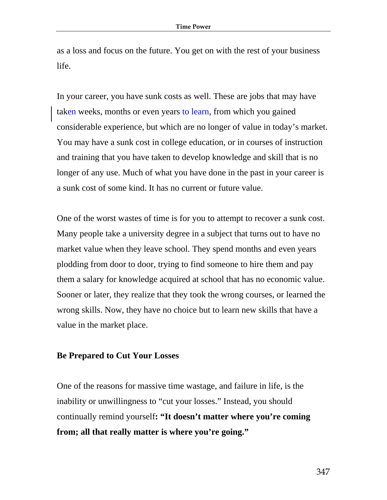as a loss and focus on the future. You get on with the rest of your business life.

In your career, you have sunk costs as well. These are jobs that may have taken weeks, months or even years to learn, from which you gained considerable experience, but which are no longer of value in today's market. You may have a sunk cost in college education, or in courses of instruction and training that you have taken to develop knowledge and skill that is no longer of any use. Much of what you have done in the past in your career is a sunk cost of some kind. It has no current or future value.

One of the worst wastes of time is for you to attempt to recover a sunk cost. Many people take a university degree in a subject that turns out to have no market value when they leave school. They spend months and even years plodding from door to door, trying to find someone to hire them and pay them a salary for knowledge acquired at school that has no economic value. Sooner or later, they realize that they took the wrong courses, or learned the wrong skills. Now, they have no choice but to learn new skills that have a value in the market place.

### **Be Prepared to Cut Your Losses**

One of the reasons for massive time wastage, and failure in life, is the inability or unwillingness to "cut your losses." Instead, you should continually remind yourself**: "It doesn't matter where you're coming from; all that really matter is where you're going."**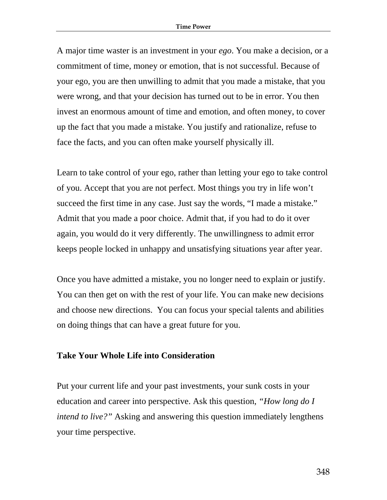A major time waster is an investment in your *ego*. You make a decision, or a commitment of time, money or emotion, that is not successful. Because of your ego, you are then unwilling to admit that you made a mistake, that you were wrong, and that your decision has turned out to be in error. You then invest an enormous amount of time and emotion, and often money, to cover up the fact that you made a mistake. You justify and rationalize, refuse to face the facts, and you can often make yourself physically ill.

Learn to take control of your ego, rather than letting your ego to take control of you. Accept that you are not perfect. Most things you try in life won't succeed the first time in any case. Just say the words, "I made a mistake." Admit that you made a poor choice. Admit that, if you had to do it over again, you would do it very differently. The unwillingness to admit error keeps people locked in unhappy and unsatisfying situations year after year.

Once you have admitted a mistake, you no longer need to explain or justify. You can then get on with the rest of your life. You can make new decisions and choose new directions. You can focus your special talents and abilities on doing things that can have a great future for you.

### **Take Your Whole Life into Consideration**

Put your current life and your past investments, your sunk costs in your education and career into perspective. Ask this question, *"How long do I intend to live?"* Asking and answering this question immediately lengthens your time perspective.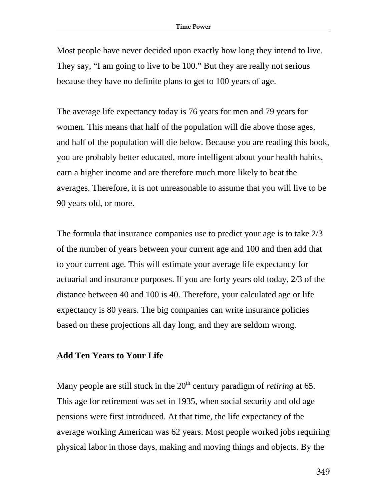#### **Time Power**

Most people have never decided upon exactly how long they intend to live. They say, "I am going to live to be 100." But they are really not serious because they have no definite plans to get to 100 years of age.

The average life expectancy today is 76 years for men and 79 years for women. This means that half of the population will die above those ages, and half of the population will die below. Because you are reading this book, you are probably better educated, more intelligent about your health habits, earn a higher income and are therefore much more likely to beat the averages. Therefore, it is not unreasonable to assume that you will live to be 90 years old, or more.

The formula that insurance companies use to predict your age is to take 2/3 of the number of years between your current age and 100 and then add that to your current age. This will estimate your average life expectancy for actuarial and insurance purposes. If you are forty years old today, 2/3 of the distance between 40 and 100 is 40. Therefore, your calculated age or life expectancy is 80 years. The big companies can write insurance policies based on these projections all day long, and they are seldom wrong.

### **Add Ten Years to Your Life**

Many people are still stuck in the 20<sup>th</sup> century paradigm of *retiring* at 65. This age for retirement was set in 1935, when social security and old age pensions were first introduced. At that time, the life expectancy of the average working American was 62 years. Most people worked jobs requiring physical labor in those days, making and moving things and objects. By the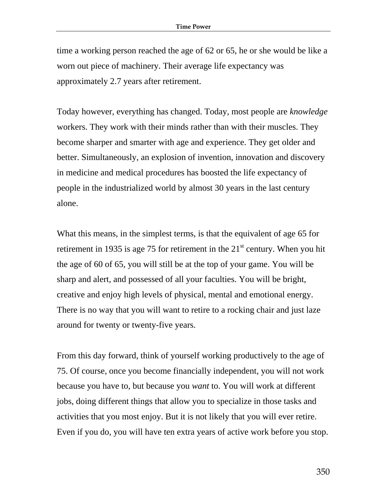time a working person reached the age of 62 or 65, he or she would be like a worn out piece of machinery. Their average life expectancy was approximately 2.7 years after retirement.

Today however, everything has changed. Today, most people are *knowledge* workers. They work with their minds rather than with their muscles. They become sharper and smarter with age and experience. They get older and better. Simultaneously, an explosion of invention, innovation and discovery in medicine and medical procedures has boosted the life expectancy of people in the industrialized world by almost 30 years in the last century alone.

What this means, in the simplest terms, is that the equivalent of age 65 for retirement in 1935 is age 75 for retirement in the  $21<sup>st</sup>$  century. When you hit the age of 60 of 65, you will still be at the top of your game. You will be sharp and alert, and possessed of all your faculties. You will be bright, creative and enjoy high levels of physical, mental and emotional energy. There is no way that you will want to retire to a rocking chair and just laze around for twenty or twenty-five years.

From this day forward, think of yourself working productively to the age of 75. Of course, once you become financially independent, you will not work because you have to, but because you *want* to. You will work at different jobs, doing different things that allow you to specialize in those tasks and activities that you most enjoy. But it is not likely that you will ever retire. Even if you do, you will have ten extra years of active work before you stop.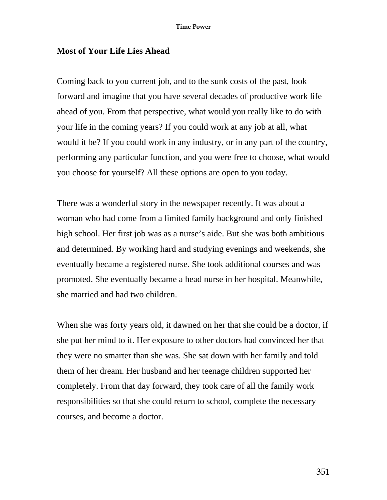### **Most of Your Life Lies Ahead**

Coming back to you current job, and to the sunk costs of the past, look forward and imagine that you have several decades of productive work life ahead of you. From that perspective, what would you really like to do with your life in the coming years? If you could work at any job at all, what would it be? If you could work in any industry, or in any part of the country, performing any particular function, and you were free to choose, what would you choose for yourself? All these options are open to you today.

There was a wonderful story in the newspaper recently. It was about a woman who had come from a limited family background and only finished high school. Her first job was as a nurse's aide. But she was both ambitious and determined. By working hard and studying evenings and weekends, she eventually became a registered nurse. She took additional courses and was promoted. She eventually became a head nurse in her hospital. Meanwhile, she married and had two children.

When she was forty years old, it dawned on her that she could be a doctor, if she put her mind to it. Her exposure to other doctors had convinced her that they were no smarter than she was. She sat down with her family and told them of her dream. Her husband and her teenage children supported her completely. From that day forward, they took care of all the family work responsibilities so that she could return to school, complete the necessary courses, and become a doctor.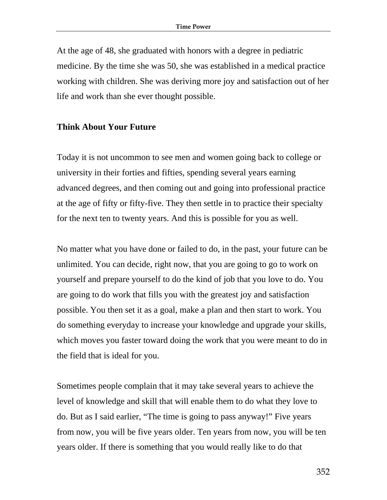At the age of 48, she graduated with honors with a degree in pediatric medicine. By the time she was 50, she was established in a medical practice working with children. She was deriving more joy and satisfaction out of her life and work than she ever thought possible.

### **Think About Your Future**

Today it is not uncommon to see men and women going back to college or university in their forties and fifties, spending several years earning advanced degrees, and then coming out and going into professional practice at the age of fifty or fifty-five. They then settle in to practice their specialty for the next ten to twenty years. And this is possible for you as well.

No matter what you have done or failed to do, in the past, your future can be unlimited. You can decide, right now, that you are going to go to work on yourself and prepare yourself to do the kind of job that you love to do. You are going to do work that fills you with the greatest joy and satisfaction possible. You then set it as a goal, make a plan and then start to work. You do something everyday to increase your knowledge and upgrade your skills, which moves you faster toward doing the work that you were meant to do in the field that is ideal for you.

Sometimes people complain that it may take several years to achieve the level of knowledge and skill that will enable them to do what they love to do. But as I said earlier, "The time is going to pass anyway!" Five years from now, you will be five years older. Ten years from now, you will be ten years older. If there is something that you would really like to do that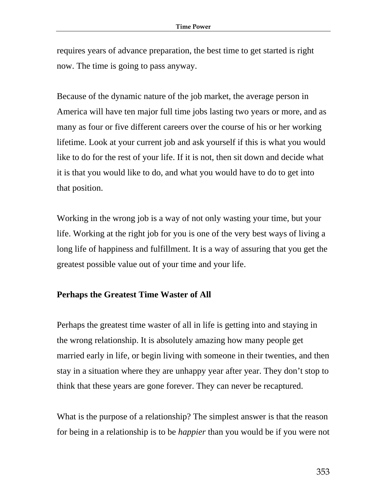requires years of advance preparation, the best time to get started is right now. The time is going to pass anyway.

Because of the dynamic nature of the job market, the average person in America will have ten major full time jobs lasting two years or more, and as many as four or five different careers over the course of his or her working lifetime. Look at your current job and ask yourself if this is what you would like to do for the rest of your life. If it is not, then sit down and decide what it is that you would like to do, and what you would have to do to get into that position.

Working in the wrong job is a way of not only wasting your time, but your life. Working at the right job for you is one of the very best ways of living a long life of happiness and fulfillment. It is a way of assuring that you get the greatest possible value out of your time and your life.

### **Perhaps the Greatest Time Waster of All**

Perhaps the greatest time waster of all in life is getting into and staying in the wrong relationship. It is absolutely amazing how many people get married early in life, or begin living with someone in their twenties, and then stay in a situation where they are unhappy year after year. They don't stop to think that these years are gone forever. They can never be recaptured.

What is the purpose of a relationship? The simplest answer is that the reason for being in a relationship is to be *happier* than you would be if you were not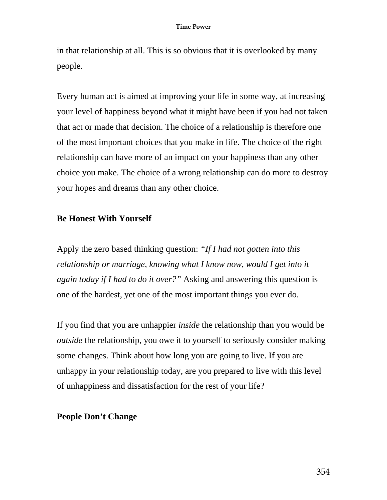in that relationship at all. This is so obvious that it is overlooked by many people.

Every human act is aimed at improving your life in some way, at increasing your level of happiness beyond what it might have been if you had not taken that act or made that decision. The choice of a relationship is therefore one of the most important choices that you make in life. The choice of the right relationship can have more of an impact on your happiness than any other choice you make. The choice of a wrong relationship can do more to destroy your hopes and dreams than any other choice.

### **Be Honest With Yourself**

Apply the zero based thinking question: *"If I had not gotten into this relationship or marriage, knowing what I know now, would I get into it again today if I had to do it over?"* Asking and answering this question is one of the hardest, yet one of the most important things you ever do.

If you find that you are unhappier *inside* the relationship than you would be *outside* the relationship, you owe it to yourself to seriously consider making some changes. Think about how long you are going to live. If you are unhappy in your relationship today, are you prepared to live with this level of unhappiness and dissatisfaction for the rest of your life?

### **People Don't Change**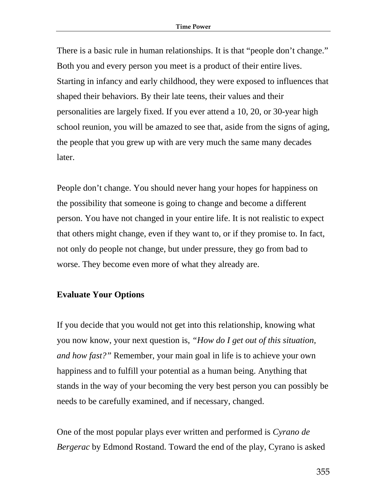There is a basic rule in human relationships. It is that "people don't change." Both you and every person you meet is a product of their entire lives. Starting in infancy and early childhood, they were exposed to influences that shaped their behaviors. By their late teens, their values and their personalities are largely fixed. If you ever attend a 10, 20, or 30-year high school reunion, you will be amazed to see that, aside from the signs of aging, the people that you grew up with are very much the same many decades later.

People don't change. You should never hang your hopes for happiness on the possibility that someone is going to change and become a different person. You have not changed in your entire life. It is not realistic to expect that others might change, even if they want to, or if they promise to. In fact, not only do people not change, but under pressure, they go from bad to worse. They become even more of what they already are.

### **Evaluate Your Options**

If you decide that you would not get into this relationship, knowing what you now know, your next question is, *"How do I get out of this situation, and how fast?"* Remember, your main goal in life is to achieve your own happiness and to fulfill your potential as a human being. Anything that stands in the way of your becoming the very best person you can possibly be needs to be carefully examined, and if necessary, changed.

One of the most popular plays ever written and performed is *Cyrano de Bergerac* by Edmond Rostand. Toward the end of the play, Cyrano is asked

<u>355 September 2006 September 2006 September 2006 September 2006 September 2006 September 2006 September 2006 S</u>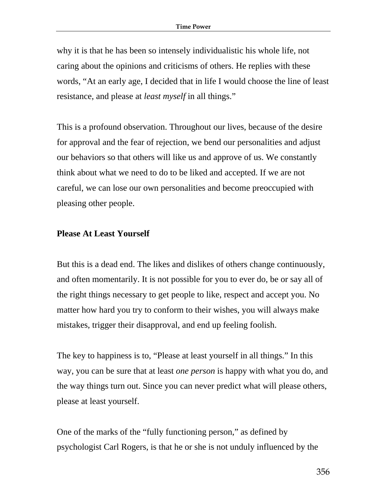why it is that he has been so intensely individualistic his whole life, not caring about the opinions and criticisms of others. He replies with these words, "At an early age, I decided that in life I would choose the line of least resistance, and please at *least myself* in all things."

This is a profound observation. Throughout our lives, because of the desire for approval and the fear of rejection, we bend our personalities and adjust our behaviors so that others will like us and approve of us. We constantly think about what we need to do to be liked and accepted. If we are not careful, we can lose our own personalities and become preoccupied with pleasing other people.

### **Please At Least Yourself**

But this is a dead end. The likes and dislikes of others change continuously, and often momentarily. It is not possible for you to ever do, be or say all of the right things necessary to get people to like, respect and accept you. No matter how hard you try to conform to their wishes, you will always make mistakes, trigger their disapproval, and end up feeling foolish.

The key to happiness is to, "Please at least yourself in all things." In this way, you can be sure that at least *one person* is happy with what you do, and the way things turn out. Since you can never predict what will please others, please at least yourself.

One of the marks of the "fully functioning person," as defined by psychologist Carl Rogers, is that he or she is not unduly influenced by the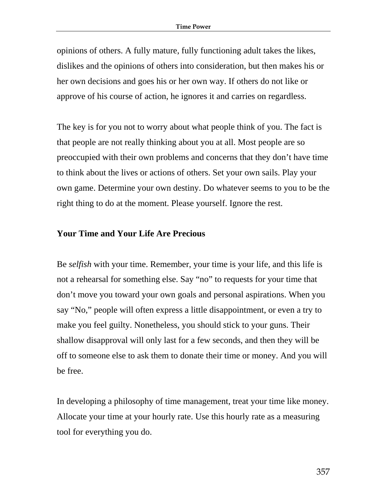opinions of others. A fully mature, fully functioning adult takes the likes, dislikes and the opinions of others into consideration, but then makes his or her own decisions and goes his or her own way. If others do not like or approve of his course of action, he ignores it and carries on regardless.

The key is for you not to worry about what people think of you. The fact is that people are not really thinking about you at all. Most people are so preoccupied with their own problems and concerns that they don't have time to think about the lives or actions of others. Set your own sails. Play your own game. Determine your own destiny. Do whatever seems to you to be the right thing to do at the moment. Please yourself. Ignore the rest.

### **Your Time and Your Life Are Precious**

Be *selfish* with your time. Remember, your time is your life, and this life is not a rehearsal for something else. Say "no" to requests for your time that don't move you toward your own goals and personal aspirations. When you say "No," people will often express a little disappointment, or even a try to make you feel guilty. Nonetheless, you should stick to your guns. Their shallow disapproval will only last for a few seconds, and then they will be off to someone else to ask them to donate their time or money. And you will be free.

In developing a philosophy of time management, treat your time like money. Allocate your time at your hourly rate. Use this hourly rate as a measuring tool for everything you do.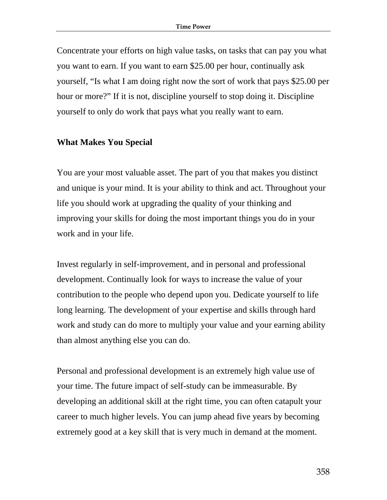Concentrate your efforts on high value tasks, on tasks that can pay you what you want to earn. If you want to earn \$25.00 per hour, continually ask yourself, "Is what I am doing right now the sort of work that pays \$25.00 per hour or more?" If it is not, discipline yourself to stop doing it. Discipline yourself to only do work that pays what you really want to earn.

#### **What Makes You Special**

You are your most valuable asset. The part of you that makes you distinct and unique is your mind. It is your ability to think and act. Throughout your life you should work at upgrading the quality of your thinking and improving your skills for doing the most important things you do in your work and in your life.

Invest regularly in self-improvement, and in personal and professional development. Continually look for ways to increase the value of your contribution to the people who depend upon you. Dedicate yourself to life long learning. The development of your expertise and skills through hard work and study can do more to multiply your value and your earning ability than almost anything else you can do.

Personal and professional development is an extremely high value use of your time. The future impact of self-study can be immeasurable. By developing an additional skill at the right time, you can often catapult your career to much higher levels. You can jump ahead five years by becoming extremely good at a key skill that is very much in demand at the moment.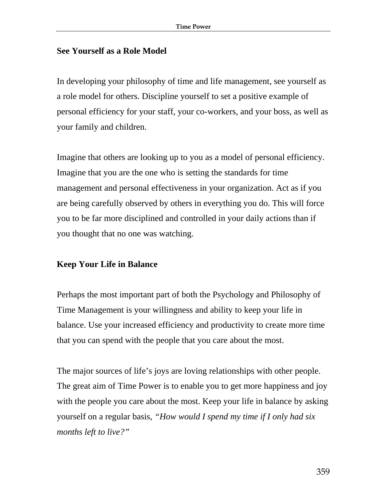### **See Yourself as a Role Model**

In developing your philosophy of time and life management, see yourself as a role model for others. Discipline yourself to set a positive example of personal efficiency for your staff, your co-workers, and your boss, as well as your family and children.

Imagine that others are looking up to you as a model of personal efficiency. Imagine that you are the one who is setting the standards for time management and personal effectiveness in your organization. Act as if you are being carefully observed by others in everything you do. This will force you to be far more disciplined and controlled in your daily actions than if you thought that no one was watching.

### **Keep Your Life in Balance**

Perhaps the most important part of both the Psychology and Philosophy of Time Management is your willingness and ability to keep your life in balance. Use your increased efficiency and productivity to create more time that you can spend with the people that you care about the most.

The major sources of life's joys are loving relationships with other people. The great aim of Time Power is to enable you to get more happiness and joy with the people you care about the most. Keep your life in balance by asking yourself on a regular basis, *"How would I spend my time if I only had six months left to live?"*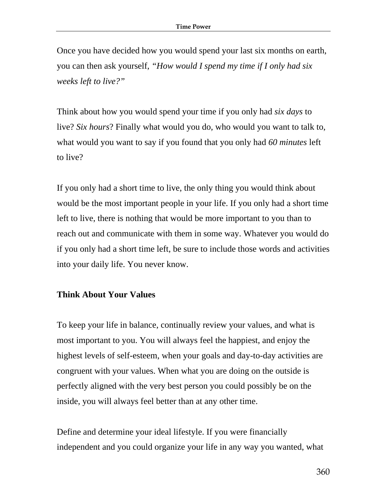Once you have decided how you would spend your last six months on earth, you can then ask yourself, *"How would I spend my time if I only had six weeks left to live?"* 

Think about how you would spend your time if you only had *six days* to live? *Six hours*? Finally what would you do, who would you want to talk to, what would you want to say if you found that you only had *60 minutes* left to live?

If you only had a short time to live, the only thing you would think about would be the most important people in your life. If you only had a short time left to live, there is nothing that would be more important to you than to reach out and communicate with them in some way. Whatever you would do if you only had a short time left, be sure to include those words and activities into your daily life. You never know.

### **Think About Your Values**

To keep your life in balance, continually review your values, and what is most important to you. You will always feel the happiest, and enjoy the highest levels of self-esteem, when your goals and day-to-day activities are congruent with your values. When what you are doing on the outside is perfectly aligned with the very best person you could possibly be on the inside, you will always feel better than at any other time.

Define and determine your ideal lifestyle. If you were financially independent and you could organize your life in any way you wanted, what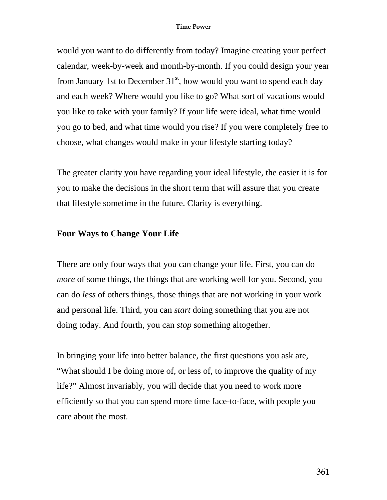would you want to do differently from today? Imagine creating your perfect calendar, week-by-week and month-by-month. If you could design your year from January 1st to December  $31<sup>st</sup>$ , how would you want to spend each day and each week? Where would you like to go? What sort of vacations would you like to take with your family? If your life were ideal, what time would you go to bed, and what time would you rise? If you were completely free to choose, what changes would make in your lifestyle starting today?

The greater clarity you have regarding your ideal lifestyle, the easier it is for you to make the decisions in the short term that will assure that you create that lifestyle sometime in the future. Clarity is everything.

#### **Four Ways to Change Your Life**

There are only four ways that you can change your life. First, you can do *more* of some things, the things that are working well for you. Second, you can do *less* of others things, those things that are not working in your work and personal life. Third, you can *start* doing something that you are not doing today. And fourth, you can *stop* something altogether.

In bringing your life into better balance, the first questions you ask are, "What should I be doing more of, or less of, to improve the quality of my life?" Almost invariably, you will decide that you need to work more efficiently so that you can spend more time face-to-face, with people you care about the most.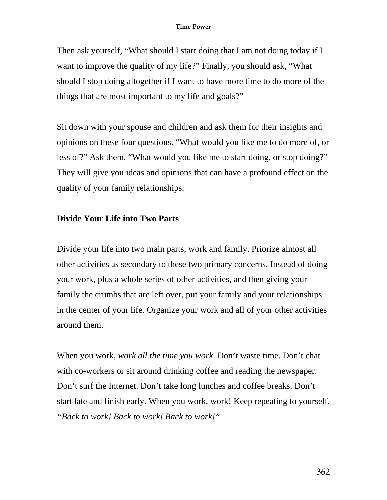Then ask yourself, "What should I start doing that I am not doing today if I want to improve the quality of my life?" Finally, you should ask, "What should I stop doing altogether if I want to have more time to do more of the things that are most important to my life and goals?"

Sit down with your spouse and children and ask them for their insights and opinions on these four questions. "What would you like me to do more of, or less of?" Ask them, "What would you like me to start doing, or stop doing?" They will give you ideas and opinions that can have a profound effect on the quality of your family relationships.

### **Divide Your Life into Two Parts**

Divide your life into two main parts, work and family. Priorize almost all other activities as secondary to these two primary concerns. Instead of doing your work, plus a whole series of other activities, and then giving your family the crumbs that are left over, put your family and your relationships in the center of your life. Organize your work and all of your other activities around them.

When you work, *work all the time you work*. Don't waste time. Don't chat with co-workers or sit around drinking coffee and reading the newspaper. Don't surf the Internet. Don't take long lunches and coffee breaks. Don't start late and finish early. When you work, work! Keep repeating to yourself, *"Back to work! Back to work! Back to work!"*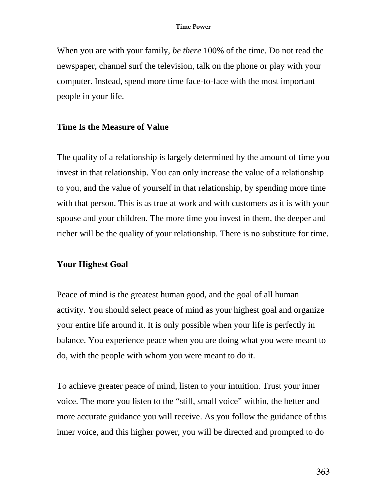When you are with your family, *be there* 100% of the time. Do not read the newspaper, channel surf the television, talk on the phone or play with your computer. Instead, spend more time face-to-face with the most important people in your life.

#### **Time Is the Measure of Value**

The quality of a relationship is largely determined by the amount of time you invest in that relationship. You can only increase the value of a relationship to you, and the value of yourself in that relationship, by spending more time with that person. This is as true at work and with customers as it is with your spouse and your children. The more time you invest in them, the deeper and richer will be the quality of your relationship. There is no substitute for time.

#### **Your Highest Goal**

Peace of mind is the greatest human good, and the goal of all human activity. You should select peace of mind as your highest goal and organize your entire life around it. It is only possible when your life is perfectly in balance. You experience peace when you are doing what you were meant to do, with the people with whom you were meant to do it.

To achieve greater peace of mind, listen to your intuition. Trust your inner voice. The more you listen to the "still, small voice" within, the better and more accurate guidance you will receive. As you follow the guidance of this inner voice, and this higher power, you will be directed and prompted to do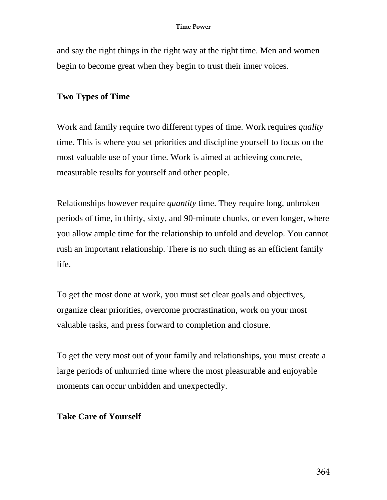and say the right things in the right way at the right time. Men and women begin to become great when they begin to trust their inner voices.

# **Two Types of Time**

Work and family require two different types of time. Work requires *quality* time. This is where you set priorities and discipline yourself to focus on the most valuable use of your time. Work is aimed at achieving concrete, measurable results for yourself and other people.

Relationships however require *quantity* time. They require long, unbroken periods of time, in thirty, sixty, and 90-minute chunks, or even longer, where you allow ample time for the relationship to unfold and develop. You cannot rush an important relationship. There is no such thing as an efficient family life.

To get the most done at work, you must set clear goals and objectives, organize clear priorities, overcome procrastination, work on your most valuable tasks, and press forward to completion and closure.

To get the very most out of your family and relationships, you must create a large periods of unhurried time where the most pleasurable and enjoyable moments can occur unbidden and unexpectedly.

### **Take Care of Yourself**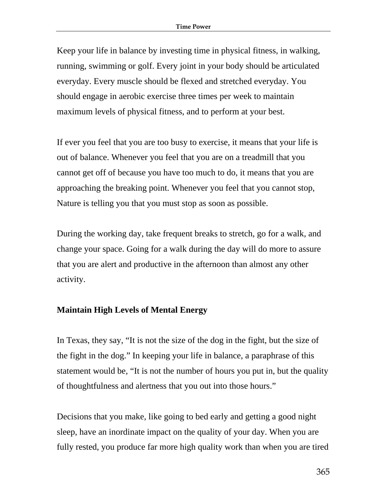Keep your life in balance by investing time in physical fitness, in walking, running, swimming or golf. Every joint in your body should be articulated everyday. Every muscle should be flexed and stretched everyday. You should engage in aerobic exercise three times per week to maintain maximum levels of physical fitness, and to perform at your best.

If ever you feel that you are too busy to exercise, it means that your life is out of balance. Whenever you feel that you are on a treadmill that you cannot get off of because you have too much to do, it means that you are approaching the breaking point. Whenever you feel that you cannot stop, Nature is telling you that you must stop as soon as possible.

During the working day, take frequent breaks to stretch, go for a walk, and change your space. Going for a walk during the day will do more to assure that you are alert and productive in the afternoon than almost any other activity.

### **Maintain High Levels of Mental Energy**

In Texas, they say, "It is not the size of the dog in the fight, but the size of the fight in the dog." In keeping your life in balance, a paraphrase of this statement would be, "It is not the number of hours you put in, but the quality of thoughtfulness and alertness that you out into those hours."

Decisions that you make, like going to bed early and getting a good night sleep, have an inordinate impact on the quality of your day. When you are fully rested, you produce far more high quality work than when you are tired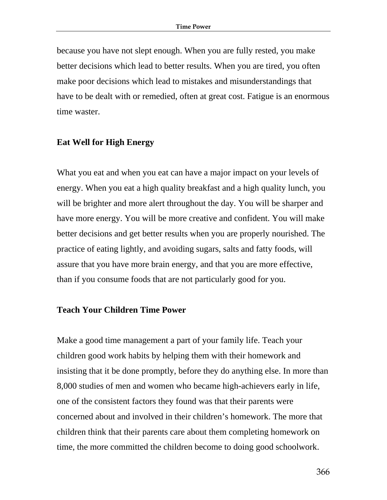because you have not slept enough. When you are fully rested, you make better decisions which lead to better results. When you are tired, you often make poor decisions which lead to mistakes and misunderstandings that have to be dealt with or remedied, often at great cost. Fatigue is an enormous time waster.

#### **Eat Well for High Energy**

What you eat and when you eat can have a major impact on your levels of energy. When you eat a high quality breakfast and a high quality lunch, you will be brighter and more alert throughout the day. You will be sharper and have more energy. You will be more creative and confident. You will make better decisions and get better results when you are properly nourished. The practice of eating lightly, and avoiding sugars, salts and fatty foods, will assure that you have more brain energy, and that you are more effective, than if you consume foods that are not particularly good for you.

### **Teach Your Children Time Power**

Make a good time management a part of your family life. Teach your children good work habits by helping them with their homework and insisting that it be done promptly, before they do anything else. In more than 8,000 studies of men and women who became high-achievers early in life, one of the consistent factors they found was that their parents were concerned about and involved in their children's homework. The more that children think that their parents care about them completing homework on time, the more committed the children become to doing good schoolwork.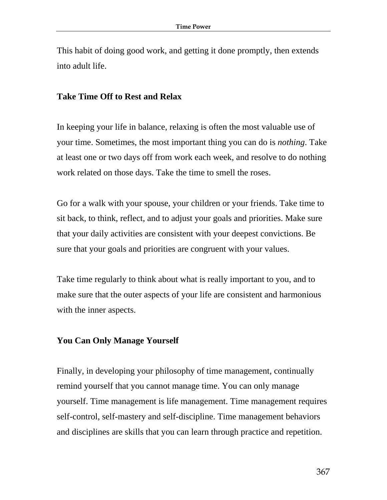This habit of doing good work, and getting it done promptly, then extends into adult life.

# **Take Time Off to Rest and Relax**

In keeping your life in balance, relaxing is often the most valuable use of your time. Sometimes, the most important thing you can do is *nothing*. Take at least one or two days off from work each week, and resolve to do nothing work related on those days. Take the time to smell the roses.

Go for a walk with your spouse, your children or your friends. Take time to sit back, to think, reflect, and to adjust your goals and priorities. Make sure that your daily activities are consistent with your deepest convictions. Be sure that your goals and priorities are congruent with your values.

Take time regularly to think about what is really important to you, and to make sure that the outer aspects of your life are consistent and harmonious with the inner aspects.

## **You Can Only Manage Yourself**

Finally, in developing your philosophy of time management, continually remind yourself that you cannot manage time. You can only manage yourself. Time management is life management. Time management requires self-control, self-mastery and self-discipline. Time management behaviors and disciplines are skills that you can learn through practice and repetition.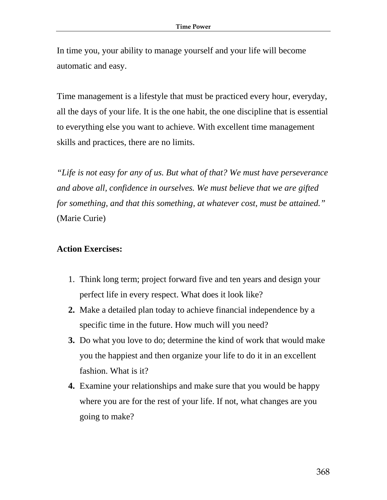In time you, your ability to manage yourself and your life will become automatic and easy.

Time management is a lifestyle that must be practiced every hour, everyday, all the days of your life. It is the one habit, the one discipline that is essential to everything else you want to achieve. With excellent time management skills and practices, there are no limits.

*"Life is not easy for any of us. But what of that? We must have perseverance and above all, confidence in ourselves. We must believe that we are gifted for something, and that this something, at whatever cost, must be attained."* (Marie Curie)

## **Action Exercises:**

- 1. Think long term; project forward five and ten years and design your perfect life in every respect. What does it look like?
- **2.** Make a detailed plan today to achieve financial independence by a specific time in the future. How much will you need?
- **3.** Do what you love to do; determine the kind of work that would make you the happiest and then organize your life to do it in an excellent fashion. What is it?
- **4.** Examine your relationships and make sure that you would be happy where you are for the rest of your life. If not, what changes are you going to make?